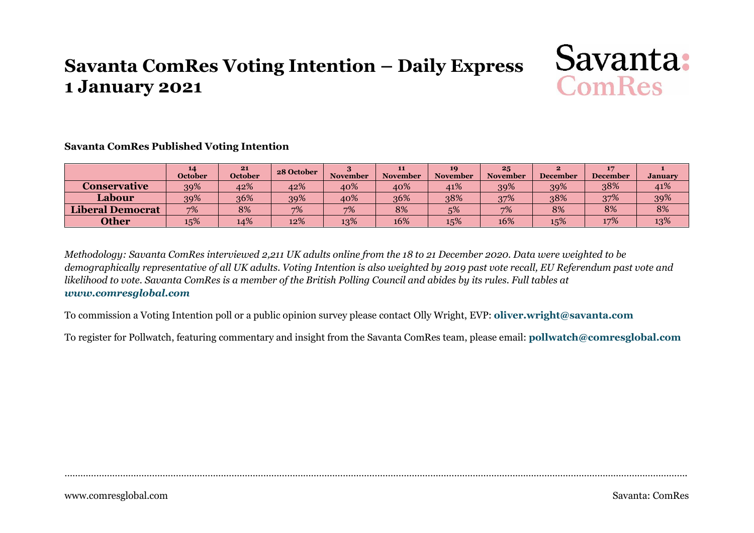# **Savanta ComRes Voting Intention – Daily Express 1 January 2021**



#### **Savanta ComRes Published Voting Intention**

|                         | 14<br><b>October</b> | 21<br><b>October</b> | 28 October | <b>November</b> | 11<br><b>November</b> | 10<br><b>November</b> | 25<br><b>November</b> | <b>December</b> | <b>December</b> | <b>January</b> |
|-------------------------|----------------------|----------------------|------------|-----------------|-----------------------|-----------------------|-----------------------|-----------------|-----------------|----------------|
| Conservative            | 39%                  | 42%                  | 42%        | 40%             | 40%                   | 41%                   | 39%                   | 39%             | 38%             | 41%            |
| Labour                  | 39%                  | 36%                  | 39%        | 40%             | 36%                   | 38%                   | 37%                   | 38%             | 37%             | 39%            |
| <b>Liberal Democrat</b> | 7%                   | 8%                   | 7%         | 7%              | 8%                    | 5%                    | 7%                    | 8%              | 8%              | 8%             |
| <b>Other</b>            | 15%                  | 14%                  | 12%        | 13%             | 16%                   | 15%                   | 16%                   | 15%             | 17%             | 13%            |

*Methodology: Savanta ComRes interviewed 2,211 UK adults online from the 18 to 21 December 2020. Data were weighted to be demographically representative of all UK adults. Voting Intention is also weighted by 2019 past vote recall, EU Referendum past vote and likelihood to vote. Savanta ComRes is a member of the British Polling Council and abides by its rules. Full tables at [www.comresglobal.com](http://www.comresglobal.com/)*

To commission a Voting Intention poll or a public opinion survey please contact Olly Wright, EVP: **[oliver.wright@savanta.com](mailto:oliver.wright@savanta.com)**

To register for Pollwatch, featuring commentary and insight from the Savanta ComRes team, please email: **[pollwatch@comresglobal.com](mailto:pollwatch@comresglobal.com)**

……………………………………………………………………………………………………………………………………………………………………………………………………………….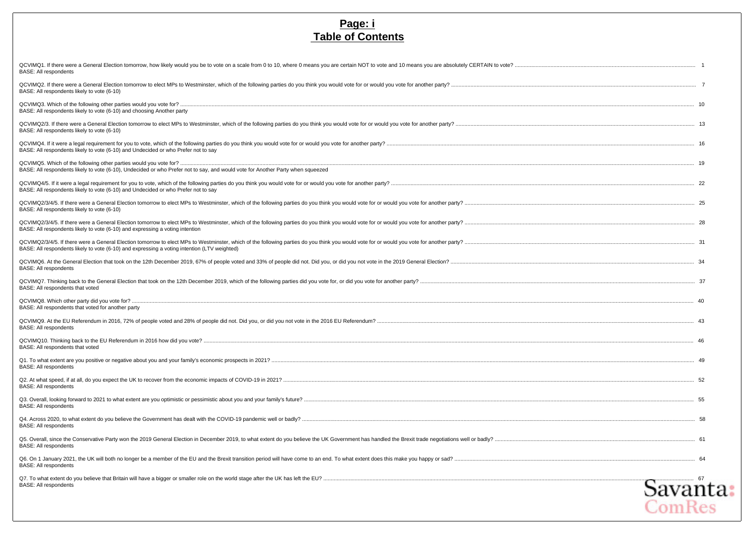#### **Page: i Table of Contents**

| QCVIMQ1. If there were a General Election tomorrow, how likely would you be to vote on a scale from 0 to 10, where 0 means you are certain NOT to vote and 10 means you are absolutely CERTAIN to vote? |
|---------------------------------------------------------------------------------------------------------------------------------------------------------------------------------------------------------|
|                                                                                                                                                                                                         |
|                                                                                                                                                                                                         |
|                                                                                                                                                                                                         |
|                                                                                                                                                                                                         |
|                                                                                                                                                                                                         |
|                                                                                                                                                                                                         |
|                                                                                                                                                                                                         |
|                                                                                                                                                                                                         |
|                                                                                                                                                                                                         |
|                                                                                                                                                                                                         |
|                                                                                                                                                                                                         |
|                                                                                                                                                                                                         |
|                                                                                                                                                                                                         |
|                                                                                                                                                                                                         |
|                                                                                                                                                                                                         |
|                                                                                                                                                                                                         |
|                                                                                                                                                                                                         |
|                                                                                                                                                                                                         |
| Q5. Overall, since the Conservative Party won the 2019 General Election in December 2019, to what extent do you believe the UK Government has handled the Brexit trade negotiations well or badly?      |
|                                                                                                                                                                                                         |
| .om Res                                                                                                                                                                                                 |
|                                                                                                                                                                                                         |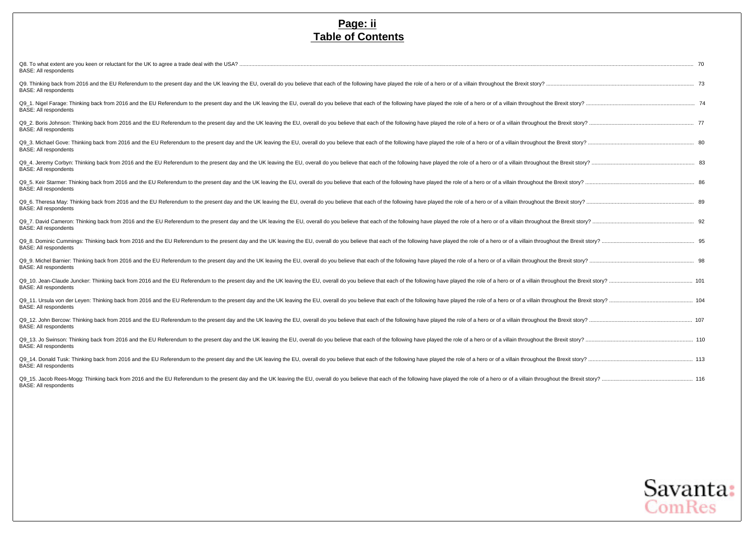#### **Page: ii Table of Contents**

| <b>BASE: All respondents</b>                                                                                                                                                                                                                                   |  |
|----------------------------------------------------------------------------------------------------------------------------------------------------------------------------------------------------------------------------------------------------------------|--|
| Q9. Thinking back from 2016 and the EU Referendum to the present day and the UK leaving the EU, overall do you believe that each of the following have played the role of a hero or of a villain throughout the Brexit story?<br><b>BASE: All respondents</b>  |  |
| Q9_1. Nigel Farage: Thinking back from 2016 and the EU Referendum to the present day and the UK leaving the EU, overall do you believe that each of the following have played the role of a hero or of a villain throughout th<br><b>BASE: All respondents</b> |  |
| Q9_2. Boris Johnson: Thinking back from 2016 and the EU Referendum to the present day and the UK leaving the EU, overall do you believe that each of the following have played the role of a hero or of a villain throughout t<br><b>BASE: All respondents</b> |  |
| Q9 3. Michael Gove: Thinking back from 2016 and the EU Referendum to the present day and the UK leaving the EU, overall do you believe that each of the following have played the role of a hero or of a villain throughout th<br><b>BASE: All respondents</b> |  |
| Q9_4. Jeremy Corbyn: Thinking back from 2016 and the EU Referendum to the present day and the UK leaving the EU, overall do you believe that each of the following have played the role of a hero or of a villain throughout t<br><b>BASE: All respondents</b> |  |
| Q9_5. Keir Starmer: Thinking back from 2016 and the EU Referendum to the present day and the UK leaving the EU, overall do you believe that each of the following have played the role of a hero or of a villain throughout th<br><b>BASE: All respondents</b> |  |
| Q9 6. Theresa May: Thinking back from 2016 and the EU Referendum to the present day and the UK leaving the EU, overall do you believe that each of the following have played the role of a hero or of a villain throughout the<br><b>BASE: All respondents</b> |  |
| Q9 7. David Cameron: Thinking back from 2016 and the EU Referendum to the present day and the UK leaving the EU, overall do you believe that each of the following have played the role of a hero or of a villain throughout t<br><b>BASE: All respondents</b> |  |
| Q9_8. Dominic Cummings: Thinking back from 2016 and the EU Referendum to the present day and the UK leaving the EU, overall do you believe that each of the following have played the role of a hero or of a villain throughou<br><b>BASE: All respondents</b> |  |
| Q9 9. Michel Barnier: Thinking back from 2016 and the EU Referendum to the present day and the UK leaving the EU, overall do you believe that each of the following have played the role of a hero or of a villain throughout<br><b>BASE: All respondents</b>  |  |
| Q9 10. Jean-Claude Juncker: Thinking back from 2016 and the EU Referendum to the present day and the UK leaving the EU, overall do you believe that each of the following have played the role of a hero or of a villain throu<br><b>BASE: All respondents</b> |  |
| Q9_11. Ursula von der Leyen: Thinking back from 2016 and the EU Referendum to the present day and the UK leaving the EU, overall do you believe that each of the following have played the role of a hero or of a villain thro<br><b>BASE: All respondents</b> |  |
| Q9_12. John Bercow: Thinking back from 2016 and the EU Referendum to the present day and the UK leaving the EU, overall do you believe that each of the following have played the role of a hero or of a villain throughout th<br><b>BASE: All respondents</b> |  |
| Q9_13. Jo Swinson: Thinking back from 2016 and the EU Referendum to the present day and the UK leaving the EU, overall do you believe that each of the following have played the role of a hero or of a villain throughout the<br><b>BASE: All respondents</b> |  |
| Q9_14. Donald Tusk: Thinking back from 2016 and the EU Referendum to the present day and the UK leaving the EU, overall do you believe that each of the following have played the role of a hero or of a villain throughout th<br><b>BASE: All respondents</b> |  |
| Q9_15. Jacob Rees-Mogg: Thinking back from 2016 and the EU Referendum to the present day and the UK leaving the EU, overall do you believe that each of the following have played the role of a hero or of a villain throughou<br><b>BASE: All respondents</b> |  |

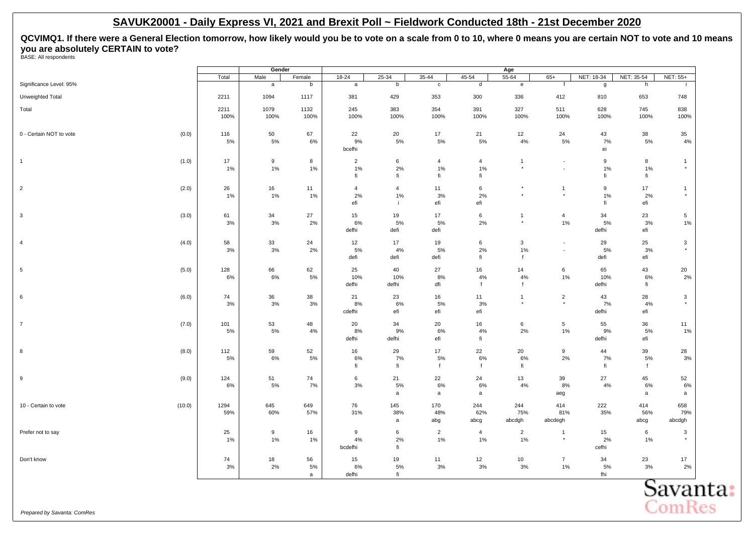# <span id="page-3-0"></span>**QCVIMQ1. If there were a General Election tomorrow, how likely would you be to vote on a scale from 0 to 10, where 0 means you are certain NOT to vote and 10 means you are absolutely CERTAIN to vote?** BASE: All respondents

| (0.0)<br>(1.0) | Total<br>2211<br>2211<br>100%<br>116<br>5%<br>17<br>1% | Male<br>$\mathsf{a}$<br>1094<br>1079<br>100%<br>50<br>5%                | Female<br>b<br>1117<br>1132<br>100%<br>67<br>6%                             | $18 - 24$<br>$\mathsf{a}$<br>381<br>245<br>100%<br>22                      | $25 - 34$<br>b<br>429<br>383<br>100%                                                                                              | $35 - 44$<br>$\mathbf{c}$<br>353<br>354<br>100%                                                                                        | 45-54<br>d<br>300<br>391<br>100%                                                                                              | $55 - 64$<br>$\mathbf{e}$<br>336<br>327<br>100%                                                                                   | $65+$<br>f<br>412<br>511<br>100%                                                                                                            | NET: 18-34<br>g<br>810<br>628<br>100%                                                                                                      | NET: 35-54<br>h<br>653<br>745<br>100%                                                                                              | NET: 55+<br>÷<br>748<br>838<br>100%                                                                                                     |
|----------------|--------------------------------------------------------|-------------------------------------------------------------------------|-----------------------------------------------------------------------------|----------------------------------------------------------------------------|-----------------------------------------------------------------------------------------------------------------------------------|----------------------------------------------------------------------------------------------------------------------------------------|-------------------------------------------------------------------------------------------------------------------------------|-----------------------------------------------------------------------------------------------------------------------------------|---------------------------------------------------------------------------------------------------------------------------------------------|--------------------------------------------------------------------------------------------------------------------------------------------|------------------------------------------------------------------------------------------------------------------------------------|-----------------------------------------------------------------------------------------------------------------------------------------|
|                |                                                        |                                                                         |                                                                             |                                                                            |                                                                                                                                   |                                                                                                                                        |                                                                                                                               |                                                                                                                                   |                                                                                                                                             |                                                                                                                                            |                                                                                                                                    |                                                                                                                                         |
|                |                                                        |                                                                         |                                                                             |                                                                            |                                                                                                                                   |                                                                                                                                        |                                                                                                                               |                                                                                                                                   |                                                                                                                                             |                                                                                                                                            |                                                                                                                                    |                                                                                                                                         |
|                |                                                        |                                                                         |                                                                             |                                                                            |                                                                                                                                   |                                                                                                                                        |                                                                                                                               |                                                                                                                                   |                                                                                                                                             |                                                                                                                                            |                                                                                                                                    |                                                                                                                                         |
|                |                                                        |                                                                         |                                                                             |                                                                            |                                                                                                                                   |                                                                                                                                        |                                                                                                                               |                                                                                                                                   |                                                                                                                                             |                                                                                                                                            |                                                                                                                                    |                                                                                                                                         |
|                |                                                        |                                                                         |                                                                             |                                                                            |                                                                                                                                   |                                                                                                                                        |                                                                                                                               |                                                                                                                                   |                                                                                                                                             |                                                                                                                                            |                                                                                                                                    |                                                                                                                                         |
|                |                                                        |                                                                         |                                                                             |                                                                            | 20                                                                                                                                | 17                                                                                                                                     | 21                                                                                                                            | 12                                                                                                                                | 24                                                                                                                                          | 43                                                                                                                                         | 38                                                                                                                                 | 35                                                                                                                                      |
|                |                                                        |                                                                         |                                                                             | 9%                                                                         | 5%                                                                                                                                | 5%                                                                                                                                     | 5%                                                                                                                            | $4\%$                                                                                                                             | 5%                                                                                                                                          | 7%                                                                                                                                         | 5%                                                                                                                                 | 4%                                                                                                                                      |
|                |                                                        |                                                                         |                                                                             | bcefhi                                                                     |                                                                                                                                   |                                                                                                                                        |                                                                                                                               |                                                                                                                                   |                                                                                                                                             | ei                                                                                                                                         |                                                                                                                                    |                                                                                                                                         |
|                |                                                        | 9                                                                       | 8                                                                           | $\overline{2}$                                                             | 6                                                                                                                                 | $\overline{4}$                                                                                                                         | $\overline{4}$                                                                                                                | $\mathbf{1}$                                                                                                                      | $\sim$                                                                                                                                      | 9                                                                                                                                          | 8                                                                                                                                  | $\overline{1}$                                                                                                                          |
|                |                                                        | 1%                                                                      | 1%                                                                          | 1%<br>fi                                                                   | 2%<br>fi                                                                                                                          | 1%<br>fi                                                                                                                               | 1%<br>fi                                                                                                                      | $^\star$                                                                                                                          | $\sim$                                                                                                                                      | 1%<br>fi                                                                                                                                   | 1%<br>fi                                                                                                                           | $^\star$                                                                                                                                |
|                |                                                        |                                                                         |                                                                             |                                                                            |                                                                                                                                   |                                                                                                                                        |                                                                                                                               |                                                                                                                                   |                                                                                                                                             |                                                                                                                                            |                                                                                                                                    |                                                                                                                                         |
| (2.0)          | 26                                                     | 16                                                                      | 11                                                                          | $\overline{4}$                                                             | $\overline{4}$                                                                                                                    | 11                                                                                                                                     | 6                                                                                                                             | $\star$                                                                                                                           | $\mathbf{1}$                                                                                                                                | 9                                                                                                                                          | 17                                                                                                                                 | $\overline{1}$<br>$\star$                                                                                                               |
|                |                                                        |                                                                         |                                                                             |                                                                            | j.                                                                                                                                |                                                                                                                                        |                                                                                                                               |                                                                                                                                   |                                                                                                                                             |                                                                                                                                            |                                                                                                                                    |                                                                                                                                         |
|                |                                                        |                                                                         |                                                                             |                                                                            |                                                                                                                                   |                                                                                                                                        |                                                                                                                               |                                                                                                                                   |                                                                                                                                             |                                                                                                                                            |                                                                                                                                    |                                                                                                                                         |
|                |                                                        |                                                                         |                                                                             |                                                                            |                                                                                                                                   |                                                                                                                                        |                                                                                                                               | $^{\star}$                                                                                                                        |                                                                                                                                             |                                                                                                                                            |                                                                                                                                    | 5<br>1%                                                                                                                                 |
|                |                                                        |                                                                         |                                                                             | defhi                                                                      | defi                                                                                                                              | defi                                                                                                                                   |                                                                                                                               |                                                                                                                                   |                                                                                                                                             | defhi                                                                                                                                      | efi                                                                                                                                |                                                                                                                                         |
| (4.0)          | 58                                                     | 33                                                                      | 24                                                                          | 12                                                                         | 17                                                                                                                                | 19                                                                                                                                     | 6                                                                                                                             | $\mathbf{3}$                                                                                                                      | $\blacksquare$                                                                                                                              | 29                                                                                                                                         | 25                                                                                                                                 | $\mathbf{3}$                                                                                                                            |
|                | 3%                                                     | $3%$                                                                    | 2%                                                                          | 5%                                                                         | 4%                                                                                                                                | 5%                                                                                                                                     | 2%                                                                                                                            | $1\%$                                                                                                                             | $\overline{\phantom{a}}$                                                                                                                    | 5%                                                                                                                                         | 3%                                                                                                                                 | $^\star$                                                                                                                                |
|                |                                                        |                                                                         |                                                                             |                                                                            |                                                                                                                                   |                                                                                                                                        |                                                                                                                               |                                                                                                                                   |                                                                                                                                             |                                                                                                                                            |                                                                                                                                    |                                                                                                                                         |
| (5.0)          | 128                                                    | 66                                                                      | 62                                                                          | 25                                                                         | 40                                                                                                                                | 27                                                                                                                                     | 16                                                                                                                            | 14                                                                                                                                | 6                                                                                                                                           | 65                                                                                                                                         | 43                                                                                                                                 | 20                                                                                                                                      |
|                |                                                        |                                                                         |                                                                             |                                                                            |                                                                                                                                   |                                                                                                                                        |                                                                                                                               |                                                                                                                                   |                                                                                                                                             |                                                                                                                                            |                                                                                                                                    | 2%                                                                                                                                      |
|                |                                                        |                                                                         |                                                                             |                                                                            |                                                                                                                                   |                                                                                                                                        |                                                                                                                               |                                                                                                                                   |                                                                                                                                             |                                                                                                                                            |                                                                                                                                    |                                                                                                                                         |
|                |                                                        |                                                                         |                                                                             |                                                                            |                                                                                                                                   |                                                                                                                                        |                                                                                                                               |                                                                                                                                   |                                                                                                                                             |                                                                                                                                            |                                                                                                                                    | $\mathbf{3}$<br>$^\star$                                                                                                                |
|                |                                                        |                                                                         |                                                                             |                                                                            |                                                                                                                                   |                                                                                                                                        |                                                                                                                               |                                                                                                                                   |                                                                                                                                             |                                                                                                                                            |                                                                                                                                    |                                                                                                                                         |
|                |                                                        |                                                                         |                                                                             |                                                                            |                                                                                                                                   |                                                                                                                                        |                                                                                                                               |                                                                                                                                   |                                                                                                                                             |                                                                                                                                            |                                                                                                                                    | 11                                                                                                                                      |
|                |                                                        |                                                                         |                                                                             |                                                                            |                                                                                                                                   |                                                                                                                                        |                                                                                                                               |                                                                                                                                   |                                                                                                                                             |                                                                                                                                            |                                                                                                                                    | 1%                                                                                                                                      |
|                |                                                        |                                                                         |                                                                             | defhi                                                                      | defhi                                                                                                                             | efi                                                                                                                                    | fi                                                                                                                            |                                                                                                                                   |                                                                                                                                             | defhi                                                                                                                                      | efi                                                                                                                                |                                                                                                                                         |
| (8.0)          | 112                                                    | 59                                                                      | 52                                                                          | 16                                                                         | 29                                                                                                                                | 17                                                                                                                                     | 22                                                                                                                            | 20                                                                                                                                | 9                                                                                                                                           | 44                                                                                                                                         | 39                                                                                                                                 | 28                                                                                                                                      |
|                |                                                        |                                                                         |                                                                             |                                                                            |                                                                                                                                   |                                                                                                                                        |                                                                                                                               |                                                                                                                                   |                                                                                                                                             |                                                                                                                                            |                                                                                                                                    | 3%                                                                                                                                      |
|                |                                                        |                                                                         |                                                                             |                                                                            |                                                                                                                                   |                                                                                                                                        |                                                                                                                               |                                                                                                                                   |                                                                                                                                             |                                                                                                                                            |                                                                                                                                    |                                                                                                                                         |
|                | 124                                                    |                                                                         | 74                                                                          | 6                                                                          |                                                                                                                                   |                                                                                                                                        |                                                                                                                               |                                                                                                                                   |                                                                                                                                             |                                                                                                                                            |                                                                                                                                    | 52                                                                                                                                      |
|                |                                                        |                                                                         |                                                                             |                                                                            |                                                                                                                                   |                                                                                                                                        |                                                                                                                               |                                                                                                                                   |                                                                                                                                             |                                                                                                                                            |                                                                                                                                    | 6%<br>a                                                                                                                                 |
|                |                                                        |                                                                         |                                                                             |                                                                            |                                                                                                                                   |                                                                                                                                        |                                                                                                                               |                                                                                                                                   |                                                                                                                                             |                                                                                                                                            |                                                                                                                                    | 658                                                                                                                                     |
|                | 59%                                                    | 60%                                                                     | 57%                                                                         | 31%                                                                        | 38%                                                                                                                               | 48%                                                                                                                                    | 62%                                                                                                                           | 75%                                                                                                                               | 81%                                                                                                                                         | 35%                                                                                                                                        | 56%                                                                                                                                | 79%                                                                                                                                     |
|                |                                                        |                                                                         |                                                                             |                                                                            | $\mathsf{a}$                                                                                                                      | abg                                                                                                                                    | abcg                                                                                                                          | abcdgh                                                                                                                            | abcdegh                                                                                                                                     |                                                                                                                                            | abcg                                                                                                                               | abcdgh                                                                                                                                  |
|                | 25                                                     | 9                                                                       | 16                                                                          | 9                                                                          | 6                                                                                                                                 | $\overline{2}$                                                                                                                         | $\overline{4}$                                                                                                                | $\overline{2}$                                                                                                                    | $\overline{1}$                                                                                                                              | 15                                                                                                                                         | 6                                                                                                                                  | $\mathbf{3}$                                                                                                                            |
|                | $1\%$                                                  | 1%                                                                      | 1%                                                                          | 4%                                                                         | 2%                                                                                                                                | $1\%$                                                                                                                                  | 1%                                                                                                                            | 1%                                                                                                                                | $\star$                                                                                                                                     | 2%                                                                                                                                         | 1%                                                                                                                                 | $\star$                                                                                                                                 |
|                |                                                        |                                                                         |                                                                             |                                                                            |                                                                                                                                   |                                                                                                                                        |                                                                                                                               |                                                                                                                                   |                                                                                                                                             |                                                                                                                                            |                                                                                                                                    |                                                                                                                                         |
|                | 74                                                     | 18                                                                      | 56                                                                          | 15                                                                         | 19                                                                                                                                | 11                                                                                                                                     | 12                                                                                                                            | 10                                                                                                                                | $\overline{7}$                                                                                                                              | 34                                                                                                                                         | 23                                                                                                                                 | 17                                                                                                                                      |
|                |                                                        |                                                                         |                                                                             |                                                                            |                                                                                                                                   |                                                                                                                                        |                                                                                                                               |                                                                                                                                   |                                                                                                                                             |                                                                                                                                            |                                                                                                                                    | 2%                                                                                                                                      |
|                | (3.0)<br>(6.0)<br>(7.0)<br>(9.0)<br>(10.0)             | 1%<br>61<br>3%<br>6%<br>74<br>3%<br>101<br>5%<br>5%<br>6%<br>1294<br>3% | 1%<br>34<br>3%<br>6%<br>36<br>3%<br>53<br>5%<br>6%<br>51<br>5%<br>645<br>2% | 1%<br>27<br>2%<br>5%<br>38<br>3%<br>48<br>4%<br>5%<br>7%<br>649<br>5%<br>a | 2%<br>efi<br>15<br>6%<br>defi<br>10%<br>defhi<br>21<br>8%<br>cdefhi<br>20<br>8%<br>6%<br>fi<br>3%<br>76<br>bcdefhi<br>6%<br>defhi | 1%<br>19<br>5%<br>defi<br>10%<br>defhi<br>23<br>6%<br>efi<br>34<br>9%<br>7%<br>fi<br>21<br>5%<br>$\mathsf{a}$<br>145<br>fi<br>5%<br>fi | 3%<br>efi<br>17<br>5%<br>defi<br>8%<br>dfi<br>16<br>5%<br>efi<br>20<br>6%<br>5%<br>$\mathsf{f}$<br>22<br>6%<br>a<br>170<br>3% | 2%<br>efi<br>6<br>2%<br>fi<br>4%<br>f<br>11<br>3%<br>efi<br>16<br>$4\%$<br>$6\%$<br>f<br>24<br>$6\%$<br>$\mathsf{a}$<br>244<br>3% | $\star$<br>$\mathbf{1}$<br>f<br>$4\%$<br>f<br>$\mathbf{1}$<br>$^{\star}$<br>$6\overline{6}$<br>2%<br>$6\%$<br>fi<br>13<br>4%<br>244<br>$3%$ | $\star$<br>$\overline{4}$<br>1%<br>$1\%$<br>$\overline{2}$<br>$\star$<br>$5\phantom{.0}$<br>$1\%$<br>2%<br>39<br>8%<br>aeg<br>414<br>$1\%$ | 1%<br>fi<br>34<br>5%<br>defi<br>10%<br>defhi<br>43<br>7%<br>defhi<br>55<br>9%<br>7%<br>fi<br>27<br>4%<br>222<br>cefhi<br>5%<br>fhi | 2%<br>efi<br>23<br>3%<br>efi<br>6%<br>fi<br>28<br>4%<br>efi<br>36<br>5%<br>5%<br>f<br>45<br>6%<br>$\mathsf{a}$<br>414<br>3%<br>Savanta: |

**ComRes**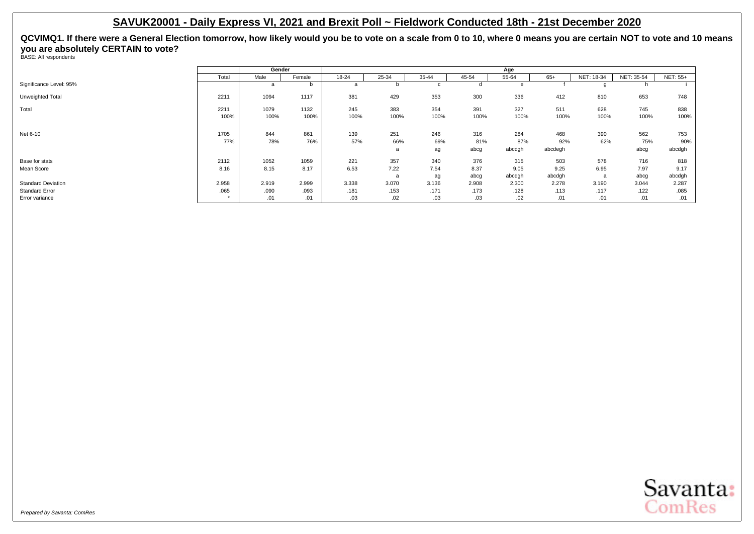|                           |       | Gender |        | Age   |       |             |       |        |         |            |            |                 |  |  |
|---------------------------|-------|--------|--------|-------|-------|-------------|-------|--------|---------|------------|------------|-----------------|--|--|
|                           | Total | Male   | Female | 18-24 | 25-34 | 35-44       | 45-54 | 55-64  | $65+$   | NET: 18-34 | NET: 35-54 | <b>NET: 55+</b> |  |  |
| Significance Level: 95%   |       | a      | b      | a     |       | $\sim$<br>v | d     |        |         |            | n          |                 |  |  |
| Unweighted Total          | 2211  | 1094   | 1117   | 381   | 429   | 353         | 300   | 336    | 412     | 810        | 653        | 748             |  |  |
| Total                     | 2211  | 1079   | 1132   | 245   | 383   | 354         | 391   | 327    | 511     | 628        | 745        | 838             |  |  |
|                           | 100%  | 100%   | 100%   | 100%  | 100%  | 100%        | 100%  | 100%   | 100%    | 100%       | 100%       | 100%            |  |  |
| Net 6-10                  | 1705  | 844    | 861    | 139   | 251   | 246         | 316   | 284    | 468     | 390        | 562        | 753             |  |  |
|                           | 77%   | 78%    | 76%    | 57%   | 66%   | 69%         | 81%   | 87%    | 92%     | 62%        | 75%        | 90%             |  |  |
|                           |       |        |        |       | a     | ag          | abcg  | abcdgh | abcdegh |            | abcg       | abcdgh          |  |  |
| Base for stats            | 2112  | 1052   | 1059   | 221   | 357   | 340         | 376   | 315    | 503     | 578        | 716        | 818             |  |  |
| Mean Score                | 8.16  | 8.15   | 8.17   | 6.53  | 7.22  | 7.54        | 8.37  | 9.05   | 9.25    | 6.95       | 7.97       | 9.17            |  |  |
|                           |       |        |        |       | a     | ag          | abcg  | abcdgh | abcdgh  | a          | abcg       | abcdgh          |  |  |
| <b>Standard Deviation</b> | 2.958 | 2.919  | 2.999  | 3.338 | 3.070 | 3.136       | 2.908 | 2.300  | 2.278   | 3.190      | 3.044      | 2.287           |  |  |
| <b>Standard Error</b>     | .065  | .090   | .093   | .181  | .153  | .171        | .173  | .128   | .113    | .117       | .122       | .085            |  |  |
| Error variance            |       | .01    | .01    | .03   | .02   | .03         | .03   | .02    | .01     | .01        | .01        | .01             |  |  |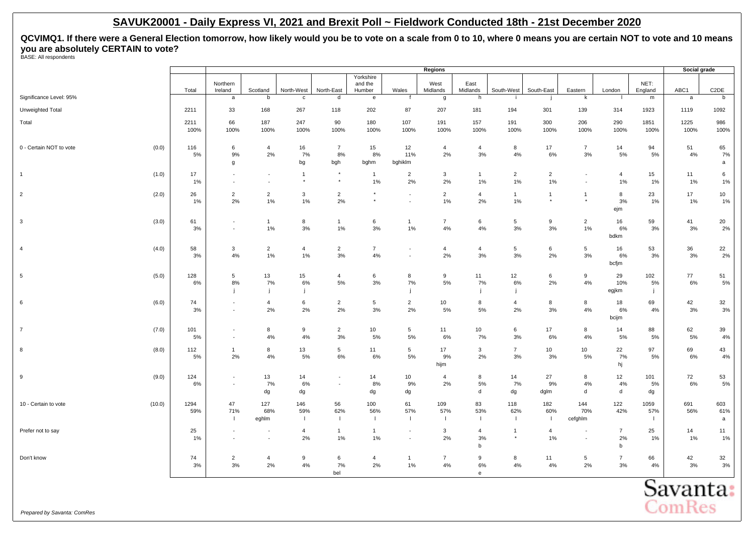**QCVIMQ1. If there were a General Election tomorrow, how likely would you be to vote on a scale from 0 to 10, where 0 means you are certain NOT to vote and 10 means you are absolutely CERTAIN to vote?** BASE: All respondents

|                                  |              | Regions                                              |                                                      |                            |                                |                            |                          |                              |                                                          |                                        |                      | Social grade            |                                     |                               |                      |                          |
|----------------------------------|--------------|------------------------------------------------------|------------------------------------------------------|----------------------------|--------------------------------|----------------------------|--------------------------|------------------------------|----------------------------------------------------------|----------------------------------------|----------------------|-------------------------|-------------------------------------|-------------------------------|----------------------|--------------------------|
|                                  |              | Northern                                             |                                                      |                            |                                | Yorkshire<br>and the       |                          | West                         | East                                                     |                                        |                      |                         |                                     | NET:                          |                      |                          |
| Significance Level: 95%          | Total        | Ireland<br>a                                         | Scotland<br>b                                        | North-West<br>$\mathbf{c}$ | North-East<br>d                | Humber<br>$\mathbf{e}$     | Wales                    | Midlands<br>g                | Midlands<br>h                                            | South-West                             | South-East           | Eastern<br>$\mathsf{k}$ | London                              | England<br>${\sf m}$          | ABC1<br>$\mathsf{a}$ | C <sub>2</sub> DE<br>b   |
|                                  |              |                                                      |                                                      |                            |                                |                            |                          |                              |                                                          |                                        |                      |                         |                                     |                               |                      |                          |
| Unweighted Total                 | 2211         | 33                                                   | 168                                                  | 267                        | 118                            | 202                        | 87                       | 207                          | 181                                                      | 194                                    | 301                  | 139                     | 314                                 | 1923                          | 1119                 | 1092                     |
| Total                            | 2211<br>100% | 66<br>100%                                           | 187<br>100%                                          | 247<br>100%                | 90<br>100%                     | 180<br>100%                | 107<br>100%              | 191<br>100%                  | 157<br>100%                                              | 191<br>100%                            | 300<br>100%          | 206<br>100%             | 290<br>100%                         | 1851<br>100%                  | 1225<br>100%         | 986<br>100%              |
| 0 - Certain NOT to vote<br>(0.0) | 116<br>5%    | 6<br>9%<br>g                                         | $\overline{4}$<br>2%                                 | 16<br>7%<br>bg             | $\overline{7}$<br>8%<br>bgh    | 15<br>8%<br>bghm           | 12<br>11%<br>bghiklm     | $\overline{4}$<br>2%         | $\overline{4}$<br>3%                                     | 8<br>4%                                | 17<br>6%             | $\overline{7}$<br>3%    | 14<br>5%                            | 94<br>5%                      | 51<br>4%             | 65<br>7%<br>$\mathsf{a}$ |
| (1.0)<br>$\mathbf{1}$            | 17<br>1%     | $\overline{\phantom{a}}$<br>$\overline{\phantom{a}}$ | $\blacksquare$<br>$\overline{\phantom{a}}$           | $\overline{1}$<br>$\star$  | $\star$<br>$^\star$            | $\mathbf{1}$<br>1%         | $\overline{2}$<br>2%     | $\mathbf{3}$<br>2%           | $\mathbf{1}$<br>1%                                       | $\overline{2}$<br>1%                   | $\overline{2}$<br>1% | $\sim$                  | $\overline{4}$<br>$1\%$             | 15<br>1%                      | 11<br>$1\%$          | 6<br>1%                  |
| $\overline{2}$<br>(2.0)          | 26<br>$1\%$  | $\overline{2}$<br>2%                                 | $\overline{2}$<br>$1\%$                              | 3<br>1%                    | $\overline{2}$<br>2%           |                            | $\overline{\phantom{a}}$ | $\overline{2}$<br>1%         | $\overline{4}$<br>2%                                     | $\mathbf{1}$<br>$1\%$                  | $\overline{1}$       | $\mathbf{1}$            | 8<br>3%<br>ejm                      | 23<br>1%                      | 17<br>$1\%$          | 10<br>1%                 |
| (3.0)<br>3                       | 61<br>3%     | $\overline{\phantom{a}}$<br>$\blacksquare$           | $\mathbf{1}$<br>1%                                   | 8<br>3%                    | $\mathbf{1}$<br>1%             | 6<br>3%                    | $\mathbf{1}$<br>1%       | $\overline{7}$<br>$4\%$      | 6<br>4%                                                  | 5<br>$3%$                              | 9<br>3%              | $\overline{2}$<br>1%    | 16<br>6%<br>bdkm                    | 59<br>3%                      | 41<br>3%             | 20<br>2%                 |
| (4.0)<br>$\overline{4}$          | 58<br>3%     | 3<br>4%                                              | $\overline{2}$<br>1%                                 | $\overline{4}$<br>1%       | $\overline{2}$<br>3%           | $\overline{7}$<br>4%       | $\overline{a}$           | $\overline{4}$<br>2%         | $\overline{4}$<br>3%                                     | $\,$ 5 $\,$<br>$3%$                    | 6<br>2%              | 5 <sub>5</sub><br>3%    | 16<br>6%<br>bcfjm                   | 53<br>3%                      | 36<br>3%             | 22<br>2%                 |
| $\sqrt{5}$<br>(5.0)              | 128<br>6%    | 5<br>8%<br>j.                                        | 13<br>7%<br>j                                        | 15<br>6%                   | $\overline{4}$<br>5%           | 6<br>3%                    | 8<br>7%                  | $\boldsymbol{9}$<br>5%       | 11<br>7%                                                 | 12<br>6%                               | 6<br>2%              | 9<br>4%                 | 29<br>10%<br>egjkm                  | 102<br>5%<br>j                | 77<br>6%             | 51<br>5%                 |
| (6.0)<br>6                       | 74<br>3%     | $\overline{\phantom{a}}$<br>$\sim$                   | $\overline{4}$<br>2%                                 | 6<br>2%                    | $\overline{2}$<br>2%           | 5<br>3%                    | $\overline{2}$<br>2%     | 10<br>$5\%$                  | 8<br>5%                                                  | $\overline{4}$<br>2%                   | 8<br>3%              | 8<br>4%                 | 18<br>6%<br>bcijm                   | 69<br>4%                      | 42<br>3%             | 32<br>3%                 |
| (7.0)<br>$\overline{7}$          | 101<br>5%    | $\overline{\phantom{a}}$<br>$\sim$                   | 8<br>4%                                              | 9<br>4%                    | $\overline{2}$<br>3%           | 10<br>5%                   | 5<br>5%                  | 11<br>6%                     | 10<br>7%                                                 | $\,6\,$<br>3%                          | 17<br>6%             | 8<br>4%                 | 14<br>5%                            | 88<br>5%                      | 62<br>5%             | 39<br>4%                 |
| 8<br>(8.0)                       | 112<br>5%    | $\mathbf{1}$<br>2%                                   | 8<br>4%                                              | 13<br>5%                   | 5<br>6%                        | 11<br>6%                   | 5<br>5%                  | 17<br>$9\%$<br>hijm          | 3<br>2%                                                  | $\overline{7}$<br>3%                   | 10<br>3%             | 10<br>5%                | 22<br>7%<br>hj                      | 97<br>5%                      | 69<br>6%             | 43<br>$4\%$              |
| 9<br>(9.0)                       | 124<br>6%    | $\overline{\phantom{a}}$<br>$\overline{\phantom{a}}$ | 13<br>7%<br>dg                                       | 14<br>6%<br>dg             | ÷,<br>$\overline{\phantom{a}}$ | 14<br>8%<br>dg             | 10<br>9%<br>dg           | $\overline{4}$<br>2%         | 8<br>5%<br>d                                             | 14<br>7%<br>dg                         | 27<br>9%<br>dglm     | 8<br>4%<br>d            | 12<br>4%<br>d                       | 101<br>5%<br>dg               | 72<br>6%             | 53<br>5%                 |
| (10.0)<br>10 - Certain to vote   | 1294<br>59%  | 47<br>71%<br>$\perp$                                 | 127<br>68%<br>eghlm                                  | 146<br>59%                 | 56<br>62%<br>$\mathbf{I}$      | 100<br>56%<br>$\mathbf{I}$ | 61<br>57%<br>$\perp$     | 109<br>57%<br>$\overline{1}$ | 83<br>53%<br>$\mathbf{I}$                                | 118<br>62%<br>$\overline{\phantom{a}}$ | 182<br>60%<br>-1     | 144<br>70%<br>cefghlm   | 122<br>42%                          | 1059<br>57%<br>$\blacksquare$ | 691<br>56%           | 603<br>61%<br>a          |
| Prefer not to say                | 25<br>1%     | $\overline{\phantom{a}}$<br>$\overline{\phantom{a}}$ | $\overline{\phantom{a}}$<br>$\overline{\phantom{a}}$ | $\overline{4}$<br>2%       | $\overline{1}$<br>$1\%$        | $\mathbf{1}$<br>1%         | $\overline{\phantom{a}}$ | 3<br>2%                      | $\overline{4}$<br>3%<br>b                                | $\overline{1}$<br>$\star$              | $\overline{4}$<br>1% |                         | $\overline{7}$<br>2%<br>$\mathsf b$ | 25<br>1%                      | 14<br>$1\%$          | 11<br>1%                 |
| Don't know                       | 74<br>3%     | $\overline{2}$<br>$3%$                               | $\overline{4}$<br>2%                                 | 9<br>4%                    | 6<br>7%<br>bel                 | $\overline{4}$<br>2%       | $\mathbf{1}$<br>$1\%$    | $\overline{7}$<br>$4\%$      | 9<br>$6\%$<br>$\mathsf{e}% _{0}\left( \mathsf{e}\right)$ | 8<br>4%                                | 11<br>4%             | 5<br>2%                 | $\overline{7}$<br>3%                | 66<br>4%                      | 42<br>3%             | 32<br>3%                 |
|                                  |              |                                                      |                                                      |                            |                                |                            |                          |                              |                                                          |                                        |                      |                         |                                     |                               | Savanta:             |                          |

**ComRes**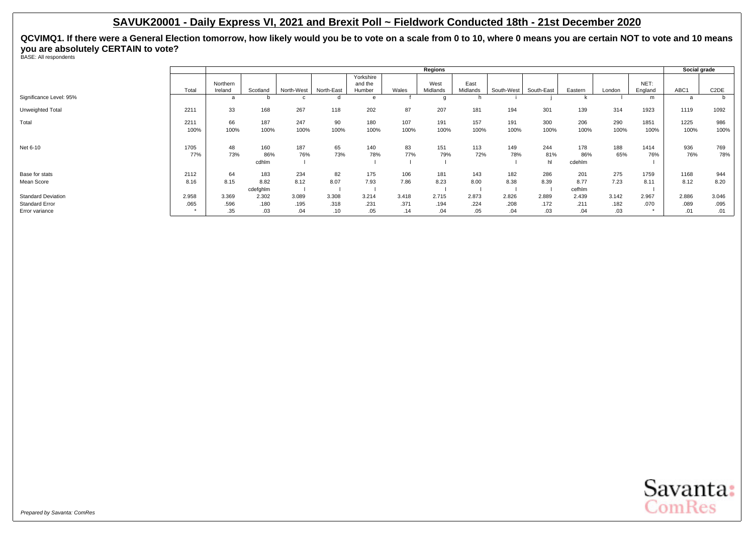|                                                                      |               |                      | Regions                 |                      |                      |                                |                      |                      |                      |                      |                      |                       |                      |                 | Social grade         |                      |  |
|----------------------------------------------------------------------|---------------|----------------------|-------------------------|----------------------|----------------------|--------------------------------|----------------------|----------------------|----------------------|----------------------|----------------------|-----------------------|----------------------|-----------------|----------------------|----------------------|--|
|                                                                      | Total         | Northern<br>Ireland  | Scotland                | North-West           | North-East           | Yorkshire<br>and the<br>Humber | Wales                | West<br>Midlands     | East<br>Midlands     | South-West           | South-East           | Eastern               | London               | NET:<br>England | ABC1                 | C <sub>2</sub> DE    |  |
| Significance Level: 95%                                              |               | a                    | D                       |                      |                      | $\theta$                       |                      |                      |                      |                      |                      |                       |                      | m               | a                    |                      |  |
| Unweighted Total                                                     | 2211          | 33                   | 168                     | 267                  | 118                  | 202                            | 87                   | 207                  | 181                  | 194                  | 301                  | 139                   | 314                  | 1923            | 1119                 | 1092                 |  |
| Total                                                                | 2211<br>100%  | 66<br>100%           | 187<br>100%             | 247<br>100%          | 90<br>100%           | 180<br>100%                    | 107<br>100%          | 191<br>100%          | 157<br>100%          | 191<br>100%          | 300<br>100%          | 206<br>100%           | 290<br>100%          | 1851<br>100%    | 1225<br>100%         | 986<br>100%          |  |
| Net 6-10                                                             | 1705<br>77%   | 48<br>73%            | 160<br>86%<br>cdhlm     | 187<br>76%           | 65<br>73%            | 140<br>78%                     | 83<br>77%            | 151<br>79%           | 113<br>72%           | 149<br>78%           | 244<br>81%<br>hl     | 178<br>86%<br>cdehlm  | 188<br>65%           | 1414<br>76%     | 936<br>76%           | 769<br>78%           |  |
| Base for stats<br>Mean Score                                         | 2112<br>8.16  | 64<br>8.15           | 183<br>8.82<br>cdefghlm | 234<br>8.12          | 82<br>8.07           | 175<br>7.93                    | 106<br>7.86          | 181<br>8.23          | 143<br>8.00          | 182<br>8.38          | 286<br>8.39          | 201<br>8.77<br>cefhlm | 275<br>7.23          | 1759<br>8.11    | 1168<br>8.12         | 944<br>8.20          |  |
| <b>Standard Deviation</b><br><b>Standard Error</b><br>Error variance | 2.958<br>.065 | 3.369<br>.596<br>.35 | 2.302<br>.180<br>.03    | 3.089<br>.195<br>.04 | 3.308<br>.318<br>.10 | 3.214<br>.231<br>.05           | 3.418<br>.371<br>.14 | 2.715<br>.194<br>.04 | 2.873<br>.224<br>.05 | 2.826<br>.208<br>.04 | 2.889<br>.172<br>.03 | 2.439<br>.211<br>.04  | 3.142<br>.182<br>.03 | 2.967<br>.070   | 2.886<br>.089<br>.01 | 3.046<br>.095<br>.01 |  |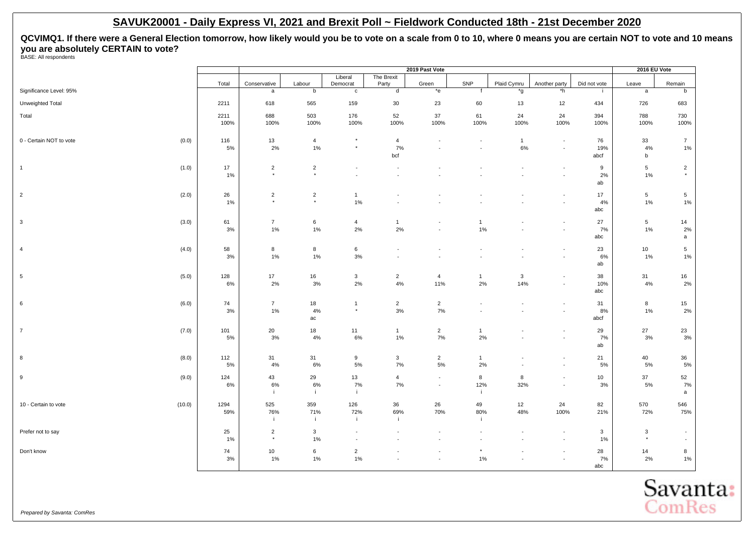|                                  |           | 2019 Past Vote            |                           |                          |                          |                                                      |                    |                     |                                            | 2016 EU Vote |                 |                          |
|----------------------------------|-----------|---------------------------|---------------------------|--------------------------|--------------------------|------------------------------------------------------|--------------------|---------------------|--------------------------------------------|--------------|-----------------|--------------------------|
|                                  | Total     | Conservative              | Labour                    | Liberal<br>Democrat      | The Brexit<br>Party      | Green                                                | SNP                | Plaid Cymru         | Another party                              | Did not vote | Leave           | Remain                   |
| Significance Level: 95%          |           | $\mathsf{a}$              | $\mathsf b$               | $\mathbf c$              | $\mathsf{d}$             | $*_{e}$                                              | f                  | *g                  | $^{\star}$ h                               | $\mathbf{i}$ | $\mathsf{a}$    | b                        |
| Unweighted Total                 | 2211      | 618                       | 565                       | 159                      | $30\,$                   | 23                                                   | 60                 | 13                  | 12                                         | 434          | 726             | 683                      |
| Total                            | 2211      | 688                       | 503                       | 176                      | 52                       | $37\,$                                               | 61                 | 24                  | 24                                         | 394          | 788             | 730                      |
|                                  | 100%      | 100%                      | 100%                      | 100%                     | 100%                     | 100%                                                 | 100%               | 100%                | 100%                                       | 100%         | 100%            | 100%                     |
| 0 - Certain NOT to vote<br>(0.0) | 116       | 13                        | $\overline{4}$            | $\star$                  | $\overline{4}$           | $\overline{\phantom{a}}$                             | $\overline{a}$     | $\mathbf{1}$        | $\overline{\phantom{a}}$                   | 76           | 33              | $\overline{7}$           |
|                                  | 5%        | $2\%$                     | $1\%$                     | $^\star$                 | 7%<br>bcf                |                                                      |                    | $6\%$               | $\blacksquare$                             | 19%<br>abcf  | 4%<br>b         | $1\%$                    |
| (1.0)<br>$\overline{1}$          | 17        | $\overline{2}$            | $\overline{2}$            | $\overline{\phantom{a}}$ | $\overline{\phantom{a}}$ |                                                      |                    |                     | ٠                                          | 9            | 5               | $\overline{2}$           |
|                                  | 1%        | $\star$                   | $\star$                   | $\blacksquare$           |                          |                                                      |                    |                     | $\overline{\phantom{a}}$                   | 2%           | $1\%$           | $^\star$                 |
|                                  |           |                           |                           |                          |                          |                                                      |                    |                     |                                            | ab           |                 |                          |
| $\overline{2}$<br>(2.0)          | 26        | $\overline{2}$<br>$\star$ | $\overline{2}$<br>$\star$ | $\mathbf{1}$             |                          |                                                      |                    |                     | $\blacksquare$                             | 17           | 5               | 5 <sub>5</sub>           |
|                                  | 1%        |                           |                           | 1%                       |                          |                                                      |                    |                     | $\blacksquare$                             | 4%<br>abc    | $1\%$           | 1%                       |
| $\mathbf{3}$<br>(3.0)            | 61        | $\overline{7}$            | $\,6\,$                   | $\overline{4}$           | $\mathbf{1}$             |                                                      | $\mathbf{1}$       |                     | $\overline{\phantom{a}}$                   | 27           | $5\phantom{.0}$ | 14                       |
|                                  | 3%        | $1\%$                     | $1\%$                     | 2%                       | 2%                       | $\overline{\phantom{a}}$                             | $1\%$              |                     | $\blacksquare$                             | 7%<br>abc    | $1\%$           | 2%<br>$\mathsf{a}$       |
| (4.0)<br>$\overline{4}$          | 58        | 8                         | 8                         | $\,6\,$                  |                          |                                                      |                    |                     | $\overline{\phantom{a}}$                   | 23           | 10              | 5 <sub>5</sub>           |
|                                  | 3%        | 1%                        | 1%                        | 3%                       | $\overline{\phantom{a}}$ |                                                      |                    |                     | $\overline{\phantom{a}}$                   | 6%           | 1%              | 1%                       |
|                                  |           |                           |                           |                          |                          |                                                      |                    |                     |                                            | ab           |                 |                          |
| 5<br>(5.0)                       | 128       | 17<br>$2\%$               | 16<br>3%                  | $\mathbf{3}$<br>2%       | $\overline{2}$<br>4%     | 4<br>11%                                             | $\mathbf{1}$<br>2% | $\mathbf{3}$<br>14% | $\overline{\phantom{a}}$                   | 38<br>10%    | 31<br>4%        | 16<br>2%                 |
|                                  | 6%        |                           |                           |                          |                          |                                                      |                    |                     | $\overline{\phantom{a}}$                   | abc          |                 |                          |
| (6.0)<br>6                       | 74        | $\overline{7}$            | 18                        | $\overline{1}$           | $\overline{2}$           | $\overline{2}$                                       |                    |                     | $\overline{a}$                             | 31           | 8               | 15                       |
|                                  | 3%        | $1\%$                     | 4%                        | $^\star$                 | $3\%$                    | 7%                                                   |                    |                     | $\overline{\phantom{a}}$                   | $8\%$        | $1\%$           | $2\%$                    |
|                                  |           |                           | ac                        |                          |                          |                                                      |                    |                     |                                            | abcf         |                 |                          |
| $\overline{7}$<br>(7.0)          | 101<br>5% | 20<br>$3\%$               | 18<br>4%                  | 11<br>6%                 | $\mathbf{1}$<br>$1\%$    | $\overline{2}$<br>7%                                 | $\mathbf{1}$<br>2% |                     | $\blacksquare$<br>$\overline{\phantom{a}}$ | 29<br>7%     | 27<br>3%        | 23<br>3%                 |
|                                  |           |                           |                           |                          |                          |                                                      |                    |                     |                                            | ab           |                 |                          |
| 8<br>(8.0)                       | 112       | 31                        | 31                        | 9                        | $\mathbf{3}$             | $\overline{2}$                                       | $\mathbf{1}$       |                     | $\overline{\phantom{a}}$                   | 21           | 40              | 36                       |
|                                  | 5%        | $4\%$                     | 6%                        | 5%                       | 7%                       | 5%                                                   | 2%                 |                     | $\blacksquare$                             | $5\%$        | 5%              | 5%                       |
| 9<br>(9.0)                       | 124<br>6% | 43<br>$6\%$               | 29<br>6%                  | 13<br>7%                 | $\overline{4}$<br>7%     | $\overline{\phantom{a}}$<br>$\overline{\phantom{a}}$ | 8<br>12%           | 8<br>32%            | $\overline{\phantom{a}}$<br>$\blacksquare$ | 10<br>3%     | 37<br>5%        | 52<br>7%                 |
|                                  |           | j.                        | j.                        | -i                       |                          |                                                      |                    |                     |                                            |              |                 | a                        |
| 10 - Certain to vote<br>(10.0)   | 1294      | 525                       | 359                       | 126                      | 36                       | 26                                                   | 49                 | 12                  | 24                                         | 82           | 570             | 546                      |
|                                  | 59%       | 76%<br>÷                  | 71%<br>j.                 | 72%<br>-i                | 69%<br>÷i                | 70%                                                  | 80%                | 48%                 | 100%                                       | 21%          | 72%             | 75%                      |
| Prefer not to say                | 25        | $\overline{2}$            | 3                         | $\overline{\phantom{a}}$ |                          |                                                      |                    |                     | $\overline{\phantom{a}}$                   | $\mathbf{3}$ | $\mathbf{3}$    | $\overline{\phantom{a}}$ |
|                                  | 1%        | $\star$                   | 1%                        | $\overline{a}$           |                          |                                                      |                    |                     | $\blacksquare$                             | 1%           | $^\star$        | $\sim$                   |
| Don't know                       | 74        | 10                        | 6                         | $\overline{2}$           |                          |                                                      |                    |                     | $\overline{\phantom{a}}$                   | 28           | 14              | 8                        |
|                                  | 3%        | 1%                        | 1%                        | 1%                       | $\overline{\phantom{a}}$ | $\overline{\phantom{a}}$                             | 1%                 |                     | ÷                                          | 7%<br>abc    | 2%              | $1\%$                    |

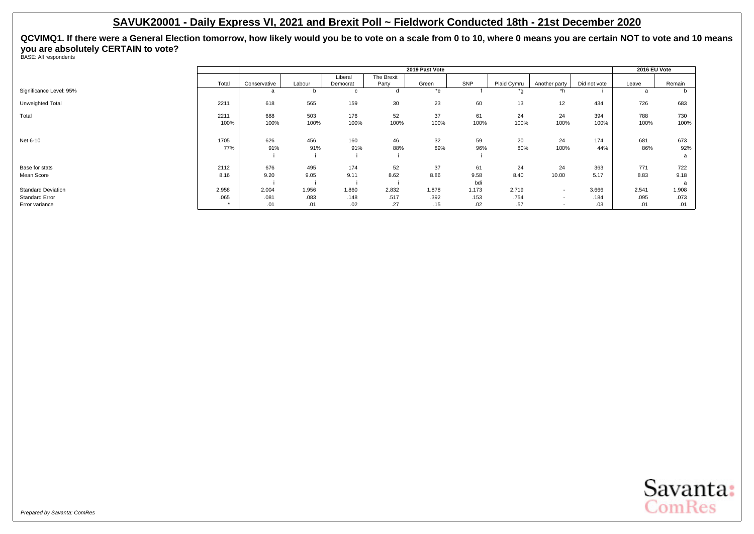|                           |       |              | 2019 Past Vote |                     |                     |       |       |             |                          |              |       |        |  |
|---------------------------|-------|--------------|----------------|---------------------|---------------------|-------|-------|-------------|--------------------------|--------------|-------|--------|--|
|                           | Total | Conservative | Labour         | Liberal<br>Democrat | The Brexit<br>Party | Green | SNP   | Plaid Cymru | Another party            | Did not vote | Leave | Remain |  |
| Significance Level: 95%   |       | a            |                | c                   |                     | *e    |       | *σ          | *h                       |              |       |        |  |
| Unweighted Total          | 2211  | 618          | 565            | 159                 | 30                  | 23    | 60    | 13          | 12                       | 434          | 726   | 683    |  |
| Total                     | 2211  | 688          | 503            | 176                 | 52                  | 37    | 61    | 24          | 24                       | 394          | 788   | 730    |  |
|                           | 100%  | 100%         | 100%           | 100%                | 100%                | 100%  | 100%  | 100%        | 100%                     | 100%         | 100%  | 100%   |  |
| Net 6-10                  | 1705  | 626          | 456            | 160                 | 46                  | 32    | 59    | 20          | 24                       | 174          | 681   | 673    |  |
|                           | 77%   | 91%          | 91%            | 91%                 | 88%                 | 89%   | 96%   | 80%         | 100%                     | 44%          | 86%   | 92%    |  |
|                           |       |              |                |                     |                     |       |       |             |                          |              |       | a      |  |
| Base for stats            | 2112  | 676          | 495            | 174                 | 52                  | 37    | 61    | 24          | 24                       | 363          | 771   | 722    |  |
| Mean Score                | 8.16  | 9.20         | 9.05           | 9.11                | 8.62                | 8.86  | 9.58  | 8.40        | 10.00                    | 5.17         | 8.83  | 9.18   |  |
|                           |       |              |                |                     |                     |       | bdi   |             |                          |              |       |        |  |
| <b>Standard Deviation</b> | 2.958 | 2.004        | 1.956          | 1.860               | 2.832               | 1.878 | 1.173 | 2.719       | $\overline{\phantom{0}}$ | 3.666        | 2.541 | 1.908  |  |
| <b>Standard Error</b>     | .065  | .081         | .083           | .148                | .517                | .392  | .153  | .754        | $\overline{\phantom{a}}$ | .184         | .095  | .073   |  |
| Error variance            |       | .01          | .01            | .02                 | .27                 | .15   | .02   | .57         | $\overline{\phantom{0}}$ | .03          | .01   | .01    |  |

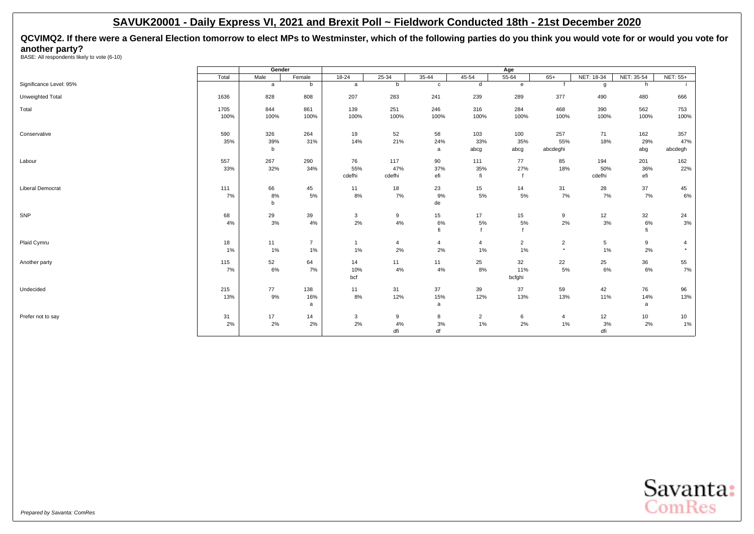<span id="page-9-0"></span>**QCVIMQ2. If there were a General Election tomorrow to elect MPs to Westminster, which of the following parties do you think you would vote for or would you vote for another party?** BASE: All respondents likely to vote (6-10)

|                         |       | Gender  |                |                |           |                |                |                |                |                 |            |                 |
|-------------------------|-------|---------|----------------|----------------|-----------|----------------|----------------|----------------|----------------|-----------------|------------|-----------------|
|                         | Total | Male    | Female         | $18 - 24$      | $25 - 34$ | $35 - 44$      | $45 - 54$      | $55 - 64$      | $65+$          | NET: 18-34      | NET: 35-54 | <b>NET: 55+</b> |
| Significance Level: 95% |       | a       | b              | a              | b         | $\mathbf c$    | d              | e              |                | g               | h          |                 |
| Unweighted Total        | 1636  | 828     | 808            | 207            | 283       | 241            | 239            | 289            | 377            | 490             | 480        | 666             |
| Total                   | 1705  | 844     | 861            | 139            | 251       | 246            | 316            | 284            | 468            | 390             | 562        | 753             |
|                         | 100%  | 100%    | 100%           | 100%           | 100%      | 100%           | 100%           | 100%           | 100%           | 100%            | 100%       | 100%            |
| Conservative            | 590   | 326     | 264            | 19             | 52        | 58             | 103            | 100            | 257            | 71              | 162        | 357             |
|                         | 35%   | 39%     | 31%            | 14%            | 21%       | 24%            | 33%            | 35%            | 55%            | 18%             | 29%        | 47%             |
|                         |       | b       |                |                |           | a              | abcg           | abcg           | abcdeghi       |                 | abg        | abcdegh         |
| Labour                  | 557   | 267     | 290            | 76             | 117       | 90             | 111            | 77             | 85             | 194             | 201        | 162             |
|                         | 33%   | 32%     | 34%            | 55%            | 47%       | 37%            | 35%            | 27%            | 18%            | 50%             | 36%        | 22%             |
|                         |       |         |                | cdefhi         | cdefhi    | efi            | fi             |                |                | cdefhi          | efi        |                 |
| Liberal Democrat        | 111   | 66      | 45             | 11             | 18        | 23             | 15             | 14             | 31             | 28              | 37         | 45              |
|                         | 7%    | 8%<br>b | 5%             | 8%             | 7%        | 9%<br>de       | 5%             | 5%             | 7%             | 7%              | 7%         | $6\%$           |
|                         |       |         |                |                |           |                |                |                |                |                 |            |                 |
| SNP                     | 68    | 29      | 39             | 3              | 9         | 15             | 17             | 15             | 9              | 12              | 32         | 24              |
|                         | 4%    | 3%      | 4%             | 2%             | 4%        | 6%             | 5%             | 5%             | 2%             | 3%              | 6%         | $3%$            |
|                         |       |         |                |                |           | fi             | $\epsilon$     |                |                |                 |            |                 |
| Plaid Cymru             | 18    | 11      | $\overline{7}$ | $\overline{1}$ | 4         | $\overline{4}$ | $\overline{4}$ | $\overline{2}$ | $\overline{2}$ | $5\phantom{.0}$ | 9          | $\overline{4}$  |
|                         | 1%    | 1%      | 1%             | $1\%$          | 2%        | 2%             | 1%             | 1%             | $^\star$       | 1%              | 2%         |                 |
| Another party           | 115   | 52      | 64             | 14             | 11        | 11             | 25             | 32             | 22             | 25              | 36         | 55              |
|                         | 7%    | 6%      | 7%             | 10%            | 4%        | 4%             | 8%             | 11%            | 5%             | 6%              | 6%         | 7%              |
|                         |       |         |                | bcf            |           |                |                | bcfghi         |                |                 |            |                 |
| Undecided               | 215   | 77      | 138            | 11             | 31        | 37             | 39             | 37             | 59             | 42              | 76         | 96              |
|                         | 13%   | 9%      | 16%            | 8%             | 12%       | 15%            | 12%            | 13%            | 13%            | 11%             | 14%        | 13%             |
|                         |       |         | a              |                |           | a              |                |                |                |                 | a          |                 |
| Prefer not to say       | 31    | 17      | 14             | 3              | 9         | 8              | $\overline{2}$ | 6              | $\overline{4}$ | 12              | 10         | 10              |
|                         | 2%    | 2%      | 2%             | 2%             | 4%        | 3%             | 1%             | 2%             | 1%             | 3%              | 2%         | $1\%$           |
|                         |       |         |                |                | dfi       | df             |                |                |                | dfi             |            |                 |

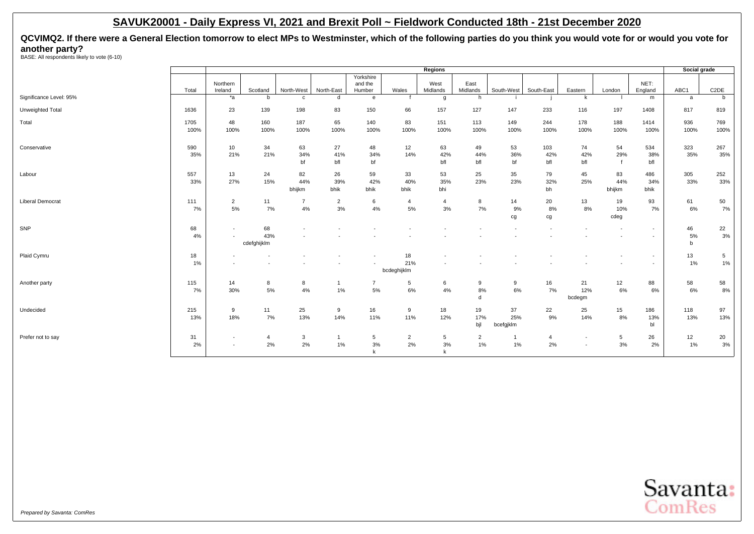**QCVIMQ2. If there were a General Election tomorrow to elect MPs to Westminster, which of the following parties do you think you would vote for or would you vote for another party?** BASE: All respondents likely to vote (6-10)

| Yorkshire<br>NET:<br>and the<br>East<br>Northern<br>West<br>Wales<br>Midlands<br>South-East<br>ABC1<br>Ireland<br>North-West<br>North-East<br>Humber<br>Midlands<br>South-West<br>Eastern<br>England<br>Total<br>Scotland<br>London<br>Significance Level: 95%<br>$*_{a}$<br>$\mathbf b$<br>d<br>h<br>k<br>$\mathbf{c}$<br>$\mathbf{e}$<br>m<br>a<br>g | C <sub>2</sub> DE<br>b<br>819<br>769 |
|--------------------------------------------------------------------------------------------------------------------------------------------------------------------------------------------------------------------------------------------------------------------------------------------------------------------------------------------------------|--------------------------------------|
|                                                                                                                                                                                                                                                                                                                                                        |                                      |
|                                                                                                                                                                                                                                                                                                                                                        |                                      |
|                                                                                                                                                                                                                                                                                                                                                        |                                      |
|                                                                                                                                                                                                                                                                                                                                                        |                                      |
| Unweighted Total<br>23<br>139<br>198<br>83<br>150<br>66<br>157<br>127<br>197<br>1636<br>147<br>233<br>116<br>1408<br>817                                                                                                                                                                                                                               |                                      |
| 48<br>160<br>187<br>65<br>83<br>151<br>188<br>936<br>Total<br>1705<br>140<br>113<br>149<br>244<br>178<br>1414                                                                                                                                                                                                                                          |                                      |
| 100%<br>100%<br>100%<br>100%<br>100%<br>100%<br>100%<br>100%<br>100%<br>100%<br>100%<br>100%<br>100%<br>100%<br>100%                                                                                                                                                                                                                                   | 100%                                 |
| 323<br>Conservative<br>590<br>10<br>34<br>63<br>27<br>12<br>63<br>49<br>53<br>103<br>54<br>534<br>48<br>74                                                                                                                                                                                                                                             | 267                                  |
| 21%<br>21%<br>35%<br>35%<br>34%<br>41%<br>34%<br>14%<br>42%<br>44%<br>36%<br>42%<br>42%<br>29%<br>38%                                                                                                                                                                                                                                                  | 35%                                  |
| bf<br>bf<br>bfl<br>bfl<br>bf<br>bfl<br>bfl<br>bfl<br>bfl                                                                                                                                                                                                                                                                                               |                                      |
| 25<br>305<br>557<br>13<br>24<br>82<br>26<br>59<br>33<br>53<br>35<br>79<br>45<br>83<br>486<br>Labour                                                                                                                                                                                                                                                    | 252                                  |
| 15%<br>23%<br>27%<br>44%<br>39%<br>42%<br>40%<br>35%<br>23%<br>32%<br>25%<br>44%<br>33%<br>33%<br>34%                                                                                                                                                                                                                                                  | 33%                                  |
| bhi<br>bhijkm<br>bhijkm<br>bhik<br>bhik<br>bhik<br>bh<br>bhik                                                                                                                                                                                                                                                                                          |                                      |
| <b>Liberal Democrat</b><br>111<br>$\overline{2}$<br>11<br>$\overline{2}$<br>8<br>14<br>20<br>13<br>19<br>93<br>61<br>$\overline{7}$<br>6<br>$\overline{4}$<br>$\overline{4}$                                                                                                                                                                           | 50                                   |
| 7%<br>5%<br>$4\%$<br>3%<br>5%<br>3%<br>7%<br>7%<br>4%<br>9%<br>8%<br>8%<br>10%<br>7%                                                                                                                                                                                                                                                                   | 7%<br>6%                             |
| cdeg<br>cg<br>cg                                                                                                                                                                                                                                                                                                                                       |                                      |
| SNP<br>68<br>68<br>46<br>$\overline{\phantom{a}}$<br>$\overline{\phantom{a}}$<br>$\overline{\phantom{a}}$<br>$\overline{\phantom{a}}$                                                                                                                                                                                                                  | 22                                   |
| 43%<br>4%<br>$\sim$<br>$\overline{\phantom{a}}$                                                                                                                                                                                                                                                                                                        | 3%<br>5%                             |
| cdefghijklm<br>$\mathbf b$                                                                                                                                                                                                                                                                                                                             |                                      |
| 13<br>Plaid Cymru<br>18<br>18<br>$\overline{\phantom{a}}$                                                                                                                                                                                                                                                                                              | $5\phantom{.0}$                      |
| 21%<br>1%<br>$\overline{\phantom{a}}$                                                                                                                                                                                                                                                                                                                  | 1%<br>1%                             |
| bcdeghijklm                                                                                                                                                                                                                                                                                                                                            |                                      |
| 88<br>58<br>Another party<br>115<br>14<br>8<br>8<br>$\overline{7}$<br>5<br>6<br>9<br>9<br>16<br>21<br>12<br>$\mathbf{1}$                                                                                                                                                                                                                               | 58                                   |
| 5%<br>6%<br>$6\%$<br>30%<br>4%<br>1%<br>5%<br>4%<br>8%<br>7%<br>12%<br>6%<br>6%<br>7%                                                                                                                                                                                                                                                                  | 8%<br>6%                             |
| d<br>bcdegm                                                                                                                                                                                                                                                                                                                                            |                                      |
| 25<br>215<br>25<br>18<br>19<br>37<br>22<br>15<br>186<br>118<br>Undecided<br>9<br>11<br>9<br>16<br>9                                                                                                                                                                                                                                                    | 97                                   |
| 7%<br>13%<br>17%<br>9%<br>8%<br>13%<br>18%<br>14%<br>11%<br>12%<br>25%<br>14%<br>13%<br>13%<br>11%                                                                                                                                                                                                                                                     | 13%                                  |
| bjl<br>bl<br>bcefgjklm                                                                                                                                                                                                                                                                                                                                 |                                      |
| 26<br>12<br>Prefer not to say<br>31<br>$5\phantom{.0}$<br>$\overline{2}$<br>$\overline{4}$<br>3<br>5<br>$\overline{2}$<br>$\overline{4}$<br>5<br>$\mathbf{1}$<br>$\overline{\phantom{a}}$                                                                                                                                                              | 20                                   |
| 2%<br>2%<br>$1\%$<br>3%<br>2%<br>2%<br>2%<br>1%<br>3%<br>3%<br>$1\%$<br>2%<br>$\sim$                                                                                                                                                                                                                                                                   | 3%<br>1%                             |
| k<br>k                                                                                                                                                                                                                                                                                                                                                 |                                      |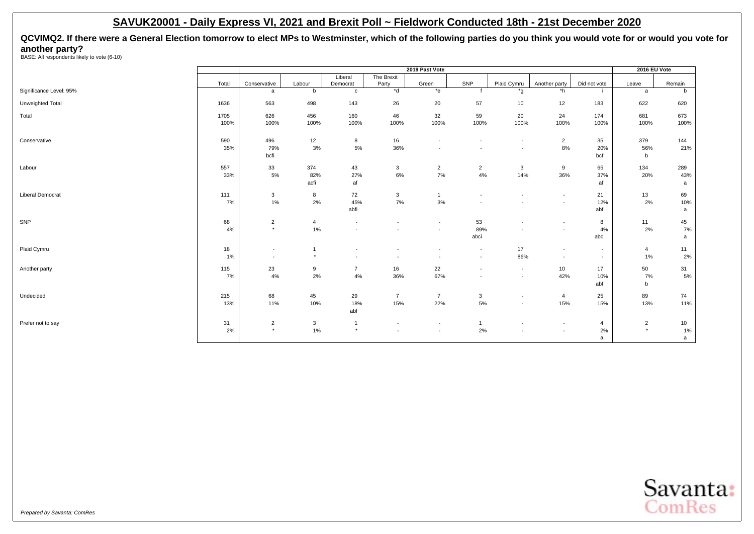**QCVIMQ2. If there were a General Election tomorrow to elect MPs to Westminster, which of the following parties do you think you would vote for or would you vote for another party?** BASE: All respondents likely to vote (6-10)

|                         |           | 2019 Past Vote           |                           |                          |                          |                          |                                  |                                                      |                          |                | 2016 EU Vote   |           |
|-------------------------|-----------|--------------------------|---------------------------|--------------------------|--------------------------|--------------------------|----------------------------------|------------------------------------------------------|--------------------------|----------------|----------------|-----------|
|                         |           |                          |                           | Liberal                  | The Brexit               |                          |                                  |                                                      |                          |                |                |           |
|                         | Total     | Conservative             | Labour                    | Democrat                 | Party                    | Green                    | SNP                              | Plaid Cymru                                          | Another party            | Did not vote   | Leave          | Remain    |
| Significance Level: 95% |           | a                        | b                         | $\mathbf{c}$             | $*$ d                    | $*_{e}$                  |                                  | *g                                                   | $*h$                     | -11            | a              | b         |
| Unweighted Total        | 1636      | 563                      | 498                       | 143                      | 26                       | 20                       | 57                               | 10                                                   | 12                       | 183            | 622            | 620       |
| Total                   | 1705      | 626                      | 456                       | 160                      | 46                       | 32                       | 59                               | 20                                                   | 24                       | 174            | 681            | 673       |
|                         | 100%      | 100%                     | 100%                      | 100%                     | 100%                     | 100%                     | 100%                             | 100%                                                 | 100%                     | 100%           | 100%           | 100%      |
| Conservative            | 590       | 496                      | 12                        | 8                        | 16                       | $\overline{\phantom{a}}$ | $\overline{\phantom{a}}$         | $\overline{\phantom{a}}$                             | $\overline{2}$           | 35             | 379            | 144       |
|                         | 35%       | 79%                      | 3%                        | $5\%$                    | 36%                      | $\overline{\phantom{a}}$ |                                  | $\overline{\phantom{a}}$                             | $8\%$                    | 20%            | 56%            | 21%       |
|                         |           | bcfi                     |                           |                          |                          |                          |                                  |                                                      |                          | bcf            | b              |           |
| Labour                  | 557       | 33                       | 374                       | 43                       | 3                        | $\overline{2}$           | $\overline{2}$                   | $\mathbf{3}$                                         | 9                        | 65             | 134            | 289       |
|                         | 33%       | $5\%$                    | 82%<br>acfi               | 27%<br>af                | 6%                       | 7%                       | 4%                               | 14%                                                  | 36%                      | 37%<br>af      | 20%            | 43%<br>a  |
|                         |           |                          |                           |                          |                          |                          |                                  |                                                      |                          |                |                |           |
| <b>Liberal Democrat</b> | 111<br>7% | $\mathbf{3}$<br>1%       | 8<br>2%                   | 72<br>45%                | 3<br>7%                  | $\overline{1}$<br>3%     | $\blacksquare$<br>$\blacksquare$ | $\overline{\phantom{a}}$<br>$\overline{\phantom{a}}$ | $\sim$<br>$\sim$         | 21<br>12%      | 13<br>2%       | 69<br>10% |
|                         |           |                          |                           | abfi                     |                          |                          |                                  |                                                      |                          | abf            |                | a         |
| SNP                     | 68        | $\overline{2}$           | $\overline{4}$            | $\overline{\phantom{a}}$ |                          | $\blacksquare$           | 53                               | $\overline{\phantom{a}}$                             | $\overline{\phantom{a}}$ | 8              | 11             | 45        |
|                         | 4%        | $\star$                  | 1%                        |                          |                          | $\blacksquare$           | 89%                              | $\overline{\phantom{a}}$                             |                          | 4%             | 2%             | 7%        |
|                         |           |                          |                           |                          |                          |                          | abci                             |                                                      |                          | abc            |                | a         |
| Plaid Cymru             | 18        | $\overline{\phantom{a}}$ | $\overline{1}$<br>$\star$ | $\overline{\phantom{a}}$ |                          | $\overline{\phantom{a}}$ | $\overline{\phantom{a}}$         | 17                                                   | $\sim$                   | $\sim$         | 4              | 11        |
|                         | 1%        | $\overline{\phantom{a}}$ |                           | $\overline{\phantom{a}}$ | $\overline{\phantom{a}}$ | $\overline{\phantom{a}}$ | $\overline{\phantom{a}}$         | 86%                                                  | $\overline{\phantom{a}}$ | $\sim$         | 1%             | 2%        |
| Another party           | 115       | 23                       | $\boldsymbol{9}$          | $\overline{7}$           | 16                       | 22                       | $\overline{\phantom{a}}$         | $\sim$                                               | 10                       | 17             | 50             | 31        |
|                         | 7%        | 4%                       | 2%                        | 4%                       | 36%                      | 67%                      | $\sim$                           | $\overline{\phantom{a}}$                             | 42%                      | 10%<br>abf     | 7%<br>b        | $5\%$     |
|                         |           |                          |                           |                          |                          |                          |                                  |                                                      |                          |                |                |           |
| Undecided               | 215       | 68                       | 45                        | 29                       | $\overline{7}$           | $\overline{7}$           | 3                                | $\sim$                                               | 4                        | 25             | 89             | 74        |
|                         | 13%       | 11%                      | 10%                       | 18%<br>abf               | 15%                      | 22%                      | 5%                               | $\overline{\phantom{a}}$                             | 15%                      | 15%            | 13%            | 11%       |
| Prefer not to say       | 31        | $\overline{2}$           | $\mathbf{3}$              | $\overline{1}$           | $\overline{\phantom{a}}$ | $\overline{\phantom{a}}$ | $\overline{1}$                   | $\overline{\phantom{a}}$                             | $\overline{\phantom{a}}$ | $\overline{4}$ | $\overline{2}$ | 10        |
|                         | 2%        | $\star$                  | 1%                        | $\star$                  |                          | $\overline{\phantom{a}}$ | 2%                               |                                                      | $\sim$                   | $2\%$          | $\star$        | 1%        |
|                         |           |                          |                           |                          |                          |                          |                                  |                                                      |                          | a              |                | a         |

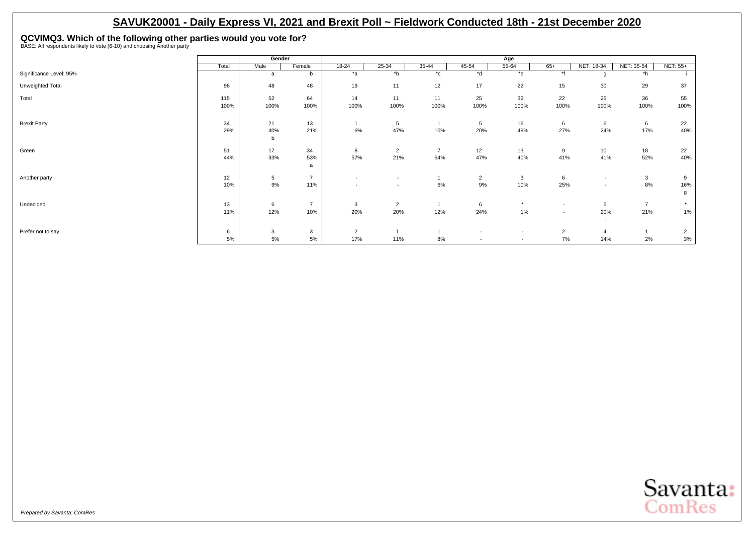# <span id="page-12-0"></span>**QCVIMQ3. Which of the following other parties would you vote for?** BASE: All respondents likely to vote (6-10) and choosing Another party

|                         |       | Gender |                |                          |                          |                |                          | Age                      |                          |                          |                |                |
|-------------------------|-------|--------|----------------|--------------------------|--------------------------|----------------|--------------------------|--------------------------|--------------------------|--------------------------|----------------|----------------|
|                         | Total | Male   | Female         | 18-24                    | 25-34                    | 35-44          | 45-54                    | 55-64                    | $65+$                    | NET: 18-34               | NET: 35-54     | NET: 55+       |
| Significance Level: 95% |       | a      | b              | $*_{a}$                  | $b^*$                    | $^{\star}$ c   | *d                       | $*$ e                    | $\star$ £                | g                        | *h             |                |
| Unweighted Total        | 96    | 48     | 48             | 19                       | 11                       | 12             | 17                       | 22                       | 15                       | 30                       | 29             | 37             |
| Total                   | 115   | 52     | 64             | 14                       | 11                       | 11             | 25                       | 32                       | 22                       | 25                       | 36             | 55             |
|                         | 100%  | 100%   | 100%           | 100%                     | 100%                     | 100%           | 100%                     | 100%                     | 100%                     | 100%                     | 100%           | 100%           |
| <b>Brexit Party</b>     | 34    | 21     | 13             |                          | 5                        |                | 5                        | 16                       | 6                        | 6                        | 6              | 22             |
|                         | 29%   | 40%    | 21%            | 6%                       | 47%                      | 10%            | 20%                      | 49%                      | 27%                      | 24%                      | 17%            | 40%            |
|                         |       | b      |                |                          |                          |                |                          |                          |                          |                          |                |                |
| Green                   | 51    | 17     | 34             | 8                        | $\overline{2}$           | $\overline{7}$ | 12                       | 13                       | 9                        | 10                       | 18             | 22             |
|                         | 44%   | 33%    | 53%<br>a       | 57%                      | 21%                      | 64%            | 47%                      | 40%                      | 41%                      | 41%                      | 52%            | 40%            |
| Another party           | 12    | 5      | $\overline{7}$ | $\overline{\phantom{a}}$ | $\overline{\phantom{a}}$ |                | $\overline{2}$           | 3                        | 6                        | $\overline{\phantom{a}}$ | $\mathbf{3}$   | 9              |
|                         | 10%   | $9\%$  | 11%            | $\overline{\phantom{a}}$ | $\overline{\phantom{0}}$ | 6%             | $9\%$                    | 10%                      | 25%                      | $\overline{\phantom{a}}$ | 8%             | 16%            |
|                         |       |        |                |                          |                          |                |                          |                          |                          |                          |                | g              |
| Undecided               | 13    | 6      | $\overline{7}$ | 3                        | $\overline{2}$           |                | 6                        | $\star$                  | $\overline{\phantom{a}}$ | 5                        | $\overline{7}$ | $\star$        |
|                         | 11%   | 12%    | 10%            | 20%                      | 20%                      | 12%            | 24%                      | 1%                       | $\overline{\phantom{a}}$ | 20%                      | 21%            | $1\%$          |
| Prefer not to say       | 6     | 3      | 3              | $\overline{2}$           |                          |                | $\sim$                   | $\overline{\phantom{a}}$ | $\overline{2}$           | $\overline{4}$           |                | $\overline{2}$ |
|                         | 5%    | 5%     | 5%             | 17%                      | 11%                      | 8%             | $\overline{\phantom{a}}$ | $\overline{\phantom{a}}$ | 7%                       | 14%                      | 2%             | $3%$           |

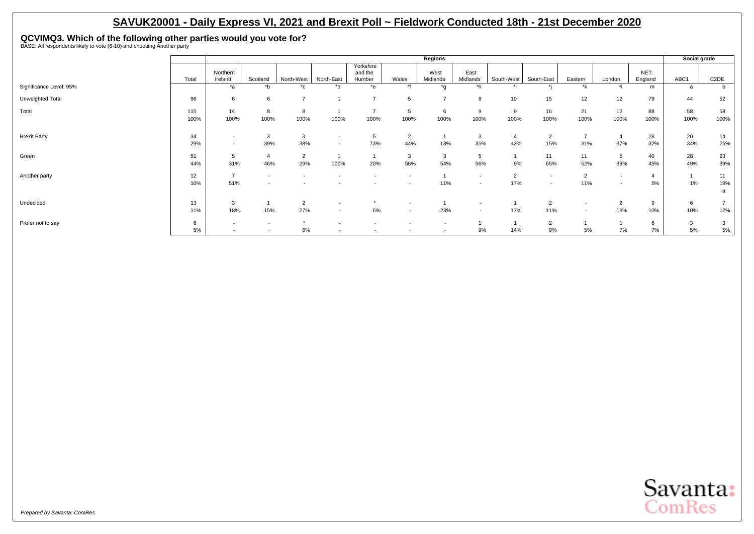**QCVIMQ3. Which of the following other parties would you vote for?** BASE: All respondents likely to vote (6-10) and choosing Another party

|                         |             |                                                      |                                    |                          |                                                      |                                |                          | Regions                  |                                                      |                       |                                                      |                                                      |            |                 | Social grade |                             |
|-------------------------|-------------|------------------------------------------------------|------------------------------------|--------------------------|------------------------------------------------------|--------------------------------|--------------------------|--------------------------|------------------------------------------------------|-----------------------|------------------------------------------------------|------------------------------------------------------|------------|-----------------|--------------|-----------------------------|
|                         | Total       | Northern<br>Ireland                                  | Scotland                           | North-West               | North-East                                           | Yorkshire<br>and the<br>Humber | Wales                    | West<br>Midlands         | East<br>Midlands                                     | South-West            | South-East                                           | Eastern                                              | London     | NET:<br>England | ABC1         | C <sub>2</sub> DE           |
| Significance Level: 95% |             | *a                                                   | $b^*$                              | $^{\star}$ c             | *d                                                   | *e                             | $*1$                     | *g                       | *h                                                   |                       |                                                      | *k                                                   |            | m               | a            |                             |
| Unweighted Total        | 96          | 6                                                    | 6                                  | $\overline{\phantom{a}}$ |                                                      | $\overline{ }$                 | 5                        | $\overline{ }$           | 8                                                    | 10                    | 15                                                   | 12                                                   | 12         | 79              | 44           | 52                          |
| Total                   | 115<br>100% | 14<br>100%                                           | 8<br>100%                          | 8<br>100%                | 100%                                                 | 100%                           | 5<br>100%                | 6<br>100%                | 9<br>100%                                            | 9<br>100%             | 16<br>100%                                           | 21<br>100%                                           | 12<br>100% | 88<br>100%      | 58<br>100%   | 58<br>100%                  |
| <b>Brexit Party</b>     | 34<br>29%   | $\overline{\phantom{a}}$<br>$\overline{\phantom{a}}$ | 3<br>39%                           | 3<br>38%                 | $\overline{\phantom{a}}$<br>$\overline{\phantom{a}}$ | 5<br>73%                       | $\overline{2}$<br>44%    | 13%                      | 3<br>35%                                             | 42%                   | $\overline{2}$<br>15%                                | 31%                                                  | 37%        | 28<br>32%       | 20<br>34%    | 14<br>25%                   |
| Green                   | 51<br>44%   | 5<br>31%                                             | $\overline{4}$<br>46%              | $\overline{2}$<br>29%    | 100%                                                 | 20%                            | 3<br>56%                 | 3<br>54%                 | 5<br>56%                                             | 9%                    | 11<br>65%                                            | 11<br>52%                                            | 5<br>39%   | 40<br>45%       | 28<br>49%    | 23<br>39%                   |
| Another party           | 12<br>10%   | $\overline{ }$<br>51%                                | $\overline{\phantom{a}}$           |                          |                                                      |                                |                          | 11%                      | $\overline{\phantom{a}}$<br>$\overline{\phantom{a}}$ | $\overline{2}$<br>17% | $\overline{\phantom{a}}$<br>$\overline{\phantom{a}}$ | $\overline{2}$<br>11%                                |            | 5%              | 1%           | 11<br>19%<br>$\overline{a}$ |
| Undecided               | 13<br>11%   | 3<br>18%                                             | 15%                                | $\overline{2}$<br>27%    | $\overline{\phantom{a}}$<br>$\overline{\phantom{a}}$ | 6%                             | $\overline{\phantom{a}}$ | 23%                      | $\overline{\phantom{a}}$<br>$\overline{a}$           | 17%                   | $\overline{2}$<br>11%                                | $\overline{\phantom{a}}$<br>$\overline{\phantom{a}}$ | 18%        | 9<br>10%        | 6<br>10%     | 12%                         |
| Prefer not to say       | 6<br>5%     | $\overline{\phantom{a}}$<br>$\overline{\phantom{a}}$ | $\overline{\phantom{a}}$<br>$\sim$ | $\star$<br>$6\%$         | $\overline{\phantom{a}}$                             | $\overline{\phantom{0}}$       | $\overline{\phantom{a}}$ | $\overline{\phantom{a}}$ | 9%                                                   | 14%                   | $\overline{2}$<br>9%                                 | 5%                                                   | 7%         | 6<br>7%         | 3<br>$5\%$   | 3<br>5%                     |

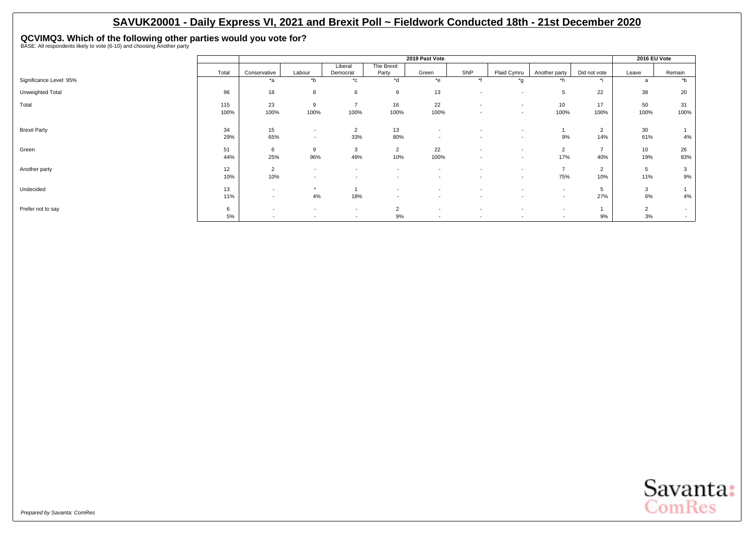# **QCVIMQ3. Which of the following other parties would you vote for?** BASE: All respondents likely to vote (6-10) and choosing Another party

|                         |       |                          |                          |                          |                          | 2019 Past Vote           |                          |                          |                          |                | 2016 EU Vote   |        |
|-------------------------|-------|--------------------------|--------------------------|--------------------------|--------------------------|--------------------------|--------------------------|--------------------------|--------------------------|----------------|----------------|--------|
|                         | Total | Conservative             | Labour                   | Liberal<br>Democrat      | The Brexit<br>Party      | Green                    | SNP                      | Plaid Cymru              | Another party            | Did not vote   | Leave          | Remain |
| Significance Level: 95% |       | *a                       | $b^*$                    | $^{\star}$ c             | $\overline{d}$           | $e^*$                    | $*$                      | *g                       | $^*h$                    | $\star$ :      | a              | $b^*$  |
| Unweighted Total        | 96    | 18                       | 8                        | 6                        | 9                        | 13                       | $\overline{\phantom{a}}$ | $\overline{\phantom{a}}$ | 5                        | 22             | 38             | 20     |
| Total                   | 115   | 23                       | 9                        | $\overline{7}$           | 16                       | 22                       | $\sim$                   | $\overline{\phantom{a}}$ | 10                       | 17             | 50             | 31     |
|                         | 100%  | 100%                     | 100%                     | 100%                     | 100%                     | 100%                     | $\sim$                   | $\sim$                   | 100%                     | 100%           | 100%           | 100%   |
| <b>Brexit Party</b>     | 34    | 15                       | $\overline{\phantom{a}}$ | $\overline{2}$           | 13                       | $\overline{\phantom{a}}$ |                          | $\overline{\phantom{0}}$ |                          | $\overline{2}$ | 30             |        |
|                         | 29%   | 65%                      | $\sim$                   | 33%                      | 80%                      | $\sim$                   |                          | $\overline{\phantom{a}}$ | 9%                       | 14%            | 61%            | 4%     |
| Green                   | 51    | 6                        | 9                        | 3                        | $\overline{2}$           | 22                       | $\sim$                   | $\overline{\phantom{a}}$ | $\overline{2}$           | $\overline{7}$ | 10             | 26     |
|                         | 44%   | 25%                      | 96%                      | 49%                      | 10%                      | 100%                     | $\overline{\phantom{a}}$ | $\overline{\phantom{a}}$ | 17%                      | 40%            | 19%            | 83%    |
| Another party           | 12    | $\overline{2}$           | $\sim$                   | $\sim$                   | $\overline{\phantom{a}}$ | $\overline{\phantom{a}}$ | $\sim$                   | $\overline{\phantom{a}}$ | $\overline{7}$           | $\overline{2}$ | 5              | 3      |
|                         | 10%   | 10%                      | $\overline{\phantom{a}}$ | $\overline{\phantom{a}}$ | $\overline{\phantom{a}}$ | $\overline{\phantom{a}}$ | $\sim$                   | $\overline{\phantom{a}}$ | 75%                      | 10%            | 11%            | 9%     |
| Undecided               | 13    | $\overline{\phantom{a}}$ | $\star$                  |                          | $\overline{\phantom{a}}$ | $\overline{\phantom{a}}$ | $\overline{\phantom{a}}$ | $\overline{\phantom{a}}$ | $\overline{\phantom{a}}$ | 5              | 3              |        |
|                         | 11%   | $\overline{\phantom{a}}$ | 4%                       | 18%                      | $\overline{\phantom{a}}$ | $\overline{\phantom{a}}$ | $\overline{\phantom{a}}$ | $\overline{\phantom{a}}$ | $\sim$                   | 27%            | 6%             | 4%     |
| Prefer not to say       | 6     | $\overline{\phantom{0}}$ | $\sim$                   | $\overline{\phantom{a}}$ | $\overline{2}$           | $\overline{\phantom{a}}$ | $\overline{\phantom{a}}$ | $\overline{\phantom{a}}$ | $\overline{\phantom{a}}$ |                | $\overline{2}$ | $\sim$ |
|                         | 5%    | $\overline{\phantom{a}}$ | $\sim$                   | $\overline{\phantom{a}}$ | 9%                       | $\overline{\phantom{a}}$ | $\sim$                   | $\overline{\phantom{a}}$ | $\sim$                   | 9%             | 3%             | $\sim$ |

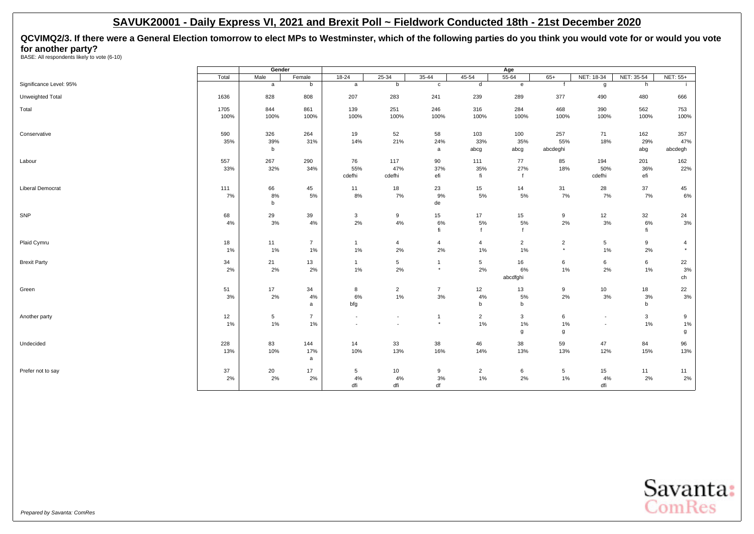<span id="page-15-0"></span>**QCVIMQ2/3. If there were a General Election tomorrow to elect MPs to Westminster, which of the following parties do you think you would vote for or would you vote for another party?**<br>BASE: All respondents likely to vote (6-10)

|                         |       | Gender             |                |                          |                          |                |                | Age            |                 |                          |              |                |
|-------------------------|-------|--------------------|----------------|--------------------------|--------------------------|----------------|----------------|----------------|-----------------|--------------------------|--------------|----------------|
|                         | Total | Male               | Female         | $18 - 24$                | $25 - 34$                | $35 - 44$      | $45 - 54$      | 55-64          | $65+$           | NET: 18-34               | NET: 35-54   | NET: 55+       |
| Significance Level: 95% |       | $\mathsf a$        | b              | $\mathsf{a}$             | $\mathsf b$              | $\mathtt{c}$   | $\sf d$        | $\mathbf{e}$   | f               | g                        | h            |                |
| Unweighted Total        | 1636  | 828                | 808            | 207                      | 283                      | 241            | 239            | 289            | 377             | 490                      | 480          | 666            |
| Total                   | 1705  | 844                | 861            | 139                      | 251                      | 246            | 316            | 284            | 468             | 390                      | 562          | 753            |
|                         | 100%  | 100%               | 100%           | 100%                     | 100%                     | 100%           | 100%           | 100%           | 100%            | 100%                     | 100%         | 100%           |
| Conservative            | 590   | 326                | 264            | 19                       | 52                       | 58             | 103            | 100            | 257             | 71                       | 162          | 357            |
|                         | 35%   | 39%<br>$\mathbf b$ | 31%            | 14%                      | 21%                      | 24%<br>a       | 33%<br>abcg    | 35%<br>abcg    | 55%<br>abcdeghi | 18%                      | 29%<br>abg   | 47%<br>abcdegh |
| Labour                  | 557   | 267                | 290            | 76                       | 117                      | 90             | 111            | 77             | 85              | 194                      | 201          | 162            |
|                         | 33%   | 32%                | 34%            | 55%                      | 47%                      | 37%            | 35%            | 27%            | 18%             | 50%                      | 36%          | 22%            |
|                         |       |                    |                | cdefhi                   | cdefhi                   | efi            | fi             | $\mathbf{f}$   |                 | cdefhi                   | efi          |                |
| <b>Liberal Democrat</b> | 111   | 66                 | 45             | 11                       | 18                       | 23             | 15             | 14             | 31              | 28                       | 37           | 45             |
|                         | 7%    | 8%                 | 5%             | 8%                       | 7%                       | 9%             | 5%             | 5%             | 7%              | 7%                       | 7%           | $6\%$          |
|                         |       | $\mathsf b$        |                |                          |                          | de             |                |                |                 |                          |              |                |
| SNP                     | 68    | 29                 | 39             | 3                        | 9                        | 15             | 17             | 15             | 9               | 12                       | 32           | 24             |
|                         | 4%    | $3%$               | 4%             | 2%                       | 4%                       | 6%             | 5%             | 5%             | 2%              | 3%                       | 6%           | $3\%$          |
|                         |       |                    |                |                          |                          | fi             |                | $\mathbf{f}$   |                 |                          | fi           |                |
| Plaid Cymru             | 18    | 11                 | $\overline{7}$ | $\mathbf{1}$             | $\overline{4}$           | $\overline{4}$ | $\overline{4}$ | $\overline{2}$ | $\overline{2}$  | 5                        | 9            | $\overline{4}$ |
|                         | 1%    | 1%                 | 1%             | 1%                       | 2%                       | 2%             | 1%             | 1%             | $^\star$        | 1%                       | 2%           | $\star$        |
| <b>Brexit Party</b>     | 34    | 21                 | 13             | $\mathbf{1}$             | 5                        | $\mathbf{1}$   | 5              | 16             | 6               | 6                        | 6            | 22             |
|                         | 2%    | 2%                 | 2%             | 1%                       | 2%                       | $\star$        | 2%             | 6%             | 1%              | 2%                       | 1%           | $3%$           |
|                         |       |                    |                |                          |                          |                |                | abcdfghi       |                 |                          |              | ch             |
| Green                   | 51    | 17                 | 34             | 8                        | $\overline{2}$           | $\overline{7}$ | 12             | 13             | 9               | 10                       | 18           | 22             |
|                         | 3%    | 2%                 | 4%             | 6%                       | 1%                       | 3%             | 4%             | 5%             | 2%              | 3%                       | 3%           | $3%$           |
|                         |       |                    | a              | bfg                      |                          |                | b              | b              |                 |                          | b            |                |
| Another party           | 12    | $\,$ 5 $\,$        | $\overline{7}$ | $\overline{\phantom{a}}$ | $\overline{\phantom{a}}$ | $\mathbf{1}$   | $\overline{2}$ | $\mathbf{3}$   | 6               | $\overline{\phantom{a}}$ | $\mathbf{3}$ | 9              |
|                         | 1%    | $1\%$              | 1%             | $\overline{\phantom{a}}$ |                          | $\star$        | 1%             | 1%             | 1%              | $\overline{a}$           | 1%           | $1\%$          |
|                         |       |                    |                |                          |                          |                |                | g              | g               |                          |              | g              |
| Undecided               | 228   | 83                 | 144            | 14                       | 33                       | 38             | 46             | 38             | 59              | 47                       | 84           | 96             |
|                         | 13%   | 10%                | 17%            | 10%                      | 13%                      | 16%            | 14%            | 13%            | 13%             | 12%                      | 15%          | 13%            |
|                         |       |                    | a              |                          |                          |                |                |                |                 |                          |              |                |
| Prefer not to say       | 37    | 20                 | 17             | 5                        | 10                       | 9              | $\overline{2}$ | 6              | 5               | 15                       | 11           | 11             |
|                         | 2%    | 2%                 | 2%             | 4%                       | 4%                       | 3%             | 1%             | 2%             | 1%              | 4%                       | 2%           | 2%             |
|                         |       |                    |                | dfi                      | dfi                      | df             |                |                |                 | dfi                      |              |                |

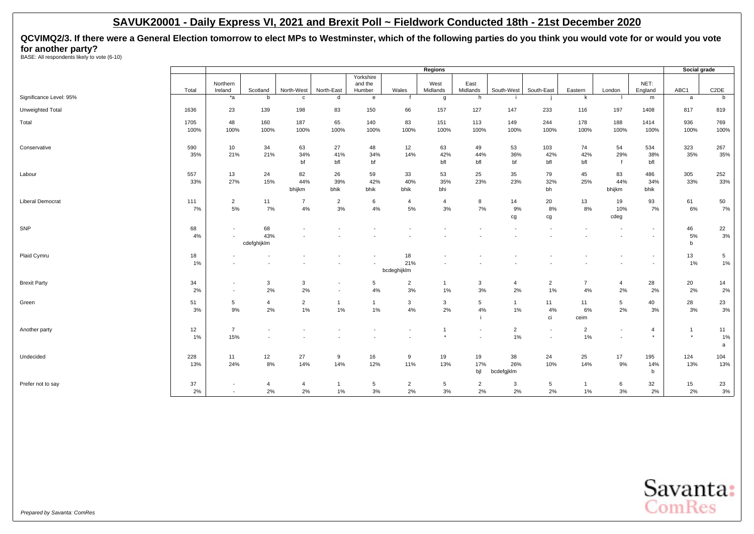**QCVIMQ2/3. If there were a General Election tomorrow to elect MPs to Westminster, which of the following parties do you think you would vote for or would you vote for another party?**<br>BASE: All respondents likely to vote (6-10)

|                         |              |                                                      |                          |                         |                                                      |                                |                          | <b>Regions</b>            |                                    |                         |                                            |                      |                                    |                           | Social grade              |                          |
|-------------------------|--------------|------------------------------------------------------|--------------------------|-------------------------|------------------------------------------------------|--------------------------------|--------------------------|---------------------------|------------------------------------|-------------------------|--------------------------------------------|----------------------|------------------------------------|---------------------------|---------------------------|--------------------------|
|                         | Total        | Northern<br>Ireland                                  | Scotland                 | North-West              | North-East                                           | Yorkshire<br>and the<br>Humber | Wales                    | West<br>Midlands          | East<br>Midlands                   | South-West              | South-East                                 | Eastern              | London                             | NET:<br>England           | ABC1                      | C <sub>2</sub> DE        |
| Significance Level: 95% |              | $*_{a}$                                              | b                        | c                       | d                                                    | $\mathbf{e}$                   |                          | g                         | h                                  |                         |                                            | k                    |                                    | m                         | a                         | b                        |
| Unweighted Total        | 1636         | 23                                                   | 139                      | 198                     | 83                                                   | 150                            | 66                       | 157                       | 127                                | 147                     | 233                                        | 116                  | 197                                | 1408                      | 817                       | 819                      |
| Total                   | 1705<br>100% | 48<br>100%                                           | 160<br>100%              | 187<br>100%             | 65<br>100%                                           | 140<br>100%                    | 83<br>100%               | 151<br>100%               | 113<br>100%                        | 149<br>100%             | 244<br>100%                                | 178<br>100%          | 188<br>100%                        | 1414<br>100%              | 936<br>100%               | 769<br>100%              |
| Conservative            | 590<br>35%   | 10<br>21%                                            | 34<br>21%                | 63<br>34%<br>bf         | 27<br>41%<br>bfl                                     | 48<br>34%<br>bf                | 12<br>14%                | 63<br>42%<br>bfl          | 49<br>44%<br>bfl                   | 53<br>36%<br>bf         | 103<br>42%<br>bfl                          | 74<br>42%<br>bfl     | 54<br>29%<br>$\mathbf f$           | 534<br>38%<br>bfl         | 323<br>35%                | 267<br>35%               |
| Labour                  | 557<br>33%   | 13<br>27%                                            | 24<br>15%                | 82<br>44%<br>bhijkm     | 26<br>39%<br>bhik                                    | 59<br>42%<br>bhik              | 33<br>40%<br>bhik        | 53<br>35%<br>bhi          | 25<br>23%                          | 35<br>23%               | 79<br>32%<br>bh                            | 45<br>25%            | 83<br>44%<br>bhijkm                | 486<br>34%<br>bhik        | 305<br>33%                | 252<br>33%               |
| <b>Liberal Democrat</b> | 111<br>7%    | $\overline{2}$<br>5%                                 | 11<br>7%                 | $\overline{7}$<br>$4\%$ | $\overline{2}$<br>3%                                 | 6<br>4%                        | $\overline{4}$<br>5%     | $\overline{4}$<br>3%      | 8<br>7%                            | 14<br>9%<br>cg          | 20<br>8%<br>cg                             | 13<br>8%             | 19<br>10%<br>cdeg                  | 93<br>7%                  | 61<br>6%                  | 50<br>7%                 |
| SNP                     | 68<br>4%     | $\overline{\phantom{a}}$<br>$\overline{\phantom{a}}$ | 68<br>43%<br>cdefghijklm |                         |                                                      |                                |                          |                           |                                    |                         |                                            |                      |                                    | $\sim$<br>$\sim$          | 46<br>5%<br>b             | 22<br>$3%$               |
| Plaid Cymru             | 18<br>1%     | $\overline{\phantom{a}}$                             |                          |                         |                                                      |                                | 18<br>21%<br>bcdeghijklm |                           |                                    |                         |                                            |                      |                                    | $\sim$<br>$\sim$          | 13<br>1%                  | $5\overline{5}$<br>$1\%$ |
| <b>Brexit Party</b>     | 34<br>2%     | $\overline{\phantom{a}}$<br>$\overline{\phantom{a}}$ | 3<br>2%                  | 3<br>2%                 | $\overline{\phantom{a}}$<br>$\overline{\phantom{a}}$ | 5<br>4%                        | $\overline{2}$<br>3%     | $\overline{1}$<br>1%      | 3<br>3%                            | $\overline{4}$<br>2%    | $\overline{2}$<br>1%                       | $\overline{7}$<br>4% | $\overline{4}$<br>2%               | 28<br>2%                  | 20<br>2%                  | 14<br>2%                 |
| Green                   | 51<br>3%     | 5<br>9%                                              | 4<br>2%                  | $\overline{2}$<br>$1\%$ | $\mathbf{1}$<br>1%                                   | $\mathbf{1}$<br>1%             | 3<br>4%                  | $\mathbf{3}$<br>2%        | $5\phantom{.0}$<br>$4\%$           | $\mathbf{1}$<br>1%      | 11<br>4%<br>ci                             | 11<br>6%<br>ceim     | 5<br>2%                            | 40<br>3%                  | 28<br>3%                  | 23<br>$3\%$              |
| Another party           | 12<br>1%     | $\overline{7}$<br>15%                                |                          |                         |                                                      |                                |                          | $\overline{1}$<br>$\star$ | $\sim$<br>$\overline{\phantom{a}}$ | $\overline{2}$<br>1%    | $\overline{a}$<br>$\overline{\phantom{a}}$ | $\overline{2}$<br>1% | $\sim$<br>$\overline{\phantom{a}}$ | $\overline{4}$<br>$\star$ | $\overline{1}$<br>$\star$ | 11<br>1%<br>$\mathsf{a}$ |
| Undecided               | 228<br>13%   | 11<br>24%                                            | 12<br>8%                 | 27<br>14%               | 9<br>14%                                             | 16<br>12%                      | 9<br>11%                 | 19<br>13%                 | 19<br>17%<br>bjl                   | 38<br>26%<br>bcdefgjklm | 24<br>10%                                  | 25<br>14%            | 17<br>9%                           | 195<br>14%<br>b           | 124<br>13%                | 104<br>13%               |
| Prefer not to say       | 37<br>2%     | $\overline{\phantom{a}}$<br>$\sim$                   | $\overline{4}$<br>2%     | $\overline{4}$<br>2%    | $\overline{1}$<br>1%                                 | 5<br>3%                        | $\overline{2}$<br>2%     | 5<br>3%                   | $\overline{2}$<br>2%               | 3<br>2%                 | 5<br>2%                                    | $\overline{1}$<br>1% | 6<br>3%                            | 32<br>2%                  | 15<br>2%                  | 23<br>$3%$               |

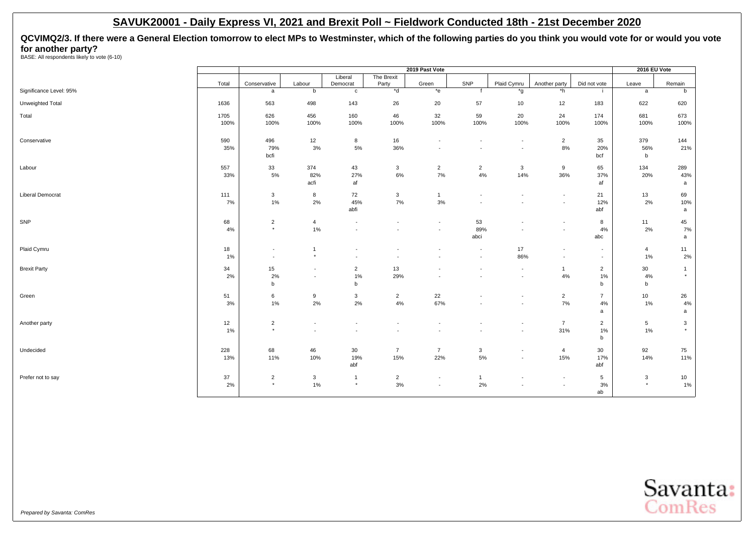**QCVIMQ2/3. If there were a General Election tomorrow to elect MPs to Westminster, which of the following parties do you think you would vote for or would you vote for another party?**<br>BASE: All respondents likely to vote (6-10)

|                         |            |                                                      |                                    |                                            |                                            | 2019 Past Vote                             |                          |                                    |                                            |                                    | 2016 EU Vote         |                          |
|-------------------------|------------|------------------------------------------------------|------------------------------------|--------------------------------------------|--------------------------------------------|--------------------------------------------|--------------------------|------------------------------------|--------------------------------------------|------------------------------------|----------------------|--------------------------|
|                         | Total      | Conservative                                         | Labour                             | Liberal<br>Democrat                        | The Brexit<br>Party                        | Green                                      | SNP                      | Plaid Cymru                        | Another party                              | Did not vote                       | Leave                | Remain                   |
| Significance Level: 95% |            | a                                                    | b                                  | $\mathbf{c}$                               | $*$ d                                      | $*$ e                                      | f                        | *g                                 | *h                                         |                                    | a                    | b                        |
| Unweighted Total        | 1636       | 563                                                  | 498                                | 143                                        | 26                                         | 20                                         | 57                       | 10                                 | 12                                         | 183                                | 622                  | 620                      |
| Total                   | 1705       | 626                                                  | 456                                | 160                                        | 46                                         | 32                                         | 59                       | 20                                 | 24                                         | 174                                | 681                  | 673                      |
|                         | 100%       | 100%                                                 | 100%                               | 100%                                       | 100%                                       | 100%                                       | 100%                     | 100%                               | 100%                                       | 100%                               | 100%                 | 100%                     |
| Conservative            | 590        | 496                                                  | 12                                 | 8                                          | 16                                         | $\overline{a}$                             |                          | $\overline{\phantom{a}}$           | $\overline{2}$                             | 35                                 | 379                  | 144                      |
|                         | 35%        | 79%<br>bcfi                                          | $3%$                               | $5\%$                                      | 36%                                        | $\blacksquare$                             |                          | $\overline{\phantom{a}}$           | 8%                                         | 20%<br>bcf                         | 56%<br>b             | 21%                      |
|                         |            |                                                      |                                    |                                            |                                            |                                            |                          |                                    |                                            |                                    |                      |                          |
| Labour                  | 557<br>33% | 33<br>$5\%$                                          | 374<br>82%                         | 43<br>27%                                  | $\mathbf{3}$<br>6%                         | $\overline{2}$<br>7%                       | $\overline{2}$<br>4%     | $\mathbf{3}$<br>14%                | 9<br>36%                                   | 65<br>37%                          | 134<br>20%           | 289<br>43%               |
|                         |            |                                                      | acfi                               | af                                         |                                            |                                            |                          |                                    |                                            | af                                 |                      | a                        |
| Liberal Democrat        | 111        | 3                                                    | 8                                  | 72                                         | $\mathbf{3}$                               | $\mathbf{1}$                               |                          | $\overline{\phantom{a}}$           | $\overline{\phantom{a}}$                   | 21                                 | 13                   | 69                       |
|                         | 7%         | 1%                                                   | 2%                                 | 45%                                        | $7\%$                                      | 3%                                         |                          | $\overline{a}$                     | $\sim$                                     | 12%                                | 2%                   | 10%                      |
|                         |            |                                                      |                                    | abfi                                       |                                            |                                            |                          |                                    |                                            | abf                                |                      | a                        |
| SNP                     | 68         | $\sqrt{2}$<br>$\star$                                | $\overline{4}$                     | $\overline{\phantom{a}}$                   | $\overline{\phantom{a}}$                   | $\overline{\phantom{a}}$                   | 53                       |                                    | $\overline{\phantom{a}}$                   | 8                                  | 11                   | 45                       |
|                         | 4%         |                                                      | 1%                                 | $\blacksquare$                             |                                            | $\overline{\phantom{a}}$                   | 89%<br>abci              |                                    | $\overline{\phantom{a}}$                   | 4%<br>abc                          | 2%                   | 7%<br>a                  |
|                         |            |                                                      |                                    |                                            |                                            |                                            |                          |                                    |                                            |                                    |                      |                          |
| Plaid Cymru             | 18<br>1%   | $\overline{\phantom{a}}$<br>$\overline{\phantom{a}}$ | $\overline{1}$<br>$\star$          | $\overline{\phantom{a}}$                   |                                            |                                            |                          | 17<br>86%                          | $\overline{\phantom{a}}$<br>$\blacksquare$ | $\sim$<br>$\overline{\phantom{a}}$ | $\overline{4}$<br>1% | 11<br>$2\%$              |
| <b>Brexit Party</b>     | 34         | 15                                                   | $\overline{a}$                     | $\overline{2}$                             | 13                                         |                                            |                          | $\overline{\phantom{a}}$           | $\mathbf{1}$                               | $\overline{2}$                     | 30 <sup>°</sup>      | $\overline{1}$           |
|                         | 2%         | 2%                                                   | $\sim$                             | 1%                                         | 29%                                        | $\blacksquare$                             |                          | $\overline{\phantom{a}}$           | 4%                                         | $1\%$                              | 4%                   | $^\star$                 |
|                         |            | b                                                    |                                    | b                                          |                                            |                                            |                          |                                    |                                            | b                                  | b                    |                          |
| Green                   | 51         | 6                                                    | 9                                  | $\mathbf{3}$                               | $\overline{2}$                             | 22                                         |                          | $\overline{\phantom{a}}$           | $\overline{2}$                             | $\overline{7}$                     | 10 <sup>10</sup>     | 26                       |
|                         | 3%         | $1\%$                                                | 2%                                 | 2%                                         | 4%                                         | 67%                                        | $\overline{\phantom{a}}$ | $\overline{\phantom{a}}$           | 7%                                         | 4%                                 | 1%                   | 4%                       |
|                         |            |                                                      |                                    |                                            |                                            |                                            |                          |                                    |                                            | a                                  |                      | a                        |
| Another party           | 12<br>1%   | $\sqrt{2}$<br>$\star$                                | $\overline{\phantom{a}}$<br>$\sim$ | $\overline{\phantom{a}}$<br>$\blacksquare$ | $\overline{\phantom{a}}$<br>$\overline{a}$ | $\overline{\phantom{a}}$<br>$\overline{a}$ |                          | $\overline{\phantom{a}}$<br>$\sim$ | $\overline{7}$<br>31%                      | $\overline{2}$<br>1%               | 5<br>1%              | $\mathbf{3}$<br>$^\star$ |
|                         |            |                                                      |                                    |                                            |                                            |                                            |                          |                                    |                                            | b                                  |                      |                          |
| Undecided               | 228        | 68                                                   | 46                                 | 30                                         | $\overline{7}$                             | $\overline{7}$                             | 3                        | $\overline{\phantom{a}}$           | $\overline{4}$                             | 30                                 | 92                   | 75                       |
|                         | 13%        | 11%                                                  | 10%                                | 19%                                        | 15%                                        | 22%                                        | $5\%$                    | $\overline{\phantom{a}}$           | 15%                                        | 17%                                | 14%                  | 11%                      |
|                         |            |                                                      |                                    | abf                                        |                                            |                                            |                          |                                    |                                            | abf                                |                      |                          |
| Prefer not to say       | 37         | $\overline{c}$                                       | $\mathbf{3}$                       | $\overline{1}$                             | $\overline{2}$                             | $\sim$                                     | $\mathbf{1}$             | $\overline{\phantom{a}}$           | $\overline{\phantom{a}}$                   | 5                                  | 3                    | 10                       |
|                         | 2%         | $\star$                                              | $1\%$                              | $\star$                                    | 3%                                         | $\overline{\phantom{a}}$                   | 2%                       |                                    | ٠                                          | $3%$<br>ab                         | $\star$              | 1%                       |
|                         |            |                                                      |                                    |                                            |                                            |                                            |                          |                                    |                                            |                                    |                      |                          |

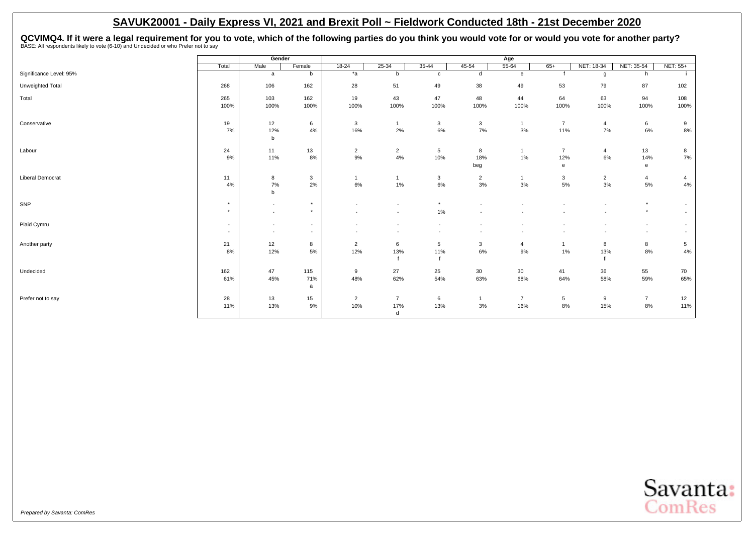<span id="page-18-0"></span>QCVIMQ4. If it were a legal requirement for you to vote, which of the following parties do you think you would vote for or would you vote for another party?<br>BASE: All respondents likely to vote (6-10) and Undecided or who

|                         |                    | Gender                                               |                                                      |                                                      |                          |                                                      |                        | Age                    |                                       |                      |                                                      |                                    |
|-------------------------|--------------------|------------------------------------------------------|------------------------------------------------------|------------------------------------------------------|--------------------------|------------------------------------------------------|------------------------|------------------------|---------------------------------------|----------------------|------------------------------------------------------|------------------------------------|
|                         | Total              | Male                                                 | Female                                               | $18 - 24$                                            | $25 - 34$                | $35 - 44$                                            | $45 - 54$              | $55 - 64$              | $65+$                                 | NET: 18-34           | NET: 35-54                                           | NET: 55+                           |
| Significance Level: 95% |                    | a                                                    | b                                                    | $*_{a}$                                              | b                        | $\mathbf{c}$                                         | d                      | $\mathbf{e}$           |                                       | g                    | h                                                    |                                    |
| Unweighted Total        | 268                | 106                                                  | 162                                                  | 28                                                   | 51                       | 49                                                   | 38                     | 49                     | 53                                    | 79                   | 87                                                   | 102                                |
| Total                   | 265<br>100%        | 103<br>100%                                          | 162<br>100%                                          | 19<br>100%                                           | 43<br>100%               | 47<br>100%                                           | 48<br>100%             | 44<br>100%             | 64<br>100%                            | 63<br>100%           | 94<br>100%                                           | 108<br>100%                        |
| Conservative            | 19<br>7%           | 12<br>12%<br>$\mathsf b$                             | 6<br>4%                                              | 3<br>16%                                             | 2%                       | $\mathbf{3}$<br>6%                                   | 3<br>7%                | $\mathbf{1}$<br>3%     | $\overline{7}$<br>11%                 | $\overline{4}$<br>7% | 6<br>6%                                              | 9<br>$8\%$                         |
| Labour                  | 24<br>9%           | 11<br>11%                                            | 13<br>8%                                             | $\overline{2}$<br>9%                                 | $\overline{2}$<br>4%     | 5<br>10%                                             | 8<br>18%<br>beg        | $\mathbf{1}$<br>1%     | $\overline{7}$<br>12%<br>$\mathbf{e}$ | $\overline{4}$<br>6% | 13<br>14%<br>$\mathbf{e}$                            | 8<br>7%                            |
| <b>Liberal Democrat</b> | 11<br>4%           | 8<br>7%<br>$\mathsf b$                               | 3<br>2%                                              | $\mathbf{1}$<br>$6\%$                                | 1%                       | $\begin{array}{c} 3 \\ 6\% \end{array}$              | $\overline{2}$<br>$3%$ | $\mathbf 1$<br>3%      | 3<br>5%                               | $\overline{2}$<br>3% | $\overline{4}$<br>5%                                 | 4<br>4%                            |
| SNP                     | $\star$<br>$\star$ | $\overline{\phantom{a}}$<br>$\sim$                   | $^\star$<br>$\star$                                  | $\overline{\phantom{a}}$                             | $\overline{\phantom{a}}$ | $\star$<br>1%                                        |                        |                        |                                       |                      | $\star$<br>$\star$                                   | $\overline{\phantom{a}}$<br>$\sim$ |
| Plaid Cymru             | $\sim$<br>$\sim$   | $\overline{\phantom{a}}$<br>$\overline{\phantom{a}}$ | $\overline{\phantom{a}}$<br>$\overline{\phantom{a}}$ | $\overline{\phantom{a}}$<br>$\overline{\phantom{a}}$ | $\overline{\phantom{a}}$ | $\overline{\phantom{a}}$<br>$\overline{\phantom{a}}$ |                        |                        |                                       |                      | $\overline{\phantom{a}}$<br>$\overline{\phantom{a}}$ | $\sim$<br>$\overline{\phantom{a}}$ |
| Another party           | 21<br>8%           | 12<br>12%                                            | 8<br>5%                                              | $\overline{2}$<br>12%                                | 6<br>13%                 | 5<br>11%                                             | 3<br>$6\%$             | $\overline{4}$<br>9%   | $\mathbf{1}$<br>1%                    | 8<br>13%<br>fi       | 8<br>8%                                              | 5<br>4%                            |
| Undecided               | 162<br>61%         | 47<br>45%                                            | 115<br>71%<br>a                                      | 9<br>48%                                             | 27<br>62%                | 25<br>54%                                            | 30<br>63%              | 30 <sup>°</sup><br>68% | 41<br>64%                             | 36<br>58%            | 55<br>59%                                            | 70<br>65%                          |
| Prefer not to say       | 28<br>11%          | 13<br>13%                                            | 15<br>9%                                             | $\overline{2}$<br>10%                                | 7<br>17%<br>d            | 6<br>13%                                             | 1<br>$3%$              | $\overline{7}$<br>16%  | 5<br>8%                               | 9<br>15%             | $\overline{7}$<br>$8\%$                              | 12<br>11%                          |

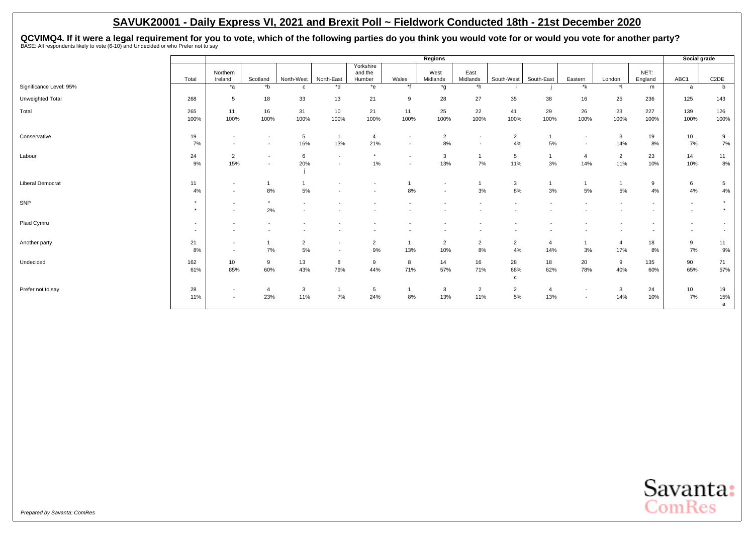QCVIMQ4. If it were a legal requirement for you to vote, which of the following parties do you think you would vote for or would you vote for another party?<br>BASE: All respondents likely to vote (6-10) and Undecided or who

|                         |                                    |                                                      |                                                      |                          |                                                      |                                |                                                      | Regions                            |                                                      |                          |                         |                          |                          |                                    | Social grade                       |                                                      |
|-------------------------|------------------------------------|------------------------------------------------------|------------------------------------------------------|--------------------------|------------------------------------------------------|--------------------------------|------------------------------------------------------|------------------------------------|------------------------------------------------------|--------------------------|-------------------------|--------------------------|--------------------------|------------------------------------|------------------------------------|------------------------------------------------------|
|                         | Total                              | Northern<br>Ireland                                  | Scotland                                             | North-West               | North-East                                           | Yorkshire<br>and the<br>Humber | Wales                                                | West<br>Midlands                   | East<br>Midlands                                     | South-West               | South-East              | Eastern                  | London                   | NET:<br>England                    | ABC1                               | C <sub>2</sub> DE                                    |
| Significance Level: 95% |                                    | $*$ а                                                | $*$ b                                                | c                        | *d                                                   | $*$ e                          | $*$ f                                                | $^{\star}$ g                       | $*h$                                                 |                          |                         | *k                       | $\ddot{\phantom{1}}$     | m                                  | a                                  | b                                                    |
| Unweighted Total        | 268                                | 5                                                    | 18                                                   | 33                       | 13                                                   | 21                             | 9                                                    | 28                                 | 27                                                   | 35                       | 38                      | 16                       | 25                       | 236                                | 125                                | 143                                                  |
| Total                   | 265                                | 11                                                   | 16                                                   | 31                       | 10                                                   | 21                             | 11                                                   | 25                                 | 22                                                   | 41                       | 29                      | 26                       | 23                       | 227                                | 139                                | 126                                                  |
|                         | 100%                               | 100%                                                 | 100%                                                 | 100%                     | 100%                                                 | 100%                           | 100%                                                 | 100%                               | 100%                                                 | 100%                     | 100%                    | 100%                     | 100%                     | 100%                               | 100%                               | 100%                                                 |
| Conservative            | 19<br>7%                           | $\overline{a}$                                       | $\overline{\phantom{a}}$<br>$\overline{\phantom{a}}$ | 5<br>16%                 | $\overline{1}$<br>13%                                | $\overline{4}$<br>21%          | $\overline{\phantom{a}}$<br>$\overline{\phantom{a}}$ | $\overline{2}$<br>8%               | $\overline{\phantom{a}}$<br>$\overline{\phantom{a}}$ | $\overline{2}$<br>4%     | $\overline{1}$<br>$5\%$ | $\overline{\phantom{a}}$ | $\mathbf{3}$<br>14%      | 19<br>8%                           | 10 <sub>1</sub><br>7%              | 9<br>7%                                              |
| Labour                  | 24<br>9%                           | $\overline{2}$<br>15%                                | $\overline{\phantom{a}}$<br>$\overline{\phantom{a}}$ | 6<br>20%                 | $\overline{\phantom{a}}$                             | $\star$<br>1%                  | $\overline{\phantom{a}}$                             | 3<br>13%                           | $\mathbf{1}$<br>7%                                   | 5<br>11%                 | $\mathbf{1}$<br>3%      | $\overline{4}$<br>14%    | $\overline{2}$<br>11%    | 23<br>10%                          | 14<br>10%                          | 11<br>8%                                             |
| <b>Liberal Democrat</b> | 11<br>4%                           | $\sim$<br>$\sim$                                     | 8%                                                   | 5%                       |                                                      |                                | 8%                                                   | $\sim$<br>$\overline{\phantom{a}}$ | 3%                                                   | $\mathbf{3}$<br>8%       | $\mathbf{1}$<br>3%      | 5%                       | 5%                       | 9<br>4%                            | 6<br>4%                            | 5<br>4%                                              |
| SNP                     | $\star$<br>$\star$                 | $\overline{\phantom{a}}$<br>$\overline{\phantom{a}}$ | $\star$<br>2%                                        | $\overline{\phantom{a}}$ |                                                      |                                |                                                      |                                    |                                                      |                          |                         |                          | $\overline{\phantom{a}}$ | $\sim$<br>$\overline{\phantom{a}}$ | $\sim$<br>$\sim$                   | $\star$<br>$\star$                                   |
| Plaid Cymru             | $\overline{\phantom{a}}$<br>$\sim$ |                                                      |                                                      |                          |                                                      |                                |                                                      |                                    |                                                      |                          |                         |                          | $\overline{\phantom{a}}$ | $\sim$<br>$\sim$                   | $\overline{\phantom{0}}$<br>$\sim$ | $\overline{\phantom{a}}$<br>$\overline{\phantom{a}}$ |
| Another party           | 21<br>8%                           | $\sim$<br>$\sim$                                     | 7%                                                   | $\overline{2}$<br>5%     | $\overline{\phantom{a}}$<br>$\overline{\phantom{a}}$ | $\overline{2}$<br>9%           | 13%                                                  | $\overline{2}$<br>10%              | $\overline{2}$<br>$8\%$                              | $\overline{2}$<br>4%     | $\overline{a}$<br>14%   | 3%                       | $\overline{a}$<br>17%    | 18<br>8%                           | 9<br>7%                            | 11<br>9%                                             |
| Undecided               | 162<br>61%                         | 10<br>85%                                            | 9<br>60%                                             | 13<br>43%                | 8<br>79%                                             | 9<br>44%                       | 8<br>71%                                             | 14<br>57%                          | 16<br>71%                                            | 28<br>68%<br>$\mathbf c$ | 18<br>62%               | 20<br>78%                | 9<br>40%                 | 135<br>60%                         | 90<br>65%                          | 71<br>57%                                            |
| Prefer not to say       | 28<br>11%                          | $\overline{\phantom{a}}$<br>$\overline{\phantom{a}}$ | $\overline{4}$<br>23%                                | 3<br>11%                 | $\mathbf{1}$<br>7%                                   | 5<br>24%                       | 8%                                                   | $\mathbf{3}$<br>13%                | $\overline{2}$<br>11%                                | $\overline{2}$<br>5%     | $\overline{4}$<br>13%   | $\overline{\phantom{a}}$ | 3<br>14%                 | 24<br>10%                          | 10 <sub>1</sub><br>7%              | 19<br>15%<br>a                                       |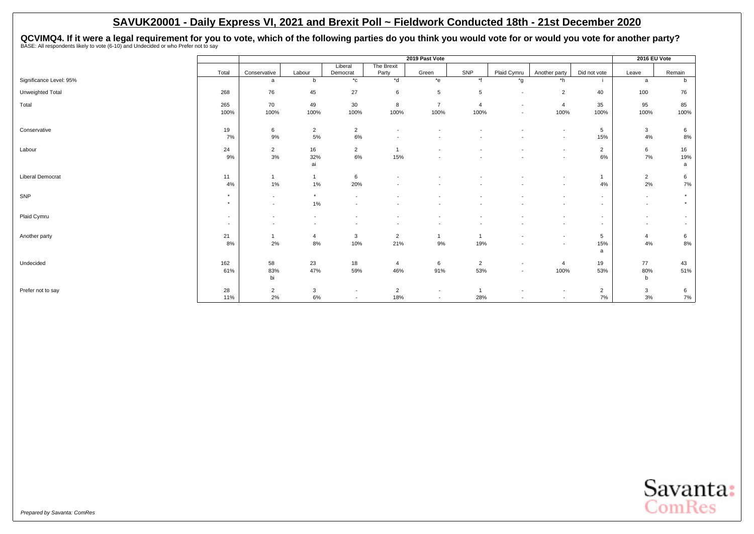QCVIMQ4. If it were a legal requirement for you to vote, which of the following parties do you think you would vote for or would you vote for another party?<br>BASE: All respondents likely to vote (6-10) and Undecided or who

|                         |                          |                          |                          |                          |                          | 2019 Past Vote           |                |                          |                          |                          | 2016 EU Vote             |                          |
|-------------------------|--------------------------|--------------------------|--------------------------|--------------------------|--------------------------|--------------------------|----------------|--------------------------|--------------------------|--------------------------|--------------------------|--------------------------|
|                         |                          |                          |                          | Liberal                  | The Brexit               |                          |                |                          |                          |                          |                          |                          |
|                         | Total                    | Conservative             | Labour                   | Democrat                 | Party                    | Green                    | SNP            | Plaid Cymru              | Another party            | Did not vote             | Leave                    | Remain                   |
| Significance Level: 95% |                          | a                        | $\mathbf b$              | $^{\star}$ c             | $*$ d                    | $*_{e}$                  | $*$ f          | *g                       | *h                       |                          | a                        | b                        |
| Unweighted Total        | 268                      | 76                       | 45                       | 27                       | 6                        | 5                        | 5              | $\overline{\phantom{a}}$ | $\overline{2}$           | 40                       | 100                      | 76                       |
| Total                   | 265                      | 70                       | 49                       | 30                       | 8                        | $\overline{7}$           | $\overline{4}$ | $\overline{\phantom{a}}$ | $\overline{4}$           | 35                       | 95                       | 85                       |
|                         | 100%                     | 100%                     | 100%                     | 100%                     | 100%                     | 100%                     | 100%           | $\overline{\phantom{a}}$ | 100%                     | 100%                     | 100%                     | 100%                     |
| Conservative            | 19                       | 6                        | $\overline{2}$           | $\overline{2}$           | $\overline{\phantom{a}}$ | $\overline{\phantom{a}}$ |                |                          | $\overline{\phantom{a}}$ | 5                        | $\mathbf{3}$             | 6                        |
|                         | 7%                       | 9%                       | 5%                       | 6%                       |                          |                          |                |                          | $\overline{\phantom{a}}$ | 15%                      | 4%                       | 8%                       |
| Labour                  | 24                       | $\overline{2}$           | 16                       | $\overline{2}$           | $\overline{1}$           |                          |                |                          | $\overline{\phantom{a}}$ | $\overline{2}$           | 6                        | 16                       |
|                         | 9%                       | 3%                       | 32%                      | 6%                       | 15%                      |                          |                |                          | $\overline{\phantom{a}}$ | 6%                       | 7%                       | 19%                      |
|                         |                          |                          | ai                       |                          |                          |                          |                |                          |                          |                          |                          | a                        |
| <b>Liberal Democrat</b> | 11                       | $\mathbf{1}$             | $\overline{1}$           | 6                        |                          |                          |                |                          | $\overline{\phantom{a}}$ | $\overline{1}$           | $\overline{2}$           | 6                        |
|                         | 4%                       | 1%                       | 1%                       | 20%                      |                          |                          |                |                          | $\overline{\phantom{a}}$ | 4%                       | 2%                       | 7%                       |
| SNP                     | $\star$                  | $\overline{\phantom{a}}$ | $\star$                  | $\overline{\phantom{a}}$ |                          |                          |                |                          | $\overline{\phantom{a}}$ | $\sim$                   | $\overline{\phantom{a}}$ | $\star$                  |
|                         | $\star$                  | $\sim$                   | 1%                       | $\overline{\phantom{a}}$ |                          |                          |                |                          |                          | $\sim$                   | $\overline{\phantom{a}}$ | $\star$                  |
| Plaid Cymru             | $\overline{\phantom{a}}$ | $\overline{\phantom{a}}$ | $\overline{\phantom{a}}$ | $\overline{\phantom{a}}$ |                          | $\overline{\phantom{a}}$ |                |                          |                          | $\sim$                   | $\overline{\phantom{a}}$ | $\overline{\phantom{a}}$ |
|                         | $\overline{\phantom{a}}$ | $\overline{\phantom{a}}$ |                          |                          |                          |                          |                |                          |                          | $\overline{\phantom{a}}$ | $\overline{\phantom{a}}$ | $\overline{\phantom{a}}$ |
| Another party           | 21                       | $\mathbf{1}$             | $\overline{4}$           | 3                        | $\overline{2}$           | $\overline{1}$           | 1              |                          | $\sim$                   | 5                        | 4                        | 6                        |
|                         | 8%                       | 2%                       | 8%                       | 10%                      | 21%                      | 9%                       | 19%            |                          |                          | 15%                      | 4%                       | $8\%$                    |
|                         |                          |                          |                          |                          |                          |                          |                |                          |                          | a                        |                          |                          |
| Undecided               | 162                      | 58                       | 23                       | 18                       | 4                        | 6                        | $\overline{2}$ | $\overline{\phantom{a}}$ | $\overline{4}$           | 19                       | 77                       | 43                       |
|                         | 61%                      | 83%                      | 47%                      | 59%                      | 46%                      | 91%                      | 53%            | $\overline{\phantom{a}}$ | 100%                     | 53%                      | 80%                      | 51%                      |
|                         |                          | bi                       |                          |                          |                          |                          |                |                          |                          |                          | b                        |                          |
| Prefer not to say       | 28                       | $\overline{2}$           | $\mathbf{3}$             | $\overline{\phantom{a}}$ | $\overline{2}$           | $\overline{\phantom{a}}$ |                | $\overline{\phantom{a}}$ | $\overline{\phantom{a}}$ | $\overline{2}$           | $\mathbf{3}$             | 6                        |
|                         | 11%                      | 2%                       | $6\%$                    | $\sim$                   | 18%                      | $\overline{\phantom{a}}$ | 28%            |                          | $\overline{\phantom{a}}$ | 7%                       | 3%                       | 7%                       |

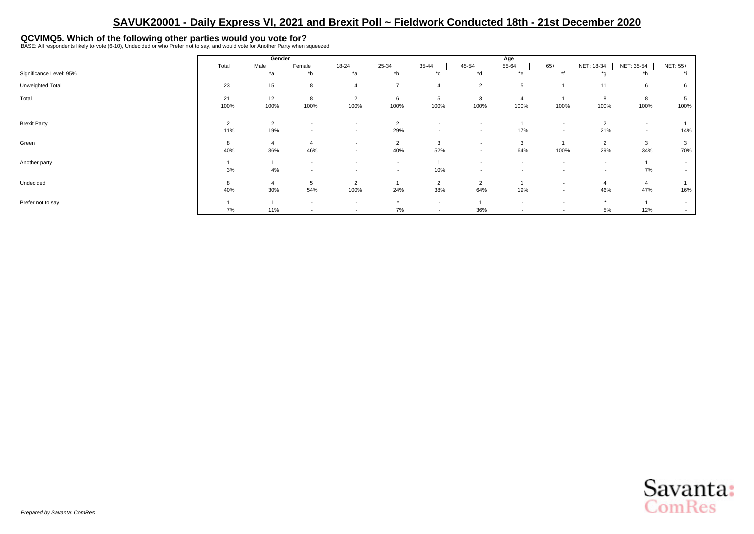# <span id="page-21-0"></span>**QCVIMQ5. Which of the following other parties would you vote for?** BASE: All respondents likely to vote (6-10), Undecided or who Prefer not to say, and would vote for Another Party when squeezed

|                         |                | Gender         |                |                          |                          |                          |                          | Age                      |                          |                          |                          |           |
|-------------------------|----------------|----------------|----------------|--------------------------|--------------------------|--------------------------|--------------------------|--------------------------|--------------------------|--------------------------|--------------------------|-----------|
|                         | Total          | Male           | Female         | 18-24                    | 25-34                    | 35-44                    | 45-54                    | 55-64                    | $65+$                    | NET: 18-34               | NET: 35-54               | NET: 55+  |
| Significance Level: 95% |                | $*_{a}$        | $b^*$          | *a                       | $b^*$                    | $^{\star}$ c             | *d                       | *e                       | $*$                      | $*_{0}$                  | $*h$                     | $\star$ : |
| Unweighted Total        | 23             | 15             | 8              |                          | $\overline{ }$           | $\overline{4}$           | $\overline{2}$           | 5                        |                          | 11                       | 6                        |           |
| Total                   | 21             | 12             | 8              | $\overline{2}$           | 6                        | 5                        | 3                        |                          |                          | 8                        | 8                        |           |
|                         | 100%           | 100%           | 100%           | 100%                     | 100%                     | 100%                     | 100%                     | 100%                     | 100%                     | 100%                     | 100%                     | 100%      |
| <b>Brexit Party</b>     | $\overline{2}$ | $\overline{2}$ | $\sim$         | $\overline{\phantom{a}}$ | $\overline{2}$           | $\sim$                   |                          |                          | ٠                        | $\overline{2}$           | $\overline{\phantom{a}}$ |           |
|                         | 11%            | 19%            | $\sim$         | $\overline{\phantom{a}}$ | 29%                      | $\overline{\phantom{a}}$ | $\sim$                   | 17%                      | $\overline{\phantom{a}}$ | 21%                      | $\overline{\phantom{a}}$ | 14%       |
| Green                   | 8              | $\overline{4}$ | $\overline{4}$ | $\overline{\phantom{a}}$ | $\overline{2}$           | 3                        | $\overline{\phantom{a}}$ | 3                        |                          | $\overline{2}$           | 3                        |           |
|                         | 40%            | 36%            | 46%            | $\overline{\phantom{a}}$ | 40%                      | 52%                      | $\sim$                   | 64%                      | 100%                     | 29%                      | 34%                      | 70%       |
| Another party           |                |                | $\sim$         | $\overline{\phantom{a}}$ | $\overline{\phantom{a}}$ |                          | $\overline{\phantom{a}}$ | $\overline{\phantom{a}}$ | $\overline{\phantom{a}}$ | $\overline{\phantom{a}}$ |                          |           |
|                         | 3%             | 4%             | $\sim$         | $\overline{\phantom{a}}$ | $\overline{\phantom{a}}$ | 10%                      | $\sim$                   | $\overline{\phantom{a}}$ | $\overline{\phantom{a}}$ | $\overline{\phantom{a}}$ | 7%                       |           |
| Undecided               | 8              | $\overline{4}$ | 5              | $\overline{2}$           |                          | $\overline{2}$           | $\overline{2}$           |                          |                          |                          | $\overline{4}$           |           |
|                         | 40%            | 30%            | 54%            | 100%                     | 24%                      | 38%                      | 64%                      | 19%                      | $\overline{\phantom{a}}$ | 46%                      | 47%                      | 16%       |
| Prefer not to say       |                |                | $\sim$         | $\overline{\phantom{a}}$ | $\star$                  | $\overline{\phantom{a}}$ |                          | $\overline{\phantom{a}}$ |                          | $\star$                  |                          |           |
|                         | 7%             | 11%            | $\sim$         | $\overline{\phantom{a}}$ | 7%                       | $\overline{\phantom{a}}$ | 36%                      | $\overline{\phantom{a}}$ | $\overline{\phantom{a}}$ | 5%                       | 12%                      |           |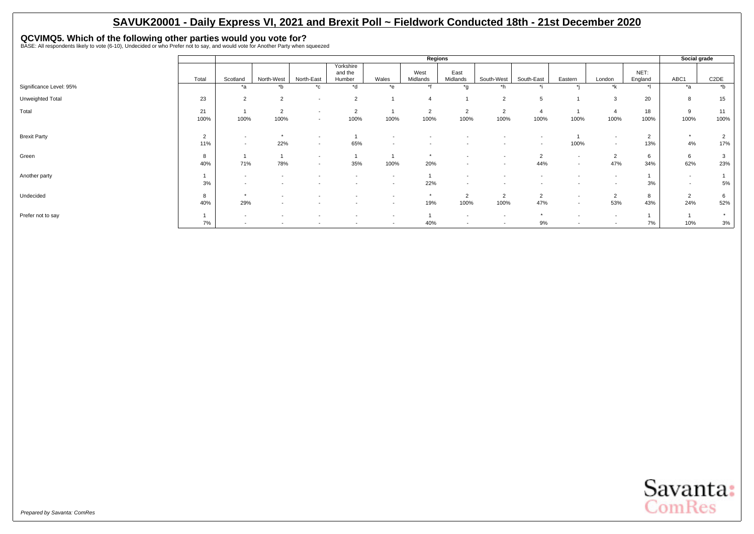# **QCVIMQ5. Which of the following other parties would you vote for?** BASE: All respondents likely to vote (6-10), Undecided or who Prefer not to say, and would vote for Another Party when squeezed

|                         |                       |                                    |                                                      |                                                      |                                                      |                                                      | Regions                  |                                                      |                          |                          |                          |                                                      |                       | Social grade          |                       |
|-------------------------|-----------------------|------------------------------------|------------------------------------------------------|------------------------------------------------------|------------------------------------------------------|------------------------------------------------------|--------------------------|------------------------------------------------------|--------------------------|--------------------------|--------------------------|------------------------------------------------------|-----------------------|-----------------------|-----------------------|
|                         | Total                 | Scotland                           | North-West                                           | North-East                                           | Yorkshire<br>and the<br>Humber                       | Wales                                                | West<br>Midlands         | East<br>Midlands                                     | South-West               | South-East               | Eastern                  | London                                               | NET:<br>England       | ABC1                  | C <sub>2</sub> DE     |
| Significance Level: 95% |                       | *a                                 | *b                                                   | $^{\star}$ c                                         | *d                                                   | *e                                                   | $*$                      | $*_{\alpha}$                                         | *h                       |                          |                          | *k                                                   |                       | *a                    | $b^*$                 |
| Unweighted Total        | 23                    | $\overline{2}$                     | $\overline{2}$                                       | $\overline{\phantom{a}}$                             | $\overline{2}$                                       |                                                      |                          |                                                      | $\overline{2}$           | 5                        |                          | 3                                                    | 20                    | 8                     | 15                    |
| Total                   | 21<br>100%            | 100%                               | $\overline{2}$<br>100%                               | $\overline{\phantom{a}}$<br>$\overline{\phantom{a}}$ | $\overline{2}$<br>100%                               | 100%                                                 | $\overline{2}$<br>100%   | $\overline{2}$<br>100%                               | $\overline{2}$<br>100%   | $\overline{4}$<br>100%   | 100%                     | $\overline{4}$<br>100%                               | 18<br>100%            | 9<br>100%             | 11<br>100%            |
| <b>Brexit Party</b>     | $\overline{2}$<br>11% | $\overline{\phantom{a}}$<br>$\sim$ | $\star$<br>22%                                       | $\overline{\phantom{a}}$<br>$\overline{\phantom{a}}$ | 65%                                                  | $\overline{\phantom{a}}$<br>$\sim$                   | $\overline{\phantom{a}}$ |                                                      |                          | $\overline{\phantom{a}}$ | 100%                     | $\sim$<br>$\sim$                                     | $\overline{2}$<br>13% | $\star$<br>4%         | $\overline{2}$<br>17% |
| Green                   | 8<br>40%              | 71%                                | 78%                                                  | $\sim$<br>$\overline{\phantom{a}}$                   | 35%                                                  | 100%                                                 | $\star$<br>20%           | $\overline{\phantom{a}}$<br>$\overline{\phantom{a}}$ |                          | $\overline{2}$<br>44%    | $\sim$<br>$\sim$         | $\overline{2}$<br>47%                                | b<br>34%              | 6<br>62%              | $\mathbf{3}$<br>23%   |
| Another party           | 3%                    | $\overline{\phantom{a}}$<br>$\sim$ | $\overline{\phantom{a}}$                             | $\overline{\phantom{a}}$                             | $\overline{\phantom{a}}$<br>$\overline{\phantom{a}}$ | $\overline{\phantom{a}}$<br>$\overline{\phantom{a}}$ | 22%                      | $\overline{\phantom{a}}$<br>$\overline{\phantom{a}}$ |                          |                          | $\overline{\phantom{a}}$ | $\sim$<br>$\overline{\phantom{a}}$                   | 3%                    | $\sim$<br>$\sim$      | 5%                    |
| Undecided               | 8<br>40%              | $\star$<br>29%                     | $\overline{\phantom{a}}$<br>$\overline{\phantom{a}}$ | $\overline{\phantom{a}}$                             | $\overline{\phantom{a}}$<br>$\overline{\phantom{a}}$ | $\overline{\phantom{a}}$<br>$\sim$                   | $\star$<br>19%           | $\Omega$<br>∠<br>100%                                | $\overline{2}$<br>100%   | 2<br>47%                 | $\sim$<br>$\sim$         | $\overline{2}$<br>53%                                | 8<br>43%              | $\overline{2}$<br>24% | 6<br>52%              |
| Prefer not to say       | 7%                    | $\sim$<br>$\sim$                   | $\overline{\phantom{a}}$<br>$\overline{\phantom{0}}$ | $\overline{\phantom{a}}$                             | $\overline{\phantom{a}}$<br>$\overline{\phantom{a}}$ | $\sim$<br>$\sim$                                     | 40%                      | $\overline{\phantom{a}}$<br>$\overline{\phantom{a}}$ | $\overline{\phantom{0}}$ | 9%                       | $\overline{\phantom{a}}$ | $\overline{\phantom{a}}$<br>$\overline{\phantom{a}}$ | 7%                    | 10%                   | $\star$<br>$3%$       |

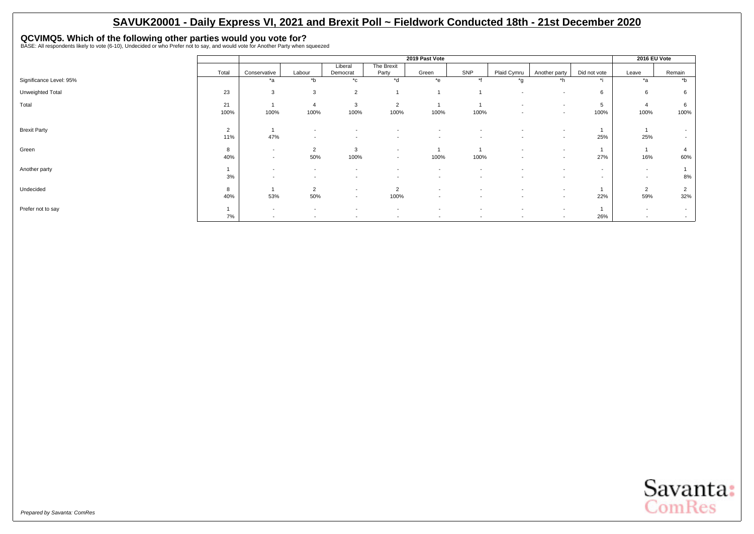# **QCVIMQ5. Which of the following other parties would you vote for?** BASE: All respondents likely to vote (6-10), Undecided or who Prefer not to say, and would vote for Another Party when squeezed

|                         |       |                          |                          |                          |                          | 2019 Past Vote           |                          |                          |                          |                          | 2016 EU Vote             |                          |
|-------------------------|-------|--------------------------|--------------------------|--------------------------|--------------------------|--------------------------|--------------------------|--------------------------|--------------------------|--------------------------|--------------------------|--------------------------|
|                         |       |                          |                          | Liberal                  | The Brexit               |                          | SNP                      |                          |                          |                          |                          |                          |
|                         | Total | Conservative             | Labour                   | Democrat                 | Party                    | Green                    |                          | Plaid Cymru              | Another party            | Did not vote             | Leave                    | Remain                   |
| Significance Level: 95% |       | *a                       | $b^*$                    | $^{\star}$ c             | *d                       | $e^*$                    | $*f$                     | *g                       | *h                       | $\star$ :                | $*_{\mathsf{a}}$         | *b                       |
| Unweighted Total        | 23    | 3                        | 3                        | $\overline{2}$           |                          |                          |                          | $\overline{\phantom{a}}$ | $\overline{\phantom{a}}$ | 6                        | 6                        | 6                        |
| Total                   | 21    |                          | $\overline{4}$           | 3                        | $\overline{2}$           |                          |                          | $\overline{\phantom{a}}$ | $\overline{\phantom{a}}$ | 5                        |                          | 6                        |
|                         | 100%  | 100%                     | 100%                     | 100%                     | 100%                     | 100%                     | 100%                     | $\overline{\phantom{a}}$ | $\sim$                   | 100%                     | 100%                     | 100%                     |
|                         |       |                          |                          |                          |                          |                          |                          |                          |                          |                          |                          |                          |
| <b>Brexit Party</b>     | 2     |                          | $\overline{\phantom{a}}$ |                          |                          |                          |                          |                          | $\overline{\phantom{a}}$ |                          |                          | $\sim$                   |
|                         | 11%   | 47%                      | $\overline{a}$           | $\overline{\phantom{a}}$ | $\overline{\phantom{a}}$ | $\overline{\phantom{a}}$ | $\overline{\phantom{a}}$ | $\overline{\phantom{a}}$ | $\overline{\phantom{a}}$ | 25%                      | 25%                      | $\sim$                   |
| Green                   | 8     | $\overline{\phantom{a}}$ | $\overline{2}$           | 3                        | $\overline{\phantom{a}}$ |                          |                          | $\overline{\phantom{a}}$ | $\overline{a}$           |                          |                          |                          |
|                         | 40%   | $\overline{\phantom{a}}$ | 50%                      | 100%                     | $\overline{\phantom{a}}$ | 100%                     | 100%                     | $\overline{\phantom{a}}$ | $\overline{\phantom{a}}$ | 27%                      | 16%                      | 60%                      |
| Another party           |       | $\overline{\phantom{a}}$ | $\overline{\phantom{a}}$ | $\overline{\phantom{a}}$ |                          | $\overline{\phantom{a}}$ |                          | $\overline{\phantom{a}}$ | $\overline{\phantom{a}}$ | $\overline{\phantom{a}}$ | $\overline{\phantom{a}}$ |                          |
|                         | 3%    | $\overline{\phantom{a}}$ | $\overline{\phantom{a}}$ | $\overline{\phantom{a}}$ | $\overline{\phantom{a}}$ | $\overline{\phantom{a}}$ | $\overline{\phantom{a}}$ | $\overline{\phantom{a}}$ | $\overline{\phantom{a}}$ | $\overline{\phantom{a}}$ | $\overline{\phantom{a}}$ | 8%                       |
| Undecided               | 8     |                          | $\overline{2}$           | $\sim$                   | $\overline{2}$           | $\overline{\phantom{a}}$ |                          | $\overline{\phantom{a}}$ | $\overline{\phantom{a}}$ |                          | $\overline{2}$           | 2                        |
|                         | 40%   | 53%                      | 50%                      | $\sim$                   | 100%                     | $\overline{\phantom{a}}$ | $\overline{\phantom{a}}$ | $\overline{\phantom{a}}$ | $\sim$                   | 22%                      | 59%                      | 32%                      |
| Prefer not to say       |       | $\overline{\phantom{a}}$ | $\sim$                   | $\overline{\phantom{a}}$ | $\overline{\phantom{a}}$ | $\overline{\phantom{a}}$ | $\overline{\phantom{a}}$ | $\overline{\phantom{a}}$ | $\overline{\phantom{a}}$ |                          | $\overline{\phantom{a}}$ | $\sim$                   |
|                         | 7%    | $\overline{\phantom{a}}$ | $\overline{\phantom{a}}$ | $\overline{\phantom{a}}$ | $\overline{\phantom{a}}$ | $\overline{\phantom{a}}$ | $\sim$                   | $\overline{\phantom{a}}$ | $\overline{\phantom{a}}$ | 26%                      | $\overline{\phantom{0}}$ | $\overline{\phantom{0}}$ |

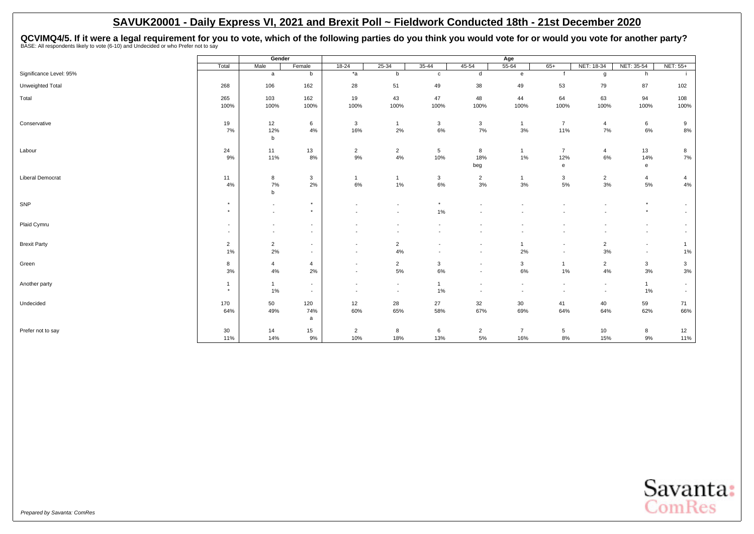<span id="page-24-0"></span>QCVIMQ4/5. If it were a legal requirement for you to vote, which of the following parties do you think you would vote for or would you vote for another party?<br>BASE: All respondents likely to vote (6-10) and Undecided or wh

|                         |                                                      | Gender                                               |                                                      |                                    |                                            |                          |                                                      | Age                                                  |                                                      |                                  |                                                      |                                    |
|-------------------------|------------------------------------------------------|------------------------------------------------------|------------------------------------------------------|------------------------------------|--------------------------------------------|--------------------------|------------------------------------------------------|------------------------------------------------------|------------------------------------------------------|----------------------------------|------------------------------------------------------|------------------------------------|
|                         | Total                                                | Male                                                 | Female                                               | $18 - 24$                          | $25 - 34$                                  | $35 - 44$                | $45 - 54$                                            | $55 - 64$                                            | $65+$                                                | NET: 18-34                       | NET: 35-54                                           | NET: 55+                           |
| Significance Level: 95% |                                                      | $\mathsf{a}$                                         | b                                                    | $*_{a}$                            | b                                          | $\mathbf{c}$             | $\sf d$                                              | $\mathbf{e}$                                         | f                                                    | g                                | h                                                    |                                    |
| Unweighted Total        | 268                                                  | 106                                                  | 162                                                  | 28                                 | 51                                         | 49                       | 38                                                   | 49                                                   | 53                                                   | 79                               | 87                                                   | 102                                |
| Total                   | 265                                                  | 103                                                  | 162                                                  | 19                                 | 43                                         | 47                       | 48                                                   | 44                                                   | 64                                                   | 63                               | 94                                                   | 108                                |
|                         | 100%                                                 | 100%                                                 | 100%                                                 | 100%                               | 100%                                       | 100%                     | 100%                                                 | 100%                                                 | 100%                                                 | 100%                             | 100%                                                 | 100%                               |
| Conservative            | 19                                                   | 12                                                   | 6                                                    | 3                                  | $\mathbf{1}$                               | $\mathbf{3}$             | $\mathbf{3}$                                         | $\overline{1}$                                       | $\overline{7}$                                       | $\overline{4}$                   | $6\phantom{.0}$                                      | 9                                  |
|                         | 7%                                                   | 12%<br>$\mathsf b$                                   | 4%                                                   | 16%                                | 2%                                         | 6%                       | 7%                                                   | 3%                                                   | 11%                                                  | 7%                               | 6%                                                   | $8\%$                              |
| Labour                  | 24                                                   | 11                                                   | 13                                                   | $\overline{2}$                     | $\overline{2}$                             | 5                        | 8                                                    | $\mathbf{1}$                                         | $\overline{7}$                                       | $\overline{4}$                   | 13                                                   | 8                                  |
|                         | 9%                                                   | 11%                                                  | 8%                                                   | 9%                                 | 4%                                         | 10%                      | 18%                                                  | 1%                                                   | 12%                                                  | 6%                               | 14%                                                  | 7%                                 |
|                         |                                                      |                                                      |                                                      |                                    |                                            |                          | beg                                                  |                                                      | $\mathbf{e}$                                         |                                  | e                                                    |                                    |
| <b>Liberal Democrat</b> | 11<br>4%                                             | 8<br>7%                                              | 3<br>2%                                              | $\mathbf{1}$<br>6%                 | 1%                                         | $\mathbf{3}$<br>6%       | $\overline{2}$<br>$3\%$                              | $\mathbf{1}$<br>3%                                   | 3<br>$5\%$                                           | $\overline{2}$<br>3%             | $\overline{4}$<br>5%                                 | $\overline{4}$<br>4%               |
|                         |                                                      | $\mathsf b$                                          |                                                      |                                    |                                            |                          |                                                      |                                                      |                                                      |                                  |                                                      |                                    |
| SNP                     | $\star$<br>$\star$                                   | $\sim$                                               | $^\star$<br>$\star$                                  | $\overline{\phantom{a}}$           | $\overline{\phantom{a}}$                   | $^\star$                 | $\overline{\phantom{a}}$                             |                                                      | $\overline{\phantom{a}}$                             | $\overline{\phantom{a}}$         | $\star$<br>$\star$                                   | $\sim$                             |
|                         |                                                      | $\sim$                                               |                                                      | $\overline{a}$                     | $\overline{\phantom{a}}$                   | 1%                       |                                                      |                                                      |                                                      |                                  |                                                      | $\sim$                             |
| Plaid Cymru             | $\overline{\phantom{a}}$<br>$\overline{\phantom{a}}$ | $\overline{\phantom{a}}$<br>$\overline{\phantom{a}}$ | $\overline{\phantom{a}}$<br>$\overline{\phantom{a}}$ |                                    |                                            |                          |                                                      |                                                      |                                                      |                                  | $\overline{\phantom{a}}$<br>$\overline{\phantom{a}}$ | $\overline{\phantom{a}}$           |
| <b>Brexit Party</b>     | $\overline{2}$                                       | $\overline{2}$                                       | $\overline{\phantom{a}}$                             | $\sim$                             | $\overline{2}$                             | $\overline{\phantom{a}}$ | $\overline{\phantom{a}}$                             | $\overline{1}$                                       | $\overline{\phantom{a}}$                             | $\overline{2}$                   | $\overline{\phantom{a}}$                             | $\mathbf{1}$                       |
|                         | 1%                                                   | 2%                                                   | $\overline{\phantom{a}}$                             | $\overline{\phantom{a}}$           | 4%                                         | $\overline{\phantom{a}}$ |                                                      | 2%                                                   | $\blacksquare$                                       | 3%                               | $\overline{\phantom{a}}$                             | 1%                                 |
| Green                   | 8                                                    | $\overline{4}$                                       | $\overline{4}$                                       | $\overline{\phantom{a}}$           | $\overline{2}$                             | $\mathbf{3}$             | $\overline{\phantom{a}}$                             | 3                                                    | $\mathbf{1}$                                         | $\overline{2}$                   | $\mathbf{3}$                                         | $\mathbf{3}$                       |
|                         | 3%                                                   | 4%                                                   | 2%                                                   | $\sim$                             | 5%                                         | 6%                       | $\overline{\phantom{a}}$                             | $6\%$                                                | $1\%$                                                | 4%                               | 3%                                                   | $3%$                               |
| Another party           | $\overline{1}$<br>$\star$                            | $\mathbf{1}$<br>1%                                   | $\overline{\phantom{a}}$<br>$\overline{\phantom{a}}$ | $\overline{\phantom{a}}$<br>$\sim$ | $\blacksquare$<br>$\overline{\phantom{a}}$ | $\overline{1}$<br>1%     | $\overline{\phantom{a}}$<br>$\overline{\phantom{a}}$ | $\overline{\phantom{a}}$<br>$\overline{\phantom{a}}$ | $\overline{\phantom{a}}$<br>$\overline{\phantom{a}}$ | $\blacksquare$<br>$\blacksquare$ | $\mathbf{1}$<br>1%                                   | $\sim$<br>$\overline{\phantom{a}}$ |
| Undecided               | 170                                                  | 50                                                   | 120                                                  | 12                                 | 28                                         | 27                       | 32                                                   | 30                                                   | 41                                                   | 40                               | 59                                                   | 71                                 |
|                         | 64%                                                  | 49%                                                  | 74%                                                  | 60%                                | 65%                                        | 58%                      | 67%                                                  | 69%                                                  | 64%                                                  | 64%                              | 62%                                                  | 66%                                |
|                         |                                                      |                                                      | a                                                    |                                    |                                            |                          |                                                      |                                                      |                                                      |                                  |                                                      |                                    |
| Prefer not to say       | 30<br>11%                                            | 14<br>14%                                            | 15<br>9%                                             | $\overline{c}$<br>10%              | 8<br>18%                                   | 6<br>13%                 | $\overline{2}$<br>5%                                 | $\overline{7}$<br>16%                                | $\sqrt{5}$<br>8%                                     | 10<br>15%                        | 8<br>9%                                              | 12<br>11%                          |

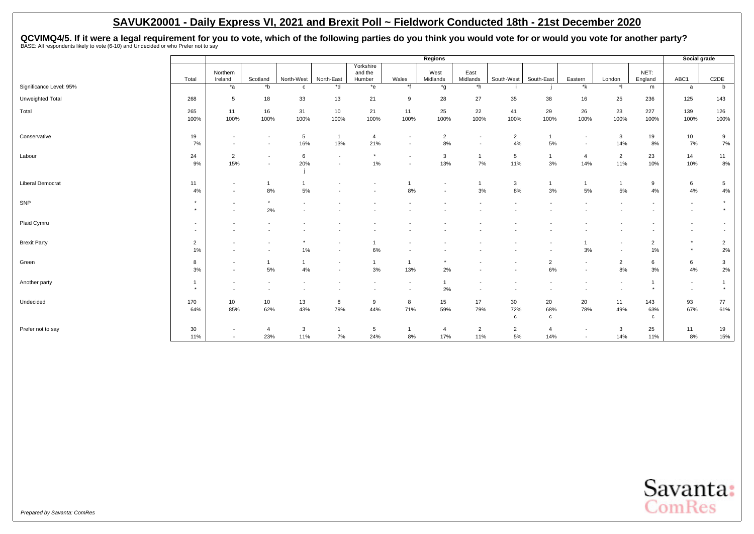QCVIMQ4/5. If it were a legal requirement for you to vote, which of the following parties do you think you would vote for or would you vote for another party?<br>BASE: All respondents likely to vote (6-10) and Undecided or wh

|                         |                |                          |                          |                          |                          |                   |                          | <b>Regions</b>   |                          |                    |                     |                          |                          |                          | Social grade             |                          |
|-------------------------|----------------|--------------------------|--------------------------|--------------------------|--------------------------|-------------------|--------------------------|------------------|--------------------------|--------------------|---------------------|--------------------------|--------------------------|--------------------------|--------------------------|--------------------------|
|                         |                |                          |                          |                          |                          | Yorkshire         |                          |                  |                          |                    |                     |                          |                          |                          |                          |                          |
|                         | Total          | Northern<br>Ireland      | Scotland                 | North-West               | North-East               | and the<br>Humber | Wales                    | West<br>Midlands | East<br>Midlands         | South-West         | South-East          | Eastern                  | London                   | NET:<br>England          | ABC1                     | C <sub>2</sub> DE        |
| Significance Level: 95% |                | $*_{a}$                  | $b^*$                    | $\mathbf{C}$             | $*$ d                    | $*_{e}$           | $*$ f                    | *g               | $^*h$                    |                    |                     | $*_{\mathsf{k}}$         | $\uparrow$               | m                        | a                        | b                        |
|                         |                |                          |                          |                          |                          |                   |                          |                  |                          |                    |                     |                          |                          |                          |                          |                          |
| Unweighted Total        | 268            | $5\phantom{.0}$          | 18                       | 33                       | 13                       | 21                | 9                        | 28               | 27                       | 35                 | 38                  | 16                       | 25                       | 236                      | 125                      | 143                      |
| Total                   | 265            | 11                       | 16                       | 31                       | 10                       | 21                | 11                       | 25               | 22                       | 41                 | 29                  | 26                       | 23                       | 227                      | 139                      | 126                      |
|                         | 100%           | 100%                     | 100%                     | 100%                     | 100%                     | 100%              | 100%                     | 100%             | 100%                     | 100%               | 100%                | 100%                     | 100%                     | 100%                     | 100%                     | 100%                     |
| Conservative            | 19             | $\sim$                   | $\sim$                   | 5                        | $\mathbf{1}$             | $\overline{4}$    | $\overline{\phantom{a}}$ | $\overline{2}$   | $\sim$                   | $\overline{2}$     | $\overline{1}$      | $\sim$                   | 3                        | 19                       | 10                       | 9                        |
|                         | 7%             | $\overline{\phantom{a}}$ | $\overline{\phantom{a}}$ | 16%                      | 13%                      | 21%               | $\overline{\phantom{a}}$ | 8%               | $\overline{\phantom{a}}$ | 4%                 | $5\%$               | $\overline{\phantom{0}}$ | 14%                      | 8%                       | 7%                       | 7%                       |
| Labour                  | 24             | $\overline{2}$           | $\overline{\phantom{a}}$ | 6                        | $\overline{\phantom{a}}$ | $\star$           | $\overline{\phantom{a}}$ | 3                | $\mathbf{1}$             | 5                  | $\overline{1}$      | $\overline{4}$           | $\overline{2}$           | 23                       | 14                       | 11                       |
|                         | 9%             | 15%                      | $\overline{\phantom{a}}$ | 20%                      | $\overline{\phantom{a}}$ | 1%                |                          | 13%              | 7%                       | 11%                | 3%                  | 14%                      | 11%                      | 10%                      | 10%                      | 8%                       |
|                         |                |                          |                          |                          |                          |                   |                          |                  |                          |                    |                     |                          |                          |                          |                          |                          |
| <b>Liberal Democrat</b> | 11             | $\overline{\phantom{a}}$ | $\mathbf{1}$             |                          |                          |                   |                          | $\overline{a}$   | $\mathbf 1$              | 3                  | $\overline{1}$      | $\mathbf{1}$             |                          | 9                        | 6                        | $5\overline{5}$          |
|                         | 4%             | $\overline{a}$           | 8%                       | 5%                       |                          |                   | 8%                       |                  | 3%                       | 8%                 | 3%                  | 5%                       | 5%                       | 4%                       | 4%                       | 4%                       |
| SNP                     | $\star$        | $\overline{\phantom{a}}$ | $\star$                  | $\overline{\phantom{0}}$ |                          |                   |                          |                  |                          |                    |                     |                          |                          | $\overline{a}$           | $\overline{\phantom{a}}$ | $\star$                  |
|                         | $\star$        | $\overline{a}$           | 2%                       |                          |                          |                   |                          |                  |                          |                    |                     |                          |                          | $\overline{\phantom{a}}$ | $\overline{\phantom{a}}$ | $\star$                  |
| Plaid Cymru             |                |                          |                          |                          |                          |                   |                          |                  |                          |                    |                     |                          |                          |                          |                          | $\overline{a}$           |
|                         |                |                          |                          |                          |                          |                   |                          |                  |                          |                    |                     |                          |                          |                          |                          | $\overline{\phantom{a}}$ |
| <b>Brexit Party</b>     | $\overline{2}$ |                          |                          | $\star$                  |                          |                   |                          |                  |                          |                    |                     |                          | $\overline{\phantom{a}}$ | $\overline{2}$           | $\star$                  | $\overline{2}$           |
|                         | 1%             |                          |                          | $1\%$                    |                          | 6%                |                          |                  |                          |                    |                     | 3%                       |                          | 1%                       | $\star$                  | 2%                       |
| Green                   | 8              | $\overline{\phantom{a}}$ | $\mathbf{1}$             | $\mathbf{1}$             | $\overline{\phantom{a}}$ | $\mathbf{1}$      |                          |                  |                          |                    | $\overline{2}$      | $\sim$                   | $\overline{2}$           | 6                        | 6                        | $\mathbf{3}$             |
|                         | 3%             | $\overline{\phantom{a}}$ | 5%                       | 4%                       | $\overline{\phantom{a}}$ | 3%                | 13%                      | 2%               |                          |                    | 6%                  |                          | 8%                       | 3%                       | 4%                       | 2%                       |
| Another party           | -1             | $\overline{\phantom{a}}$ | $\overline{\phantom{a}}$ |                          |                          |                   | $\overline{\phantom{a}}$ | $\mathbf{1}$     |                          |                    |                     |                          | $\overline{\phantom{a}}$ | $\mathbf{1}$             | $\overline{\phantom{a}}$ | $\mathbf{1}$             |
|                         |                | $\sim$                   |                          |                          |                          |                   | $\blacksquare$           | 2%               | $\sim$                   |                    |                     |                          | $\overline{\phantom{a}}$ | $\star$                  | $\sim$                   | $\star$                  |
| Undecided               | 170            | 10                       | 10                       | 13                       | 8                        | 9                 | 8                        | 15               | 17                       | 30                 | 20                  | 20                       | 11                       | 143                      | 93                       | 77                       |
|                         | 64%            | 85%                      | 62%                      | 43%                      | 79%                      | 44%               | 71%                      | 59%              | 79%                      | 72%<br>$\mathbf c$ | 68%<br>$\mathbf{c}$ | 78%                      | 49%                      | 63%<br>$\mathbf{c}$      | 67%                      | 61%                      |
|                         |                |                          |                          |                          |                          |                   |                          |                  |                          |                    |                     |                          |                          |                          |                          |                          |
| Prefer not to say       | 30             | $\overline{\phantom{a}}$ | $\overline{4}$           | 3                        |                          | 5                 |                          | $\overline{4}$   | $\overline{2}$           | $\overline{2}$     | $\overline{4}$      |                          | 3                        | 25                       | 11                       | 19                       |
|                         | 11%            | $\sim$                   | 23%                      | 11%                      | 7%                       | 24%               | 8%                       | 17%              | 11%                      | $5\%$              | 14%                 |                          | 14%                      | 11%                      | 8%                       | 15%                      |

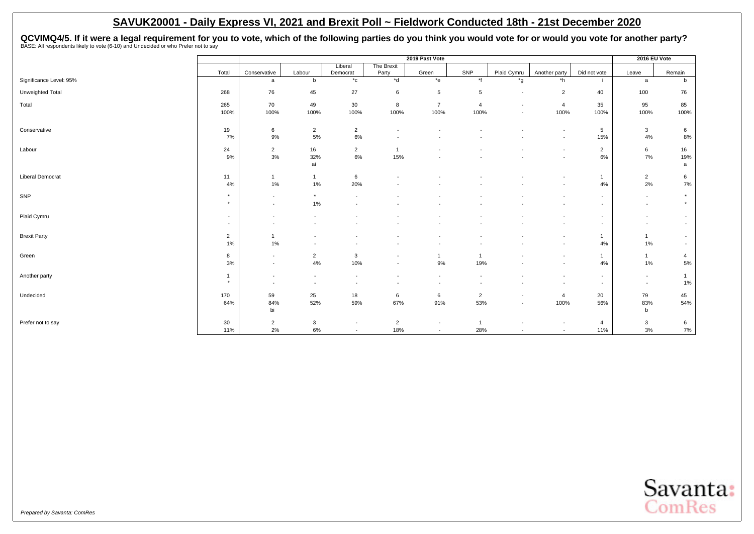QCVIMQ4/5. If it were a legal requirement for you to vote, which of the following parties do you think you would vote for or would you vote for another party?<br>BASE: All respondents likely to vote (6-10) and Undecided or wh

|                         |                |                          |                          |                          |                          | 2019 Past Vote           |                |                          |                          |                | 2016 EU Vote             |                          |
|-------------------------|----------------|--------------------------|--------------------------|--------------------------|--------------------------|--------------------------|----------------|--------------------------|--------------------------|----------------|--------------------------|--------------------------|
|                         |                |                          |                          | Liberal                  | The Brexit               |                          |                |                          |                          |                |                          |                          |
|                         | Total          | Conservative             | Labour                   | Democrat                 | Party                    | Green                    | SNP            | Plaid Cymru              | Another party            | Did not vote   | Leave                    | Remain                   |
| Significance Level: 95% |                | a                        | $\mathbf b$              | $^{\star}$ c             | $*$ d                    | $*$ e                    | $*$ f          | $^{\star}$ g             | *h                       |                | a                        | b                        |
| Unweighted Total        | 268            | 76                       | 45                       | 27                       | 6                        | 5                        | 5              | $\overline{\phantom{a}}$ | 2                        | 40             | 100                      | 76                       |
| Total                   | 265            | 70                       | 49                       | 30                       | 8                        | $\overline{7}$           | $\overline{4}$ | $\overline{\phantom{a}}$ | 4                        | 35             | 95                       | 85                       |
|                         | 100%           | 100%                     | 100%                     | 100%                     | 100%                     | 100%                     | 100%           | $\overline{\phantom{a}}$ | 100%                     | 100%           | 100%                     | 100%                     |
| Conservative            | 19             | 6                        | $\overline{2}$           | $\overline{2}$           | $\overline{\phantom{a}}$ | $\overline{\phantom{a}}$ |                |                          | $\overline{\phantom{a}}$ | 5              | $\mathbf{3}$             | 6                        |
|                         | 7%             | 9%                       | 5%                       | 6%                       | $\overline{\phantom{a}}$ | $\overline{\phantom{a}}$ |                |                          | $\overline{\phantom{a}}$ | 15%            | 4%                       | 8%                       |
| Labour                  | 24             | $\overline{2}$           | 16                       | $\overline{2}$           | $\overline{1}$           |                          |                |                          | $\overline{\phantom{a}}$ | $\overline{2}$ | 6                        | 16                       |
|                         | 9%             | 3%                       | 32%                      | 6%                       | 15%                      |                          |                |                          | $\overline{\phantom{a}}$ | 6%             | 7%                       | 19%                      |
|                         |                |                          | ai                       |                          |                          |                          |                |                          |                          |                |                          | a                        |
| Liberal Democrat        | 11             | $\mathbf{1}$             | $\overline{1}$           | 6                        |                          |                          |                |                          | $\overline{\phantom{a}}$ | $\overline{1}$ | $\overline{2}$           | 6                        |
|                         | 4%             | 1%                       | 1%                       | 20%                      |                          |                          |                |                          | $\overline{\phantom{a}}$ | 4%             | 2%                       | 7%                       |
| SNP                     | $\star$        | $\overline{\phantom{a}}$ | $^\star$                 | $\overline{\phantom{a}}$ |                          |                          |                |                          |                          | $\sim$         | $\overline{\phantom{a}}$ | $\star$                  |
|                         | $\star$        | $\overline{\phantom{a}}$ | 1%                       | $\overline{\phantom{a}}$ |                          |                          |                |                          |                          | $\sim$         | $\overline{\phantom{a}}$ | $\star$                  |
| Plaid Cymru             | $\sim$         | ٠                        |                          |                          |                          |                          |                |                          |                          | $\sim$         | $\overline{\phantom{a}}$ | $\overline{\phantom{a}}$ |
|                         | $\sim$         | $\overline{\phantom{a}}$ |                          |                          |                          |                          |                |                          | $\overline{\phantom{a}}$ | $\sim$         | $\overline{\phantom{a}}$ | $\overline{\phantom{a}}$ |
| <b>Brexit Party</b>     | $\overline{2}$ | $\overline{1}$           |                          |                          |                          |                          |                |                          |                          | $\mathbf{1}$   | $\mathbf{1}$             | $\overline{\phantom{a}}$ |
|                         | 1%             | 1%                       |                          |                          |                          |                          |                |                          |                          | 4%             | 1%                       | $\overline{\phantom{a}}$ |
| Green                   | 8              | $\overline{\phantom{a}}$ | $\overline{2}$           | 3                        | $\overline{\phantom{a}}$ | $\mathbf{1}$             | 1              |                          | $\overline{\phantom{a}}$ | $\mathbf{1}$   | $\mathbf{1}$             | $\overline{4}$           |
|                         | 3%             | $\overline{\phantom{a}}$ | 4%                       | 10%                      | $\overline{\phantom{a}}$ | 9%                       | 19%            |                          |                          | 4%             | 1%                       | $5\%$                    |
| Another party           | $\mathbf{1}$   | $\overline{\phantom{a}}$ | $\overline{\phantom{a}}$ | $\overline{\phantom{a}}$ |                          | $\overline{\phantom{a}}$ |                |                          | $\overline{\phantom{a}}$ | $\sim$         | $\overline{\phantom{a}}$ |                          |
|                         | $\star$        | $\overline{\phantom{a}}$ | $\overline{\phantom{a}}$ | $\overline{\phantom{a}}$ |                          | $\overline{\phantom{a}}$ |                |                          |                          | $\sim$         | $\overline{\phantom{a}}$ | 1%                       |
| Undecided               | 170            | 59                       | 25                       | 18                       | 6                        | 6                        | $\overline{2}$ | $\overline{\phantom{a}}$ | 4                        | 20             | 79                       | 45                       |
|                         | 64%            | 84%                      | 52%                      | 59%                      | 67%                      | 91%                      | 53%            | $\overline{\phantom{a}}$ | 100%                     | 56%            | 83%                      | 54%                      |
|                         |                | bi                       |                          |                          |                          |                          |                |                          |                          |                | $\mathbf b$              |                          |
| Prefer not to say       | 30             | $\overline{2}$           | $\mathbf{3}$             | $\overline{\phantom{a}}$ | $\overline{2}$           | $\overline{\phantom{a}}$ |                |                          |                          | 4              | $\mathbf{3}$             | 6                        |
|                         | 11%            | 2%                       | $6\%$                    | $\sim$                   | 18%                      | $\overline{\phantom{a}}$ | 28%            | $\overline{\phantom{a}}$ | $\overline{\phantom{a}}$ | 11%            | 3%                       | 7%                       |

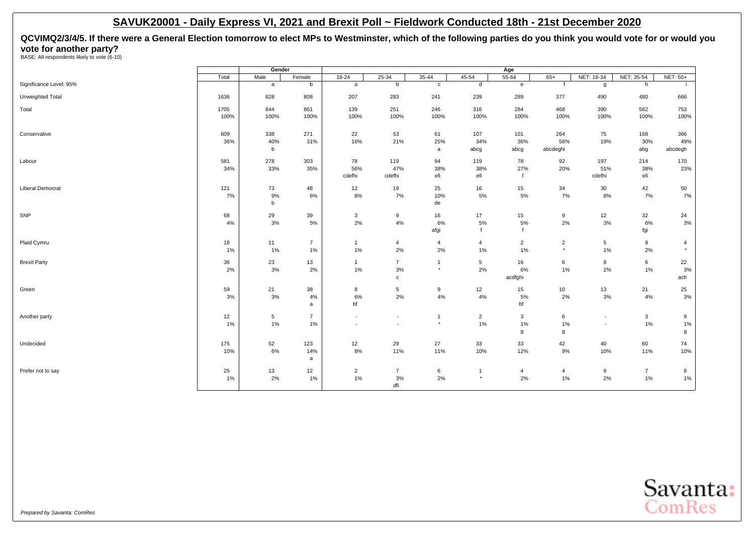<span id="page-27-0"></span>**QCVIMQ2/3/4/5. If there were a General Election tomorrow to elect MPs to Westminster, which of the following parties do you think you would vote for or would you vote for another party?**<br>BASE: All respondents likely to vote (6-10)

| Significance Level: 95%<br>b<br>b<br>d<br>h<br>a<br>a<br>$\mathbf{c}$<br>$\mathbf{e}$<br>$\mathbf{f}$<br>g<br>239<br>377<br>490<br>Unweighted Total<br>1636<br>828<br>808<br>207<br>283<br>241<br>289<br>480<br>666<br>1705<br>844<br>861<br>139<br>251<br>246<br>316<br>284<br>468<br>390<br>562<br>753<br>Total<br>100%<br>100%<br>100%<br>100%<br>100%<br>100%<br>100%<br>100%<br>100%<br>100%<br>100%<br>100%<br>338<br>271<br>22<br>53<br>61<br>107<br>264<br>75<br>609<br>101<br>168<br>366<br>Conservative<br>36%<br>40%<br>16%<br>25%<br>34%<br>36%<br>19%<br>30%<br>31%<br>21%<br>56%<br>49%<br>b<br>abcg<br>abcdeghi<br>abg<br>abcdegh<br>abcg<br>a<br>581<br>278<br>78<br>92<br>303<br>119<br>94<br>119<br>78<br>197<br>214<br>170<br>23%<br>34%<br>33%<br>35%<br>56%<br>38%<br>38%<br>27%<br>20%<br>51%<br>38%<br>47%<br>cdefhi<br>cdefhi<br>efi<br>efi<br>$\mathsf{f}$<br>cdefhi<br>efi<br><b>Liberal Democrat</b><br>121<br>73<br>25<br>15<br>42<br>50<br>48<br>12<br>19<br>16<br>34<br>30<br>8%<br>7%<br>5%<br>5%<br>7%<br>7%<br>$7\%$<br>7%<br>$9\%$<br>6%<br>10%<br>8%<br>$\mathsf b$<br>de<br>68<br>29<br>39<br>15<br>12<br>32<br>24<br>3<br>9<br>16<br>17<br>9<br>$3%$<br>2%<br>$4\%$<br>5%<br>5%<br>3%<br>$3\%$<br>5%<br>6%<br>2%<br>6%<br>4%<br>afgi<br>$\mathbf{f}$<br>fgi<br>f<br>Plaid Cymru<br>18<br>11<br>$\overline{7}$<br>$\overline{4}$<br>$\overline{4}$<br>$\overline{2}$<br>$\overline{2}$<br>5<br>9<br>$\overline{1}$<br>$\overline{4}$<br>4<br>$1\%$<br>2%<br>2%<br>$1\%$<br>$\star$<br>1%<br>1%<br>1%<br>1%<br>2%<br>$\star$<br>1%<br>36<br>23<br>13<br>16<br>6<br>8<br>6<br>22<br>$\overline{7}$<br>5<br>$\mathbf{1}$<br>$\mathbf{1}$<br>2%<br>3%<br>1%<br>3%<br>$\star$<br>1%<br>2%<br>3%<br>2%<br>2%<br>6%<br>1%<br>acdfghi<br>ach<br>$\mathtt{C}$<br>59<br>21<br>38<br>9<br>12<br>15<br>10<br>13<br>21<br>25<br>8<br>$5\overline{5}$<br>2%<br>4%<br>4%<br>2%<br>3%<br>4%<br>3%<br>3%<br>3%<br>6%<br>5%<br>4%<br>bf<br>bf<br>a<br>12<br>$\overline{7}$<br>5<br>$\overline{2}$<br>3<br>6<br>3<br>9<br>$\mathbf{1}$<br>$\overline{\phantom{a}}$<br>$\overline{\phantom{a}}$<br>$\overline{\phantom{a}}$<br>1%<br>1%<br>$\star$<br>1%<br>1%<br>$1\%$<br>$1\%$<br>1%<br>1%<br>$\overline{\phantom{a}}$<br>$\overline{\phantom{a}}$<br>$\sim$<br>g<br>g<br>g<br>Undecided<br>52<br>12<br>29<br>27<br>33<br>33<br>42<br>40<br>60<br>175<br>123<br>74<br>$6\%$<br>11%<br>9%<br>10%<br>10%<br>14%<br>8%<br>11%<br>10%<br>12%<br>10%<br>11%<br>a<br>25<br>$\overline{2}$<br>6<br>13<br>12<br>$\overline{7}$<br>9<br>$\overline{7}$<br>8<br>$\overline{4}$<br>$\overline{4}$<br>$\mathbf{1}$<br>1%<br>3%<br>2%<br>2%<br>1%<br>2%<br>$1\%$<br>$1\%$<br>1%<br>2%<br>1%<br>$\star$<br>dfi |                     |       | Gender |        |         |           |           |           | Age       |       |            |            |          |
|--------------------------------------------------------------------------------------------------------------------------------------------------------------------------------------------------------------------------------------------------------------------------------------------------------------------------------------------------------------------------------------------------------------------------------------------------------------------------------------------------------------------------------------------------------------------------------------------------------------------------------------------------------------------------------------------------------------------------------------------------------------------------------------------------------------------------------------------------------------------------------------------------------------------------------------------------------------------------------------------------------------------------------------------------------------------------------------------------------------------------------------------------------------------------------------------------------------------------------------------------------------------------------------------------------------------------------------------------------------------------------------------------------------------------------------------------------------------------------------------------------------------------------------------------------------------------------------------------------------------------------------------------------------------------------------------------------------------------------------------------------------------------------------------------------------------------------------------------------------------------------------------------------------------------------------------------------------------------------------------------------------------------------------------------------------------------------------------------------------------------------------------------------------------------------------------------------------------------------------------------------------------------------------------------------------------------------------------------------------------------------------------------------------------------------------------------------------------------------------------------------------------------------------------------------------------------------------------------------------------------------------------------------------------------------------------------------------------|---------------------|-------|--------|--------|---------|-----------|-----------|-----------|-----------|-------|------------|------------|----------|
|                                                                                                                                                                                                                                                                                                                                                                                                                                                                                                                                                                                                                                                                                                                                                                                                                                                                                                                                                                                                                                                                                                                                                                                                                                                                                                                                                                                                                                                                                                                                                                                                                                                                                                                                                                                                                                                                                                                                                                                                                                                                                                                                                                                                                                                                                                                                                                                                                                                                                                                                                                                                                                                                                                                    |                     | Total | Male   | Female | $18-24$ | $25 - 34$ | $35 - 44$ | $45 - 54$ | $55 - 64$ | $65+$ | NET: 18-34 | NET: 35-54 | NET: 55+ |
|                                                                                                                                                                                                                                                                                                                                                                                                                                                                                                                                                                                                                                                                                                                                                                                                                                                                                                                                                                                                                                                                                                                                                                                                                                                                                                                                                                                                                                                                                                                                                                                                                                                                                                                                                                                                                                                                                                                                                                                                                                                                                                                                                                                                                                                                                                                                                                                                                                                                                                                                                                                                                                                                                                                    |                     |       |        |        |         |           |           |           |           |       |            |            |          |
|                                                                                                                                                                                                                                                                                                                                                                                                                                                                                                                                                                                                                                                                                                                                                                                                                                                                                                                                                                                                                                                                                                                                                                                                                                                                                                                                                                                                                                                                                                                                                                                                                                                                                                                                                                                                                                                                                                                                                                                                                                                                                                                                                                                                                                                                                                                                                                                                                                                                                                                                                                                                                                                                                                                    |                     |       |        |        |         |           |           |           |           |       |            |            |          |
|                                                                                                                                                                                                                                                                                                                                                                                                                                                                                                                                                                                                                                                                                                                                                                                                                                                                                                                                                                                                                                                                                                                                                                                                                                                                                                                                                                                                                                                                                                                                                                                                                                                                                                                                                                                                                                                                                                                                                                                                                                                                                                                                                                                                                                                                                                                                                                                                                                                                                                                                                                                                                                                                                                                    |                     |       |        |        |         |           |           |           |           |       |            |            |          |
|                                                                                                                                                                                                                                                                                                                                                                                                                                                                                                                                                                                                                                                                                                                                                                                                                                                                                                                                                                                                                                                                                                                                                                                                                                                                                                                                                                                                                                                                                                                                                                                                                                                                                                                                                                                                                                                                                                                                                                                                                                                                                                                                                                                                                                                                                                                                                                                                                                                                                                                                                                                                                                                                                                                    |                     |       |        |        |         |           |           |           |           |       |            |            |          |
|                                                                                                                                                                                                                                                                                                                                                                                                                                                                                                                                                                                                                                                                                                                                                                                                                                                                                                                                                                                                                                                                                                                                                                                                                                                                                                                                                                                                                                                                                                                                                                                                                                                                                                                                                                                                                                                                                                                                                                                                                                                                                                                                                                                                                                                                                                                                                                                                                                                                                                                                                                                                                                                                                                                    |                     |       |        |        |         |           |           |           |           |       |            |            |          |
|                                                                                                                                                                                                                                                                                                                                                                                                                                                                                                                                                                                                                                                                                                                                                                                                                                                                                                                                                                                                                                                                                                                                                                                                                                                                                                                                                                                                                                                                                                                                                                                                                                                                                                                                                                                                                                                                                                                                                                                                                                                                                                                                                                                                                                                                                                                                                                                                                                                                                                                                                                                                                                                                                                                    |                     |       |        |        |         |           |           |           |           |       |            |            |          |
|                                                                                                                                                                                                                                                                                                                                                                                                                                                                                                                                                                                                                                                                                                                                                                                                                                                                                                                                                                                                                                                                                                                                                                                                                                                                                                                                                                                                                                                                                                                                                                                                                                                                                                                                                                                                                                                                                                                                                                                                                                                                                                                                                                                                                                                                                                                                                                                                                                                                                                                                                                                                                                                                                                                    |                     |       |        |        |         |           |           |           |           |       |            |            |          |
|                                                                                                                                                                                                                                                                                                                                                                                                                                                                                                                                                                                                                                                                                                                                                                                                                                                                                                                                                                                                                                                                                                                                                                                                                                                                                                                                                                                                                                                                                                                                                                                                                                                                                                                                                                                                                                                                                                                                                                                                                                                                                                                                                                                                                                                                                                                                                                                                                                                                                                                                                                                                                                                                                                                    | Labour              |       |        |        |         |           |           |           |           |       |            |            |          |
|                                                                                                                                                                                                                                                                                                                                                                                                                                                                                                                                                                                                                                                                                                                                                                                                                                                                                                                                                                                                                                                                                                                                                                                                                                                                                                                                                                                                                                                                                                                                                                                                                                                                                                                                                                                                                                                                                                                                                                                                                                                                                                                                                                                                                                                                                                                                                                                                                                                                                                                                                                                                                                                                                                                    |                     |       |        |        |         |           |           |           |           |       |            |            |          |
|                                                                                                                                                                                                                                                                                                                                                                                                                                                                                                                                                                                                                                                                                                                                                                                                                                                                                                                                                                                                                                                                                                                                                                                                                                                                                                                                                                                                                                                                                                                                                                                                                                                                                                                                                                                                                                                                                                                                                                                                                                                                                                                                                                                                                                                                                                                                                                                                                                                                                                                                                                                                                                                                                                                    |                     |       |        |        |         |           |           |           |           |       |            |            |          |
|                                                                                                                                                                                                                                                                                                                                                                                                                                                                                                                                                                                                                                                                                                                                                                                                                                                                                                                                                                                                                                                                                                                                                                                                                                                                                                                                                                                                                                                                                                                                                                                                                                                                                                                                                                                                                                                                                                                                                                                                                                                                                                                                                                                                                                                                                                                                                                                                                                                                                                                                                                                                                                                                                                                    |                     |       |        |        |         |           |           |           |           |       |            |            |          |
|                                                                                                                                                                                                                                                                                                                                                                                                                                                                                                                                                                                                                                                                                                                                                                                                                                                                                                                                                                                                                                                                                                                                                                                                                                                                                                                                                                                                                                                                                                                                                                                                                                                                                                                                                                                                                                                                                                                                                                                                                                                                                                                                                                                                                                                                                                                                                                                                                                                                                                                                                                                                                                                                                                                    |                     |       |        |        |         |           |           |           |           |       |            |            |          |
|                                                                                                                                                                                                                                                                                                                                                                                                                                                                                                                                                                                                                                                                                                                                                                                                                                                                                                                                                                                                                                                                                                                                                                                                                                                                                                                                                                                                                                                                                                                                                                                                                                                                                                                                                                                                                                                                                                                                                                                                                                                                                                                                                                                                                                                                                                                                                                                                                                                                                                                                                                                                                                                                                                                    |                     |       |        |        |         |           |           |           |           |       |            |            |          |
|                                                                                                                                                                                                                                                                                                                                                                                                                                                                                                                                                                                                                                                                                                                                                                                                                                                                                                                                                                                                                                                                                                                                                                                                                                                                                                                                                                                                                                                                                                                                                                                                                                                                                                                                                                                                                                                                                                                                                                                                                                                                                                                                                                                                                                                                                                                                                                                                                                                                                                                                                                                                                                                                                                                    | SNP                 |       |        |        |         |           |           |           |           |       |            |            |          |
|                                                                                                                                                                                                                                                                                                                                                                                                                                                                                                                                                                                                                                                                                                                                                                                                                                                                                                                                                                                                                                                                                                                                                                                                                                                                                                                                                                                                                                                                                                                                                                                                                                                                                                                                                                                                                                                                                                                                                                                                                                                                                                                                                                                                                                                                                                                                                                                                                                                                                                                                                                                                                                                                                                                    |                     |       |        |        |         |           |           |           |           |       |            |            |          |
|                                                                                                                                                                                                                                                                                                                                                                                                                                                                                                                                                                                                                                                                                                                                                                                                                                                                                                                                                                                                                                                                                                                                                                                                                                                                                                                                                                                                                                                                                                                                                                                                                                                                                                                                                                                                                                                                                                                                                                                                                                                                                                                                                                                                                                                                                                                                                                                                                                                                                                                                                                                                                                                                                                                    |                     |       |        |        |         |           |           |           |           |       |            |            |          |
|                                                                                                                                                                                                                                                                                                                                                                                                                                                                                                                                                                                                                                                                                                                                                                                                                                                                                                                                                                                                                                                                                                                                                                                                                                                                                                                                                                                                                                                                                                                                                                                                                                                                                                                                                                                                                                                                                                                                                                                                                                                                                                                                                                                                                                                                                                                                                                                                                                                                                                                                                                                                                                                                                                                    |                     |       |        |        |         |           |           |           |           |       |            |            |          |
|                                                                                                                                                                                                                                                                                                                                                                                                                                                                                                                                                                                                                                                                                                                                                                                                                                                                                                                                                                                                                                                                                                                                                                                                                                                                                                                                                                                                                                                                                                                                                                                                                                                                                                                                                                                                                                                                                                                                                                                                                                                                                                                                                                                                                                                                                                                                                                                                                                                                                                                                                                                                                                                                                                                    |                     |       |        |        |         |           |           |           |           |       |            |            |          |
|                                                                                                                                                                                                                                                                                                                                                                                                                                                                                                                                                                                                                                                                                                                                                                                                                                                                                                                                                                                                                                                                                                                                                                                                                                                                                                                                                                                                                                                                                                                                                                                                                                                                                                                                                                                                                                                                                                                                                                                                                                                                                                                                                                                                                                                                                                                                                                                                                                                                                                                                                                                                                                                                                                                    | <b>Brexit Party</b> |       |        |        |         |           |           |           |           |       |            |            |          |
|                                                                                                                                                                                                                                                                                                                                                                                                                                                                                                                                                                                                                                                                                                                                                                                                                                                                                                                                                                                                                                                                                                                                                                                                                                                                                                                                                                                                                                                                                                                                                                                                                                                                                                                                                                                                                                                                                                                                                                                                                                                                                                                                                                                                                                                                                                                                                                                                                                                                                                                                                                                                                                                                                                                    |                     |       |        |        |         |           |           |           |           |       |            |            |          |
|                                                                                                                                                                                                                                                                                                                                                                                                                                                                                                                                                                                                                                                                                                                                                                                                                                                                                                                                                                                                                                                                                                                                                                                                                                                                                                                                                                                                                                                                                                                                                                                                                                                                                                                                                                                                                                                                                                                                                                                                                                                                                                                                                                                                                                                                                                                                                                                                                                                                                                                                                                                                                                                                                                                    |                     |       |        |        |         |           |           |           |           |       |            |            |          |
|                                                                                                                                                                                                                                                                                                                                                                                                                                                                                                                                                                                                                                                                                                                                                                                                                                                                                                                                                                                                                                                                                                                                                                                                                                                                                                                                                                                                                                                                                                                                                                                                                                                                                                                                                                                                                                                                                                                                                                                                                                                                                                                                                                                                                                                                                                                                                                                                                                                                                                                                                                                                                                                                                                                    | Green               |       |        |        |         |           |           |           |           |       |            |            |          |
|                                                                                                                                                                                                                                                                                                                                                                                                                                                                                                                                                                                                                                                                                                                                                                                                                                                                                                                                                                                                                                                                                                                                                                                                                                                                                                                                                                                                                                                                                                                                                                                                                                                                                                                                                                                                                                                                                                                                                                                                                                                                                                                                                                                                                                                                                                                                                                                                                                                                                                                                                                                                                                                                                                                    |                     |       |        |        |         |           |           |           |           |       |            |            |          |
|                                                                                                                                                                                                                                                                                                                                                                                                                                                                                                                                                                                                                                                                                                                                                                                                                                                                                                                                                                                                                                                                                                                                                                                                                                                                                                                                                                                                                                                                                                                                                                                                                                                                                                                                                                                                                                                                                                                                                                                                                                                                                                                                                                                                                                                                                                                                                                                                                                                                                                                                                                                                                                                                                                                    |                     |       |        |        |         |           |           |           |           |       |            |            |          |
|                                                                                                                                                                                                                                                                                                                                                                                                                                                                                                                                                                                                                                                                                                                                                                                                                                                                                                                                                                                                                                                                                                                                                                                                                                                                                                                                                                                                                                                                                                                                                                                                                                                                                                                                                                                                                                                                                                                                                                                                                                                                                                                                                                                                                                                                                                                                                                                                                                                                                                                                                                                                                                                                                                                    | Another party       |       |        |        |         |           |           |           |           |       |            |            |          |
|                                                                                                                                                                                                                                                                                                                                                                                                                                                                                                                                                                                                                                                                                                                                                                                                                                                                                                                                                                                                                                                                                                                                                                                                                                                                                                                                                                                                                                                                                                                                                                                                                                                                                                                                                                                                                                                                                                                                                                                                                                                                                                                                                                                                                                                                                                                                                                                                                                                                                                                                                                                                                                                                                                                    |                     |       |        |        |         |           |           |           |           |       |            |            |          |
|                                                                                                                                                                                                                                                                                                                                                                                                                                                                                                                                                                                                                                                                                                                                                                                                                                                                                                                                                                                                                                                                                                                                                                                                                                                                                                                                                                                                                                                                                                                                                                                                                                                                                                                                                                                                                                                                                                                                                                                                                                                                                                                                                                                                                                                                                                                                                                                                                                                                                                                                                                                                                                                                                                                    |                     |       |        |        |         |           |           |           |           |       |            |            |          |
|                                                                                                                                                                                                                                                                                                                                                                                                                                                                                                                                                                                                                                                                                                                                                                                                                                                                                                                                                                                                                                                                                                                                                                                                                                                                                                                                                                                                                                                                                                                                                                                                                                                                                                                                                                                                                                                                                                                                                                                                                                                                                                                                                                                                                                                                                                                                                                                                                                                                                                                                                                                                                                                                                                                    |                     |       |        |        |         |           |           |           |           |       |            |            |          |
|                                                                                                                                                                                                                                                                                                                                                                                                                                                                                                                                                                                                                                                                                                                                                                                                                                                                                                                                                                                                                                                                                                                                                                                                                                                                                                                                                                                                                                                                                                                                                                                                                                                                                                                                                                                                                                                                                                                                                                                                                                                                                                                                                                                                                                                                                                                                                                                                                                                                                                                                                                                                                                                                                                                    |                     |       |        |        |         |           |           |           |           |       |            |            |          |
|                                                                                                                                                                                                                                                                                                                                                                                                                                                                                                                                                                                                                                                                                                                                                                                                                                                                                                                                                                                                                                                                                                                                                                                                                                                                                                                                                                                                                                                                                                                                                                                                                                                                                                                                                                                                                                                                                                                                                                                                                                                                                                                                                                                                                                                                                                                                                                                                                                                                                                                                                                                                                                                                                                                    |                     |       |        |        |         |           |           |           |           |       |            |            |          |
|                                                                                                                                                                                                                                                                                                                                                                                                                                                                                                                                                                                                                                                                                                                                                                                                                                                                                                                                                                                                                                                                                                                                                                                                                                                                                                                                                                                                                                                                                                                                                                                                                                                                                                                                                                                                                                                                                                                                                                                                                                                                                                                                                                                                                                                                                                                                                                                                                                                                                                                                                                                                                                                                                                                    | Prefer not to say   |       |        |        |         |           |           |           |           |       |            |            |          |
|                                                                                                                                                                                                                                                                                                                                                                                                                                                                                                                                                                                                                                                                                                                                                                                                                                                                                                                                                                                                                                                                                                                                                                                                                                                                                                                                                                                                                                                                                                                                                                                                                                                                                                                                                                                                                                                                                                                                                                                                                                                                                                                                                                                                                                                                                                                                                                                                                                                                                                                                                                                                                                                                                                                    |                     |       |        |        |         |           |           |           |           |       |            |            |          |
|                                                                                                                                                                                                                                                                                                                                                                                                                                                                                                                                                                                                                                                                                                                                                                                                                                                                                                                                                                                                                                                                                                                                                                                                                                                                                                                                                                                                                                                                                                                                                                                                                                                                                                                                                                                                                                                                                                                                                                                                                                                                                                                                                                                                                                                                                                                                                                                                                                                                                                                                                                                                                                                                                                                    |                     |       |        |        |         |           |           |           |           |       |            |            |          |

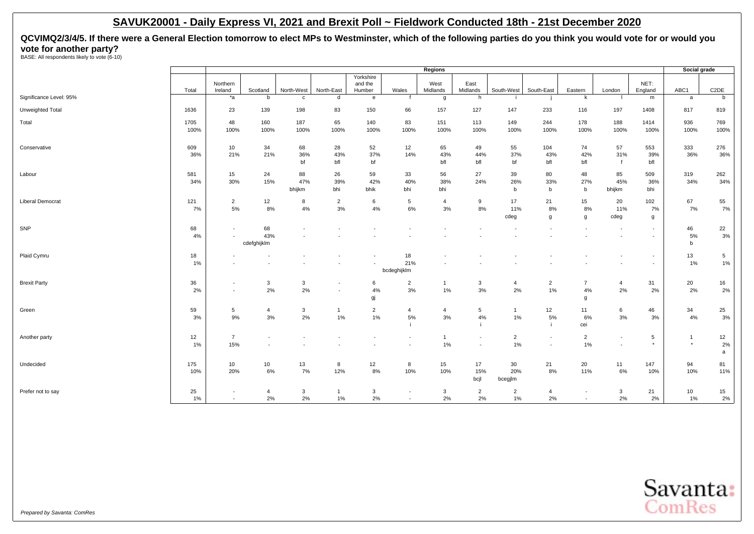**QCVIMQ2/3/4/5. If there were a General Election tomorrow to elect MPs to Westminster, which of the following parties do you think you would vote for or would you vote for another party?**<br>BASE: All respondents likely to vote (6-10)

|                         |              |                                                      |                          |                          |                                                      |                          |                                                      | Regions              |                          |                         |                                            |                           |                                    |                                    | Social grade              |                       |
|-------------------------|--------------|------------------------------------------------------|--------------------------|--------------------------|------------------------------------------------------|--------------------------|------------------------------------------------------|----------------------|--------------------------|-------------------------|--------------------------------------------|---------------------------|------------------------------------|------------------------------------|---------------------------|-----------------------|
|                         |              | Northern                                             |                          |                          |                                                      | Yorkshire<br>and the     |                                                      | West                 | East                     |                         |                                            |                           |                                    | NET:                               |                           |                       |
|                         | Total        | Ireland                                              | Scotland                 | North-West               | North-East                                           | Humber                   | Wales                                                | Midlands             | Midlands                 | South-West              | South-East                                 | Eastern                   | London                             | England                            | ABC1                      | C <sub>2</sub> DE     |
| Significance Level: 95% |              | $*_{a}$                                              | b                        | $\mathbf c$              | d                                                    | $\mathbf{e}$             |                                                      | g                    | h                        |                         |                                            | k                         |                                    | m                                  | a                         | b                     |
| Unweighted Total        | 1636         | 23                                                   | 139                      | 198                      | 83                                                   | 150                      | 66                                                   | 157                  | 127                      | 147                     | 233                                        | 116                       | 197                                | 1408                               | 817                       | 819                   |
| Total                   | 1705<br>100% | 48<br>100%                                           | 160<br>100%              | 187<br>100%              | 65<br>100%                                           | 140<br>100%              | 83<br>100%                                           | 151<br>100%          | 113<br>100%              | 149<br>100%             | 244<br>100%                                | 178<br>100%               | 188<br>100%                        | 1414<br>100%                       | 936<br>100%               | 769<br>100%           |
| Conservative            | 609<br>36%   | 10<br>21%                                            | 34<br>21%                | 68<br>36%<br>bf          | 28<br>43%<br>bfl                                     | 52<br>37%<br>bf          | 12<br>14%                                            | 65<br>43%<br>bfl     | 49<br>44%<br>bfl         | 55<br>37%<br>bf         | 104<br>43%<br>bfl                          | 74<br>42%<br>bfl          | 57<br>31%<br>$\mathsf{f}$          | 553<br>39%<br>bfl                  | 333<br>36%                | 276<br>36%            |
| Labour                  | 581<br>34%   | 15<br>30%                                            | 24<br>15%                | 88<br>47%<br>bhijkm      | 26<br>39%<br>bhi                                     | 59<br>42%<br>bhik        | 33<br>40%<br>bhi                                     | 56<br>38%<br>bhi     | 27<br>24%                | 39<br>26%<br>b          | 80<br>33%<br>b                             | 48<br>27%<br>b            | 85<br>45%<br>bhijkm                | 509<br>36%<br>bhi                  | 319<br>34%                | 262<br>34%            |
| <b>Liberal Democrat</b> | 121<br>7%    | $\overline{2}$<br>5%                                 | 12<br>$8\%$              | 8<br>4%                  | $\overline{2}$<br>3%                                 | 6<br>4%                  | 5<br>6%                                              | $\overline{4}$<br>3% | 9<br>8%                  | 17<br>11%<br>cdeg       | 21<br>8%<br>g                              | 15<br>8%<br>$\mathbf{q}$  | 20<br>11%<br>cdeg                  | 102<br>7%<br>g                     | 67<br>7%                  | 55<br>7%              |
| SNP                     | 68<br>4%     | $\overline{\phantom{a}}$                             | 68<br>43%<br>cdefghijklm |                          |                                                      |                          |                                                      |                      |                          |                         |                                            |                           |                                    | $\overline{\phantom{a}}$<br>$\sim$ | 46<br>5%<br>b             | 22<br>3%              |
| Plaid Cymru             | 18<br>1%     |                                                      |                          |                          |                                                      | $\overline{\phantom{a}}$ | 18<br>21%<br>bcdeghijklm                             |                      |                          |                         |                                            |                           |                                    | $\overline{\phantom{a}}$<br>$\sim$ | 13<br>1%                  | $5\phantom{.0}$<br>1% |
| <b>Brexit Party</b>     | 36<br>2%     | $\overline{\phantom{a}}$<br>$\overline{\phantom{a}}$ | 3<br>2%                  | 3<br>2%                  | $\overline{\phantom{a}}$<br>$\overline{\phantom{a}}$ | 6<br>4%<br>gj            | $\overline{2}$<br>3%                                 | $\mathbf{1}$<br>1%   | $\mathbf{3}$<br>$3%$     | $\overline{4}$<br>$2\%$ | $\overline{2}$<br>1%                       | $\overline{7}$<br>4%<br>g | $\overline{4}$<br>2%               | 31<br>2%                           | 20<br>2%                  | 16<br>2%              |
| Green                   | 59<br>3%     | $5\phantom{.0}$<br>9%                                | $\overline{4}$<br>$3%$   | 3<br>$2\%$               | $\mathbf{1}$<br>1%                                   | $\overline{2}$<br>1%     | 4<br>5%                                              | $\overline{4}$<br>3% | 5<br>$4\%$<br>-i         | $\overline{1}$<br>$1\%$ | 12<br>5%<br>-i.                            | 11<br>6%<br>cei           | 6<br>3%                            | 46<br>3%                           | 34<br>4%                  | 25<br>3%              |
| Another party           | 12<br>1%     | $\overline{7}$<br>15%                                | $\overline{\phantom{a}}$ | $\overline{\phantom{a}}$ |                                                      |                          | $\overline{\phantom{a}}$                             | $\overline{1}$<br>1% | $\overline{\phantom{0}}$ | $\overline{2}$<br>$1\%$ | $\overline{\phantom{a}}$<br>$\overline{a}$ | $\overline{2}$<br>1%      | $\overline{\phantom{a}}$<br>$\sim$ | 5<br>$\star$                       | $\overline{1}$<br>$\star$ | 12<br>2%<br>a         |
| Undecided               | 175<br>10%   | 10<br>20%                                            | 10 <sub>1</sub><br>6%    | 13<br>7%                 | 8<br>12%                                             | 12<br>8%                 | 8<br>10%                                             | 15<br>10%            | 17<br>15%<br>bcjl        | 30<br>20%<br>bcegjlm    | 21<br>8%                                   | 20<br>11%                 | 11<br>6%                           | 147<br>10%                         | 94<br>10%                 | 81<br>11%             |
| Prefer not to say       | 25<br>$1\%$  | $\overline{\phantom{a}}$<br>$\sim$                   | $\overline{4}$<br>2%     | $\mathbf{3}$<br>2%       | $\mathbf{1}$<br>1%                                   | $\mathbf{3}$<br>2%       | $\overline{\phantom{a}}$<br>$\overline{\phantom{a}}$ | $\mathbf{3}$<br>2%   | $\overline{2}$<br>2%     | $\overline{2}$<br>$1\%$ | $\overline{4}$<br>2%                       | $\sim$<br>$\sim$          | $\mathbf{3}$<br>2%                 | 21<br>2%                           | 10 <sub>1</sub><br>1%     | 15<br>2%              |

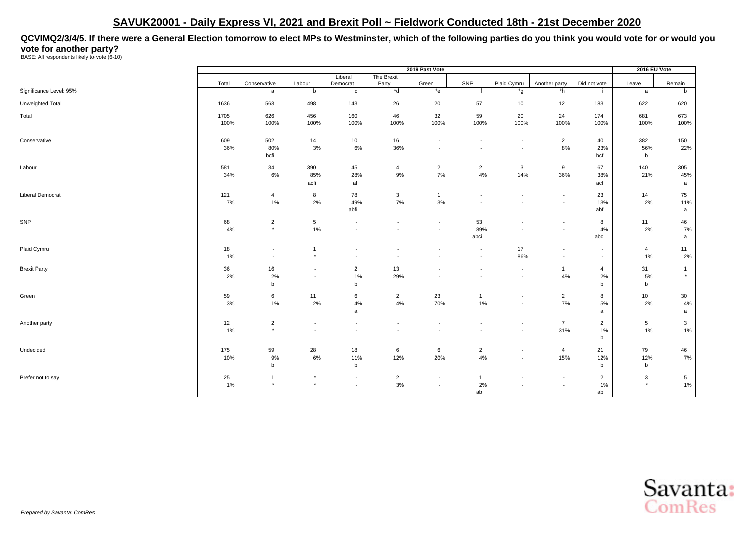**QCVIMQ2/3/4/5. If there were a General Election tomorrow to elect MPs to Westminster, which of the following parties do you think you would vote for or would you vote for another party?**<br>BASE: All respondents likely to vote (6-10)

|                         |          |                                    |                           |                                                      |                                            | 2019 Past Vote                     |                          |                                                      |                                                      |                      | 2016 EU Vote         |                          |
|-------------------------|----------|------------------------------------|---------------------------|------------------------------------------------------|--------------------------------------------|------------------------------------|--------------------------|------------------------------------------------------|------------------------------------------------------|----------------------|----------------------|--------------------------|
|                         | Total    | Conservative                       | Labour                    | Liberal<br>Democrat                                  | The Brexit<br>Party                        | Green                              | SNP                      | Plaid Cymru                                          | Another party                                        | Did not vote         | Leave                | Remain                   |
| Significance Level: 95% |          | a                                  | b                         | $\mathbf{c}$                                         | $*$ d                                      | $*$ e                              |                          | *g                                                   | *h                                                   | -11                  | a                    | b                        |
| Unweighted Total        | 1636     | 563                                | 498                       | 143                                                  | 26                                         | 20                                 | 57                       | 10                                                   | 12                                                   | 183                  | 622                  | 620                      |
| Total                   | 1705     | 626                                | 456                       | 160                                                  | 46                                         | 32                                 | 59                       | 20                                                   | 24                                                   | 174                  | 681                  | 673                      |
|                         | 100%     | 100%                               | 100%                      | 100%                                                 | 100%                                       | 100%                               | 100%                     | 100%                                                 | 100%                                                 | 100%                 | 100%                 | 100%                     |
| Conservative            | 609      | 502                                | 14                        | 10                                                   | 16                                         | $\overline{\phantom{a}}$           | $\overline{\phantom{a}}$ | $\overline{\phantom{a}}$                             | $\overline{2}$                                       | 40                   | 382                  | 150                      |
|                         | 36%      | 80%                                | 3%                        | 6%                                                   | 36%                                        | $\overline{\phantom{a}}$           |                          | $\overline{\phantom{a}}$                             | 8%                                                   | 23%                  | 56%                  | 22%                      |
|                         |          | bcfi                               |                           |                                                      |                                            |                                    |                          |                                                      |                                                      | bcf                  | $\mathsf b$          |                          |
| Labour                  | 581      | 34                                 | 390                       | 45<br>28%                                            | $\overline{4}$<br>9%                       | $\overline{2}$<br>7%               | $\overline{a}$<br>4%     | $\mathbf{3}$<br>14%                                  | 9<br>36%                                             | 67                   | 140<br>21%           | 305                      |
|                         | 34%      | 6%                                 | 85%<br>acfi               | af                                                   |                                            |                                    |                          |                                                      |                                                      | 38%<br>acf           |                      | 45%<br>a                 |
| <b>Liberal Democrat</b> | 121      | $\overline{4}$                     | 8                         | 78                                                   | $\mathbf{3}$                               | $\overline{1}$                     | $\overline{a}$           | $\overline{\phantom{a}}$                             | $\blacksquare$                                       | 23                   | 14                   | 75                       |
|                         | 7%       | $1\%$                              | 2%                        | 49%                                                  | 7%                                         | 3%                                 |                          | $\overline{\phantom{a}}$                             | $\overline{\phantom{a}}$                             | 13%                  | 2%                   | 11%                      |
|                         |          |                                    |                           | abfi                                                 |                                            |                                    |                          |                                                      |                                                      | abf                  |                      | a                        |
| SNP                     | 68       | $\overline{2}$                     | 5                         | $\overline{\phantom{a}}$                             | $\overline{\phantom{a}}$                   | $\overline{\phantom{a}}$           | 53                       |                                                      | $\overline{\phantom{a}}$                             | 8                    | 11                   | 46                       |
|                         | 4%       | $\star$                            | 1%                        | $\overline{\phantom{a}}$                             |                                            | $\sim$                             | 89%<br>abci              |                                                      | $\overline{\phantom{a}}$                             | 4%<br>abc            | 2%                   | 7%<br>a                  |
|                         |          |                                    |                           |                                                      |                                            |                                    |                          |                                                      |                                                      |                      |                      |                          |
| Plaid Cymru             | 18<br>1% | $\sim$<br>$\overline{\phantom{a}}$ | $\overline{1}$<br>$\star$ | $\overline{\phantom{a}}$<br>$\sim$                   | $\overline{\phantom{a}}$<br>$\overline{a}$ | $\overline{\phantom{a}}$<br>÷      | $\sim$                   | 17<br>86%                                            | $\blacksquare$<br>$\overline{\phantom{a}}$           | $\sim$               | $\overline{4}$<br>1% | 11<br>2%                 |
|                         |          |                                    |                           |                                                      |                                            |                                    |                          |                                                      |                                                      | $\sim$               |                      |                          |
| <b>Brexit Party</b>     | 36<br>2% | 16<br>2%                           | $\sim$                    | $\overline{2}$<br>1%                                 | 13<br>29%                                  | $\overline{\phantom{a}}$           |                          | $\overline{\phantom{a}}$<br>$\overline{\phantom{a}}$ | $\mathbf{1}$<br>4%                                   | $\overline{4}$<br>2% | 31<br>5%             | $\mathbf{1}$<br>$\star$  |
|                         |          | b                                  |                           | b                                                    |                                            |                                    |                          |                                                      |                                                      | b                    | b                    |                          |
| Green                   | 59       | 6                                  | 11                        | 6                                                    | $\overline{2}$                             | 23                                 | $\mathbf{1}$             | $\overline{\phantom{a}}$                             | $\overline{2}$                                       | 8                    | 10 <sup>10</sup>     | 30                       |
|                         | 3%       | 1%                                 | 2%                        | 4%                                                   | 4%                                         | 70%                                | 1%                       | $\overline{\phantom{a}}$                             | 7%                                                   | 5%                   | 2%                   | 4%                       |
|                         |          |                                    |                           | a                                                    |                                            |                                    |                          |                                                      |                                                      | a                    |                      | a                        |
| Another party           | 12       | $\sqrt{2}$                         |                           | $\overline{\phantom{a}}$                             |                                            |                                    |                          |                                                      | $\overline{7}$                                       | $\overline{2}$       | 5                    | $\mathbf{3}$             |
|                         | $1\%$    | $\star$                            | $\sim$                    | $\sim$                                               | $\sim$                                     | $\overline{\phantom{a}}$           |                          | $\overline{\phantom{a}}$                             | 31%                                                  | 1%                   | 1%                   | 1%                       |
|                         |          |                                    |                           |                                                      |                                            |                                    |                          |                                                      |                                                      | b                    |                      |                          |
| Undecided               | 175      | 59                                 | 28                        | 18                                                   | 6                                          | 6                                  | $\overline{2}$           | $\overline{\phantom{a}}$                             | $\overline{4}$                                       | 21                   | 79                   | 46                       |
|                         | 10%      | 9%<br>b                            | 6%                        | 11%<br>$\mathsf b$                                   | 12%                                        | 20%                                | 4%                       | $\overline{\phantom{a}}$                             | 15%                                                  | 12%<br>b             | 12%<br>$\mathbf b$   | 7%                       |
|                         |          | $\overline{1}$                     | $\star$                   |                                                      |                                            |                                    |                          |                                                      |                                                      |                      |                      |                          |
| Prefer not to say       | 25<br>1% | $\star$                            | $\star$                   | $\overline{\phantom{a}}$<br>$\overline{\phantom{a}}$ | $\overline{2}$<br>$3%$                     | $\sim$<br>$\overline{\phantom{a}}$ | $\mathbf{1}$<br>2%       |                                                      | $\overline{\phantom{a}}$<br>$\overline{\phantom{a}}$ | $\overline{2}$<br>1% | 3<br>$\star$         | $5\phantom{.0}$<br>$1\%$ |
|                         |          |                                    |                           |                                                      |                                            |                                    | ab                       |                                                      |                                                      | ab                   |                      |                          |

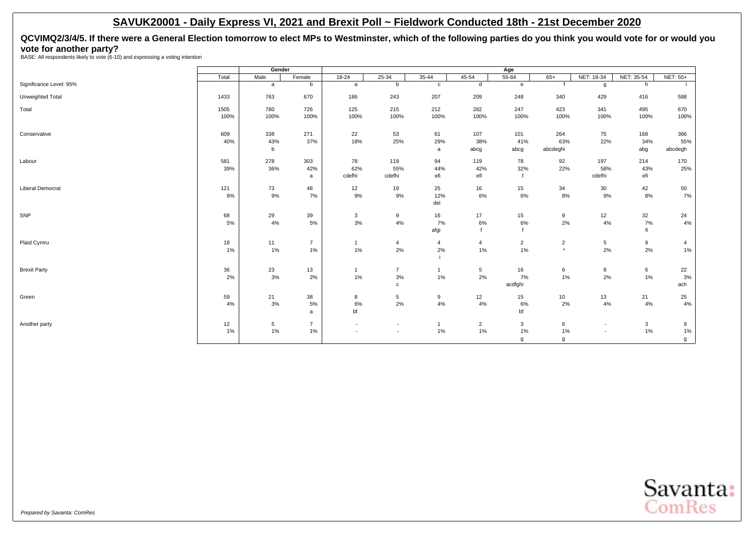<span id="page-30-0"></span>**QCVIMQ2/3/4/5. If there were a General Election tomorrow to elect MPs to Westminster, which of the following parties do you think you would vote for or would you vote for another party?** BASE: All respondents likely to vote (6-10) and expressing a voting intention

|                         |       | Gender |                |                |                          |                |                | Age            |                |                          |            |                 |
|-------------------------|-------|--------|----------------|----------------|--------------------------|----------------|----------------|----------------|----------------|--------------------------|------------|-----------------|
|                         | Total | Male   | Female         | $18 - 24$      | $25 - 34$                | $35 - 44$      | 45-54          | 55-64          | $65+$          | NET: 18-34               | NET: 35-54 | <b>NET: 55+</b> |
| Significance Level: 95% |       | a      | b              | a              | b                        | $\mathbf{c}$   | d              | $\mathbf{e}$   |                | g                        | h          |                 |
| Unweighted Total        | 1433  | 763    | 670            | 186            | 243                      | 207            | 209            | 248            | 340            | 429                      | 416        | 588             |
| Total                   | 1505  | 780    | 726            | 125            | 215                      | 212            | 282            | 247            | 423            | 341                      | 495        | 670             |
|                         | 100%  | 100%   | 100%           | 100%           | 100%                     | 100%           | 100%           | 100%           | 100%           | 100%                     | 100%       | 100%            |
| Conservative            | 609   | 338    | 271            | 22             | 53                       | 61             | 107            | 101            | 264            | 75                       | 168        | 366             |
|                         | 40%   | 43%    | 37%            | 18%            | 25%                      | 29%            | 38%            | 41%            | 63%            | 22%                      | 34%        | 55%             |
|                         |       | b      |                |                |                          | a              | abcg           | abcg           | abcdeghi       |                          | abg        | abcdegh         |
| Labour                  | 581   | 278    | 303            | 78             | 119                      | 94             | 119            | 78             | 92             | 197                      | 214        | 170             |
|                         | 39%   | 36%    | 42%            | 62%            | 55%                      | 44%            | 42%            | 32%            | 22%            | 58%                      | 43%        | 25%             |
|                         |       |        | a              | cdefhi         | cdefhi                   | efi            | efi            |                |                | cdefhi                   | efi        |                 |
| <b>Liberal Democrat</b> | 121   | 73     | 48             | 12             | 19                       | 25             | 16             | 15             | 34             | 30                       | 42         | 50              |
|                         | 8%    | 9%     | 7%             | 9%             | 9%                       | 12%            | 6%             | 6%             | 8%             | 9%                       | 8%         | 7%              |
|                         |       |        |                |                |                          | dei            |                |                |                |                          |            |                 |
| SNP                     | 68    | 29     | 39             | 3              | 9                        | 16             | 17             | 15             | 9              | 12                       | 32         | 24              |
|                         | 5%    | 4%     | 5%             | 3%             | 4%                       | 7%             | 6%             | 6%             | 2%             | 4%                       | 7%         | 4%              |
|                         |       |        |                |                |                          | afgi           |                |                |                |                          | fi         |                 |
| Plaid Cymru             | 18    | 11     | $\overline{7}$ | $\overline{1}$ | 4                        | $\overline{4}$ | 4              | $\overline{2}$ | $\overline{2}$ | $5\phantom{.0}$          | 9          | 4               |
|                         | 1%    | 1%     | 1%             | 1%             | 2%                       | 2%             | 1%             | $1\%$          | $\star$        | 2%                       | 2%         | 1%              |
|                         |       |        |                |                |                          |                |                |                |                |                          |            |                 |
| <b>Brexit Party</b>     | 36    | 23     | 13             | $\overline{1}$ | $\overline{7}$           | $\overline{1}$ | 5              | 16             | 6              | 8                        | 6          | 22              |
|                         | 2%    | 3%     | 2%             | 1%             | 3%                       | 1%             | 2%             | 7%             | $1\%$          | 2%                       | 1%         | 3%              |
|                         |       |        |                |                | c                        |                |                | acdfghi        |                |                          |            | ach             |
| Green                   | 59    | 21     | 38             | 8              | 5                        | 9              | 12             | 15             | 10             | 13                       | 21         | 25              |
|                         | 4%    | 3%     | 5%             | 6%             | 2%                       | 4%             | 4%             | 6%             | 2%             | 4%                       | 4%         | 4%              |
|                         |       |        | $\mathsf{a}$   | bf             |                          |                |                | bf             |                |                          |            |                 |
| Another party           | 12    | 5      | $\overline{7}$ | $\sim$         | $\overline{\phantom{a}}$ | $\overline{1}$ | $\overline{2}$ | 3              | 6              | $\overline{\phantom{a}}$ | 3          | 9               |
|                         | 1%    | 1%     | 1%             | $\overline{a}$ | $\blacksquare$           | 1%             | 1%             | 1%             | 1%             | $\overline{\phantom{a}}$ | 1%         | 1%              |
|                         |       |        |                |                |                          |                |                | g              | g              |                          |            | g               |

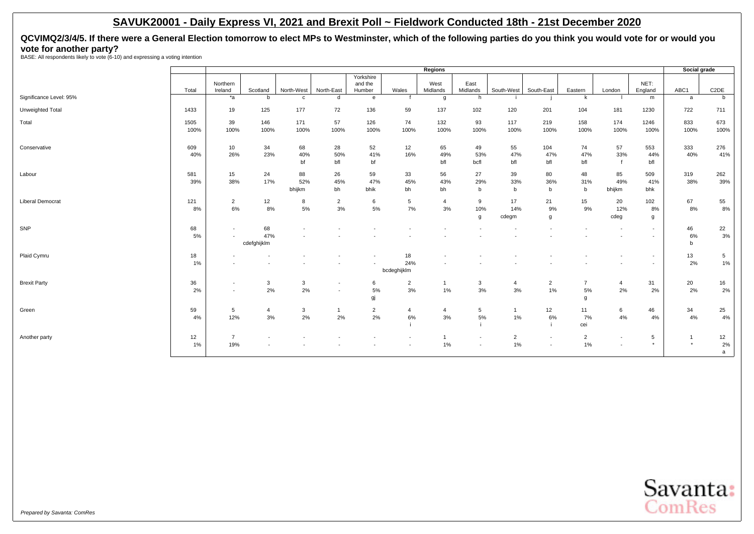**QCVIMQ2/3/4/5. If there were a General Election tomorrow to elect MPs to Westminster, which of the following parties do you think you would vote for or would you vote for another party?** BASE: All respondents likely to vote (6-10) and expressing a voting intention

|                         |       |                          |                |                          |                          |                   |                          | Regions          |                          |                          |                          |                |                          |                          | Social grade |                   |
|-------------------------|-------|--------------------------|----------------|--------------------------|--------------------------|-------------------|--------------------------|------------------|--------------------------|--------------------------|--------------------------|----------------|--------------------------|--------------------------|--------------|-------------------|
|                         |       |                          |                |                          |                          | Yorkshire         |                          |                  |                          |                          |                          |                |                          |                          |              |                   |
|                         | Total | Northern<br>Ireland      | Scotland       | North-West               | North-East               | and the<br>Humber | Wales                    | West<br>Midlands | East<br>Midlands         | South-West               | South-East               | Eastern        | London                   | NET:<br>England          | ABC1         | C <sub>2</sub> DE |
| Significance Level: 95% |       | *a                       | b              | $\mathbf{c}$             | d                        | e                 |                          | g                | h                        |                          |                          | k              |                          | m                        | a            | b                 |
|                         |       |                          |                |                          |                          |                   |                          |                  |                          |                          |                          |                |                          |                          |              |                   |
| Unweighted Total        | 1433  | 19                       | 125            | 177                      | 72                       | 136               | 59                       | 137              | 102                      | 120                      | 201                      | 104            | 181                      | 1230                     | 722          | 711               |
| Total                   | 1505  | 39                       | 146            | 171                      | 57                       | 126               | 74                       | 132              | 93                       | 117                      | 219                      | 158            | 174                      | 1246                     | 833          | 673               |
|                         | 100%  | 100%                     | 100%           | 100%                     | 100%                     | 100%              | 100%                     | 100%             | 100%                     | 100%                     | 100%                     | 100%           | 100%                     | 100%                     | 100%         | 100%              |
|                         |       |                          |                |                          |                          |                   |                          |                  |                          |                          |                          |                |                          |                          |              |                   |
| Conservative            | 609   | 10                       | 34             | 68                       | 28                       | 52                | 12                       | 65               | 49                       | 55                       | 104                      | 74             | 57                       | 553                      | 333          | 276               |
|                         | 40%   | 26%                      | 23%            | 40%                      | 50%                      | 41%               | 16%                      | 49%              | 53%                      | 47%                      | 47%                      | 47%            | 33%                      | 44%                      | 40%          | 41%               |
|                         |       |                          |                | bf                       | bfl                      | bf                |                          | bfl              | bcfl                     | bfl                      | bfl                      | bfl            |                          | bfl                      |              |                   |
| Labour                  | 581   | 15                       | 24             | 88                       | 26                       | 59                | 33                       | 56               | 27                       | 39                       | 80                       | 48             | 85                       | 509                      | 319          | 262               |
|                         | 39%   | 38%                      | 17%            | 52%                      | 45%                      | 47%               | 45%                      | 43%              | 29%                      | 33%                      | 36%                      | 31%            | 49%                      | 41%                      | 38%          | 39%               |
|                         |       |                          |                | bhijkm                   | bh                       | bhik              | bh                       | bh               | b                        | b                        | b                        | b              | bhijkm                   | bhk                      |              |                   |
| <b>Liberal Democrat</b> | 121   | $\overline{2}$           | 12             | 8                        | $\overline{2}$           | 6                 | 5                        | $\overline{4}$   | 9                        | 17                       | 21                       | 15             | 20                       | 102                      | 67           | 55                |
|                         | 8%    | 6%                       | 8%             | $5\%$                    | 3%                       | 5%                | 7%                       | 3%               | 10%                      | 14%                      | 9%                       | 9%             | 12%                      | 8%                       | 8%           | 8%                |
|                         |       |                          |                |                          |                          |                   |                          |                  | g                        | cdegm                    | g                        |                | cdeg                     | g                        |              |                   |
| SNP                     | 68    | $\overline{\phantom{a}}$ | 68             | $\overline{\phantom{a}}$ |                          |                   |                          |                  | $\overline{\phantom{a}}$ |                          |                          |                |                          | $\sim$                   | 46           |                   |
|                         | 5%    | $\overline{\phantom{a}}$ | 47%            |                          |                          |                   |                          |                  |                          | $\overline{\phantom{a}}$ |                          |                | $\overline{\phantom{a}}$ | $\overline{\phantom{a}}$ | 6%           | 22<br>3%          |
|                         |       |                          | cdefghijklm    |                          |                          |                   |                          |                  |                          |                          |                          |                |                          |                          | $\mathsf{b}$ |                   |
|                         |       |                          |                |                          |                          |                   |                          |                  |                          |                          |                          |                |                          |                          |              |                   |
| Plaid Cymru             | 18    |                          |                |                          |                          |                   | 18                       |                  |                          |                          |                          |                |                          | $\overline{\phantom{a}}$ | 13           | $5\phantom{.0}$   |
|                         | 1%    |                          |                |                          |                          |                   | 24%                      |                  |                          |                          |                          |                |                          | $\overline{\phantom{a}}$ | 2%           | 1%                |
|                         |       |                          |                |                          |                          |                   | bcdeghijklm              |                  |                          |                          |                          |                |                          |                          |              |                   |
| <b>Brexit Party</b>     | 36    | $\overline{\phantom{a}}$ | 3              | 3                        |                          | 6                 | $\overline{2}$           | $\mathbf{1}$     | 3                        | $\overline{4}$           | $\overline{2}$           | $\overline{7}$ | $\overline{4}$           | 31                       | 20           | 16                |
|                         | 2%    | $\sim$                   | 2%             | 2%                       | $\overline{\phantom{a}}$ | 5%                | 3%                       | 1%               | 3%                       | 3%                       | 1%                       | 5%             | 2%                       | 2%                       | 2%           | $2\%$             |
|                         |       |                          |                |                          |                          | gj                |                          |                  |                          |                          |                          | g              |                          |                          |              |                   |
| Green                   | 59    | $5\phantom{.0}$          | $\overline{4}$ | 3                        | -1                       | $\overline{2}$    | $\overline{4}$           | $\overline{4}$   | 5                        | $\overline{1}$           | 12                       | 11             | 6                        | 46                       | 34           | 25                |
|                         | 4%    | 12%                      | 3%             | 2%                       | 2%                       | 2%                | 6%                       | 3%               | 5%                       | $1\%$                    | 6%                       | 7%             | 4%                       | 4%                       | 4%           | 4%                |
|                         |       |                          |                |                          |                          |                   |                          |                  |                          |                          |                          | cei            |                          |                          |              |                   |
| Another party           | 12    | $\overline{7}$           |                |                          |                          |                   |                          | $\mathbf{1}$     | $\overline{\phantom{a}}$ | $\overline{2}$           | $\overline{\phantom{a}}$ | $\overline{2}$ | $\overline{\phantom{a}}$ | 5                        | $\mathbf{1}$ | 12                |
|                         | 1%    | 19%                      |                |                          |                          |                   | $\overline{\phantom{a}}$ | 1%               | $\overline{\phantom{a}}$ | $1\%$                    | $\overline{a}$           | 1%             | $\overline{\phantom{a}}$ | $^{\star}$               | $\star$      | 2%                |
|                         |       |                          |                |                          |                          |                   |                          |                  |                          |                          |                          |                |                          |                          |              | a                 |
|                         |       |                          |                |                          |                          |                   |                          |                  |                          |                          |                          |                |                          |                          |              |                   |

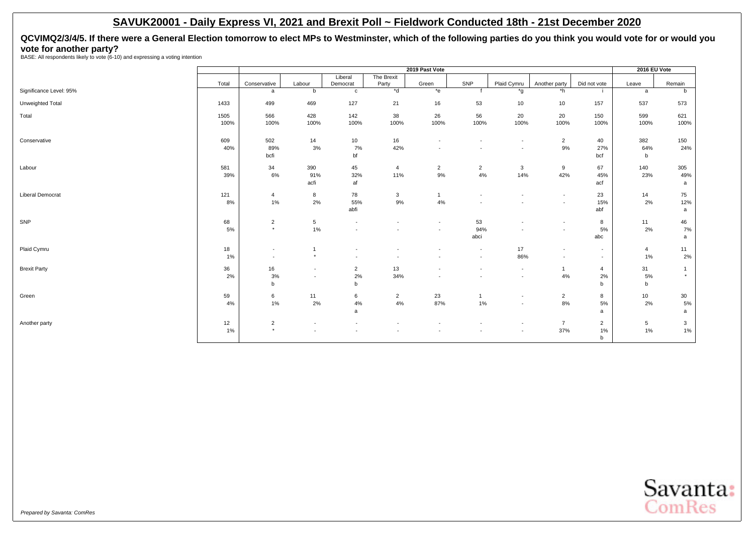**QCVIMQ2/3/4/5. If there were a General Election tomorrow to elect MPs to Westminster, which of the following parties do you think you would vote for or would you vote for another party?** BASE: All respondents likely to vote (6-10) and expressing a voting intention

|                         |       |                          |                          |                          |                          | 2019 Past Vote           |                          |                          |                          |                          | 2016 EU Vote    |                |
|-------------------------|-------|--------------------------|--------------------------|--------------------------|--------------------------|--------------------------|--------------------------|--------------------------|--------------------------|--------------------------|-----------------|----------------|
|                         |       |                          |                          | Liberal                  | The Brexit               |                          |                          |                          |                          |                          |                 |                |
|                         | Total | Conservative             | Labour                   | Democrat                 | Party                    | Green                    | SNP                      | Plaid Cymru              | Another party            | Did not vote             | Leave           | Remain         |
| Significance Level: 95% |       | $\mathsf{a}$             | b                        | $\mathbf{C}$             | $*$ d                    | $*$ e                    |                          | *g                       | *h                       | j.                       | a               | b              |
| Unweighted Total        | 1433  | 499                      | 469                      | 127                      | 21                       | 16                       | 53                       | 10                       | 10                       | 157                      | 537             | 573            |
| Total                   | 1505  | 566                      | 428                      | 142                      | 38                       | 26                       | 56                       | 20                       | 20                       | 150                      | 599             | 621            |
|                         | 100%  | 100%                     | 100%                     | 100%                     | 100%                     | 100%                     | 100%                     | 100%                     | 100%                     | 100%                     | 100%            | 100%           |
| Conservative            | 609   | 502                      | 14                       | 10                       | 16                       | $\overline{\phantom{a}}$ |                          | $\overline{\phantom{a}}$ | $\overline{2}$           | 40                       | 382             | 150            |
|                         | 40%   | 89%                      | 3%                       | 7%                       | 42%                      | $\overline{\phantom{a}}$ |                          | $\overline{\phantom{a}}$ | $9\%$                    | 27%                      | 64%             | 24%            |
|                         |       | bcfi                     |                          | bf                       |                          |                          |                          |                          |                          | bcf                      | b               |                |
| Labour                  | 581   | 34                       | 390                      | 45                       | 4                        | $\overline{2}$           | $\overline{2}$           | 3                        | 9                        | 67                       | 140             | 305            |
|                         | 39%   | $6\%$                    | 91%                      | 32%                      | 11%                      | $9\%$                    | 4%                       | 14%                      | 42%                      | 45%                      | 23%             | 49%            |
|                         |       |                          | acfi                     | af                       |                          |                          |                          |                          |                          | acf                      |                 | a              |
| <b>Liberal Democrat</b> | 121   | $\overline{4}$           | 8                        | 78                       | 3                        | $\overline{1}$           | $\overline{\phantom{a}}$ | $\overline{\phantom{a}}$ | $\overline{\phantom{a}}$ | 23                       | 14              | 75             |
|                         | 8%    | 1%                       | 2%                       | 55%                      | 9%                       | 4%                       |                          | $\overline{\phantom{a}}$ | $\overline{\phantom{a}}$ | 15%                      | 2%              | 12%            |
|                         |       |                          |                          | abfi                     |                          |                          |                          |                          |                          | abf                      |                 | a              |
| SNP                     | 68    | $\overline{2}$           | 5                        | $\overline{\phantom{a}}$ |                          |                          | 53                       |                          |                          | 8                        | 11              | 46             |
|                         | 5%    | $\star$                  | 1%                       |                          |                          |                          | 94%                      | $\blacksquare$           | $\overline{\phantom{a}}$ | 5%                       | 2%              | 7%             |
|                         |       |                          |                          |                          |                          |                          | abci                     |                          |                          | abc                      |                 | a              |
| Plaid Cymru             | 18    | $\overline{\phantom{a}}$ | $\overline{1}$           | $\sim$                   |                          | $\overline{\phantom{a}}$ | $\overline{\phantom{a}}$ | 17                       | $\overline{\phantom{a}}$ | $\overline{\phantom{a}}$ | $\overline{4}$  | 11             |
|                         | 1%    | $\overline{\phantom{a}}$ | $^\star$                 | $\sim$                   | $\overline{\phantom{a}}$ | $\sim$                   | $\overline{\phantom{a}}$ | 86%                      | $\sim$                   | $\overline{\phantom{a}}$ | 1%              | 2%             |
| <b>Brexit Party</b>     | 36    | 16                       | $\overline{\phantom{a}}$ | $\overline{2}$           | 13                       |                          | $\overline{\phantom{a}}$ | $\overline{\phantom{a}}$ | $\mathbf{1}$             | $\overline{4}$           | 31              | $\overline{1}$ |
|                         | 2%    | 3%                       | $\overline{\phantom{a}}$ | 2%                       | 34%                      | $\overline{\phantom{a}}$ | $\overline{\phantom{a}}$ | $\overline{\phantom{a}}$ | 4%                       | 2%                       | 5%              | $\star$        |
|                         |       | $\mathsf{b}$             |                          | $\mathsf{b}$             |                          |                          |                          |                          |                          | $\mathsf b$              | b               |                |
| Green                   | 59    | 6                        | 11                       | 6                        | $\overline{2}$           | 23                       | -1                       | $\overline{\phantom{a}}$ | $\overline{2}$           | 8                        | 10 <sup>1</sup> | 30             |
|                         | 4%    | 1%                       | 2%                       | 4%                       | 4%                       | 87%                      | 1%                       | $\overline{\phantom{a}}$ | 8%                       | 5%                       | 2%              | 5%             |
|                         |       |                          |                          | a                        |                          |                          |                          |                          |                          | a                        |                 | a              |
| Another party           | 12    | $\overline{2}$           | $\overline{\phantom{a}}$ | $\overline{\phantom{a}}$ |                          |                          |                          | $\overline{\phantom{a}}$ | $\overline{7}$           | $\overline{2}$           | 5               | 3              |
|                         | 1%    | $\star$                  | $\blacksquare$           |                          |                          |                          | $\overline{\phantom{a}}$ | $\overline{\phantom{a}}$ | 37%                      | $1\%$                    | 1%              | 1%             |
|                         |       |                          |                          |                          |                          |                          |                          |                          |                          | $\mathsf b$              |                 |                |

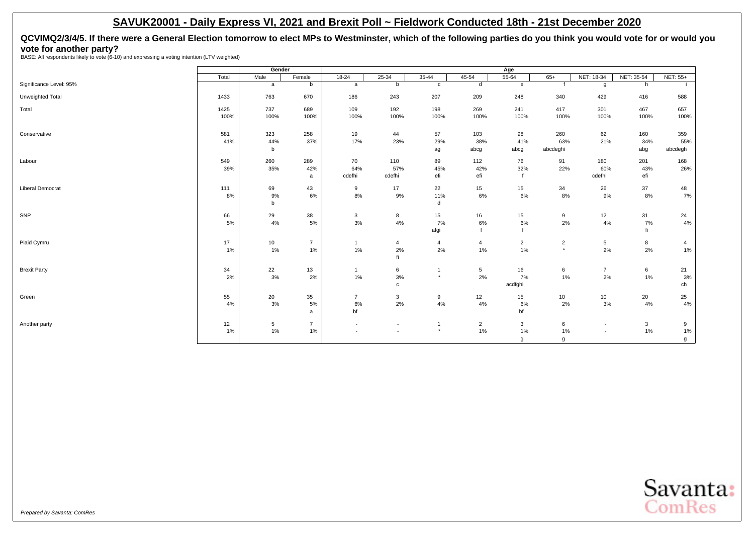# <span id="page-33-0"></span>**QCVIMQ2/3/4/5. If there were a General Election tomorrow to elect MPs to Westminster, which of the following parties do you think you would vote for or would you vote for another party?** BASE: All respondents likely to vote (6-10) and expressing a voting intention (LTV weighted)

|                         |       | Gender |                |                          |                          |                |                | Age            |                |                |            |                 |
|-------------------------|-------|--------|----------------|--------------------------|--------------------------|----------------|----------------|----------------|----------------|----------------|------------|-----------------|
|                         | Total | Male   | Female         | $18 - 24$                | $25 - 34$                | $35 - 44$      | $45 - 54$      | $55 - 64$      | $65+$          | NET: 18-34     | NET: 35-54 | <b>NET: 55+</b> |
| Significance Level: 95% |       | a      | b              | a                        | b                        | $\mathbf{c}$   | d              | e              | $\mathbf{f}$   | g              | h          |                 |
| Unweighted Total        | 1433  | 763    | 670            | 186                      | 243                      | 207            | 209            | 248            | 340            | 429            | 416        | 588             |
| Total                   | 1425  | 737    | 689            | 109                      | 192                      | 198            | 269            | 241            | 417            | 301            | 467        | 657             |
|                         | 100%  | 100%   | 100%           | 100%                     | 100%                     | 100%           | 100%           | 100%           | 100%           | 100%           | 100%       | 100%            |
| Conservative            | 581   | 323    | 258            | 19                       | 44                       | 57             | 103            | 98             | 260            | 62             | 160        | 359             |
|                         | 41%   | 44%    | 37%            | 17%                      | 23%                      | 29%            | 38%            | 41%            | 63%            | 21%            | 34%        | 55%             |
|                         |       | b      |                |                          |                          | ag             | abcg           | abcg           | abcdeghi       |                | abg        | abcdegh         |
| Labour                  | 549   | 260    | 289            | 70                       | 110                      | 89             | 112            | 76             | 91             | 180            | 201        | 168             |
|                         | 39%   | 35%    | 42%            | 64%                      | 57%                      | 45%            | 42%            | 32%            | 22%            | 60%            | 43%        | 26%             |
|                         |       |        | a              | cdefhi                   | cdefhi                   | efi            | efi            |                |                | cdefhi         | efi        |                 |
| <b>Liberal Democrat</b> | 111   | 69     | 43             | 9                        | 17                       | 22             | 15             | 15             | 34             | 26             | 37         | 48              |
|                         | 8%    | 9%     | 6%             | 8%                       | 9%                       | 11%            | 6%             | 6%             | 8%             | 9%             | 8%         | 7%              |
|                         |       | b      |                |                          |                          | d              |                |                |                |                |            |                 |
| SNP                     | 66    | 29     | 38             | 3                        | 8                        | 15             | 16             | 15             | 9              | 12             | 31         | 24              |
|                         | 5%    | 4%     | 5%             | 3%                       | 4%                       | 7%             | 6%             | 6%             | 2%             | 4%             | 7%         | 4%              |
|                         |       |        |                |                          |                          | afgi           |                |                |                |                | fi         |                 |
| Plaid Cymru             | 17    | 10     | $\overline{7}$ | $\overline{1}$           | 4                        | $\overline{4}$ | $\overline{4}$ | $\overline{2}$ | $\overline{2}$ | 5              | 8          | 4               |
|                         | 1%    | 1%     | 1%             | 1%                       | 2%                       | 2%             | 1%             | $1\%$          | $^\star$       | 2%             | 2%         | $1\%$           |
|                         |       |        |                |                          | fi                       |                |                |                |                |                |            |                 |
| <b>Brexit Party</b>     | 34    | 22     | 13             | $\mathbf{1}$             | 6                        | $\overline{1}$ | 5              | 16             | 6              | $\overline{7}$ | 6          | 21              |
|                         | 2%    | 3%     | 2%             | 1%                       | 3%                       | $\star$        | 2%             | 7%             | $1\%$          | 2%             | 1%         | 3%              |
|                         |       |        |                |                          | $\mathbf c$              |                |                | acdfghi        |                |                |            | ch              |
| Green                   | 55    | 20     | 35             | $\overline{7}$           | 3                        | 9              | 12             | 15             | 10             | 10             | 20         | 25              |
|                         | 4%    | 3%     | 5%             | 6%                       | 2%                       | $4\%$          | 4%             | 6%             | 2%             | 3%             | 4%         | $4\%$           |
|                         |       |        | a              | bf                       |                          |                |                | bf             |                |                |            |                 |
| Another party           | 12    | 5      | $\overline{7}$ | $\overline{\phantom{a}}$ | $\sim$                   |                | $\overline{2}$ | 3              | 6              | $\sim$         | 3          | 9               |
|                         | 1%    | 1%     | 1%             | $\blacksquare$           | $\overline{\phantom{a}}$ | $\star$        | 1%             | $1\%$          | 1%             |                | 1%         | $1\%$           |
|                         |       |        |                |                          |                          |                |                | g              | g              |                |            | g               |

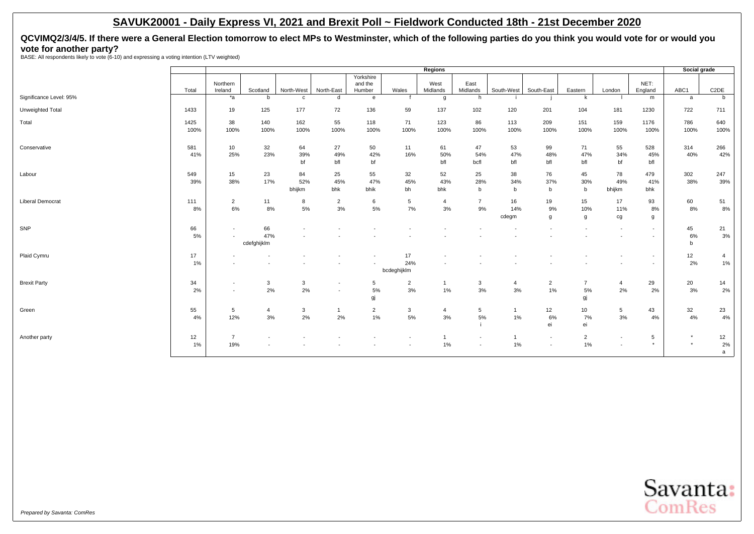# **QCVIMQ2/3/4/5. If there were a General Election tomorrow to elect MPs to Westminster, which of the following parties do you think you would vote for or would you vote for another party?** BASE: All respondents likely to vote (6-10) and expressing a voting intention (LTV weighted)

|                         |       |                          |                |              |                          |                |                | Regions        |                          |                |                          |                 |                          |                          | Social grade |                   |
|-------------------------|-------|--------------------------|----------------|--------------|--------------------------|----------------|----------------|----------------|--------------------------|----------------|--------------------------|-----------------|--------------------------|--------------------------|--------------|-------------------|
|                         |       |                          |                |              |                          | Yorkshire      |                |                |                          |                |                          |                 |                          |                          |              |                   |
|                         |       | Northern                 |                |              |                          | and the        |                | West           | East                     |                |                          |                 |                          | NET:                     |              |                   |
| Significance Level: 95% | Total | Ireland                  | Scotland       | North-West   | North-East               | Humber         | Wales          | Midlands       | Midlands                 | South-West     | South-East               | Eastern<br>k    | London                   | England                  | ABC1         | C <sub>2</sub> DE |
|                         |       | $*_{a}$                  | b              | $\mathbf{C}$ | d                        | $\mathbf{e}$   |                | g              | h                        |                |                          |                 |                          | m                        | a            | b                 |
| Unweighted Total        | 1433  | 19                       | 125            | 177          | 72                       | 136            | 59             | 137            | 102                      | 120            | 201                      | 104             | 181                      | 1230                     | 722          | 711               |
| Total                   | 1425  | 38                       | 140            | 162          | 55                       | 118            | 71             | 123            | 86                       | 113            | 209                      | 151             | 159                      | 1176                     | 786          | 640               |
|                         | 100%  | 100%                     | 100%           | 100%         | 100%                     | 100%           | 100%           | 100%           | 100%                     | 100%           | 100%                     | 100%            | 100%                     | 100%                     | 100%         | 100%              |
| Conservative            | 581   | 10                       | 32             | 64           | 27                       | 50             | 11             | 61             | 47                       | 53             | 99                       | 71              | 55                       | 528                      | 314          | 266               |
|                         | 41%   | 25%                      | 23%            | 39%          | 49%                      | 42%            | 16%            | 50%            | 54%                      | 47%            | 48%                      | 47%             | 34%                      | 45%                      | 40%          | 42%               |
|                         |       |                          |                | bf           | bfl                      | bf             |                | bfl            | bcfl                     | bfl            | bfl                      | bfl             | bf                       | bfl                      |              |                   |
| Labour                  | 549   | 15                       | 23             | 84           | 25                       | 55             | 32             | 52             | 25                       | 38             | 76                       | 45              | 78                       | 479                      | 302          | 247               |
|                         | 39%   | 38%                      | 17%            | 52%          | 45%                      | 47%            | 45%            | 43%            | 28%                      | 34%            | 37%                      | 30%             | 49%                      | 41%                      | 38%          | 39%               |
|                         |       |                          |                | bhijkm       | bhk                      | bhik           | bh             | bhk            | b                        | $\mathbf b$    | b                        | b               | bhijkm                   | bhk                      |              |                   |
| <b>Liberal Democrat</b> | 111   | $\overline{2}$           | 11             | 8            | $\overline{2}$           | 6              | 5              | $\overline{4}$ | $\overline{7}$           | 16             | 19                       | 15              | 17                       | 93                       | 60           | 51                |
|                         | 8%    | 6%                       | 8%             | 5%           | 3%                       | 5%             | 7%             | 3%             | 9%                       | 14%            | 9%                       | 10%             | 11%                      | 8%                       | 8%           | 8%                |
|                         |       |                          |                |              |                          |                |                |                |                          | cdegm          | g                        | g               | cg                       | g                        |              |                   |
| SNP                     | 66    | $\blacksquare$           | 66             |              |                          |                |                |                |                          |                |                          |                 |                          | $\sim$                   | 45           | 21                |
|                         | 5%    | $\overline{\phantom{a}}$ | 47%            |              |                          |                |                |                |                          |                |                          |                 |                          | $\overline{\phantom{a}}$ | 6%           | 3%                |
|                         |       |                          | cdefghijklm    |              |                          |                |                |                |                          |                |                          |                 |                          |                          | b            |                   |
| Plaid Cymru             | 17    |                          |                |              |                          |                | 17             |                |                          |                |                          |                 |                          | $\sim$                   | 12           | $\overline{4}$    |
|                         | $1\%$ | $\overline{\phantom{a}}$ |                |              |                          |                | 24%            |                |                          |                |                          |                 |                          | $\overline{\phantom{a}}$ | 2%           | 1%                |
|                         |       |                          |                |              |                          |                | bcdeghijklm    |                |                          |                |                          |                 |                          |                          |              |                   |
| <b>Brexit Party</b>     | 34    | $\overline{\phantom{a}}$ | 3              | 3            | $\overline{\phantom{a}}$ | 5              | $\overline{2}$ |                | 3                        | $\overline{4}$ | $\overline{2}$           | $\overline{7}$  | 4                        | 29                       | 20           | 14                |
|                         | 2%    | $\overline{\phantom{a}}$ | 2%             | 2%           | $\overline{\phantom{a}}$ | 5%             | 3%             | 1%             | 3%                       | 3%             | 1%                       | 5%              | 2%                       | 2%                       | 3%           | 2%                |
|                         |       |                          |                |              |                          | gj             |                |                |                          |                |                          | gj              |                          |                          |              |                   |
| Green                   | 55    | 5                        | $\overline{4}$ | 3            | $\mathbf{1}$             | $\overline{2}$ | 3              | $\overline{4}$ | $5\phantom{.0}$          | $\mathbf{1}$   | 12                       | 10 <sup>1</sup> | 5                        | 43                       | 32           | 23                |
|                         | 4%    | 12%                      | 3%             | 2%           | 2%                       | $1\%$          | 5%             | 3%             | 5%                       | 1%             | 6%                       | 7%              | 3%                       | 4%                       | 4%           | 4%                |
|                         |       |                          |                |              |                          |                |                |                |                          |                | ei                       | ei              |                          |                          |              |                   |
| Another party           | 12    | $\overline{7}$           |                |              |                          |                |                |                | $\overline{\phantom{a}}$ |                | $\overline{\phantom{a}}$ | $\overline{2}$  | $\overline{\phantom{a}}$ | 5                        | $\star$      | 12                |
|                         | $1\%$ | 19%                      |                |              |                          |                |                | $1\%$          |                          | 1%             | $\overline{\phantom{a}}$ | 1%              | $\overline{\phantom{a}}$ | $\star$                  | $\star$      | 2%                |
|                         |       |                          |                |              |                          |                |                |                |                          |                |                          |                 |                          |                          |              | a                 |

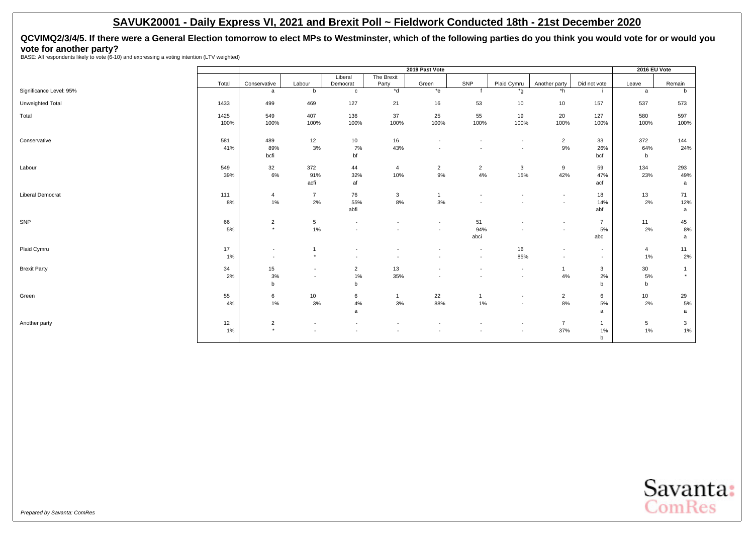**QCVIMQ2/3/4/5. If there were a General Election tomorrow to elect MPs to Westminster, which of the following parties do you think you would vote for or would you vote for another party?** BASE: All respondents likely to vote (6-10) and expressing a voting intention (LTV weighted)

|                         |       |                          |                          |                          |                          | 2019 Past Vote           |                          |                          |                          |                | 2016 EU Vote |                |
|-------------------------|-------|--------------------------|--------------------------|--------------------------|--------------------------|--------------------------|--------------------------|--------------------------|--------------------------|----------------|--------------|----------------|
|                         |       |                          |                          | Liberal                  | The Brexit               |                          |                          |                          |                          |                |              |                |
|                         | Total | Conservative             | Labour                   | Democrat                 | Party                    | Green                    | SNP                      | Plaid Cymru              | Another party            | Did not vote   | Leave        | Remain         |
| Significance Level: 95% |       | a                        | b                        | $\mathbf{c}$             | $*$ d                    | $*_{e}$                  |                          | *g                       | $*h$                     | -11            | a            | b              |
| Unweighted Total        | 1433  | 499                      | 469                      | 127                      | 21                       | 16                       | 53                       | 10                       | 10                       | 157            | 537          | 573            |
| Total                   | 1425  | 549                      | 407                      | 136                      | 37                       | 25                       | 55                       | 19                       | 20                       | 127            | 580          | 597            |
|                         | 100%  | 100%                     | 100%                     | 100%                     | 100%                     | 100%                     | 100%                     | 100%                     | 100%                     | 100%           | 100%         | 100%           |
| Conservative            | 581   | 489                      | 12                       | 10                       | 16                       | $\overline{\phantom{a}}$ |                          | $\overline{\phantom{a}}$ | $\overline{2}$           | 33             | 372          | 144            |
|                         | 41%   | 89%                      | 3%                       | 7%                       | 43%                      | $\overline{\phantom{a}}$ |                          | $\overline{\phantom{a}}$ | $9\%$                    | 26%            | 64%          | 24%            |
|                         |       | bcfi                     |                          | bf                       |                          |                          |                          |                          |                          | bcf            | b            |                |
| Labour                  | 549   | 32                       | 372                      | 44                       | 4                        | $\overline{2}$           | $\overline{2}$           | $\mathbf{3}$             | 9                        | 59             | 134          | 293            |
|                         | 39%   | 6%                       | 91%<br>acfi              | 32%<br>af                | 10%                      | 9%                       | 4%                       | 15%                      | 42%                      | 47%<br>acf     | 23%          | 49%            |
|                         |       |                          |                          |                          |                          |                          |                          |                          |                          |                |              | a              |
| <b>Liberal Democrat</b> | 111   | $\overline{4}$           | $\overline{7}$           | 76                       | 3                        | $\overline{1}$           | $\blacksquare$           | $\overline{\phantom{a}}$ | $\sim$                   | 18             | 13           | 71             |
|                         | 8%    | 1%                       | 2%                       | 55%<br>abfi              | 8%                       | 3%                       | $\blacksquare$           | $\overline{\phantom{a}}$ | $\sim$                   | 14%<br>abf     | 2%           | 12%<br>a       |
|                         |       |                          |                          |                          |                          |                          |                          |                          |                          |                |              |                |
| SNP                     | 66    | $\overline{2}$           | $5\phantom{.0}$          | $\overline{\phantom{a}}$ |                          | $\blacksquare$           | 51                       | $\overline{\phantom{a}}$ | $\sim$                   | $\overline{7}$ | 11           | 45             |
|                         | 5%    | $\star$                  | 1%                       |                          |                          | $\blacksquare$           | 94%                      | $\overline{\phantom{a}}$ |                          | 5%             | 2%           | 8%             |
|                         |       |                          |                          |                          |                          |                          | abci                     |                          |                          | abc            |              | a              |
| Plaid Cymru             | 17    | $\overline{\phantom{a}}$ | $\overline{1}$           | $\overline{\phantom{a}}$ |                          | $\overline{\phantom{a}}$ | $\overline{\phantom{a}}$ | 16                       | $\sim$                   | $\sim$         | 4            | 11             |
|                         | 1%    | $\overline{\phantom{a}}$ | $\star$                  | $\sim$                   | $\overline{\phantom{a}}$ | $\overline{\phantom{a}}$ | $\overline{\phantom{a}}$ | 85%                      | $\overline{\phantom{a}}$ | $\sim$         | 1%           | 2%             |
| <b>Brexit Party</b>     | 34    | 15                       | $\overline{\phantom{a}}$ | $\overline{2}$           | 13                       | $\overline{\phantom{a}}$ | $\overline{\phantom{a}}$ | $\overline{\phantom{a}}$ | $\mathbf{1}$             | $\mathbf{3}$   | 30           | $\overline{1}$ |
|                         | 2%    | $3%$                     | $\overline{\phantom{a}}$ | 1%                       | 35%                      | $\overline{\phantom{a}}$ | $\blacksquare$           | $\overline{\phantom{a}}$ | $4\%$                    | 2%             | 5%           | $\star$        |
|                         |       | $\mathsf b$              |                          | b                        |                          |                          |                          |                          |                          | $\mathsf b$    | b            |                |
| Green                   | 55    | 6                        | 10                       | 6                        | $\mathbf{1}$             | 22                       |                          | $\sim$                   | $\overline{2}$           | 6              | 10           | 29             |
|                         | 4%    | 1%                       | 3%                       | 4%                       | 3%                       | 88%                      | 1%                       | $\overline{\phantom{a}}$ | 8%                       | $5\%$          | 2%           | $5\%$          |
|                         |       |                          |                          | a                        |                          |                          |                          |                          |                          | a              |              | a              |
| Another party           | 12    | $\overline{2}$           | $\overline{\phantom{a}}$ |                          |                          | $\overline{\phantom{a}}$ |                          | $\overline{\phantom{a}}$ | $\overline{7}$           | $\mathbf{1}$   | 5            | 3              |
|                         | 1%    | $\star$                  | $\sim$                   |                          |                          | ٠                        |                          | $\overline{\phantom{a}}$ | 37%                      | 1%             | 1%           | 1%             |
|                         |       |                          |                          |                          |                          |                          |                          |                          |                          | $\mathsf b$    |              |                |

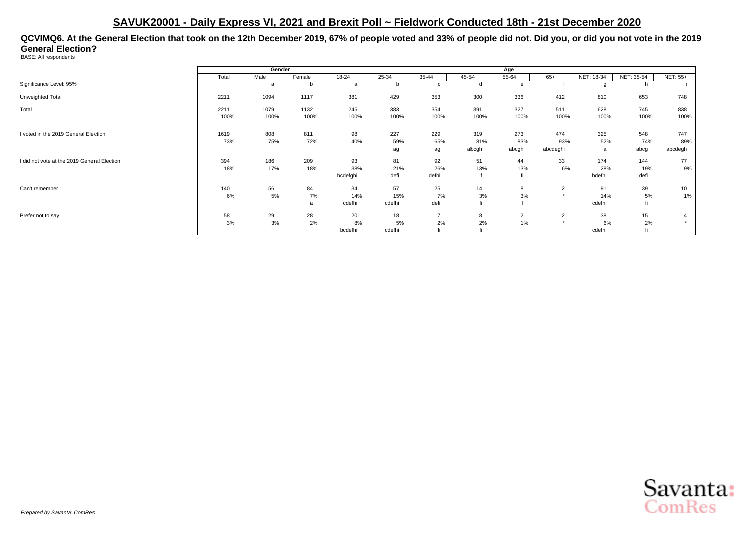**QCVIMQ6. At the General Election that took on the 12th December 2019, 67% of people voted and 33% of people did not. Did you, or did you not vote in the 2019 General Election?** BASE: All respondents

**Gender Age** Total | Male | Female | 18-24 | 25-34 | 35-44 | 45-54 | 55-64 | 65+ |NET:18-34 |NET: 35-54 |NET: 55+ Significance Level: 95% a b b b c d e f g h i Unweighted Total 2211 1094 1117 381 429 353 300 336 412 810 653 748 Total 2211 1079 1132 245 383 354 391 327 511 628 745 838 100% 100% 100% 100% 100% 100% 100% 100% 100% 100% 100% 100% I voted in the 2019 General Election 1619 808 811 98 227 229 319 273 474 325 548 747 73% 75% 72% 40% 59% 65% 81% 83% 93% 52% 74% 89% ag abcgh abcgh abcdeghi a abcg abcdegh I did not vote at the 2019 General Election 394 186 209 93 81 92 51 44 33 174 144 77 18% 17% 18% 38% 21% 26% 13% 13% 6% 28% 19% 9% bcdefghi defi defhi f fi bdefhi bdefhi defi Can't remember | 140 | 56 84 | 34 57 25 14 8 2 91 39 10 6% 5% 7% 14% 15% 7% 3% 3% \* 14% 5% 1% a cdefhi cdefhi defi fi f cdefhi fi Prefer not to say 58 | 29 28 | 20 18 7 8 2 2 38 15 4 3% 3% 2% 8% 5% 2% 2% 1% \* 6% 2% \* bcdefhi cdefhi fi fi fi fi cdefhi fi fi

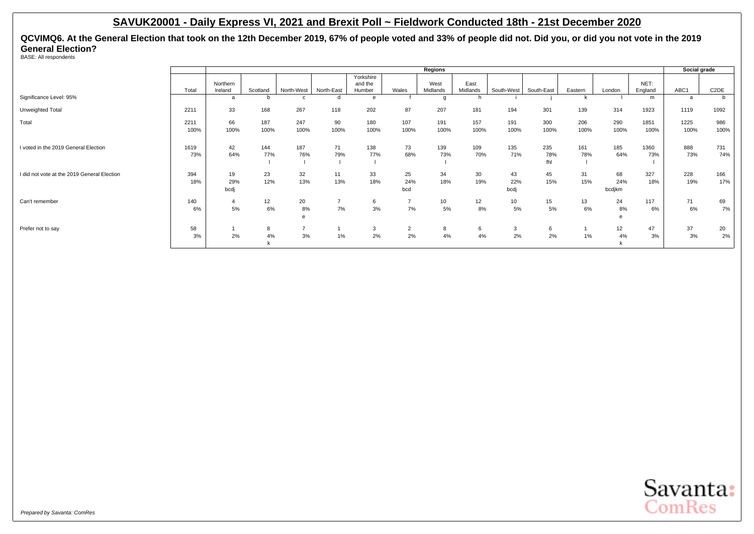**QCVIMQ6. At the General Election that took on the 12th December 2019, 67% of people voted and 33% of people did not. Did you, or did you not vote in the 2019 General Election?**

BASE: All respondents

|                                             |              |                          |             |               |            |                                |                      | Regions          |                  |                    |                   |             |                      |                 | Social grade |                   |
|---------------------------------------------|--------------|--------------------------|-------------|---------------|------------|--------------------------------|----------------------|------------------|------------------|--------------------|-------------------|-------------|----------------------|-----------------|--------------|-------------------|
|                                             | Total        | Northern<br>Ireland      | Scotland    | North-West    | North-East | Yorkshire<br>and the<br>Humber | Wales                | West<br>Midlands | East<br>Midlands | South-West         | South-East        | Eastern     | London               | NET:<br>England | ABC1         | C <sub>2</sub> DE |
| Significance Level: 95%                     |              | a                        |             |               |            | e                              |                      | $\alpha$         | h                |                    |                   | k           |                      | m               | a            | b                 |
| Unweighted Total                            | 2211         | 33                       | 168         | 267           | 118        | 202                            | 87                   | 207              | 181              | 194                | 301               | 139         | 314                  | 1923            | 1119         | 1092              |
| Total                                       | 2211<br>100% | 66<br>100%               | 187<br>100% | 247<br>100%   | 90<br>100% | 180<br>100%                    | 107<br>100%          | 191<br>100%      | 157<br>100%      | 191<br>100%        | 300<br>100%       | 206<br>100% | 290<br>100%          | 1851<br>100%    | 1225<br>100% | 986<br>100%       |
| I voted in the 2019 General Election        | 1619<br>73%  | 42<br>64%                | 144<br>77%  | 187<br>76%    | 71<br>79%  | 138<br>77%                     | 73<br>68%            | 139<br>73%       | 109<br>70%       | 135<br>71%         | 235<br>78%<br>fhl | 161<br>78%  | 185<br>64%           | 1360<br>73%     | 888<br>73%   | 731<br>74%        |
| I did not vote at the 2019 General Election | 394<br>18%   | 19<br>29%<br>bcdj        | 23<br>12%   | 32<br>13%     | 11<br>13%  | 33<br>18%                      | 25<br>24%<br>bcd     | 34<br>18%        | 30<br>19%        | 43<br>22%<br>bcdj  | 45<br>15%         | 31<br>15%   | 68<br>24%<br>bcdjkm  | 327<br>18%      | 228<br>19%   | 166<br>17%        |
| Can't remember                              | 140<br>6%    | $\overline{\bf 4}$<br>5% | 12<br>6%    | 20<br>8%<br>e | 7%         | 6<br>3%                        | 7%                   | 10<br>5%         | 12<br>8%         | 10<br>5%           | 15<br>5%          | 13<br>6%    | 24<br>8%<br>$\theta$ | 117<br>6%       | 71<br>6%     | 69<br>7%          |
| Prefer not to say                           | 58<br>3%     | 2%                       | 8<br>4%     | -<br>3%       | 1%         | 3<br>2%                        | $\overline{2}$<br>2% | 8<br>4%          | 6<br>4%          | $\mathbf{3}$<br>2% | 6<br>2%           | $1\%$       | 12<br>4%             | 47<br>3%        | 37<br>3%     | 20<br>2%          |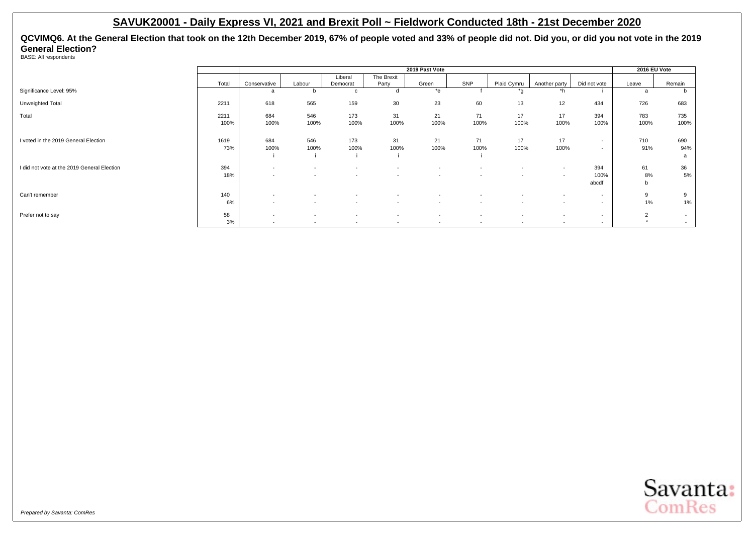**QCVIMQ6. At the General Election that took on the 12th December 2019, 67% of people voted and 33% of people did not. Did you, or did you not vote in the 2019 General Election?**

BASE: All respondents

|                                             |              |                                                      |                          |                                                      |                                                      | 2019 Past Vote                                       |                          |                                                      |                                                      |                                                      | 2016 EU Vote                |                  |
|---------------------------------------------|--------------|------------------------------------------------------|--------------------------|------------------------------------------------------|------------------------------------------------------|------------------------------------------------------|--------------------------|------------------------------------------------------|------------------------------------------------------|------------------------------------------------------|-----------------------------|------------------|
|                                             | Total        | Conservative                                         | Labour                   | Liberal<br>Democrat                                  | The Brexit<br>Party                                  | Green                                                | SNP                      | Plaid Cymru                                          | Another party                                        | Did not vote                                         | Leave                       | Remain           |
| Significance Level: 95%                     |              | a                                                    | b                        | c                                                    |                                                      | $*$ e                                                |                          | *q                                                   | *h                                                   |                                                      | a                           |                  |
| Unweighted Total                            | 2211         | 618                                                  | 565                      | 159                                                  | 30                                                   | 23                                                   | 60                       | 13                                                   | 12                                                   | 434                                                  | 726                         | 683              |
| Total                                       | 2211<br>100% | 684<br>100%                                          | 546<br>100%              | 173<br>100%                                          | 31<br>100%                                           | 21<br>100%                                           | 71<br>100%               | 17<br>100%                                           | 17<br>100%                                           | 394<br>100%                                          | 783<br>100%                 | 735<br>100%      |
| I voted in the 2019 General Election        | 1619<br>73%  | 684<br>100%                                          | 546<br>100%              | 173<br>100%                                          | 31<br>100%                                           | 21<br>100%                                           | 71<br>100%               | 17<br>100%                                           | 17<br>100%                                           | $\overline{\phantom{a}}$<br>$\overline{\phantom{a}}$ | 710<br>91%                  | 690<br>94%<br>a  |
| I did not vote at the 2019 General Election | 394<br>18%   | $\overline{\phantom{a}}$<br>$\overline{\phantom{a}}$ | $\sim$                   | $\overline{\phantom{a}}$<br>$\overline{\phantom{a}}$ | $\overline{\phantom{a}}$<br>$\overline{\phantom{a}}$ | $\overline{\phantom{a}}$<br>$\overline{\phantom{a}}$ | $\sim$                   | $\overline{\phantom{a}}$<br>$\overline{\phantom{a}}$ | $\overline{\phantom{a}}$<br>$\overline{\phantom{a}}$ | 394<br>100%<br>abcdf                                 | 61<br>8%<br>$\mathbf b$     | 36<br>5%         |
| Can't remember                              | 140<br>6%    | $\overline{\phantom{a}}$<br>$\overline{\phantom{a}}$ | $\sim$                   | $\overline{\phantom{a}}$<br>$\overline{\phantom{a}}$ | $\overline{\phantom{a}}$<br>$\overline{\phantom{a}}$ | $\overline{\phantom{a}}$<br>$\overline{\phantom{a}}$ | $\overline{\phantom{a}}$ | $\overline{\phantom{a}}$<br>$\overline{\phantom{a}}$ | $\overline{\phantom{a}}$<br>$\overline{\phantom{a}}$ | $\overline{\phantom{a}}$<br>$\overline{\phantom{a}}$ | 9<br>1%                     | 9<br>1%          |
| Prefer not to say                           | 58<br>3%     | $\overline{\phantom{a}}$<br>$\overline{\phantom{a}}$ | $\overline{\phantom{a}}$ | $\overline{\phantom{a}}$<br>$\overline{\phantom{a}}$ | $\overline{\phantom{a}}$<br>$\overline{\phantom{a}}$ | $\sim$<br>$\overline{\phantom{a}}$                   | $\overline{\phantom{a}}$ | $\overline{\phantom{a}}$<br>$\overline{\phantom{a}}$ | $\overline{\phantom{a}}$<br>$\overline{\phantom{a}}$ | $\overline{\phantom{a}}$<br>$\overline{\phantom{a}}$ | $\overline{2}$<br>$\ddot{}$ | $\sim$<br>$\sim$ |

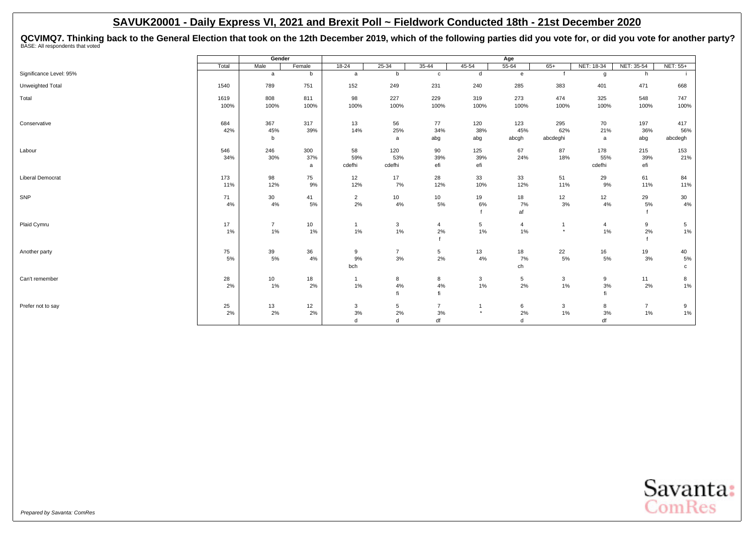QCVIMQ7. Thinking back to the General Election that took on the 12th December 2019, which of the following parties did you vote for, or did you vote for another party?<br><sup>BASE: All respondents that voted</sup>

|                         |       | Gender         |        |                |                 |                 |           | Age            |          |                |                |             |
|-------------------------|-------|----------------|--------|----------------|-----------------|-----------------|-----------|----------------|----------|----------------|----------------|-------------|
|                         | Total | Male           | Female | $18 - 24$      | $25 - 34$       | $35 - 44$       | $45 - 54$ | $55 - 64$      | $65+$    | NET: 18-34     | NET: 35-54     | NET: 55+    |
| Significance Level: 95% |       | a              | b      | a              | b               | $\mathbf{c}$    | d         | $\mathbf{e}$   |          | g              | h              |             |
| Unweighted Total        | 1540  | 789            | 751    | 152            | 249             | 231             | 240       | 285            | 383      | 401            | 471            | 668         |
| Total                   | 1619  | 808            | 811    | 98             | 227             | 229             | 319       | 273            | 474      | 325            | 548            | 747         |
|                         | 100%  | 100%           | 100%   | 100%           | 100%            | 100%            | 100%      | 100%           | 100%     | 100%           | 100%           | 100%        |
| Conservative            | 684   | 367            | 317    | 13             | 56              | 77              | 120       | 123            | 295      | 70             | 197            | 417         |
|                         | 42%   | 45%            | 39%    | 14%            | 25%             | 34%             | 38%       | 45%            | 62%      | 21%            | 36%            | 56%         |
|                         |       | b              |        |                | a               | abg             | abg       | abcgh          | abcdeghi | a              | abg            | abcdegh     |
| Labour                  | 546   | 246            | 300    | 58             | 120             | 90              | 125       | 67             | 87       | 178            | 215            | 153         |
|                         | 34%   | 30%            | 37%    | 59%            | 53%             | 39%             | 39%       | 24%            | 18%      | 55%            | 39%            | 21%         |
|                         |       |                | a      | cdefhi         | cdefhi          | efi             | efi       |                |          | cdefhi         | efi            |             |
| <b>Liberal Democrat</b> | 173   | 98             | 75     | 12             | 17              | 28              | 33        | 33             | 51       | 29             | 61             | 84          |
|                         | 11%   | 12%            | 9%     | 12%            | $7\%$           | 12%             | 10%       | 12%            | 11%      | 9%             | 11%            | 11%         |
| SNP                     | 71    | 30             | 41     | $\overline{2}$ | 10 <sup>1</sup> | 10              | 19        | 18             | 12       | 12             | 29             | 30          |
|                         | 4%    | 4%             | 5%     | 2%             | 4%              | 5%              | $6\%$     | 7%             | $3%$     | 4%             | $5\%$          | $4\%$       |
|                         |       |                |        |                |                 |                 |           | af             |          |                |                |             |
| Plaid Cymru             | 17    | $\overline{7}$ | 10     | $\overline{1}$ | 3               | $\overline{4}$  | 5         | $\overline{4}$ |          | $\overline{4}$ | 9              | 5           |
|                         | 1%    | 1%             | 1%     | $1\%$          | $1\%$           | 2%              | 1%        | $1\%$          | $\star$  | 1%             | 2%             | 1%          |
|                         |       |                |        |                |                 |                 |           |                |          |                |                |             |
| Another party           | 75    | 39             | 36     | 9              | $\overline{7}$  | $5\overline{)}$ | 13        | 18             | 22       | 16             | 19             | 40          |
|                         | 5%    | 5%             | 4%     | 9%             | 3%              | 2%              | 4%        | 7%             | 5%       | 5%             | 3%             | $5\%$       |
|                         |       |                |        | bch            |                 |                 |           | ch             |          |                |                | $\mathbf c$ |
| Can't remember          | 28    | 10             | 18     | $\overline{1}$ | 8               | 8               | 3         | 5              | 3        | 9              | 11             | 8           |
|                         | 2%    | 1%             | 2%     | $1\%$          | 4%              | 4%              | 1%        | 2%             | $1\%$    | 3%             | 2%             | $1\%$       |
|                         |       |                |        |                | fi              | fi              |           |                |          | fi             |                |             |
| Prefer not to say       | 25    | 13             | 12     | 3              | 5               | $\overline{7}$  | $\star$   | 6              | 3        | 8              | $\overline{7}$ | 9           |
|                         | 2%    | 2%             | 2%     | 3%             | 2%              | 3%              |           | 2%             | $1\%$    | 3%             | 1%             | $1\%$       |
|                         |       |                |        | d              | $\mathbf d$     | df              |           | $\mathbf d$    |          | df             |                |             |

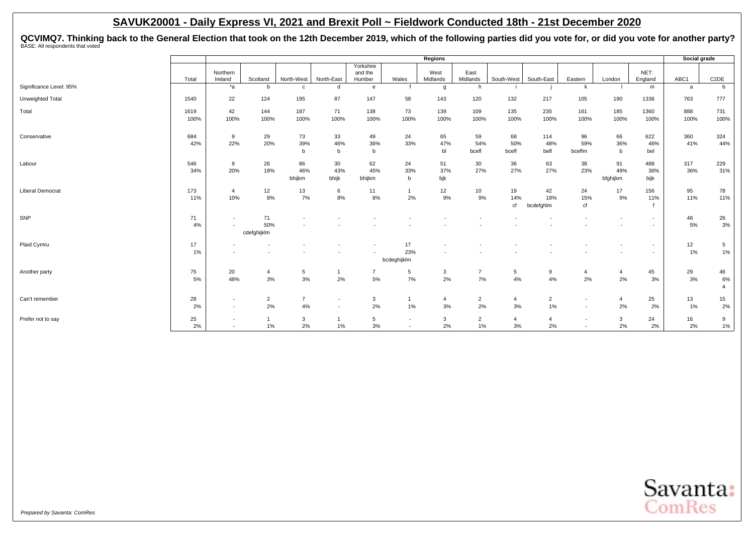QCVIMQ7. Thinking back to the General Election that took on the 12th December 2019, which of the following parties did you vote for, or did you vote for another party?<br><sup>BASE: All respondents that voted</sup>

|                         |          |                                                      |                    |                |                          |                                |                                                      | Regions          |                      |                |                      |                |                 |                                                      | Social grade |                       |
|-------------------------|----------|------------------------------------------------------|--------------------|----------------|--------------------------|--------------------------------|------------------------------------------------------|------------------|----------------------|----------------|----------------------|----------------|-----------------|------------------------------------------------------|--------------|-----------------------|
|                         | Total    | Northern<br>Ireland                                  | Scotland           | North-West     | North-East               | Yorkshire<br>and the<br>Humber | Wales                                                | West<br>Midlands | East<br>Midlands     | South-West     | South-East           | Eastern        | London          | NET:<br>England                                      | ABC1         | C <sub>2</sub> DE     |
| Significance Level: 95% |          | $*_{a}$                                              | b                  | $\mathbf{C}$   | d                        | e                              |                                                      | g                | h                    |                |                      | k              |                 | m                                                    | a            | b                     |
| Unweighted Total        | 1540     | 22                                                   | 124                | 195            | 87                       | 147                            | 58                                                   | 143              | 120                  | 132            | 217                  | 105            | 190             | 1336                                                 | 763          | 777                   |
| Total                   | 1619     | 42                                                   | 144                | 187            | 71                       | 138                            | 73                                                   | 139              | 109                  | 135            | 235                  | 161            | 185             | 1360                                                 | 888          | 731                   |
|                         | 100%     | 100%                                                 | 100%               | 100%           | 100%                     | 100%                           | 100%                                                 | 100%             | 100%                 | 100%           | 100%                 | 100%           | 100%            | 100%                                                 | 100%         | 100%                  |
| Conservative            | 684      | 9                                                    | 29                 | 73             | 33                       | 49                             | 24                                                   | 65               | 59                   | 68             | 114                  | 96             | 66              | 622                                                  | 360          | 324                   |
|                         | 42%      | 22%                                                  | 20%                | 39%<br>b       | 46%<br>b                 | 36%<br>$\mathbf b$             | 33%                                                  | 47%<br>bl        | 54%<br>bcefl         | 50%<br>bcefl   | 48%<br>befl          | 59%<br>bceflm  | 36%<br>b        | 46%<br>bel                                           | 41%          | 44%                   |
| Labour                  | 546      | 9                                                    | 26                 | 86             | 30                       | 62                             | 24                                                   | 51               | 30                   | 36             | 63                   | 38             | 91              | 488                                                  | 317          | 229                   |
|                         | 34%      | 20%                                                  | 18%                | 46%<br>bhijkm  | 43%<br>bhijk             | 45%<br>bhijkm                  | 33%<br>b                                             | 37%<br>bjk       | 27%                  | 27%            | 27%                  | 23%            | 49%<br>bfghijkm | 36%<br>bijk                                          | 36%          | 31%                   |
| <b>Liberal Democrat</b> | 173      | $\overline{4}$                                       | 12                 | 13             | 6                        | 11                             |                                                      | 12               | 10 <sup>10</sup>     | 19             | 42                   | 24             | 17              | 156                                                  | 95           | 78                    |
|                         | 11%      | 10%                                                  | 8%                 | 7%             | 8%                       | 8%                             | 2%                                                   | 9%               | 9%                   | 14%<br>cf      | 18%<br>bcdefghlm     | 15%<br>cf      | 9%              | 11%<br>$\mathbf{f}$                                  | 11%          | 11%                   |
| SNP                     | 71       | $\overline{\phantom{a}}$                             | 71                 |                |                          |                                |                                                      |                  |                      |                |                      |                |                 | $\overline{\phantom{a}}$                             | 46           | 26                    |
|                         | 4%       | $\sim$                                               | 50%<br>cdefqhijklm |                |                          |                                |                                                      |                  |                      |                |                      |                |                 | $\overline{\phantom{a}}$                             | $5\%$        | 3%                    |
|                         |          |                                                      |                    |                |                          |                                |                                                      |                  |                      |                |                      |                |                 |                                                      |              |                       |
| Plaid Cymru             | 17<br>1% |                                                      |                    |                |                          |                                | 17<br>23%                                            |                  |                      |                |                      |                |                 | $\overline{\phantom{0}}$<br>$\overline{\phantom{a}}$ | 12<br>1%     | $5\phantom{.0}$<br>1% |
|                         |          |                                                      |                    |                |                          |                                | bcdeghijklm                                          |                  |                      |                |                      |                |                 |                                                      |              |                       |
| Another party           | 75       | 20                                                   | $\overline{4}$     | 5              | $\mathbf 1$              | $\overline{7}$                 | 5                                                    | 3                | $\overline{7}$       | 5              | 9                    | $\overline{4}$ | 4               | 45                                                   | 29           | 46                    |
|                         | 5%       | 48%                                                  | $3%$               | 3%             | 2%                       | 5%                             | 7%                                                   | 2%               | 7%                   | 4%             | 4%                   | 2%             | 2%              | 3%                                                   | 3%           | 6%<br>a               |
| Can't remember          | 28       | $\overline{\phantom{a}}$                             | $\overline{2}$     | $\overline{7}$ | $\overline{\phantom{a}}$ | 3                              |                                                      | $\overline{4}$   | $\overline{2}$       | $\overline{4}$ | $\overline{2}$       | $\sim$         | $\overline{a}$  | 25                                                   | 13           | 15                    |
|                         | 2%       | $\overline{\phantom{a}}$                             | 2%                 | 4%             | $\overline{\phantom{a}}$ | 2%                             | 1%                                                   | 3%               | 2%                   | 3%             | 1%                   | $\sim$         | 2%              | 2%                                                   | 1%           | 2%                    |
| Prefer not to say       | 25<br>2% | $\overline{\phantom{a}}$<br>$\overline{\phantom{0}}$ | $\mathbf{1}$<br>1% | 3<br>2%        | $\mathbf{1}$<br>1%       | 5<br>3%                        | $\overline{\phantom{a}}$<br>$\overline{\phantom{a}}$ | 3<br>2%          | $\overline{2}$<br>1% | 4<br>3%        | $\overline{4}$<br>2% |                | 3<br>2%         | 24<br>2%                                             | 16<br>2%     | 9<br>$1\%$            |

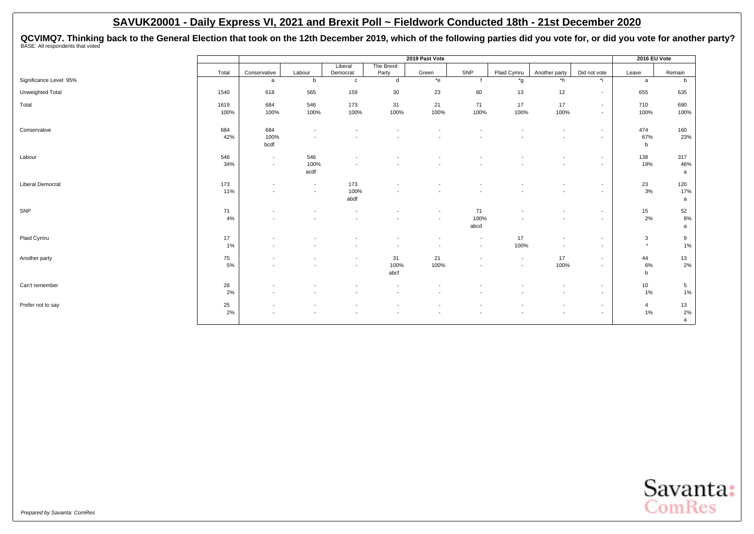QCVIMQ7. Thinking back to the General Election that took on the 12th December 2019, which of the following parties did you vote for, or did you vote for another party?<br><sup>BASE: All respondents that voted</sup>

|                         |       |                          |                          |                     |                          | 2019 Past Vote           |                          |                          |                          |              | 2016 EU Vote   |                 |
|-------------------------|-------|--------------------------|--------------------------|---------------------|--------------------------|--------------------------|--------------------------|--------------------------|--------------------------|--------------|----------------|-----------------|
|                         | Total | Conservative             | Labour                   | Liberal<br>Democrat | The Brexit<br>Party      | Green                    | SNP                      | Plaid Cymru              | Another party            | Did not vote | Leave          | Remain          |
| Significance Level: 95% |       | a                        | b                        | $\mathbf{C}$        | d                        | $*$ e                    |                          | *g                       | *h                       | *i           | a              | b               |
|                         |       |                          |                          |                     |                          |                          |                          |                          |                          |              |                |                 |
| Unweighted Total        | 1540  | 618                      | 565                      | 159                 | 30                       | 23                       | 60                       | 13                       | 12                       | $\sim$       | 655            | 635             |
| Total                   | 1619  | 684                      | 546                      | 173                 | 31                       | 21                       | 71                       | 17                       | 17                       | $\sim$       | 710            | 690             |
|                         | 100%  | 100%                     | 100%                     | 100%                | 100%                     | 100%                     | 100%                     | 100%                     | 100%                     | $\sim$       | 100%           | 100%            |
| Conservative            | 684   | 684                      | $\overline{\phantom{a}}$ |                     |                          |                          |                          |                          |                          | $\sim$       | 474            | 160             |
|                         | 42%   | 100%<br>bcdf             |                          |                     |                          |                          |                          |                          |                          | $\sim$       | 67%<br>b       | 23%             |
| Labour                  | 546   | $\overline{\phantom{a}}$ | 546                      |                     |                          |                          |                          |                          |                          | $\sim$       | 138            | 317             |
|                         | 34%   | $\overline{\phantom{a}}$ | 100%<br>acdf             |                     |                          |                          |                          |                          |                          | $\sim$       | 19%            | 46%<br>a        |
| <b>Liberal Democrat</b> | 173   |                          | $\overline{\phantom{a}}$ | 173                 |                          |                          |                          |                          |                          | $\sim$       | 23             | 120             |
|                         | 11%   |                          | $\overline{a}$           | 100%<br>abdf        |                          |                          |                          |                          |                          | $\sim$       | 3%             | 17%<br>a        |
| SNP                     | 71    |                          |                          | $\overline{a}$      |                          | $\blacksquare$           | 71                       |                          | $\overline{\phantom{a}}$ | $\sim$       | 15             | 52              |
|                         | 4%    |                          |                          |                     |                          | $\blacksquare$           | 100%<br>abcd             | $\overline{\phantom{a}}$ | $\overline{\phantom{a}}$ | $\sim$       | 2%             | 8%<br>a         |
| Plaid Cymru             | 17    |                          |                          |                     |                          | $\overline{\phantom{a}}$ | $\overline{a}$           | 17                       | $\overline{\phantom{a}}$ | $\sim$       | 3              | 9               |
|                         | 1%    |                          |                          |                     |                          | $\overline{\phantom{a}}$ | $\sim$                   | 100%                     |                          | $\sim$       | $\star$        | 1%              |
| Another party           | 75    |                          |                          | $\sim$              | 31                       | 21                       | $\overline{\phantom{a}}$ | $\sim$                   | 17                       | $\sim$       | 44             | 13              |
|                         | 5%    |                          |                          | $\overline{a}$      | 100%<br>abcf             | 100%                     |                          | $\overline{\phantom{a}}$ | 100%                     | $\sim$       | 6%<br>b        | 2%              |
| Can't remember          | 28    |                          |                          |                     |                          |                          |                          |                          |                          | $\sim$       | 10             | $5\overline{5}$ |
|                         | 2%    | $\overline{\phantom{a}}$ |                          |                     | $\overline{\phantom{a}}$ | $\overline{\phantom{a}}$ |                          |                          | $\overline{a}$           | $\sim$       | 1%             | 1%              |
| Prefer not to say       | 25    |                          |                          |                     |                          | $\overline{\phantom{a}}$ |                          |                          |                          | $\sim$       | $\overline{4}$ | 13              |
|                         | 2%    |                          |                          |                     |                          | $\overline{\phantom{a}}$ |                          |                          |                          | $\sim$       | 1%             | 2%<br>a         |

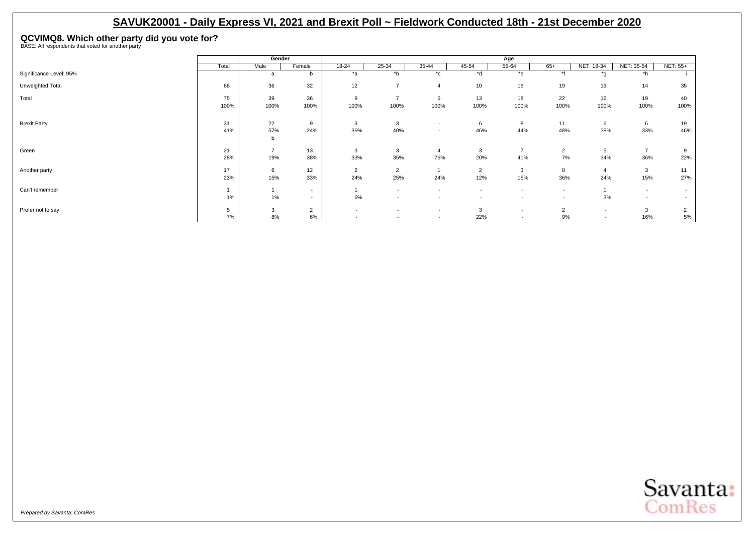**QCVIMQ8. Which other party did you vote for?** BASE: All respondents that voted for another party

|                         |       | Gender         |                |                          |                          |                                    |                          | Age                      |                          |                          |                          |          |
|-------------------------|-------|----------------|----------------|--------------------------|--------------------------|------------------------------------|--------------------------|--------------------------|--------------------------|--------------------------|--------------------------|----------|
|                         | Total | Male           | Female         | 18-24                    | 25-34                    | 35-44                              | 45-54                    | 55-64                    | $65+$                    | NET: 18-34               | NET: 35-54               | NET: 55+ |
| Significance Level: 95% |       | a              | b              | *a                       | $b^*$                    | $^{\star}$ c                       | *d                       | *e                       | $*f$                     | $*_{0}$                  | $*h$                     |          |
| Unweighted Total        | 68    | 36             | 32             | 12                       | $\overline{ }$           | $\overline{4}$                     | 10                       | 16                       | 19                       | 19                       | 14                       | 35       |
| Total                   | 75    | 39             | 36             | 9                        | $\rightarrow$            | 5                                  | 13                       | 18                       | 22                       | 16                       | 19                       | 40       |
|                         | 100%  | 100%           | 100%           | 100%                     | 100%                     | 100%                               | 100%                     | 100%                     | 100%                     | 100%                     | 100%                     | 100%     |
| <b>Brexit Party</b>     | 31    | 22             | 9              | 3                        | 3                        |                                    | 6                        | 8                        | 11                       | 6                        | 6                        | 19       |
|                         | 41%   | 57%            | 24%            | 36%                      | 40%                      | $\overline{\phantom{a}}$<br>$\sim$ | 46%                      | 44%                      | 48%                      | 38%                      | 33%                      | 46%      |
|                         |       | b              |                |                          |                          |                                    |                          |                          |                          |                          |                          |          |
| Green                   | 21    | $\overline{7}$ | 13             | 3                        | 3                        | $\overline{4}$                     | 3                        | $\overline{7}$           | 2                        | 5                        | $\overline{7}$           | 9        |
|                         | 28%   | 19%            | 38%            | 33%                      | 35%                      | 76%                                | 20%                      | 41%                      | 7%                       | 34%                      | 36%                      | 22%      |
| Another party           | 17    | 6              | 12             | $\overline{2}$           | $\overline{2}$           |                                    | $\overline{2}$           | 3                        | 8                        | $\overline{4}$           | 3                        | 11       |
|                         | 23%   | 15%            | 33%            | 24%                      | 25%                      | 24%                                | 12%                      | 15%                      | 36%                      | 24%                      | 15%                      | 27%      |
| Can't remember          |       |                | $\sim$         |                          | $\overline{\phantom{a}}$ | $\overline{\phantom{a}}$           | $\overline{\phantom{a}}$ | $\overline{\phantom{a}}$ | $\overline{\phantom{a}}$ |                          | $\overline{\phantom{a}}$ |          |
|                         | 1%    | $1\%$          | $\sim$         | 6%                       | $\overline{\phantom{a}}$ |                                    |                          | $\overline{\phantom{a}}$ | $\overline{\phantom{a}}$ | 3%                       | $\overline{\phantom{a}}$ |          |
| Prefer not to say       | 5     | 3              | $\overline{2}$ | $\overline{\phantom{a}}$ |                          | $\sim$                             | 3                        | $\overline{\phantom{a}}$ | $\overline{2}$           | $\overline{\phantom{a}}$ | 3                        | 2        |
|                         | 7%    | 8%             | 6%             | $\overline{\phantom{a}}$ | $\overline{\phantom{a}}$ | $\overline{\phantom{a}}$           | 22%                      | $\overline{\phantom{a}}$ | 9%                       | $\overline{\phantom{a}}$ | 16%                      | 5%       |

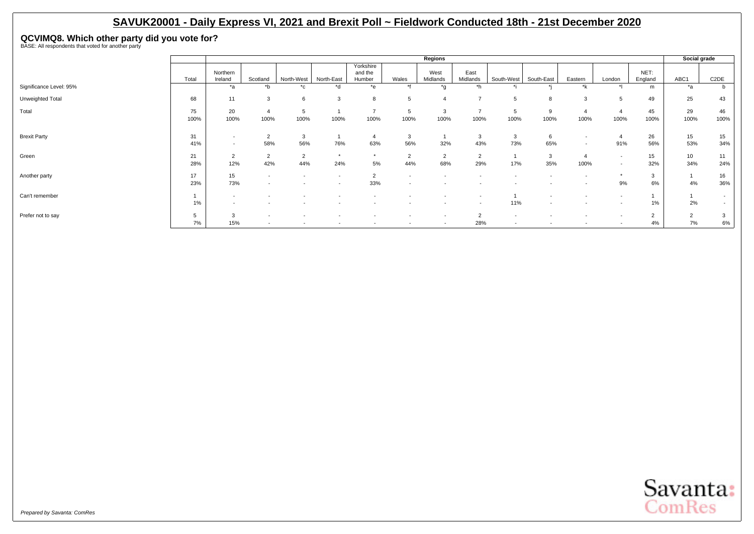**QCVIMQ8. Which other party did you vote for?** BASE: All respondents that voted for another party

|                         |            |                                                      |                                                      |                          |                          |                                |                          | Regions                  |                          |            |                          |                                                      |                                    |                      | Social grade         |                         |
|-------------------------|------------|------------------------------------------------------|------------------------------------------------------|--------------------------|--------------------------|--------------------------------|--------------------------|--------------------------|--------------------------|------------|--------------------------|------------------------------------------------------|------------------------------------|----------------------|----------------------|-------------------------|
|                         | Total      | Northern<br>Ireland                                  | Scotland                                             | North-West               | North-East               | Yorkshire<br>and the<br>Humber | Wales                    | West<br>Midlands         | East<br>Midlands         | South-West | South-East               | Eastern                                              | London                             | NET:<br>England      | ABC1                 | C <sub>2</sub> DE       |
| Significance Level: 95% |            | $*_{a}$                                              | $b^*$                                                | $^*$ c                   | $h^*$                    | $*_{e}$                        | $*$                      | $*_{n}$                  | *h                       |            |                          | *k                                                   |                                    | m                    | $*_{a}$              |                         |
| Unweighted Total        | 68         | 11                                                   | 3                                                    | 6                        | $\mathcal{R}$            | 8                              |                          |                          | $\overline{\phantom{a}}$ | 5          | 8                        | 3                                                    |                                    | 49                   | 25                   | 43                      |
| Total                   | 75<br>100% | 20<br>100%                                           | $\overline{4}$<br>100%                               | đ<br>100%                | 100%                     | $\overline{ }$<br>100%         | 5<br>100%                | 3<br>100%                | $\overline{ }$<br>100%   | b<br>100%  | 9<br>100%                | 100%                                                 | 100%                               | 45<br>100%           | 29<br>100%           | 46<br>100%              |
| <b>Brexit Party</b>     | 31<br>41%  | $\overline{\phantom{a}}$<br>$\overline{\phantom{a}}$ | $\overline{2}$<br>58%                                | 3<br>56%                 | 76%                      | $\overline{4}$<br>63%          | 3<br>56%                 | 32%                      | 3<br>43%                 | 3<br>73%   | 6<br>65%                 | $\overline{\phantom{a}}$<br>$\overline{\phantom{a}}$ | 91%                                | 26<br>56%            | 15<br>53%            | 15 <sup>15</sup><br>34% |
| Green                   | 21<br>28%  | $\overline{2}$<br>12%                                | $\overline{2}$<br>42%                                | $\overline{2}$<br>44%    | $\star$<br>24%           | $\star$<br>$5\%$               | $\sim$<br>44%            | 2<br>68%                 | $\overline{2}$<br>29%    | 17%        | 3<br>35%                 | 100%                                                 | $\sim$<br>$\overline{\phantom{a}}$ | 15<br>32%            | 10<br>34%            | 11<br>24%               |
| Another party           | 17<br>23%  | 15<br>73%                                            | $\overline{\phantom{a}}$<br>$\overline{\phantom{a}}$ |                          | $\overline{\phantom{a}}$ | $\Omega$<br>33%                |                          |                          |                          |            |                          |                                                      | 9%                                 | 3<br>6%              | 4%                   | 16<br>36%               |
| Can't remember          | $1\%$      | $\overline{\phantom{a}}$<br>$\overline{\phantom{a}}$ |                                                      |                          | $\overline{\phantom{a}}$ |                                |                          | $\overline{\phantom{a}}$ | $\overline{\phantom{a}}$ | 11%        | $\overline{\phantom{a}}$ |                                                      |                                    | 1%                   | 2%                   |                         |
| Prefer not to say       | 7%         | 3<br>15%                                             | $\overline{\phantom{a}}$<br>$\overline{\phantom{a}}$ | $\overline{\phantom{a}}$ | $\overline{\phantom{a}}$ | $\overline{\phantom{a}}$       | $\overline{\phantom{a}}$ | $\overline{\phantom{a}}$ | $\sim$<br>28%            | $\sim$     | $\overline{\phantom{a}}$ | $\overline{\phantom{a}}$                             | $\sim$                             | $\overline{2}$<br>4% | $\overline{2}$<br>7% | 6%                      |

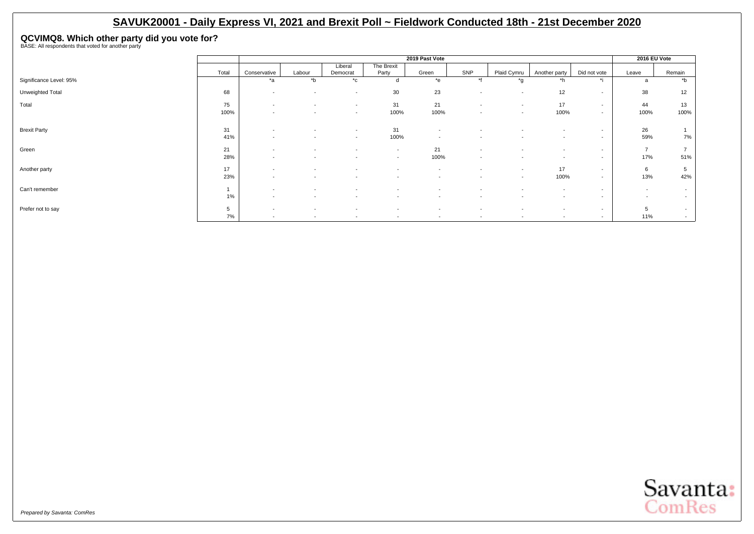**QCVIMQ8. Which other party did you vote for?** BASE: All respondents that voted for another party

|                         |       |                          |                          |                          |                          | 2019 Past Vote           |                          |                          |                          |              | 2016 EU Vote             |                          |
|-------------------------|-------|--------------------------|--------------------------|--------------------------|--------------------------|--------------------------|--------------------------|--------------------------|--------------------------|--------------|--------------------------|--------------------------|
|                         |       |                          |                          | Liberal                  | The Brexit               |                          |                          |                          |                          |              |                          |                          |
|                         | Total | Conservative             | Labour                   | Democrat                 | Party                    | Green                    | SNP                      | Plaid Cymru              | Another party            | Did not vote | Leave                    | Remain                   |
| Significance Level: 95% |       | *a                       | $b^*$                    | $^{\star}$ c             | d                        | $*$ e                    | $*$                      | *g                       | $*h$                     | $\star:$     | a                        | $b^*$                    |
| Unweighted Total        | 68    | $\overline{\phantom{a}}$ | $\sim$                   | $\sim$                   | 30                       | 23                       | $\overline{\phantom{a}}$ | $\overline{\phantom{a}}$ | 12                       | $\sim$       | 38                       | 12                       |
| Total                   | 75    | $\overline{\phantom{0}}$ | $\overline{\phantom{0}}$ | $\sim$                   | 31                       | 21                       | $\sim$                   | $\overline{\phantom{a}}$ | 17                       | $\sim$       | 44                       | 13                       |
|                         | 100%  | $\overline{\phantom{a}}$ | $\overline{\phantom{a}}$ | $\sim$                   | 100%                     | 100%                     | $\overline{\phantom{a}}$ | $\overline{\phantom{a}}$ | 100%                     | $\sim$       | 100%                     | 100%                     |
|                         |       |                          |                          |                          |                          |                          |                          |                          |                          |              |                          |                          |
| <b>Brexit Party</b>     | 31    | $\overline{\phantom{a}}$ |                          | $\sim$                   | 31                       | $\overline{\phantom{a}}$ |                          |                          | $\overline{\phantom{a}}$ | $\sim$       | 26                       |                          |
|                         | 41%   |                          |                          | $\sim$                   | 100%                     | $\overline{\phantom{a}}$ |                          |                          | $\sim$                   | $\sim$       | 59%                      | 7%                       |
| Green                   | 21    | $\overline{\phantom{a}}$ | $\overline{\phantom{0}}$ | $\sim$                   | $\overline{\phantom{a}}$ | 21                       | $\overline{\phantom{a}}$ | $\overline{\phantom{0}}$ | $\overline{\phantom{a}}$ | $\sim$       | $\overline{7}$           |                          |
|                         | 28%   | $\overline{\phantom{a}}$ | $\overline{\phantom{0}}$ | $\overline{\phantom{0}}$ | $\overline{\phantom{a}}$ | 100%                     | $\overline{\phantom{a}}$ | $\overline{\phantom{0}}$ | $\overline{\phantom{a}}$ | $\sim$       | 17%                      | 51%                      |
| Another party           | 17    | $\overline{\phantom{a}}$ |                          | $\overline{\phantom{a}}$ | $\overline{\phantom{a}}$ | $\overline{\phantom{a}}$ | $\overline{\phantom{a}}$ | $\overline{\phantom{a}}$ | 17                       | $\sim$       | 6                        | 5                        |
|                         | 23%   | $\overline{\phantom{a}}$ | $\overline{\phantom{0}}$ | $\sim$                   | $\overline{\phantom{a}}$ | $\overline{\phantom{a}}$ | $\overline{\phantom{a}}$ | $\overline{\phantom{a}}$ | 100%                     | $\sim$       | 13%                      | 42%                      |
| Can't remember          |       | $\overline{\phantom{a}}$ |                          | $\overline{\phantom{a}}$ |                          | $\overline{\phantom{a}}$ |                          | $\overline{\phantom{0}}$ | $\overline{\phantom{a}}$ | $\sim$       | $\overline{\phantom{a}}$ | $\overline{\phantom{a}}$ |
|                         | 1%    | $\overline{\phantom{a}}$ |                          |                          | $\overline{\phantom{a}}$ | $\overline{\phantom{a}}$ | $\overline{\phantom{a}}$ | $\overline{\phantom{0}}$ | $\overline{\phantom{a}}$ | $\sim$       | $\overline{\phantom{a}}$ | $\overline{\phantom{a}}$ |
| Prefer not to say       | 5     | $\overline{\phantom{a}}$ | $\overline{\phantom{a}}$ | $\sim$                   | $\overline{\phantom{a}}$ | $\overline{\phantom{a}}$ | $\overline{\phantom{a}}$ | $\overline{\phantom{a}}$ | $\overline{\phantom{0}}$ | $\sim$       | 5                        | $\sim$                   |
|                         | 7%    | $\overline{\phantom{a}}$ | $\overline{\phantom{a}}$ | $\sim$                   | $\overline{\phantom{a}}$ | $\overline{\phantom{a}}$ | $\sim$                   | $\overline{\phantom{a}}$ | $\overline{\phantom{a}}$ | $\sim$       | 11%                      | $\overline{\phantom{a}}$ |

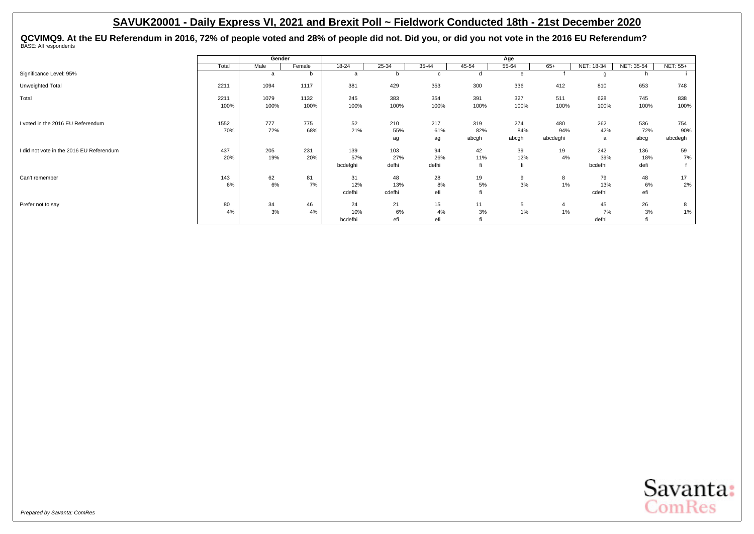QCVIMQ9. At the EU Referendum in 2016, 72% of people voted and 28% of people did not. Did you, or did you not vote in the 2016 EU Referendum?<br><sup>BASE: All respondents</sup>

|                                          |       | Gender |        |          |        |       |       | Age   |                |            |            |          |
|------------------------------------------|-------|--------|--------|----------|--------|-------|-------|-------|----------------|------------|------------|----------|
|                                          | Total | Male   | Female | 18-24    | 25-34  | 35-44 | 45-54 | 55-64 | $65+$          | NET: 18-34 | NET: 35-54 | NET: 55+ |
| Significance Level: 95%                  |       | a      | b      | a        | b      | c     | d     | e     |                | O          |            |          |
| Unweighted Total                         | 2211  | 1094   | 1117   | 381      | 429    | 353   | 300   | 336   | 412            | 810        | 653        | 748      |
| Total                                    | 2211  | 1079   | 1132   | 245      | 383    | 354   | 391   | 327   | 511            | 628        | 745        | 838      |
|                                          | 100%  | 100%   | 100%   | 100%     | 100%   | 100%  | 100%  | 100%  | 100%           | 100%       | 100%       | 100%     |
| I voted in the 2016 EU Referendum        | 1552  | 777    | 775    | 52       | 210    | 217   | 319   | 274   | 480            | 262        | 536        | 754      |
|                                          | 70%   | 72%    | 68%    | 21%      | 55%    | 61%   | 82%   | 84%   | 94%            | 42%        | 72%        | 90%      |
|                                          |       |        |        |          | ag     | ag    | abcgh | abcgh | abcdeghi       | a          | abcg       | abcdegh  |
| I did not vote in the 2016 EU Referendum | 437   | 205    | 231    | 139      | 103    | 94    | 42    | 39    | 19             | 242        | 136        | 59       |
|                                          | 20%   | 19%    | 20%    | 57%      | 27%    | 26%   | 11%   | 12%   | 4%             | 39%        | 18%        | 7%       |
|                                          |       |        |        | bcdefghi | defhi  | defhi |       |       |                | bcdefhi    | defi       |          |
| Can't remember                           | 143   | 62     | 81     | 31       | 48     | 28    | 19    | 9     | 8              | 79         | 48         | 17       |
|                                          | 6%    | 6%     | 7%     | 12%      | 13%    | 8%    | 5%    | 3%    | 1%             | 13%        | 6%         | 2%       |
|                                          |       |        |        | cdefhi   | cdefhi | efi   |       |       |                | cdefhi     | efi        |          |
| Prefer not to say                        | 80    | 34     | 46     | 24       | 21     | 15    | 11    | 5     | $\overline{4}$ | 45         | 26         | 8        |
|                                          | 4%    | 3%     | 4%     | 10%      | 6%     | 4%    | 3%    | 1%    | 1%             | 7%         | 3%         | 1%       |
|                                          |       |        |        | bcdefhi  | efi    | efi   |       |       |                | defhi      | fi         |          |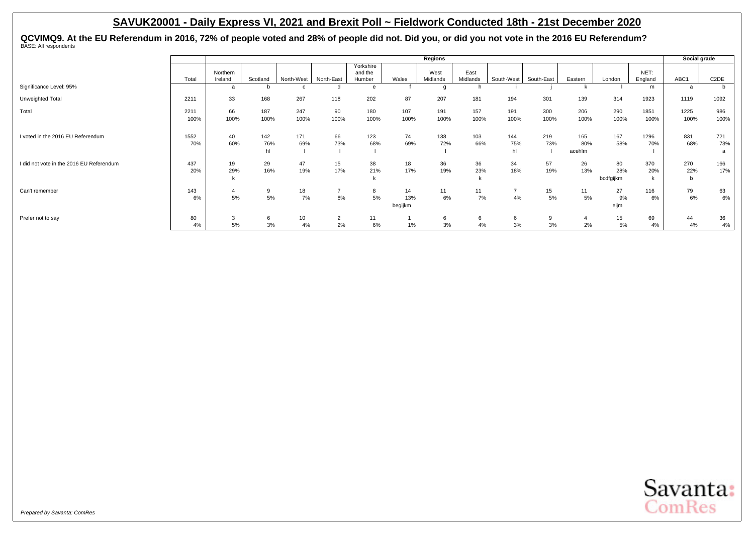QCVIMQ9. At the EU Referendum in 2016, 72% of people voted and 28% of people did not. Did you, or did you not vote in the 2016 EU Referendum?<br><sup>BASE: All respondents</sup>

|                                          |              |                      |                  |             |                      |                                |                      | Regions          |                  |                  |             |                      |                        |                 | Social grade    |                   |
|------------------------------------------|--------------|----------------------|------------------|-------------|----------------------|--------------------------------|----------------------|------------------|------------------|------------------|-------------|----------------------|------------------------|-----------------|-----------------|-------------------|
|                                          | Total        | Northern<br>Ireland  | Scotland         | North-West  | North-East           | Yorkshire<br>and the<br>Humber | Wales                | West<br>Midlands | East<br>Midlands | South-West       | South-East  | Eastern              | London                 | NET:<br>England | ABC1            | C <sub>2</sub> DE |
| Significance Level: 95%                  |              | a                    |                  | c           | d                    | e                              |                      |                  | n                |                  |             |                      |                        | m               | a               |                   |
| Unweighted Total                         | 2211         | 33                   | 168              | 267         | 118                  | 202                            | 87                   | 207              | 181              | 194              | 301         | 139                  | 314                    | 1923            | 1119            | 1092              |
| Total                                    | 2211<br>100% | 66<br>100%           | 187<br>100%      | 247<br>100% | 90<br>100%           | 180<br>100%                    | 107<br>100%          | 191<br>100%      | 157<br>100%      | 191<br>100%      | 300<br>100% | 206<br>100%          | 290<br>100%            | 1851<br>100%    | 1225<br>100%    | 986<br>100%       |
| I voted in the 2016 EU Referendum        | 1552<br>70%  | 40<br>60%            | 142<br>76%<br>hl | 171<br>69%  | 66<br>73%            | 123<br>68%                     | 74<br>69%            | 138<br>72%       | 103<br>66%       | 144<br>75%<br>hl | 219<br>73%  | 165<br>80%<br>acehlm | 167<br>58%             | 1296<br>70%     | 831<br>68%      | 721<br>73%<br>a   |
| I did not vote in the 2016 EU Referendum | 437<br>20%   | 19<br>29%            | 29<br>16%        | 47<br>19%   | 15<br>17%            | 38<br>21%                      | 18<br>17%            | 36<br>19%        | 36<br>23%<br>k   | 34<br>18%        | 57<br>19%   | 26<br>13%            | 80<br>28%<br>bcdfgijkm | 370<br>20%<br>k | 270<br>22%<br>b | 166<br>17%        |
| Can't remember                           | 143<br>6%    | $\overline{4}$<br>5% | 9<br>5%          | 18<br>7%    | 8%                   | 8<br>5%                        | 14<br>13%<br>begijkm | 11<br>6%         | 11<br>7%         | 4%               | 15<br>5%    | 11<br>5%             | 27<br>9%<br>eijm       | 116<br>6%       | 79<br>6%        | 63<br>6%          |
| Prefer not to say                        | 80<br>4%     | 3<br>5%              | 6<br>3%          | 10<br>4%    | $\overline{2}$<br>2% | 11<br>6%                       | 1%                   | 6<br>3%          | 6<br>4%          | 6<br>3%          | 9<br>3%     | 2%                   | 15<br>5%               | 69<br>4%        | 44<br>4%        | 36<br>4%          |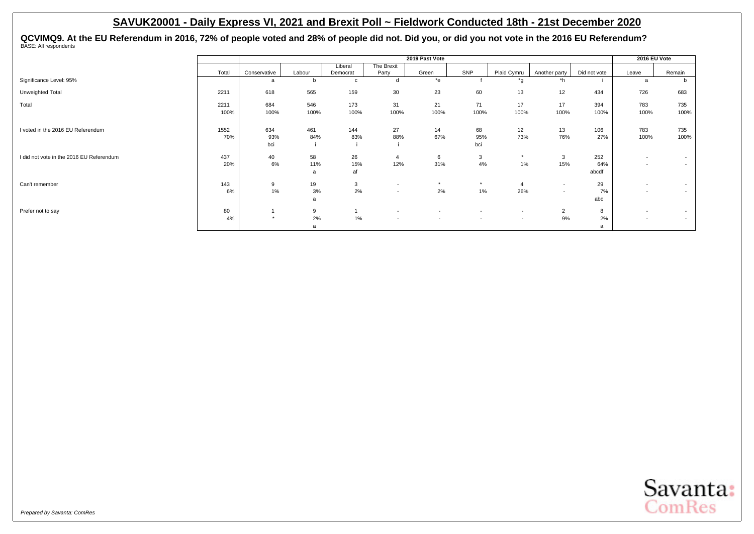QCVIMQ9. At the EU Referendum in 2016, 72% of people voted and 28% of people did not. Did you, or did you not vote in the 2016 EU Referendum?<br><sup>BASE: All respondents</sup>

|                                          |       |              |        |              |                          | 2019 Past Vote           |                          |                          |                          |              | 2016 EU Vote             |        |
|------------------------------------------|-------|--------------|--------|--------------|--------------------------|--------------------------|--------------------------|--------------------------|--------------------------|--------------|--------------------------|--------|
|                                          |       |              |        | Liberal      | The Brexit               |                          |                          |                          |                          |              |                          |        |
|                                          | Total | Conservative | Labour | Democrat     | Party                    | Green                    | SNP                      | Plaid Cymru              | Another party            | Did not vote | Leave                    | Remain |
| Significance Level: 95%                  |       | a            |        | $\mathbf{c}$ | d                        | $*$ e                    |                          | *g                       | $*h$                     |              | a                        | b      |
| Unweighted Total                         | 2211  | 618          | 565    | 159          | 30                       | 23                       | 60                       | 13                       | 12                       | 434          | 726                      | 683    |
| Total                                    | 2211  | 684          | 546    | 173          | 31                       | 21                       | 71                       | 17                       | 17                       | 394          | 783                      | 735    |
|                                          | 100%  | 100%         | 100%   | 100%         | 100%                     | 100%                     | 100%                     | 100%                     | 100%                     | 100%         | 100%                     | 100%   |
| I voted in the 2016 EU Referendum        | 1552  | 634          | 461    | 144          | 27                       | 14                       | 68                       | 12                       | 13                       | 106          | 783                      | 735    |
|                                          | 70%   | 93%          | 84%    | 83%          | 88%                      | 67%                      | 95%                      | 73%                      | 76%                      | 27%          | 100%                     | 100%   |
|                                          |       | bci          |        |              |                          |                          | bci                      |                          |                          |              |                          |        |
| I did not vote in the 2016 EU Referendum | 437   | 40           | 58     | 26           | 4                        | 6                        | 3                        | $\star$                  | 3                        | 252          | $\overline{\phantom{a}}$ | $\sim$ |
|                                          | 20%   | 6%           | 11%    | 15%          | 12%                      | 31%                      | 4%                       | $1\%$                    | 15%                      | 64%          | $\overline{\phantom{a}}$ | $\sim$ |
|                                          |       |              | a      | af           |                          |                          |                          |                          |                          | abcdf        |                          |        |
| Can't remember                           | 143   | 9            | 19     | 3            | $\overline{\phantom{a}}$ | $\star$                  | $\star$                  | $\overline{4}$           | $\overline{\phantom{a}}$ | 29           | $\overline{\phantom{a}}$ | $\sim$ |
|                                          | 6%    | 1%           | 3%     | 2%           | $\overline{\phantom{0}}$ | 2%                       | $1\%$                    | 26%                      | $\overline{a}$           | 7%           | $\overline{\phantom{a}}$ | $\sim$ |
|                                          |       |              | a      |              |                          |                          |                          |                          |                          | abc          |                          |        |
| Prefer not to say                        | 80    |              | 9      |              | $\overline{\phantom{a}}$ | $\overline{\phantom{a}}$ | $\overline{\phantom{a}}$ | $\overline{\phantom{a}}$ | $\overline{2}$           | 8            | $\overline{\phantom{a}}$ | $\sim$ |
|                                          | 4%    | $\ddot{}$    | 2%     | 1%           | $\overline{\phantom{0}}$ | $\overline{\phantom{a}}$ | $\sim$                   | $\overline{\phantom{a}}$ | 9%                       | 2%           | $\overline{\phantom{a}}$ | $\sim$ |
|                                          |       |              | a      |              |                          |                          |                          |                          |                          | a            |                          |        |

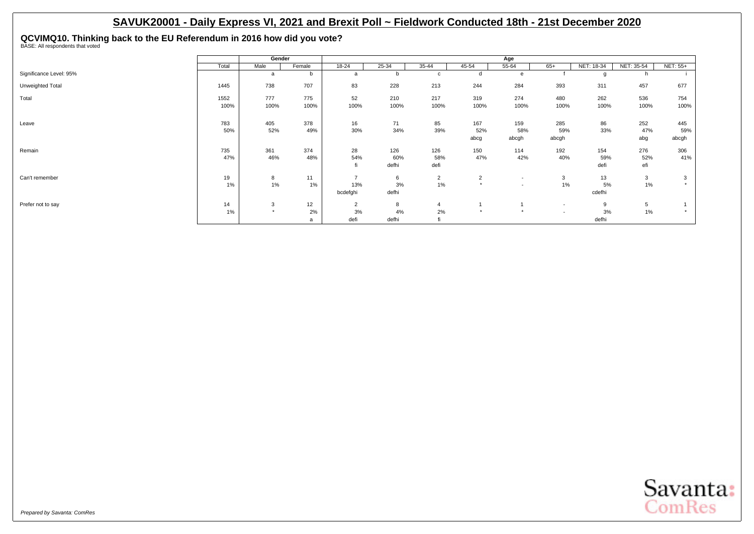**QCVIMQ10. Thinking back to the EU Referendum in 2016 how did you vote?** BASE: All respondents that voted

|                         |       | Gender  |        |                |       |                |                | Age                      |                          |            |            |          |
|-------------------------|-------|---------|--------|----------------|-------|----------------|----------------|--------------------------|--------------------------|------------|------------|----------|
|                         | Total | Male    | Female | 18-24          | 25-34 | 35-44          | 45-54          | 55-64                    | $65+$                    | NET: 18-34 | NET: 35-54 | NET: 55+ |
| Significance Level: 95% |       | a       | b      | a              | b     | c              |                | e                        |                          | O          |            |          |
| Unweighted Total        | 1445  | 738     | 707    | 83             | 228   | 213            | 244            | 284                      | 393                      | 311        | 457        | 677      |
| Total                   | 1552  | 777     | 775    | 52             | 210   | 217            | 319            | 274                      | 480                      | 262        | 536        | 754      |
|                         | 100%  | 100%    | 100%   | 100%           | 100%  | 100%           | 100%           | 100%                     | 100%                     | 100%       | 100%       | 100%     |
| Leave                   | 783   | 405     | 378    | 16             | 71    | 85             | 167            | 159                      | 285                      | 86         | 252        | 445      |
|                         | 50%   | 52%     | 49%    | 30%            | 34%   | 39%            | 52%            | 58%                      | 59%                      | 33%        | 47%        | 59%      |
|                         |       |         |        |                |       |                | abcg           | abcgh                    | abcgh                    |            | abg        | abcgh    |
| Remain                  | 735   | 361     | 374    | 28             | 126   | 126            | 150            | 114                      | 192                      | 154        | 276        | 306      |
|                         | 47%   | 46%     | 48%    | 54%            | 60%   | 58%            | 47%            | 42%                      | 40%                      | 59%        | 52%        | 41%      |
|                         |       |         |        | fi             | defhi | defi           |                |                          |                          | defi       | efi        |          |
| Can't remember          | 19    | 8       | 11     | $\overline{ }$ | 6     | $\overline{2}$ | $\overline{2}$ | $\overline{\phantom{0}}$ | 3                        | 13         | 3          | 3        |
|                         | 1%    | 1%      | $1\%$  | 13%            | 3%    | 1%             | $\rightarrow$  | $\overline{\phantom{0}}$ | 1%                       | 5%         | $1\%$      |          |
|                         |       |         |        | bcdefghi       | defhi |                |                |                          |                          | cdefhi     |            |          |
| Prefer not to say       | 14    | 3       | 12     | $\overline{2}$ | 8     | $\overline{4}$ |                |                          | $\overline{\phantom{a}}$ | 9          | 5          |          |
|                         | 1%    | $\star$ | 2%     | 3%             | $4\%$ | 2%             | $\rightarrow$  | $\star$                  | $\overline{\phantom{a}}$ | 3%         | 1%         |          |
|                         |       |         | a      | defi           | defhi | 41             |                |                          |                          | defhi      |            |          |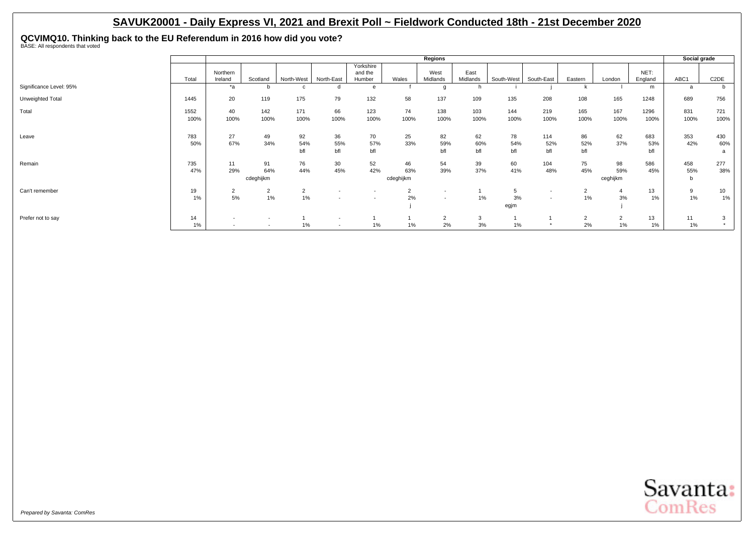**QCVIMQ10. Thinking back to the EU Referendum in 2016 how did you vote?** BASE: All respondents that voted

|                         |              |                                                      |                                                      |                      |                                                      |                                |                        | Regions                                              |                  |                  |                                                      |                      |                         |                   | Social grade    |                   |
|-------------------------|--------------|------------------------------------------------------|------------------------------------------------------|----------------------|------------------------------------------------------|--------------------------------|------------------------|------------------------------------------------------|------------------|------------------|------------------------------------------------------|----------------------|-------------------------|-------------------|-----------------|-------------------|
|                         | Total        | Northern<br>Ireland                                  | Scotland                                             | North-West           | North-East                                           | Yorkshire<br>and the<br>Humber | Wales                  | West<br>Midlands                                     | East<br>Midlands | South-West       | South-East                                           | Eastern              | London                  | NET:<br>England   | ABC1            | C <sub>2</sub> DE |
| Significance Level: 95% |              | *a                                                   | b                                                    |                      |                                                      | e                              |                        | g                                                    |                  |                  |                                                      |                      |                         | m                 | a               | b                 |
| Unweighted Total        | 1445         | 20                                                   | 119                                                  | 175                  | 79                                                   | 132                            | 58                     | 137                                                  | 109              | 135              | 208                                                  | 108                  | 165                     | 1248              | 689             | 756               |
| Total                   | 1552<br>100% | 40<br>100%                                           | 142<br>100%                                          | 171<br>100%          | 66<br>100%                                           | 123<br>100%                    | 74<br>100%             | 138<br>100%                                          | 103<br>100%      | 144<br>100%      | 219<br>100%                                          | 165<br>100%          | 167<br>100%             | 1296<br>100%      | 831<br>100%     | 721<br>100%       |
| Leave                   | 783<br>50%   | 27<br>67%                                            | 49<br>34%                                            | 92<br>54%<br>bfl     | 36<br>55%<br>bfl                                     | 70<br>57%<br>bfl               | 25<br>33%              | 82<br>59%<br>bfl                                     | 62<br>60%<br>bfl | 78<br>54%<br>bfl | 114<br>52%<br>bfl                                    | 86<br>52%<br>bfl     | 62<br>37%               | 683<br>53%<br>bfl | 353<br>42%      | 430<br>60%<br>a   |
| Remain                  | 735<br>47%   | 11<br>29%                                            | 91<br>64%<br>cdeghijkm                               | 76<br>44%            | 30<br>45%                                            | 52<br>42%                      | 46<br>63%<br>cdeghijkm | 54<br>39%                                            | 39<br>37%        | 60<br>41%        | 104<br>48%                                           | 75<br>45%            | 98<br>59%<br>ceghijkm   | 586<br>45%        | 458<br>55%<br>b | 277<br>38%        |
| Can't remember          | 19<br>$1\%$  | $\overline{2}$<br>5%                                 | $\overline{2}$<br>1%                                 | $\overline{2}$<br>1% | $\overline{\phantom{a}}$                             |                                | 2<br>2%                | $\overline{\phantom{a}}$<br>$\overline{\phantom{a}}$ | $1\%$            | 5<br>3%<br>egjm  | $\overline{\phantom{a}}$<br>$\overline{\phantom{a}}$ | $\sim$<br>∠<br>1%    | 4<br>3%                 | 13<br>1%          | 9<br>$1\%$      | 10<br>1%          |
| Prefer not to say       | 14<br>$1\%$  | $\overline{\phantom{a}}$<br>$\overline{\phantom{a}}$ | $\overline{\phantom{a}}$<br>$\overline{\phantom{a}}$ | $1\%$                | $\overline{\phantom{a}}$<br>$\overline{\phantom{a}}$ | $1\%$                          | $1\%$                  | $\overline{2}$<br>2%                                 | 3<br>3%          | $1\%$            |                                                      | $\overline{2}$<br>2% | $\overline{2}$<br>$1\%$ | 13<br>1%          | 11<br>1%        | 3<br>$\star$      |

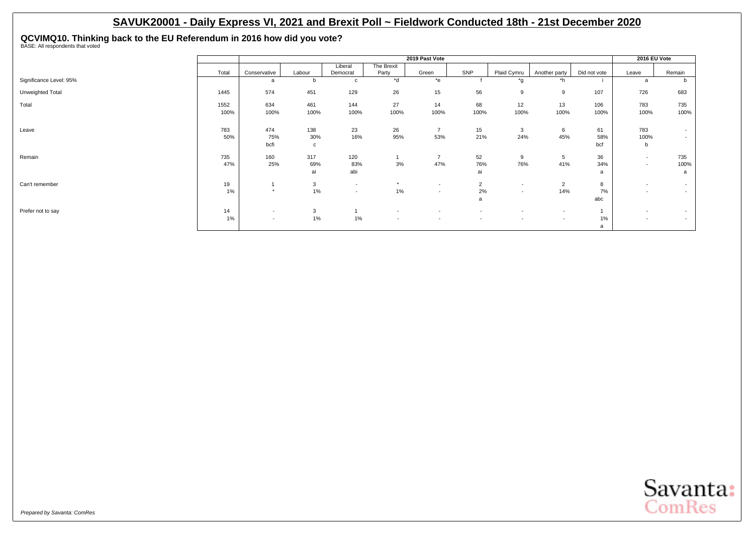**QCVIMQ10. Thinking back to the EU Referendum in 2016 how did you vote?** BASE: All respondents that voted

|                         |              |                                    |                            |                                    |                                                      | 2019 Past Vote                     |                                    |                                                      |                                            |                  | 2016 EU Vote                                         |                  |
|-------------------------|--------------|------------------------------------|----------------------------|------------------------------------|------------------------------------------------------|------------------------------------|------------------------------------|------------------------------------------------------|--------------------------------------------|------------------|------------------------------------------------------|------------------|
|                         | Total        | Conservative                       | Labour                     | Liberal<br>Democrat                | The Brexit<br>Party                                  | Green                              | SNP                                | Plaid Cymru                                          | Another party                              | Did not vote     | Leave                                                | Remain           |
| Significance Level: 95% |              | a                                  | b                          | $\mathbf{C}$                       | $\overline{d}$                                       | $*$ e                              |                                    | *g                                                   | *h                                         |                  | a                                                    | b                |
| Unweighted Total        | 1445         | 574                                | 451                        | 129                                | 26                                                   | 15                                 | 56                                 | 9                                                    | 9                                          | 107              | 726                                                  | 683              |
| Total                   | 1552<br>100% | 634<br>100%                        | 461<br>100%                | 144<br>100%                        | 27<br>100%                                           | 14<br>100%                         | 68<br>100%                         | 12<br>100%                                           | 13<br>100%                                 | 106<br>100%      | 783<br>100%                                          | 735<br>100%      |
| Leave                   | 783<br>50%   | 474<br>75%<br>bcfi                 | 138<br>30%<br>$\mathbf{c}$ | 23<br>16%                          | 26<br>95%                                            | $\overline{7}$<br>53%              | 15<br>21%                          | 3<br>24%                                             | 6<br>45%                                   | 61<br>58%<br>bcf | 783<br>100%<br>$\mathbf b$                           | $\sim$<br>$\sim$ |
| Remain                  | 735<br>47%   | 160<br>25%                         | 317<br>69%<br>ai           | 120<br>83%<br>abi                  | 3%                                                   | $\overline{7}$<br>47%              | 52<br>76%<br>ai                    | 9<br>76%                                             | 5<br>41%                                   | 36<br>34%<br>a   | $\overline{\phantom{a}}$<br>$\overline{\phantom{a}}$ | 735<br>100%<br>a |
| Can't remember          | 19<br>1%     | $\star$                            | 3<br>1%                    | $\sim$<br>$\overline{\phantom{a}}$ | $\star$<br>1%                                        | $\overline{\phantom{a}}$<br>$\sim$ | $\overline{2}$<br>2%<br>a          | $\overline{\phantom{a}}$<br>$\overline{\phantom{a}}$ | $\overline{2}$<br>14%                      | 8<br>7%<br>abc   | $\overline{\phantom{a}}$<br>$\overline{\phantom{a}}$ | $\sim$<br>$\sim$ |
| Prefer not to say       | 14<br>1%     | $\overline{\phantom{a}}$<br>$\sim$ | 3<br>1%                    | 1%                                 | $\overline{\phantom{a}}$<br>$\overline{\phantom{a}}$ | $\overline{\phantom{a}}$<br>$\sim$ | $\overline{\phantom{a}}$<br>$\sim$ | $\overline{\phantom{a}}$<br>$\overline{\phantom{a}}$ | $\overline{\phantom{a}}$<br>$\overline{a}$ | 1%<br>a          | $\overline{\phantom{a}}$<br>$\overline{\phantom{a}}$ | $\sim$<br>$\sim$ |

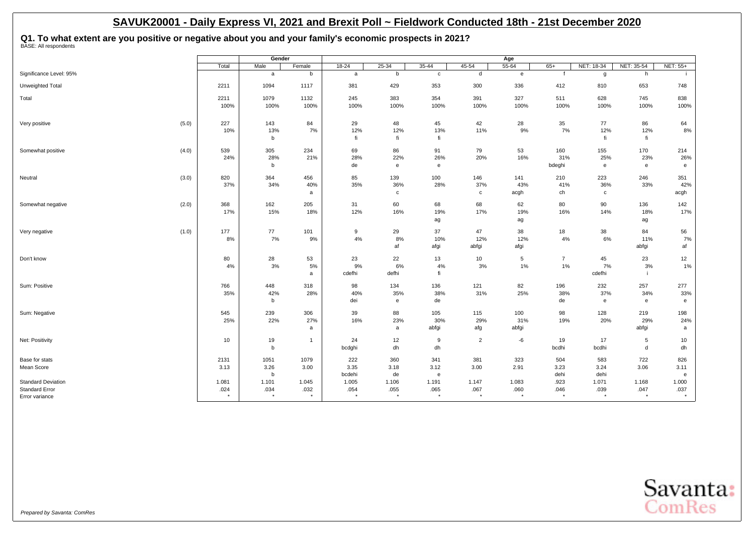## **Q1. To what extent are you positive or negative about you and your family's economic prospects in 2021?** BASE: All respondents

|                            |         | Gender       |                |                 |                                                     |              |                    | Age             |                |                    |              |              |
|----------------------------|---------|--------------|----------------|-----------------|-----------------------------------------------------|--------------|--------------------|-----------------|----------------|--------------------|--------------|--------------|
|                            | Total   | Male         | Female         | $18-24$         | $25 - 34$                                           | $35 - 44$    | 45-54              | $55 - 64$       | $65+$          | NET: 18-34         | NET: 35-54   | NET: 55+     |
| Significance Level: 95%    |         | $\mathsf{a}$ | b              | a               | b                                                   | $\mathtt{C}$ | d                  | $\mathbf{e}$    | f              | g                  | h            |              |
| Unweighted Total           | 2211    | 1094         | 1117           | 381             | 429                                                 | 353          | 300                | 336             | 412            | 810                | 653          | 748          |
| Total                      | 2211    | 1079         | 1132           | 245             | 383                                                 | 354          | 391                | 327             | 511            | 628                | 745          | 838          |
|                            | 100%    | 100%         | 100%           | 100%            | 100%                                                | 100%         | 100%               | 100%            | 100%           | 100%               | 100%         | 100%         |
| (5.0)<br>Very positive     | 227     | 143          | 84             | 29              | 48                                                  | 45           | 42                 | 28              | 35             | 77                 | 86           | 64           |
|                            | 10%     | 13%<br>b     | 7%             | 12%<br>fi       | 12%<br>fi                                           | 13%<br>fi    | 11%                | 9%              | 7%             | 12%<br>fi          | 12%<br>fi    | 8%           |
| (4.0)<br>Somewhat positive | 539     | 305          | 234            | 69              | 86                                                  | 91           | 79                 | 53              | 160            | 155                | 170          | 214          |
|                            | 24%     | 28%          | 21%            | 28%             | 22%                                                 | 26%          | 20%                | 16%             | 31%            | 25%                | 23%          | 26%          |
|                            |         | b            |                | de              | e                                                   | e            |                    |                 | bdeghi         | $\mathbf{e}$       | $\mathbf{e}$ | e            |
| (3.0)<br>Neutral           | 820     | 364          | 456            | 85              | 139                                                 | 100          | 146                | 141             | 210            | 223                | 246          | 351          |
|                            | 37%     | 34%          | 40%            | 35%             | 36%<br>$\mathbf c$                                  | 28%          | 37%<br>$\mathbf c$ | 43%             | 41%<br>ch      | 36%<br>$\mathbf c$ | 33%          | 42%          |
|                            |         |              | a              |                 |                                                     |              |                    | acgh            |                |                    |              | acgh         |
| Somewhat negative<br>(2.0) | 368     | 162          | 205            | 31              | 60                                                  | 68           | 68                 | 62              | 80             | $90\,$             | 136          | 142          |
|                            | 17%     | 15%          | 18%            | 12%             | 16%                                                 | 19%          | 17%                | 19%             | 16%            | 14%                | 18%          | 17%          |
|                            |         |              |                |                 |                                                     | ag           |                    | ag              |                |                    | ag           |              |
| (1.0)<br>Very negative     | 177     | 77           | 101            | 9               | 29                                                  | 37           | 47                 | 38              | 18             | 38                 | 84           | 56           |
|                            | 8%      | $7\%$        | 9%             | 4%              | 8%<br>af                                            | 10%          | 12%                | 12%             | 4%             | 6%                 | 11%          | 7%           |
|                            |         |              |                |                 |                                                     | afgi         | abfgi              | afgi            |                |                    | abfgi        | af           |
| Don't know                 | 80      | 28           | 53             | 23              | 22                                                  | 13           | 10                 | $5\phantom{.0}$ | $\overline{7}$ | 45                 | 23           | 12           |
|                            | 4%      | 3%           | 5%<br>a        | 9%<br>cdefhi    | 6%<br>defhi                                         | 4%<br>fi     | 3%                 | 1%              | 1%             | 7%<br>cdefhi       | 3%           | $1\%$        |
| Sum: Positive              | 766     | 448          | 318            | 98              | 134                                                 | 136          | 121                | 82              | 196            | 232                | 257          | 277          |
|                            | 35%     | 42%          | 28%            | 40%             | 35%                                                 | 38%          | 31%                | 25%             | 38%            | 37%                | 34%          | 33%          |
|                            |         | b            |                | dei             | $\mathsf{e}% _{\mathsf{H}}\left( \mathsf{e}\right)$ | de           |                    |                 | de             | $\mathbf{e}$       | $\mathbf{e}$ | $\mathbf{e}$ |
| Sum: Negative              | 545     | 239          | 306            | 39              | 88                                                  | 105          | 115                | 100             | 98             | 128                | 219          | 198          |
|                            | 25%     | 22%          | 27%            | 16%             | 23%                                                 | 30%          | 29%                | 31%             | 19%            | 20%                | 29%          | 24%          |
|                            |         |              | a              |                 | a                                                   | abfgi        | afg                | abfgi           |                |                    | abfgi        | a            |
| Net: Positivity            | 10      | 19           | $\overline{1}$ | 24              | 12                                                  | 9            | $\overline{2}$     | $-6$            | 19             | 17                 | 5            | 10           |
|                            |         | b            |                | bcdghi          | dh                                                  | dh           |                    |                 | bcdhi          | bcdhi              | d            | dh           |
| Base for stats             | 2131    | 1051         | 1079           | 222             | 360                                                 | 341          | 381                | 323             | 504            | 583                | 722          | 826          |
| Mean Score                 | 3.13    | 3.26         | 3.00           | 3.35            | 3.18                                                | 3.12         | 3.00               | 2.91            | 3.23<br>dehi   | 3.24               | 3.06         | 3.11         |
| <b>Standard Deviation</b>  | 1.081   | b<br>1.101   | 1.045          | bcdehi<br>1.005 | de<br>1.106                                         | e<br>1.191   | 1.147              | 1.083           | .923           | dehi<br>1.071      | 1.168        | e<br>1.000   |
| <b>Standard Error</b>      | .024    | .034         | .032           | .054            | .055                                                | .065         | .067               | .060            | .046           | .039               | .047         | .037         |
| Error variance             | $\star$ | $\star$      |                | $\star$         | $^\star$                                            | $\star$      |                    | $\star$         | $\star$        | $\star$            | $\star$      | $\star$      |

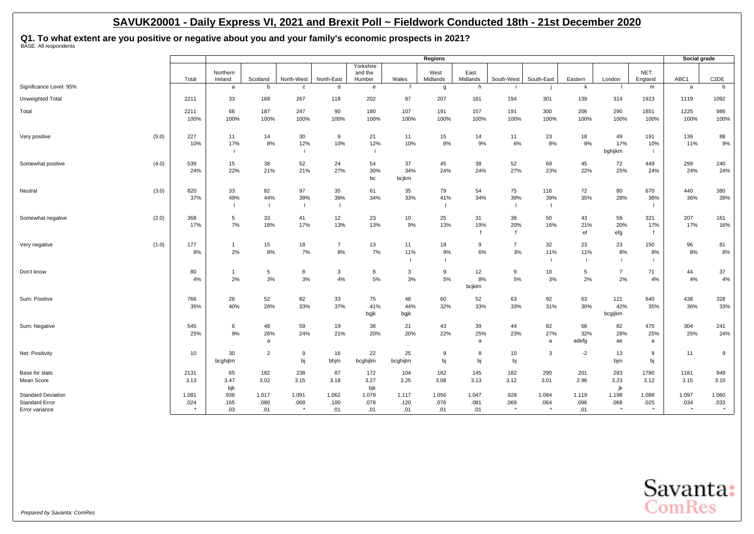**Q1. To what extent are you positive or negative about you and your family's economic prospects in 2021?** BASE: All respondents

|                                                                      |       |               |                           |                             |               |                                       |                                |                      | Regions                               |                      |                           |                   |                      |                       |                            | Social grade             |                   |
|----------------------------------------------------------------------|-------|---------------|---------------------------|-----------------------------|---------------|---------------------------------------|--------------------------------|----------------------|---------------------------------------|----------------------|---------------------------|-------------------|----------------------|-----------------------|----------------------------|--------------------------|-------------------|
|                                                                      |       | Total         | Northern<br>Ireland       | Scotland                    | North-West    | North-East                            | Yorkshire<br>and the<br>Humber | Wales                | West<br>Midlands                      | East<br>Midlands     | South-West                | South-East        | Eastern              | London                | NET:<br>England            | ABC1                     | C <sub>2</sub> DE |
| Significance Level: 95%                                              |       |               | a                         | b                           | $\mathbf{C}$  | d                                     | e                              |                      | g                                     | h                    |                           |                   | k                    |                       | m                          | a                        | b                 |
| Unweighted Total                                                     |       | 2211          | 33                        | 168                         | 267           | 118                                   | 202                            | 87                   | 207                                   | 181                  | 194                       | 301               | 139                  | 314                   | 1923                       | 1119                     | 1092              |
| Total                                                                |       | 2211<br>100%  | 66<br>100%                | 187<br>100%                 | 247<br>100%   | 90<br>100%                            | 180<br>100%                    | 107<br>100%          | 191<br>100%                           | 157<br>100%          | 191<br>100%               | 300<br>100%       | 206<br>100%          | 290<br>100%           | 1851<br>100%               | 1225<br>100%             | 986<br>100%       |
| Very positive                                                        | (5.0) | 227<br>10%    | 11<br>17%<br>÷            | 14<br>8%                    | 30<br>12%     | 9<br>10%                              | 21<br>12%                      | 11<br>10%            | 15<br>8%                              | 14<br>9%             | 11<br>6%                  | 23<br>$8\%$       | 18<br>9%             | 49<br>17%<br>bghijkm  | 191<br>10%                 | 139<br>11%               | 88<br>9%          |
| Somewhat positive                                                    | (4.0) | 539<br>24%    | 15<br>22%                 | 38<br>21%                   | 52<br>21%     | 24<br>27%                             | 54<br>30%<br>bc                | 37<br>34%<br>bcjkm   | 45<br>24%                             | 38<br>24%            | 52<br>27%                 | 69<br>23%         | 45<br>22%            | 72<br>25%             | 449<br>24%                 | 299<br>24%               | 240<br>24%        |
| Neutral                                                              | (3.0) | 820<br>37%    | 33<br>49%<br>$\mathbf{I}$ | 82<br>44%<br>$\blacksquare$ | 97<br>39%     | 35<br>39%<br>$\overline{\phantom{a}}$ | 61<br>34%                      | 35<br>33%            | 79<br>41%<br>$\overline{\phantom{a}}$ | 54<br>34%            | 75<br>39%<br>- 1          | 116<br>39%<br>- 1 | 72<br>35%            | 80<br>28%             | 670<br>36%                 | 440<br>36%               | 380<br>39%        |
| Somewhat negative                                                    | (2.0) | 368<br>17%    | 5<br>7%                   | 33<br>18%                   | 41<br>17%     | 12<br>13%                             | 23<br>13%                      | 10<br>9%             | 25<br>13%                             | 31<br>19%            | 38<br>20%<br>$\mathbf{f}$ | 50<br>16%         | 43<br>21%<br>ef      | 59<br>20%<br>efg      | 321<br>17%<br>$\mathbf{f}$ | 207<br>17%               | 161<br>16%        |
| Very negative                                                        | (1.0) | 177<br>8%     | $\overline{1}$<br>2%      | 15<br>8%                    | 18<br>7%      | $\overline{7}$<br>8%                  | 13<br>7%                       | 11<br>11%            | 18<br>9%                              | 9<br>6%              | $\overline{7}$<br>$3%$    | 32<br>11%<br>j.   | 23<br>11%<br>j.      | 23<br>8%<br>j.        | 150<br>8%                  | 96<br>8%                 | 81<br>8%          |
| Don't know                                                           |       | 80<br>4%      | $\overline{1}$<br>2%      | 5<br>3%                     | 8<br>3%       | $\mathbf{3}$<br>4%                    | 8<br>5%                        | 3<br>3%              | 9<br>5%                               | 12<br>8%<br>bcjklm   | 9<br>5%                   | 10<br>3%          | 5<br>2%              | $\overline{7}$<br>2%  | 71<br>4%                   | 44<br>4%                 | 37<br>4%          |
| Sum: Positive                                                        |       | 766<br>35%    | 26<br>40%                 | 52<br>28%                   | 82<br>33%     | 33<br>37%                             | 75<br>41%<br>bgjk              | 48<br>44%<br>bgjk    | 60<br>32%                             | 52<br>33%            | 63<br>33%                 | 92<br>31%         | 63<br>30%            | 121<br>42%<br>bcgijkm | 640<br>35%                 | 438<br>36%               | 328<br>33%        |
| Sum: Negative                                                        |       | 545<br>25%    | 6<br>9%                   | 48<br>26%<br>a              | 59<br>24%     | 19<br>21%                             | 36<br>20%                      | 21<br>20%            | 43<br>22%                             | 39<br>25%<br>a       | 44<br>23%                 | 82<br>27%<br>a    | 66<br>32%<br>adefg   | 82<br>28%<br>ae       | 470<br>25%<br>a            | 304<br>25%               | 241<br>24%        |
| Net: Positivity                                                      |       | 10            | 30<br>bcghijlm            | $\overline{2}$              | 9<br>bj       | 16<br>bhjm                            | 22<br>bcghijlm                 | 25<br>bcghijlm       | 9<br>bj                               | 8<br>bj              | 10<br>bj                  | 3                 | $-2$                 | 13<br>bjm             | 9<br>bj                    | 11                       | 9                 |
| Base for stats<br>Mean Score                                         |       | 2131<br>3.13  | 65<br>3.47<br>bjk         | 182<br>3.02                 | 238<br>3.15   | 87<br>3.18                            | 172<br>3.27<br>bjk             | 104<br>3.25          | 182<br>3.08                           | 145<br>3.13          | 182<br>3.12               | 290<br>3.01       | 201<br>2.96          | 283<br>3.23<br>jk     | 1780<br>3.12               | 1181<br>3.15             | 949<br>3.10       |
| <b>Standard Deviation</b><br><b>Standard Error</b><br>Error variance |       | 1.081<br>.024 | .936<br>.165<br>.03       | 1.017<br>.080<br>.01        | 1.091<br>.068 | 1.062<br>.100<br>.01                  | 1.079<br>.078<br>.01           | 1.117<br>.120<br>.01 | 1.056<br>.076<br>.01                  | 1.047<br>.081<br>.01 | .928<br>.069<br>$\star$   | 1.084<br>.064     | 1.119<br>.096<br>.01 | 1.198<br>.068         | 1.088<br>.025<br>$\star$   | 1.097<br>.034<br>$\star$ | 1.060<br>.033     |

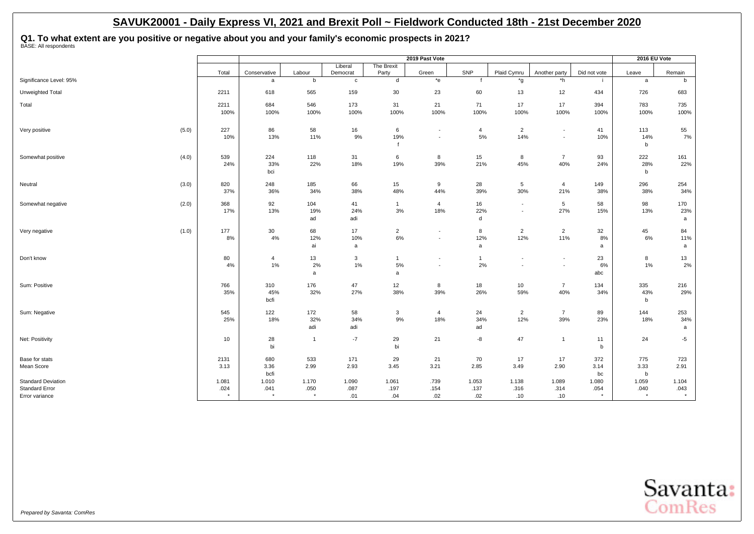**Q1. To what extent are you positive or negative about you and your family's economic prospects in 2021?** BASE: All respondents

|                                                       |                            |                                  |                            |                                   |                                        | 2019 Past Vote                    |                                   |                                   |                                   |                                 | 2016 EU Vote               |                            |
|-------------------------------------------------------|----------------------------|----------------------------------|----------------------------|-----------------------------------|----------------------------------------|-----------------------------------|-----------------------------------|-----------------------------------|-----------------------------------|---------------------------------|----------------------------|----------------------------|
|                                                       | Total                      | Conservative                     | Labour                     | Liberal<br>Democrat               | The Brexit<br>Party                    | Green                             | SNP                               | Plaid Cymru                       | Another party                     | Did not vote                    | Leave                      | Remain                     |
| Significance Level: 95%                               |                            | a                                | b                          | $\mathbf c$                       | d                                      | $*$ e                             |                                   | *g                                | *h                                |                                 | a                          | b                          |
| Unweighted Total                                      | 2211                       | 618                              | 565                        | 159                               | 30                                     | 23                                | 60                                | 13                                | 12                                | 434                             | 726                        | 683                        |
| Total                                                 | 2211                       | 684                              | 546                        | 173                               | 31                                     | 21                                | 71                                | 17                                | 17                                | 394                             | 783                        | 735                        |
|                                                       | 100%                       | 100%                             | 100%                       | 100%                              | 100%                                   | 100%                              | 100%                              | 100%                              | 100%                              | 100%                            | 100%                       | 100%                       |
| Very positive                                         | (5.0)<br>227               | 86                               | 58                         | 16                                | 6                                      | $\overline{\phantom{a}}$          | $\overline{4}$                    | $\overline{2}$                    | $\overline{\phantom{a}}$          | 41                              | 113                        | 55                         |
|                                                       | 10%                        | 13%                              | 11%                        | 9%                                | 19%                                    | $\overline{\phantom{a}}$          | 5%                                | 14%                               | $\blacksquare$                    | 10%                             | 14%<br>$\mathbf b$         | 7%                         |
| Somewhat positive                                     | (4.0)<br>539               | 224                              | 118                        | 31                                | 6                                      | 8                                 | 15                                | 8                                 | $\overline{7}$                    | 93                              | 222                        | 161                        |
|                                                       | 24%                        | 33%<br>bci                       | 22%                        | 18%                               | 19%                                    | 39%                               | 21%                               | 45%                               | 40%                               | 24%                             | 28%<br>$\mathbf b$         | 22%                        |
| Neutral                                               | 820<br>(3.0)               | 248                              | 185                        | 66                                | 15                                     | 9                                 | 28                                | 5                                 | $\overline{4}$                    | 149                             | 296                        | 254                        |
|                                                       | 37%                        | 36%                              | 34%                        | 38%                               | 48%                                    | 44%                               | 39%                               | 30%                               | 21%                               | 38%                             | 38%                        | 34%                        |
| Somewhat negative                                     | 368<br>(2.0)<br>17%        | 92<br>13%                        | 104<br>19%                 | 41<br>24%                         | $3%$                                   | $\overline{4}$<br>18%             | 16<br>22%                         | $\overline{\phantom{a}}$          | 5<br>27%                          | 58<br>15%                       | 98<br>13%                  | 170<br>23%                 |
|                                                       |                            |                                  | ad                         | adi                               |                                        |                                   | d                                 |                                   |                                   |                                 |                            | a                          |
| Very negative                                         | (1.0)<br>177               | 30                               | 68                         | 17                                | $\overline{2}$                         | $\overline{\phantom{a}}$          | 8                                 | $\overline{2}$                    | $\overline{2}$                    | 32                              | 45                         | 84                         |
|                                                       | 8%                         | 4%                               | 12%<br>ai                  | 10%<br>a                          | 6%                                     | $\overline{\phantom{a}}$          | 12%<br>a                          | 12%                               | 11%                               | 8%<br>a                         | 6%                         | 11%<br>a                   |
| Don't know                                            | 80                         | $\overline{4}$                   | 13                         | 3                                 | $\mathbf{1}$                           | $\overline{\phantom{a}}$          | $\mathbf{1}$                      |                                   | $\overline{\phantom{a}}$          | 23                              | 8                          | 13                         |
|                                                       | 4%                         | 1%                               | 2%                         | $1\%$                             | 5%                                     | $\sim$                            | 2%                                |                                   | $\overline{\phantom{a}}$          | 6%                              | 1%                         | 2%                         |
|                                                       |                            |                                  | a                          |                                   | a                                      |                                   |                                   |                                   |                                   | abc                             |                            |                            |
| Sum: Positive                                         | 766                        | 310                              | 176                        | 47                                | 12                                     | 8                                 | 18                                | 10                                | $\overline{7}$                    | 134                             | 335                        | 216                        |
|                                                       |                            | bcfi                             |                            |                                   |                                        |                                   |                                   |                                   |                                   |                                 | $\mathbf b$                |                            |
| Sum: Negative                                         | 545                        | 122                              | 172                        | 58                                | 3                                      | $\overline{4}$                    | 24                                | $\overline{2}$                    | $\overline{7}$                    | 89                              | 144                        | 253                        |
|                                                       |                            |                                  | adi                        | adi                               |                                        |                                   | ad                                |                                   |                                   |                                 |                            | a                          |
| Net: Positivity                                       | 10 <sup>1</sup>            | 28                               | $\overline{1}$             | $-7$                              | 29                                     | 21                                | -8                                | 47                                | $\mathbf{1}$                      | 11                              | 24                         | $-5$                       |
|                                                       |                            |                                  |                            |                                   |                                        |                                   |                                   |                                   |                                   |                                 |                            |                            |
| Base for stats                                        | 2131                       | 680                              | 533                        | 171                               | 29                                     | 21                                | 70                                | 17                                | 17                                | 372                             | 775                        | 723                        |
|                                                       |                            | bcfi                             |                            |                                   |                                        |                                   |                                   |                                   |                                   | bc                              | $\mathbf b$                |                            |
| <b>Standard Deviation</b>                             | 1.081                      | 1.010                            | 1.170                      | 1.090                             | 1.061                                  | .739                              | 1.053                             | 1.138                             | 1.089                             | 1.080                           | 1.059                      | 1.104                      |
|                                                       | $\ddot{\phantom{1}}$       | $\star$                          | $\star$                    |                                   |                                        |                                   |                                   |                                   |                                   | $\rightarrow$                   | $\star$                    | $\star$                    |
| Mean Score<br><b>Standard Error</b><br>Error variance | 35%<br>25%<br>3.13<br>.024 | 45%<br>18%<br>bi<br>3.36<br>.041 | 32%<br>32%<br>2.99<br>.050 | 27%<br>34%<br>2.93<br>.087<br>.01 | 38%<br>9%<br>bi<br>3.45<br>.197<br>.04 | 39%<br>18%<br>3.21<br>.154<br>.02 | 26%<br>34%<br>2.85<br>.137<br>.02 | 59%<br>12%<br>3.49<br>.316<br>.10 | 40%<br>39%<br>2.90<br>.314<br>.10 | 34%<br>23%<br>b<br>3.14<br>.054 | 43%<br>18%<br>3.33<br>.040 | 29%<br>34%<br>2.91<br>.043 |

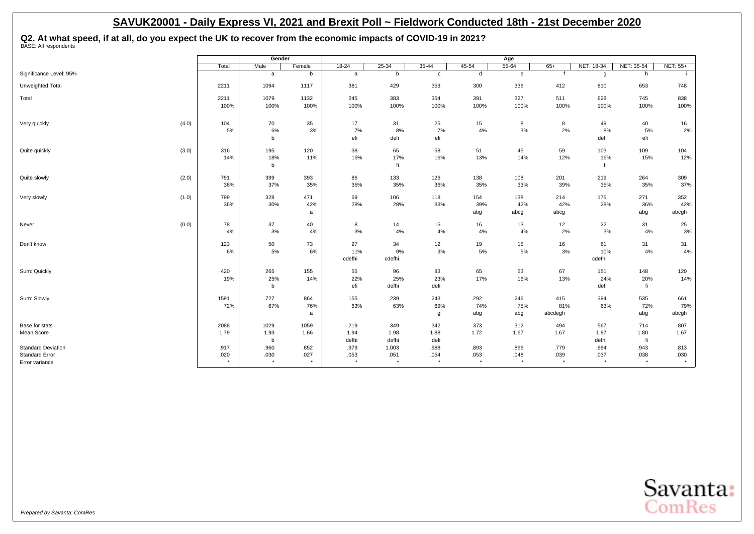## **Q2. At what speed, if at all, do you expect the UK to recover from the economic impacts of COVID-19 in 2021?** BASE: All respondents

|                           |                 | Gender          |                  |                 |                 |                 |                 | Age             |                 |                 |                 |                  |
|---------------------------|-----------------|-----------------|------------------|-----------------|-----------------|-----------------|-----------------|-----------------|-----------------|-----------------|-----------------|------------------|
|                           | Total           | Male            | Female           | $18 - 24$       | $25 - 34$       | $35 - 44$       | 45-54           | $55 - 64$       | $65+$           | NET: 18-34      | NET: 35-54      | NET: 55+         |
| Significance Level: 95%   |                 | a               | b                | a               | b               | c               | d               | $\mathbf{e}$    | $\mathbf{f}$    | g               | h               |                  |
| Unweighted Total          | 2211            | 1094            | 1117             | 381             | 429             | 353             | 300             | 336             | 412             | 810             | 653             | 748              |
| Total                     | 2211            | 1079            | 1132             | 245             | 383             | 354             | 391             | 327             | 511             | 628             | 745             | 838              |
|                           | 100%            | 100%            | 100%             | 100%            | 100%            | 100%            | 100%            | 100%            | 100%            | 100%            | 100%            | 100%             |
| Very quickly              | (4.0)<br>104    | 70              | 35               | 17              | 31              | 25              | 15              | 8               | 8               | 49              | 40              | 16               |
|                           | 5%              | 6%              | 3%               | 7%              | 8%              | 7%              | 4%              | 3%              | 2%              | 8%              | 5%              | 2%               |
|                           |                 | b               |                  | efi             | defi            | efi             |                 |                 |                 | defi            | efi             |                  |
| Quite quickly             | (3.0)<br>316    | 195             | 120              | 38              | 65              | 58              | 51              | 45              | 59              | 103             | 109             | 104              |
|                           | 14%             | 18%             | 11%              | 15%             | 17%             | 16%             | 13%             | 14%             | 12%             | 16%             | 15%             | 12%              |
|                           |                 | b               |                  |                 | fi              |                 |                 |                 |                 | fi              |                 |                  |
| Quite slowly              | 791<br>(2.0)    | 399             | 393              | 86              | 133             | 126             | 138             | 108             | 201             | 219             | 264             | 309              |
|                           | 36%             | 37%             | 35%              | 35%             | 35%             | 36%             | 35%             | 33%             | 39%             | 35%             | 35%             | 37%              |
| Very slowly               | 799<br>(1.0)    | 328             | 471              | 69              | 106             | 118             | 154             | 138             | 214             | 175             | 271             | 352              |
|                           | 36%             | 30%             | 42%              | 28%             | 28%             | 33%             | 39%             | 42%             | 42%             | 28%             | 36%             | 42%              |
|                           |                 |                 | a                |                 |                 |                 | abg             | abcg            | abcg            |                 | abg             | abcgh            |
| Never                     | 78<br>(0.0)     | 37              | 40               | 8               | 14              | 15              | 16              | 13              | 12              | 22              | 31              | 25               |
|                           | 4%              | 3%              | 4%               | 3%              | 4%              | 4%              | 4%              | 4%              | 2%              | 3%              | 4%              | 3%               |
| Don't know                | 123             | 50              | 73               | 27              | 34              | 12              | 19              | 15              | 16              | 61              | 31              | 31               |
|                           | 6%              | 5%              | 6%               | 11%             | 9%              | 3%              | 5%              | 5%              | 3%              | 10%             | 4%              | 4%               |
|                           |                 |                 |                  | cdefhi          | cdefhi          |                 |                 |                 |                 | cdefhi          |                 |                  |
| Sum: Quickly              | 420             | 265             | 155              | 55              | 96              | 83              | 65              | 53              | 67              | 151             | 148             | 120              |
|                           | 19%             | 25%             | 14%              | 22%             | 25%             | 23%             | 17%             | 16%             | 13%             | 24%             | 20%             | 14%              |
|                           |                 | b               |                  | efi             | defhi           | defi            |                 |                 |                 | defi            | fi              |                  |
| Sum: Slowly               | 1591            | 727             | 864              | 155             | 239             | 243             | 292             | 246             | 415             | 394             | 535             | 661              |
|                           | 72%             | 67%             | 76%              | 63%             | 63%             | 69%             | 74%             | 75%             | 81%             | 63%             | 72%             | 79%              |
|                           |                 |                 | a                |                 |                 | g               | abg             | abg             | abcdegh         |                 | abg             | abcgh            |
| Base for stats            | 2088            | 1029            | 1059             | 219             | 349             | 342             | 373             | 312             | 494             | 567             | 714             | 807              |
| Mean Score                | 1.79            | 1.93            | 1.66             | 1.94            | 1.98            | 1.88            | 1.72            | 1.67            | 1.67            | 1.97            | 1.80            | 1.67             |
|                           |                 | b               |                  | defhi           | defhi           | defi            |                 |                 |                 | defhi           | fi              |                  |
| <b>Standard Deviation</b> | .917            | .960            | .852             | .979            | 1.003           | .988            | .893            | .866            | .779            | .994            | .943            | .813             |
| <b>Standard Error</b>     | .020<br>$\star$ | .030<br>$\star$ | .027<br>$^\star$ | .053<br>$\star$ | .051<br>$\star$ | .054<br>$\star$ | .053<br>$\star$ | .048<br>$\star$ | .039<br>$\star$ | .037<br>$\star$ | .038<br>$\star$ | .030<br>$^\star$ |
| Error variance            |                 |                 |                  |                 |                 |                 |                 |                 |                 |                 |                 |                  |

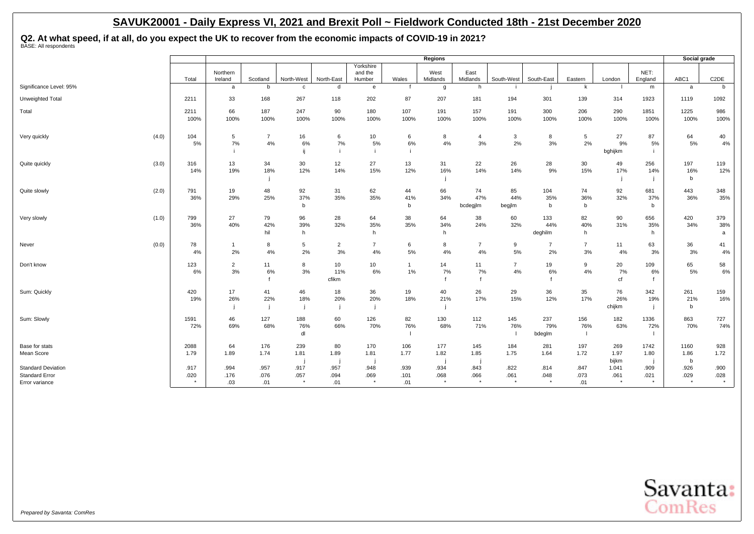**Q2. At what speed, if at all, do you expect the UK to recover from the economic impacts of COVID-19 in 2021?** BASE: All respondents

|                                                                      |                     |                      |                      |                         |                      |                                                     |                     | <b>Regions</b>          |                         |                         |                         |                      |                      |                           | Social grade                |                         |
|----------------------------------------------------------------------|---------------------|----------------------|----------------------|-------------------------|----------------------|-----------------------------------------------------|---------------------|-------------------------|-------------------------|-------------------------|-------------------------|----------------------|----------------------|---------------------------|-----------------------------|-------------------------|
|                                                                      | Total               | Northern<br>Ireland  | Scotland             | North-West              | North-East           | Yorkshire<br>and the<br>Humber                      | Wales               | West<br>Midlands        | East<br>Midlands        | South-West              | South-East              | Eastern              | London               | NET:<br>England           | ABC1                        | C <sub>2</sub> DE       |
| Significance Level: 95%                                              |                     | a                    | b                    | c                       | d                    | $\mathsf{e}% _{\mathsf{H}}\left( \mathsf{e}\right)$ |                     | $\mathbf{q}$            | h                       |                         |                         | k                    |                      | m                         | a                           | $\mathbf b$             |
| Unweighted Total                                                     | 2211                | 33                   | 168                  | 267                     | 118                  | 202                                                 | 87                  | 207                     | 181                     | 194                     | 301                     | 139                  | 314                  | 1923                      | 1119                        | 1092                    |
| Total                                                                | 2211<br>100%        | 66<br>100%           | 187<br>100%          | 247<br>100%             | 90<br>100%           | 180<br>100%                                         | 107<br>100%         | 191<br>100%             | 157<br>100%             | 191<br>100%             | 300<br>100%             | 206<br>100%          | 290<br>100%          | 1851<br>100%              | 1225<br>100%                | 986<br>100%             |
| Very quickly                                                         | (4.0)<br>104<br>5%  | 5<br>7%              | $\overline{7}$<br>4% | 16<br>6%<br>ij          | 6<br>7%              | 10<br>5%                                            | 6<br>6%             | 8<br>4%                 | $\overline{4}$<br>3%    | 3<br>2%                 | 8<br>3%                 | 5<br>2%              | 27<br>9%<br>bghijkm  | 87<br>5%                  | 64<br>5%                    | 40<br>4%                |
| Quite quickly                                                        | (3.0)<br>316<br>14% | 13<br>19%            | 34<br>18%            | 30<br>12%               | 12<br>14%            | 27<br>15%                                           | 13<br>12%           | 31<br>16%               | 22<br>14%               | 26<br>14%               | 28<br>9%                | 30<br>15%            | 49<br>17%            | 256<br>14%                | 197<br>16%<br>b             | 119<br>12%              |
| Quite slowly                                                         | (2.0)<br>791<br>36% | 19<br>29%            | 48<br>25%            | 92<br>37%<br>b          | 31<br>35%            | 62<br>35%                                           | 44<br>41%<br>b      | 66<br>34%               | 74<br>47%<br>bcdegjlm   | 85<br>44%<br>begjlm     | 104<br>35%<br>b         | 74<br>36%<br>b       | 92<br>32%            | 681<br>37%<br>b           | 443<br>36%                  | 348<br>35%              |
| Very slowly                                                          | 799<br>(1.0)<br>36% | 27<br>40%            | 79<br>42%<br>hil     | 96<br>39%<br>h          | 28<br>32%            | 64<br>35%<br>h                                      | 38<br>35%           | 64<br>34%<br>h          | 38<br>24%               | 60<br>32%               | 133<br>44%<br>deghilm   | 82<br>40%<br>h       | 90<br>31%            | 656<br>35%<br>h           | 420<br>34%                  | 379<br>38%<br>a         |
| Never                                                                | (0.0)<br>78<br>4%   | $\mathbf{1}$<br>2%   | 8<br>4%              | 5<br>2%                 | $\overline{2}$<br>3% | $\overline{7}$<br>4%                                | 6<br>5%             | 8<br>4%                 | $\overline{7}$<br>4%    | 9<br>5%                 | $\overline{7}$<br>2%    | $\overline{7}$<br>3% | 11<br>4%             | 63<br>3%                  | 36<br>3%                    | 41<br>4%                |
| Don't know                                                           | 123<br>6%           | $\overline{2}$<br>3% | 11<br>6%             | 8<br>3%                 | 10<br>11%<br>cfikm   | 10<br>6%                                            | $\mathbf{1}$<br>1%  | 14<br>7%                | 11<br>7%                | $\overline{7}$<br>4%    | 19<br>6%                | 9<br>4%              | 20<br>7%<br>cf       | 109<br>6%<br>$\mathbf{f}$ | 65<br>5%                    | 58<br>6%                |
| Sum: Quickly                                                         | 420<br>19%          | 17<br>26%            | 41<br>22%            | 46<br>18%               | 18<br>20%            | 36<br>20%                                           | 19<br>18%           | 40<br>21%               | 26<br>17%               | 29<br>15%               | 36<br>12%               | 35<br>17%            | 76<br>26%<br>chijkm  | 342<br>19%                | 261<br>21%<br>b             | 159<br>16%              |
| Sum: Slowly                                                          | 1591<br>72%         | 46<br>69%            | 127<br>68%           | 188<br>76%<br>dl        | 60<br>66%            | 126<br>70%                                          | 82<br>76%           | 130<br>68%              | 112<br>71%              | 145<br>76%              | 237<br>79%<br>bdeglm    | 156<br>76%<br>- 1    | 182<br>63%           | 1336<br>72%               | 863<br>70%                  | 727<br>74%              |
| Base for stats<br>Mean Score                                         | 2088<br>1.79        | 64<br>1.89           | 176<br>1.74          | 239<br>1.81             | 80<br>1.89           | 170<br>1.81                                         | 106<br>1.77         | 177<br>1.82             | 145<br>1.85             | 184<br>1.75             | 281<br>1.64             | 197<br>1.72          | 269<br>1.97<br>bijkm | 1742<br>1.80              | 1160<br>1.86<br>$\mathbf b$ | 928<br>1.72             |
| <b>Standard Deviation</b><br><b>Standard Error</b><br>Error variance | .917<br>.020        | .994<br>.176<br>.03  | .957<br>.076<br>.01  | .917<br>.057<br>$\star$ | .957<br>.094<br>.01  | .948<br>.069<br>$\star$                             | .939<br>.101<br>.01 | .934<br>.068<br>$\star$ | .843<br>.066<br>$\star$ | .822<br>.061<br>$\star$ | .814<br>.048<br>$\star$ | .847<br>.073<br>.01  | 1.041<br>.061        | .909<br>.021              | .926<br>.029<br>$\star$     | .900<br>.028<br>$\star$ |

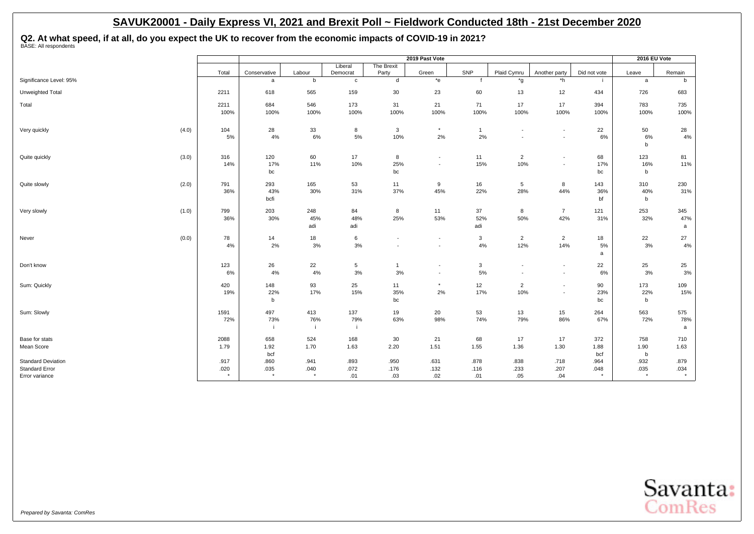**Q2. At what speed, if at all, do you expect the UK to recover from the economic impacts of COVID-19 in 2021?** BASE: All respondents

|                                                                      |                         |                         |                         |                     |                                                      | 2019 Past Vote                                       |                     |                                                      |                                                      |                         | 2016 EU Vote            |                         |
|----------------------------------------------------------------------|-------------------------|-------------------------|-------------------------|---------------------|------------------------------------------------------|------------------------------------------------------|---------------------|------------------------------------------------------|------------------------------------------------------|-------------------------|-------------------------|-------------------------|
|                                                                      | Total                   | Conservative            | Labour                  | Liberal<br>Democrat | The Brexit<br>Party                                  | Green                                                | SNP                 | Plaid Cymru                                          | Another party                                        | Did not vote            | Leave                   | Remain                  |
| Significance Level: 95%                                              |                         | a                       | b                       | $\mathbf c$         | d                                                    | $*$ e                                                | $\mathbf{f}$        | *g                                                   | *h                                                   |                         | a                       | b                       |
| Unweighted Total                                                     | 2211                    | 618                     | 565                     | 159                 | 30                                                   | 23                                                   | 60                  | 13                                                   | 12                                                   | 434                     | 726                     | 683                     |
| Total                                                                | 2211<br>100%            | 684<br>100%             | 546<br>100%             | 173<br>100%         | 31<br>100%                                           | 21<br>100%                                           | 71<br>100%          | 17<br>100%                                           | 17<br>100%                                           | 394<br>100%             | 783<br>100%             | 735<br>100%             |
| (4.0)<br>Very quickly                                                | 104<br>5%               | 28<br>4%                | 33<br>6%                | 8<br>5%             | 3<br>10%                                             | $\star$<br>2%                                        | $\mathbf{1}$<br>2%  | $\overline{\phantom{a}}$                             | $\overline{\phantom{a}}$<br>$\overline{\phantom{a}}$ | 22<br>6%                | 50<br>6%<br>b           | 28<br>4%                |
| (3.0)<br>Quite quickly                                               | 316<br>14%              | 120<br>17%<br>bc        | 60<br>11%               | 17<br>10%           | 8<br>25%<br>bc                                       | $\overline{\phantom{a}}$<br>$\overline{\phantom{a}}$ | 11<br>15%           | $\overline{2}$<br>10%                                | $\overline{\phantom{a}}$<br>$\overline{\phantom{a}}$ | 68<br>17%<br>bc         | 123<br>16%<br>b         | 81<br>11%               |
| (2.0)<br>Quite slowly                                                | 791<br>36%              | 293<br>43%<br>bcfi      | 165<br>30%              | 53<br>31%           | 11<br>37%                                            | 9<br>45%                                             | 16<br>22%           | $5\phantom{.0}$<br>28%                               | 8<br>44%                                             | 143<br>36%<br>bf        | 310<br>40%<br>b         | 230<br>31%              |
| (1.0)<br>Very slowly                                                 | 799<br>36%              | 203<br>30%              | 248<br>45%<br>adi       | 84<br>48%<br>adi    | 8<br>25%                                             | 11<br>53%                                            | 37<br>52%<br>adi    | 8<br>50%                                             | $\overline{7}$<br>42%                                | 121<br>31%              | 253<br>32%              | 345<br>47%<br>a         |
| (0.0)<br>Never                                                       | 78<br>4%                | 14<br>2%                | 18<br>$3%$              | 6<br>3%             | $\overline{\phantom{a}}$<br>$\overline{\phantom{a}}$ | $\overline{\phantom{a}}$<br>$\overline{\phantom{a}}$ | 3<br>4%             | $\overline{2}$<br>12%                                | $\overline{2}$<br>14%                                | 18<br>5%<br>a           | 22<br>3%                | 27<br>4%                |
| Don't know                                                           | 123<br>6%               | 26<br>4%                | 22<br>4%                | 5<br>$3%$           | $\mathbf{1}$<br>3%                                   | $\overline{\phantom{a}}$<br>$\overline{\phantom{a}}$ | 3<br>5%             | $\overline{\phantom{a}}$<br>$\overline{\phantom{a}}$ | $\overline{\phantom{a}}$<br>$\overline{\phantom{a}}$ | 22<br>6%                | 25<br>3%                | 25<br>3%                |
| Sum: Quickly                                                         | 420<br>19%              | 148<br>22%<br>b         | 93<br>17%               | 25<br>15%           | 11<br>35%<br>bc                                      | $\star$<br>2%                                        | 12<br>17%           | $\overline{2}$<br>10%                                | $\blacksquare$<br>$\blacksquare$                     | 90<br>23%<br>bc         | 173<br>22%<br>b         | 109<br>15%              |
| Sum: Slowly                                                          | 1591<br>72%             | 497<br>73%              | 413<br>76%              | 137<br>79%<br>j.    | 19<br>63%                                            | 20<br>98%                                            | 53<br>74%           | 13<br>79%                                            | 15<br>86%                                            | 264<br>67%              | 563<br>72%              | 575<br>78%<br>a         |
| Base for stats<br>Mean Score                                         | 2088<br>1.79            | 658<br>1.92<br>bcf      | 524<br>1.70             | 168<br>1.63         | 30<br>2.20                                           | 21<br>1.51                                           | 68<br>1.55          | 17<br>1.36                                           | 17<br>1.30                                           | 372<br>1.88<br>bcf      | 758<br>1.90<br>b        | 710<br>1.63             |
| <b>Standard Deviation</b><br><b>Standard Error</b><br>Error variance | .917<br>.020<br>$\star$ | .860<br>.035<br>$\star$ | .941<br>.040<br>$\star$ | .893<br>.072<br>.01 | .950<br>.176<br>.03                                  | .631<br>.132<br>.02                                  | .878<br>.116<br>.01 | .838<br>.233<br>.05                                  | .718<br>.207<br>.04                                  | .964<br>.048<br>$\star$ | .932<br>.035<br>$\star$ | .879<br>.034<br>$\star$ |

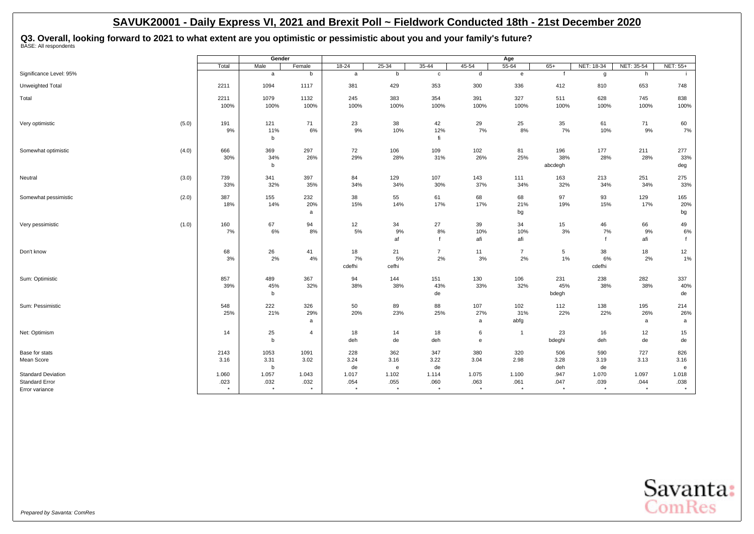## **Q3. Overall, looking forward to 2021 to what extent are you optimistic or pessimistic about you and your family's future?** BASE: All respondents

|                                                                      |               | Gender                    |                            |                          |                          |                             |                                | Age                      |                         |                    |                          |                          |
|----------------------------------------------------------------------|---------------|---------------------------|----------------------------|--------------------------|--------------------------|-----------------------------|--------------------------------|--------------------------|-------------------------|--------------------|--------------------------|--------------------------|
|                                                                      | Total         | Male                      | Female                     | $18-24$                  | $25 - 34$                | $35 - 44$                   | 45-54                          | $55 - 64$                | $65+$                   | NET: 18-34         | NET: 35-54               | <b>NET: 55+</b>          |
| Significance Level: 95%                                              |               | a                         | b                          | a                        | b                        | $\mathtt{C}$                | d                              | $\mathbf{e}$             |                         | g                  | h                        |                          |
| Unweighted Total                                                     | 2211          | 1094                      | 1117                       | 381                      | 429                      | 353                         | 300                            | 336                      | 412                     | 810                | 653                      | 748                      |
| Total                                                                | 2211<br>100%  | 1079<br>100%              | 1132<br>100%               | 245<br>100%              | 383<br>100%              | 354<br>100%                 | 391<br>100%                    | 327<br>100%              | 511<br>100%             | 628<br>100%        | 745<br>100%              | 838<br>100%              |
| (5.0)<br>Very optimistic                                             | 191<br>9%     | 121<br>11%<br>$\mathbf b$ | 71<br>6%                   | 23<br>9%                 | 38<br>10%                | 42<br>12%<br>fi             | 29<br>7%                       | 25<br>8%                 | 35<br>7%                | 61<br>10%          | 71<br>9%                 | 60<br>7%                 |
| (4.0)<br>Somewhat optimistic                                         | 666<br>30%    | 369<br>34%<br>b           | 297<br>26%                 | 72<br>29%                | 106<br>28%               | 109<br>31%                  | 102<br>26%                     | 81<br>25%                | 196<br>38%<br>abcdegh   | 177<br>28%         | 211<br>28%               | 277<br>33%<br>deg        |
| (3.0)<br>Neutral                                                     | 739<br>33%    | 341<br>32%                | 397<br>35%                 | 84<br>34%                | 129<br>34%               | 107<br>30%                  | 143<br>37%                     | 111<br>34%               | 163<br>32%              | 213<br>34%         | 251<br>34%               | 275<br>33%               |
| (2.0)<br>Somewhat pessimistic                                        | 387<br>18%    | 155<br>14%                | 232<br>20%<br>a            | 38<br>15%                | 55<br>14%                | 61<br>17%                   | 68<br>17%                      | 68<br>21%<br>bg          | 97<br>19%               | 93<br>15%          | 129<br>17%               | 165<br>20%<br>bg         |
| (1.0)<br>Very pessimistic                                            | 160<br>7%     | 67<br>6%                  | 94<br>8%                   | 12<br>5%                 | 34<br>9%<br>af           | 27<br>$8\%$<br>$\mathbf{f}$ | 39<br>10%<br>afi               | 34<br>10%<br>afi         | 15<br>$3%$              | 46<br>7%           | 66<br>9%<br>afi          | 49<br>6%                 |
| Don't know                                                           | 68<br>3%      | 26<br>2%                  | 41<br>4%                   | 18<br>7%<br>cdefhi       | 21<br>5%<br>cefhi        | $\overline{7}$<br>2%        | 11<br>3%                       | $\overline{7}$<br>2%     | 5<br>$1\%$              | 38<br>6%<br>cdefhi | 18<br>2%                 | 12<br>1%                 |
| Sum: Optimistic                                                      | 857<br>39%    | 489<br>45%<br>b           | 367<br>32%                 | 94<br>38%                | 144<br>38%               | 151<br>43%<br>de            | 130<br>33%                     | 106<br>32%               | 231<br>45%<br>bdegh     | 238<br>38%         | 282<br>38%               | 337<br>40%<br>de         |
| Sum: Pessimistic                                                     | 548<br>25%    | 222<br>21%                | 326<br>29%<br>$\mathsf{a}$ | 50<br>20%                | 89<br>23%                | 88<br>25%                   | 107<br>27%<br>a                | 102<br>31%<br>abfg       | 112<br>22%              | 138<br>22%         | 195<br>26%<br>a          | 214<br>26%<br>a          |
| Net: Optimism                                                        | 14            | 25<br>$\mathbf b$         | $\overline{4}$             | 18<br>deh                | 14<br>de                 | 18<br>deh                   | 6<br>$\mathbf{e}$              | $\overline{1}$           | 23<br>bdeghi            | 16<br>deh          | 12<br>de                 | 15<br>de                 |
| Base for stats<br>Mean Score                                         | 2143<br>3.16  | 1053<br>3.31<br>b         | 1091<br>3.02               | 228<br>3.24<br>de        | 362<br>3.16<br>e         | 347<br>3.22<br>de           | 380<br>3.04                    | 320<br>2.98              | 506<br>3.28<br>deh      | 590<br>3.19<br>de  | 727<br>3.13              | 826<br>3.16<br>e         |
| <b>Standard Deviation</b><br><b>Standard Error</b><br>Error variance | 1.060<br>.023 | 1.057<br>.032<br>$\star$  | 1.043<br>.032<br>$\star$   | 1.017<br>.054<br>$\star$ | 1.102<br>.055<br>$\star$ | 1.114<br>.060<br>$^\star$   | 1.075<br>.063<br>$\rightarrow$ | 1.100<br>.061<br>$\star$ | .947<br>.047<br>$\star$ | 1.070<br>.039      | 1.097<br>.044<br>$\star$ | 1.018<br>.038<br>$\star$ |

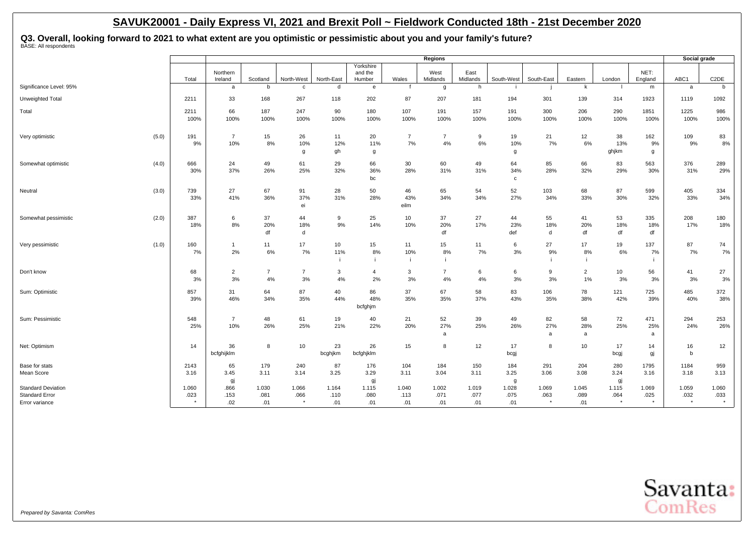**Q3. Overall, looking forward to 2021 to what extent are you optimistic or pessimistic about you and your family's future?** BASE: All respondents

|                                                                      |       |               |                       |                      |                          |                      |                                |                      | Regions              |                      |                           |                          |                      |                          |                          | Social grade             |                   |
|----------------------------------------------------------------------|-------|---------------|-----------------------|----------------------|--------------------------|----------------------|--------------------------------|----------------------|----------------------|----------------------|---------------------------|--------------------------|----------------------|--------------------------|--------------------------|--------------------------|-------------------|
|                                                                      |       | Total         | Northern<br>Ireland   | Scotland             | North-West               | North-East           | Yorkshire<br>and the<br>Humber | Wales                | West<br>Midlands     | East<br>Midlands     | South-West                | South-East               | Eastern              | London                   | NET:<br>England          | ABC1                     | C <sub>2</sub> DE |
| Significance Level: 95%                                              |       |               | a                     | b                    | C                        | d                    | e                              |                      | g                    | h                    |                           |                          | k                    |                          | m                        | a                        | b                 |
| Unweighted Total                                                     |       | 2211          | 33                    | 168                  | 267                      | 118                  | 202                            | 87                   | 207                  | 181                  | 194                       | 301                      | 139                  | 314                      | 1923                     | 1119                     | 1092              |
| Total                                                                |       | 2211<br>100%  | 66<br>100%            | 187<br>100%          | 247<br>100%              | 90<br>100%           | 180<br>100%                    | 107<br>100%          | 191<br>100%          | 157<br>100%          | 191<br>100%               | 300<br>100%              | 206<br>100%          | 290<br>100%              | 1851<br>100%             | 1225<br>100%             | 986<br>100%       |
| Very optimistic                                                      | (5.0) | 191<br>9%     | $\overline{7}$<br>10% | 15<br>8%             | 26<br>10%<br>g           | 11<br>12%<br>gh      | 20<br>11%<br>g                 | $\overline{7}$<br>7% | $\overline{7}$<br>4% | 9<br>6%              | 19<br>10%<br>g            | 21<br>7%                 | 12<br>6%             | 38<br>13%<br>ghjkm       | 162<br>9%<br>g           | 109<br>9%                | 83<br>8%          |
| Somewhat optimistic                                                  | (4.0) | 666<br>30%    | 24<br>37%             | 49<br>26%            | 61<br>25%                | 29<br>32%            | 66<br>36%<br>bc                | 30<br>28%            | 60<br>31%            | 49<br>31%            | 64<br>34%<br>$\mathbf{c}$ | 85<br>28%                | 66<br>32%            | 83<br>29%                | 563<br>30%               | 376<br>31%               | 289<br>29%        |
| Neutral                                                              | (3.0) | 739<br>33%    | 27<br>41%             | 67<br>36%            | 91<br>37%<br>ei          | 28<br>31%            | 50<br>28%                      | 46<br>43%<br>eilm    | 65<br>34%            | 54<br>34%            | 52<br>27%                 | 103<br>34%               | 68<br>33%            | 87<br>30%                | 599<br>32%               | 405<br>33%               | 334<br>34%        |
| Somewhat pessimistic                                                 | (2.0) | 387<br>18%    | 6<br>8%               | 37<br>20%<br>df      | 44<br>18%<br>d           | 9<br>9%              | 25<br>14%                      | 10<br>10%            | 37<br>20%<br>df      | 27<br>17%            | 44<br>23%<br>def          | 55<br>18%<br>d           | 41<br>20%<br>df      | 53<br>18%<br>df          | 335<br>18%<br>df         | 208<br>17%               | 180<br>18%        |
| Very pessimistic                                                     | (1.0) | 160<br>7%     | $\overline{1}$<br>2%  | 11<br>6%             | 17<br>7%                 | 10<br>11%            | 15<br>8%                       | 11<br>10%            | 15<br>8%             | 11<br>7%             | 6<br>$3%$                 | 27<br>9%                 | 17<br>8%             | 19<br>6%                 | 137<br>7%                | 87<br>7%                 | 74<br>7%          |
| Don't know                                                           |       | 68<br>3%      | $\overline{2}$<br>3%  | $\overline{7}$<br>4% | $\overline{7}$<br>3%     | 3<br>4%              | $\overline{a}$<br>2%           | 3<br>3%              | $\overline{7}$<br>4% | 6<br>4%              | 6<br>3%                   | 9<br>3%                  | $\overline{2}$<br>1% | 10<br>3%                 | 56<br>3%                 | 41<br>3%                 | 27<br>3%          |
| Sum: Optimistic                                                      |       | 857<br>39%    | 31<br>46%             | 64<br>34%            | 87<br>35%                | 40<br>44%            | 86<br>48%<br>bcfghjm           | 37<br>35%            | 67<br>35%            | 58<br>37%            | 83<br>43%                 | 106<br>35%               | 78<br>38%            | 121<br>42%               | 725<br>39%               | 485<br>40%               | 372<br>38%        |
| Sum: Pessimistic                                                     |       | 548<br>25%    | $\overline{7}$<br>10% | 48<br>26%            | 61<br>25%                | 19<br>21%            | 40<br>22%                      | 21<br>20%            | 52<br>27%<br>a       | 39<br>25%            | 49<br>26%                 | 82<br>27%<br>a           | 58<br>28%<br>a       | 72<br>25%                | 471<br>25%<br>a          | 294<br>24%               | 253<br>26%        |
| Net: Optimism                                                        |       | 14            | 36<br>bcfghijklm      | 8                    | 10                       | 23<br>bcghjkm        | 26<br>bcfghjklm                | 15                   | 8                    | 12                   | 17<br>bcgj                | 8                        | 10                   | 17<br>bcgj               | 14<br>gj                 | 16<br>b                  | 12                |
| Base for stats<br>Mean Score                                         |       | 2143<br>3.16  | 65<br>3.45<br>gj      | 179<br>3.11          | 240<br>3.14              | 87<br>3.25           | 176<br>3.29<br>gj              | 104<br>3.11          | 184<br>3.04          | 150<br>3.11          | 184<br>3.25<br>g          | 291<br>3.06              | 204<br>3.08          | 280<br>3.24<br>gj        | 1795<br>3.16             | 1184<br>3.18             | 959<br>3.13       |
| <b>Standard Deviation</b><br><b>Standard Error</b><br>Error variance |       | 1.060<br>.023 | .866<br>.153<br>.02   | 1.030<br>.081<br>.01 | 1.066<br>.066<br>$\star$ | 1.164<br>.110<br>.01 | 1.115<br>.080<br>.01           | 1.040<br>.113<br>.01 | 1.002<br>.071<br>.01 | 1.019<br>.077<br>.01 | 1.028<br>.075<br>.01      | 1.069<br>.063<br>$\star$ | 1.045<br>.089<br>.01 | 1.115<br>.064<br>$\star$ | 1.069<br>.025<br>$\star$ | 1.059<br>.032<br>$\star$ | 1.060<br>.033     |

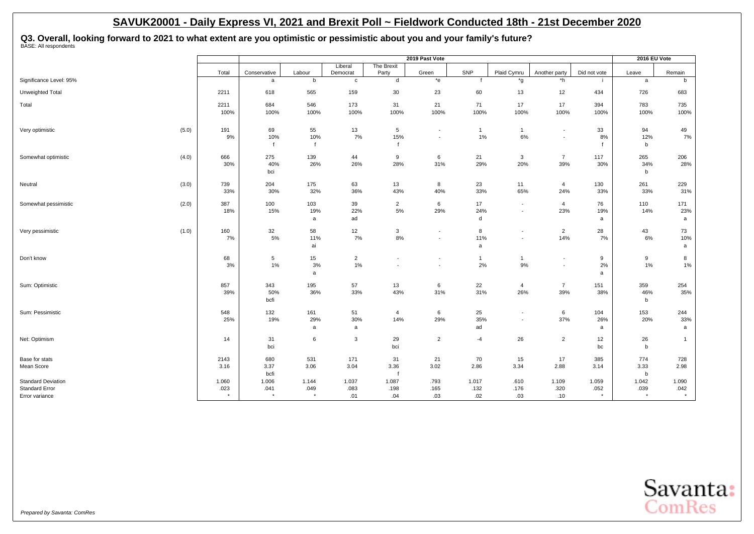**Q3. Overall, looking forward to 2021 to what extent are you optimistic or pessimistic about you and your family's future?** BASE: All respondents

|                                         |       |                 |                    |             |                      |                          | 2019 Past Vote                                       |                    |                                                      |                               |                 | 2016 EU Vote    |                 |
|-----------------------------------------|-------|-----------------|--------------------|-------------|----------------------|--------------------------|------------------------------------------------------|--------------------|------------------------------------------------------|-------------------------------|-----------------|-----------------|-----------------|
|                                         |       | Total           | Conservative       | Labour      | Liberal<br>Democrat  | The Brexit<br>Party      | Green                                                | SNP                | Plaid Cymru                                          | Another party                 | Did not vote    | Leave           | Remain          |
| Significance Level: 95%                 |       |                 | a                  | b           | $\mathbf c$          | d                        | $*_{e}$                                              |                    | *g                                                   | *h                            |                 | a               | b               |
| Unweighted Total                        |       | 2211            | 618                | 565         | 159                  | 30                       | 23                                                   | 60                 | 13                                                   | 12                            | 434             | 726             | 683             |
| Total                                   |       | 2211            | 684                | 546         | 173                  | 31                       | 21                                                   | 71                 | 17                                                   | 17                            | 394             | 783             | 735             |
|                                         |       | 100%            | 100%               | 100%        | 100%                 | 100%                     | 100%                                                 | 100%               | 100%                                                 | 100%                          | 100%            | 100%            | 100%            |
| Very optimistic                         | (5.0) | 191             | 69                 | 55          | 13                   | 5                        | $\overline{\phantom{a}}$                             | $\mathbf{1}$       | $\mathbf{1}$                                         | $\overline{\phantom{a}}$      | 33              | 94              | 49              |
|                                         |       | 9%              | 10%<br>$\mathbf f$ | 10%         | 7%                   | 15%                      | $\overline{\phantom{a}}$                             | 1%                 | 6%                                                   | $\blacksquare$                | 8%              | 12%<br>b        | 7%              |
| Somewhat optimistic                     | (4.0) | 666             | 275                | 139         | 44                   | 9                        | 6                                                    | 21                 | 3                                                    | $\overline{7}$                | 117             | 265             | 206             |
|                                         |       | 30%             | 40%<br>bci         | 26%         | 26%                  | 28%                      | 31%                                                  | 29%                | 20%                                                  | 39%                           | 30%             | 34%<br>b        | 28%             |
| Neutral                                 | (3.0) | 739             | 204                | 175         | 63                   | 13                       | 8                                                    | 23                 | 11                                                   | $\overline{4}$                | 130             | 261             | 229             |
|                                         |       | 33%             | 30%                | 32%         | 36%                  | 43%                      | 40%                                                  | 33%                | 65%                                                  | 24%                           | 33%             | 33%             | 31%             |
| Somewhat pessimistic                    | (2.0) | 387<br>18%      | 100<br>15%         | 103<br>19%  | 39<br>22%            | $\overline{2}$<br>$5%$   | 6<br>29%                                             | 17<br>24%          | $\overline{\phantom{a}}$<br>$\overline{\phantom{a}}$ | $\overline{4}$<br>23%         | 76<br>19%       | 110<br>14%      | 171<br>23%      |
|                                         |       |                 |                    | a           | ad                   |                          |                                                      | d                  |                                                      |                               | a               |                 | a               |
| Very pessimistic                        | (1.0) | 160             | 32<br>5%           | 58<br>11%   | 12<br>7%             | 3<br>$8\%$               | $\overline{\phantom{a}}$                             | 8<br>11%           |                                                      | $\overline{c}$<br>14%         | 28              | 43              | 73              |
|                                         |       | 7%              |                    | ai          |                      |                          | $\overline{\phantom{a}}$                             | a                  | $\overline{\phantom{a}}$                             |                               | 7%              | 6%              | 10%<br>a        |
| Don't know                              |       | 68<br>3%        | 5<br>1%            | 15<br>3%    | $\overline{2}$<br>1% | $\overline{\phantom{a}}$ | $\overline{\phantom{a}}$<br>$\overline{\phantom{a}}$ | $\mathbf{1}$<br>2% | 1<br>9%                                              | ٠<br>$\overline{\phantom{a}}$ | 9<br>2%         | 9<br>1%         | 8<br>$1\%$      |
|                                         |       |                 |                    | a           |                      |                          |                                                      |                    |                                                      |                               | a               |                 |                 |
| Sum: Optimistic                         |       | 857             | 343                | 195         | 57                   | 13                       | 6                                                    | 22<br>31%          | $\overline{4}$                                       | $\overline{7}$                | 151             | 359             | 254<br>35%      |
|                                         |       | 39%             | 50%<br>bcfi        | 36%         | 33%                  | 43%                      | 31%                                                  |                    | 26%                                                  | 39%                           | 38%             | 46%<br>b        |                 |
| Sum: Pessimistic                        |       | 548             | 132                | 161         | 51                   | 4                        | 6                                                    | 25                 | $\overline{\phantom{a}}$                             | 6                             | 104             | 153             | 244             |
|                                         |       | 25%             | 19%                | 29%<br>a    | 30%<br>a             | 14%                      | 29%                                                  | 35%<br>ad          | $\overline{\phantom{a}}$                             | 37%                           | 26%<br>a        | 20%             | 33%<br>a        |
| Net: Optimism                           |       | 14              | 31                 | 6           | 3                    | 29                       | $\overline{2}$                                       | $-4$               | 26                                                   | $\overline{2}$                | 12              | 26              | $\mathbf{1}$    |
|                                         |       |                 | bci                |             |                      | bci                      |                                                      |                    |                                                      |                               | bc              | $\mathbf b$     |                 |
| Base for stats<br>Mean Score            |       | 2143            | 680                | 531<br>3.06 | 171<br>3.04          | 31                       | 21<br>3.02                                           | 70<br>2.86         | 15<br>3.34                                           | 17<br>2.88                    | 385             | 774<br>3.33     | 728<br>2.98     |
|                                         |       | 3.16            | 3.37<br>bcfi       |             |                      | 3.36                     |                                                      |                    |                                                      |                               | 3.14            | $\mathbf b$     |                 |
| <b>Standard Deviation</b>               |       | 1.060           | 1.006              | 1.144       | 1.037                | 1.087                    | .793                                                 | 1.017              | .610                                                 | 1.109                         | 1.059           | 1.042           | 1.090           |
| <b>Standard Error</b><br>Error variance |       | .023<br>$\star$ | .041<br>$\star$    | .049        | .083<br>.01          | .198<br>.04              | .165<br>.03                                          | .132<br>.02        | .176<br>.03                                          | .320<br>.10                   | .052<br>$\star$ | .039<br>$\star$ | .042<br>$\star$ |
|                                         |       |                 |                    |             |                      |                          |                                                      |                    |                                                      |                               |                 |                 |                 |

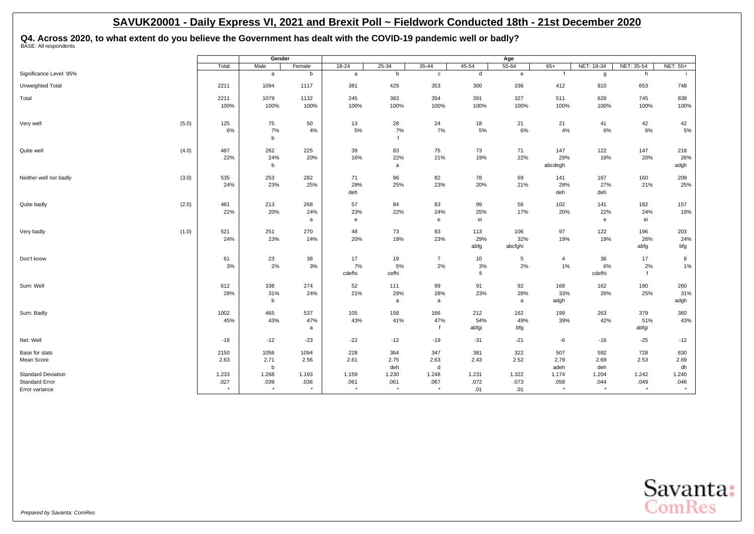Q4. Across 2020, to what extent do you believe the Government has dealt with the COVID-19 pandemic well or badly?<br><sup>BASE: All respondents</sub></sup>

|                           |       |                 | Gender          |                 |                 |                  |                                            |       | Age          |                 |                 |                 |                 |
|---------------------------|-------|-----------------|-----------------|-----------------|-----------------|------------------|--------------------------------------------|-------|--------------|-----------------|-----------------|-----------------|-----------------|
|                           |       | Total           | Male            | Female          | $18 - 24$       | $25 - 34$        | $35 - 44$                                  | 45-54 | $55 - 64$    | $65+$           | NET: 18-34      | NET: 35-54      | <b>NET: 55+</b> |
| Significance Level: 95%   |       |                 | a               | b               | a               | b                | $\mathbf c$                                | d     | $\mathbf{e}$ |                 | g               | h               |                 |
| Unweighted Total          |       | 2211            | 1094            | 1117            | 381             | 429              | 353                                        | 300   | 336          | 412             | 810             | 653             | 748             |
| Total                     |       | 2211            | 1079            | 1132            | 245             | 383              | 354                                        | 391   | 327          | 511             | 628             | 745             | 838             |
|                           |       | 100%            | 100%            | 100%            | 100%            | 100%             | 100%                                       | 100%  | 100%         | 100%            | 100%            | 100%            | 100%            |
|                           |       |                 |                 |                 |                 |                  |                                            |       |              |                 |                 |                 |                 |
| Very well                 | (5.0) | 125             | 75              | 50              | 13              | 28               | 24                                         | 18    | 21           | 21              | 41              | 42              | 42              |
|                           |       | 6%              | 7%<br>b         | 4%              | 5%              | 7%               | 7%                                         | 5%    | 6%           | 4%              | 6%              | 6%              | 5%              |
| Quite well                | (4.0) | 487             | 262             | 225             | 39              | 83               | 75                                         | 73    | 71           | 147             | 122             | 147             | 218             |
|                           |       | 22%             | 24%             | 20%             | 16%             | 22%              | 21%                                        | 19%   | 22%          | 29%             | 19%             | 20%             | 26%             |
|                           |       |                 | b               |                 |                 | a                |                                            |       |              | abcdegh         |                 |                 | adgh            |
| Neither well nor badly    | (3.0) | 535             | 253             | 282             | 71              | 96               | 82                                         | 78    | 69           | 141             | 167             | 160             | 209             |
|                           |       | 24%             | 23%             | 25%             | 29%             | 25%              | 23%                                        | 20%   | 21%          | 28%             | 27%             | 21%             | 25%             |
|                           |       |                 |                 |                 | deh             |                  |                                            |       |              | deh             | deh             |                 |                 |
| Quite badly               | (2.0) | 481             | 213             | 268             | 57              | 84               | 83                                         | 99    | 56           | 102             | 141             | 182             | 157             |
|                           |       | 22%             | 20%             | 24%             | 23%             | 22%              | 24%                                        | 25%   | 17%          | 20%             | 22%             | 24%             | 19%             |
|                           |       |                 |                 | a               | e               |                  | $\mathsf{e}% _{0}\left( \mathsf{e}\right)$ | ei    |              |                 | e               | ei              |                 |
| Very badly                | (1.0) | 521             | 251             | 270             | 48              | 73               | 83                                         | 113   | 106          | 97              | 122             | 196             | 203             |
|                           |       | 24%             | 23%             | 24%             | 20%             | 19%              | 23%                                        | 29%   | 32%          | 19%             | 19%             | 26%             | 24%             |
|                           |       |                 |                 |                 |                 |                  |                                            | abfg  | abcfghi      |                 |                 | abfg            | bfg             |
| Don't know                |       | 61              | 23              | 38              | 17              | 19               | $\overline{7}$                             | 10    | 5            | 4               | 36              | 17              | 8               |
|                           |       | 3%              | 2%              | 3%              | 7%              | 5%               | 2%                                         | 3%    | 2%           | $1\%$           | 6%              | 2%              | $1\%$           |
|                           |       |                 |                 |                 | cdefhi          | cefhi            |                                            | fi    |              |                 | cdefhi          | f               |                 |
| Sum: Well                 |       | 612             | 338             | 274             | 52              | 111              | 99                                         | 91    | 92           | 168             | 162             | 190             | 260             |
|                           |       | 28%             | 31%             | 24%             | 21%             | 29%              | 28%                                        | 23%   | 28%          | 33%             | 26%             | 25%             | 31%             |
|                           |       |                 | b               |                 |                 | a                | a                                          |       | a            | adgh            |                 |                 | adgh            |
| Sum: Badly                |       | 1002            | 465             | 537             | 105             | 158              | 166                                        | 212   | 162          | 199             | 263             | 379             | 360             |
|                           |       | 45%             | 43%             | 47%             | 43%             | 41%              | 47%                                        | 54%   | 49%          | 39%             | 42%             | 51%             | 43%             |
|                           |       |                 |                 | a               |                 |                  |                                            | abfgi | bfg          |                 |                 | abfgi           |                 |
| Net: Well                 |       | $-18$           | $-12$           | $-23$           | $-22$           | $-12$            | $-19$                                      | $-31$ | $-21$        | -6              | $-16$           | $-25$           | $-12$           |
| Base for stats            |       | 2150            | 1056            | 1094            | 228             | 364              | 347                                        | 381   | 322          | 507             | 592             | 728             | 830             |
| Mean Score                |       | 2.63            | 2.71            | 2.56            | 2.61            | 2.75             | 2.63                                       | 2.43  | 2.52         | 2.79            | 2.69            | 2.53            | 2.69            |
|                           |       |                 | b               |                 |                 | deh              | d                                          |       |              | adeh            | deh             |                 | dh              |
| <b>Standard Deviation</b> |       | 1.233           | 1.268           | 1.193           | 1.159           | 1.230            | 1.248                                      | 1.231 | 1.322        | 1.174           | 1.204           | 1.242           | 1.240           |
| <b>Standard Error</b>     |       | .027<br>$\star$ | .039<br>$\star$ | .036<br>$\star$ | .061<br>$\star$ | .061<br>$^\star$ | .067<br>$^\star$                           | .072  | .073         | .058<br>$\star$ | .044<br>$\star$ | .049<br>$\star$ | .046            |
| Error variance            |       |                 |                 |                 |                 |                  |                                            | .01   | .01          |                 |                 |                 |                 |

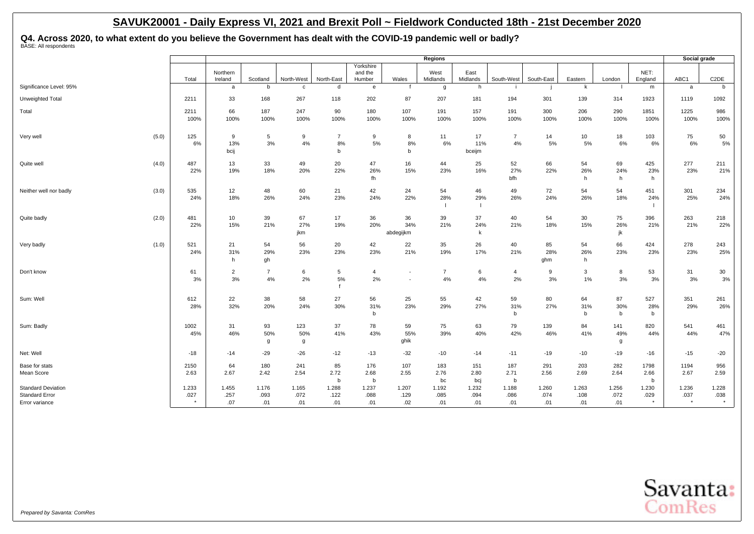Q4. Across 2020, to what extent do you believe the Government has dealt with the COVID-19 pandemic well or badly?<br><sup>BASE: All respondents</sub></sup>

|                                                                      |       |               |                      |                      |                      |                           |                                |                                    | Regions              |                      |                          |                      |                          |                      |                             | Social grade             |                           |
|----------------------------------------------------------------------|-------|---------------|----------------------|----------------------|----------------------|---------------------------|--------------------------------|------------------------------------|----------------------|----------------------|--------------------------|----------------------|--------------------------|----------------------|-----------------------------|--------------------------|---------------------------|
|                                                                      |       | Total         | Northern<br>Ireland  | Scotland             | North-West           | North-East                | Yorkshire<br>and the<br>Humber | Wales                              | West<br>Midlands     | East<br>Midlands     | South-West               | South-East           | Eastern                  | London               | NET:<br>England             | ABC1                     | C <sub>2</sub> DE         |
| Significance Level: 95%                                              |       |               | a                    | b                    | $\mathbf{c}$         | d                         | e                              |                                    | g                    | h                    |                          |                      | k                        |                      | m                           | a                        | b                         |
| Unweighted Total                                                     |       | 2211          | 33                   | 168                  | 267                  | 118                       | 202                            | 87                                 | 207                  | 181                  | 194                      | 301                  | 139                      | 314                  | 1923                        | 1119                     | 1092                      |
| Total                                                                |       | 2211<br>100%  | 66<br>100%           | 187<br>100%          | 247<br>100%          | 90<br>100%                | 180<br>100%                    | 107<br>100%                        | 191<br>100%          | 157<br>100%          | 191<br>100%              | 300<br>100%          | 206<br>100%              | 290<br>100%          | 1851<br>100%                | 1225<br>100%             | 986<br>100%               |
| Very well                                                            | (5.0) | 125<br>6%     | 9<br>13%<br>bcij     | 5<br>3%              | 9<br>$4\%$           | $\overline{7}$<br>8%<br>b | 9<br>5%                        | 8<br>8%<br>b                       | 11<br>6%             | 17<br>11%<br>bceijm  | $\overline{7}$<br>4%     | 14<br>5%             | 10 <sup>°</sup><br>5%    | 18<br>6%             | 103<br>6%                   | 75<br>6%                 | 50<br>5%                  |
| Quite well                                                           | (4.0) | 487<br>22%    | 13<br>19%            | 33<br>18%            | 49<br>20%            | 20<br>22%                 | 47<br>26%<br>fh                | 16<br>15%                          | 44<br>23%            | 25<br>16%            | 52<br>27%<br>bfh         | 66<br>22%            | 54<br>26%<br>h           | 69<br>24%<br>h       | 425<br>23%<br>h             | 277<br>23%               | 211<br>21%                |
| Neither well nor badly                                               | (3.0) | 535<br>24%    | 12<br>18%            | 48<br>26%            | 60<br>24%            | 21<br>23%                 | 42<br>24%                      | 24<br>22%                          | 54<br>28%            | 46<br>29%<br>- 1     | 49<br>26%                | 72<br>24%            | 54<br>26%                | 54<br>18%            | 451<br>24%                  | 301<br>25%               | 234<br>24%                |
| Quite badly                                                          | (2.0) | 481<br>22%    | 10<br>15%            | 39<br>21%            | 67<br>27%<br>jkm     | 17<br>19%                 | 36<br>20%                      | 36<br>34%<br>abdegijkm             | 39<br>21%            | 37<br>24%<br>k       | 40<br>21%                | 54<br>18%            | 30<br>15%                | 75<br>26%<br>jk      | 396<br>21%                  | 263<br>21%               | 218<br>22%                |
| Very badly                                                           | (1.0) | 521<br>24%    | 21<br>31%<br>h       | 54<br>29%<br>gh      | 56<br>23%            | 20<br>23%                 | 42<br>23%                      | 22<br>21%                          | 35<br>19%            | 26<br>17%            | 40<br>21%                | 85<br>28%<br>ghm     | 54<br>26%<br>h           | 66<br>23%            | 424<br>23%                  | 278<br>23%               | 243<br>25%                |
| Don't know                                                           |       | 61<br>3%      | $\overline{2}$<br>3% | $\overline{7}$<br>4% | 6<br>2%              | 5<br>5%<br>$\mathbf f$    | 4<br>2%                        | $\sim$<br>$\overline{\phantom{a}}$ | $\overline{7}$<br>4% | 6<br>4%              | $\overline{4}$<br>2%     | 9<br>3%              | 3<br>$1\%$               | 8<br>3%              | 53<br>3%                    | 31<br>3%                 | 30<br>3%                  |
| Sum: Well                                                            |       | 612<br>28%    | 22<br>32%            | 38<br>20%            | 58<br>24%            | 27<br>30%                 | 56<br>31%<br>b                 | 25<br>23%                          | 55<br>29%            | 42<br>27%            | 59<br>31%<br>$\mathsf b$ | 80<br>27%            | 64<br>31%<br>$\mathbf b$ | 87<br>30%<br>b       | 527<br>28%<br>b             | 351<br>29%               | 261<br>26%                |
| Sum: Badly                                                           |       | 1002<br>45%   | 31<br>46%            | 93<br>50%<br>g       | 123<br>50%<br>g      | 37<br>41%                 | 78<br>43%                      | 59<br>55%<br>ghik                  | 75<br>39%            | 63<br>40%            | 79<br>42%                | 139<br>46%           | 84<br>41%                | 141<br>49%<br>g      | 820<br>44%                  | 541<br>44%               | 461<br>47%                |
| Net: Well                                                            |       | $-18$         | $-14$                | $-29$                | $-26$                | $-12$                     | $-13$                          | $-32$                              | $-10$                | $-14$                | $-11$                    | $-19$                | $-10$                    | $-19$                | $-16$                       | $-15$                    | $-20$                     |
| Base for stats<br>Mean Score                                         |       | 2150<br>2.63  | 64<br>2.67           | 180<br>2.42          | 241<br>2.54          | 85<br>2.72<br>b           | 176<br>2.68<br>b               | 107<br>2.55                        | 183<br>2.76<br>bc    | 151<br>2.80<br>bcj   | 187<br>2.71<br>b         | 291<br>2.56          | 203<br>2.69              | 282<br>2.64          | 1798<br>2.66<br>$\mathbf b$ | 1194<br>2.67             | 956<br>2.59               |
| <b>Standard Deviation</b><br><b>Standard Error</b><br>Error variance |       | 1.233<br>.027 | 1.455<br>.257<br>.07 | 1.176<br>.093<br>.01 | 1.165<br>.072<br>.01 | 1.288<br>.122<br>.01      | 1.237<br>.088<br>.01           | 1.207<br>.129<br>.02               | 1.192<br>.085<br>.01 | 1.232<br>.094<br>.01 | 1.188<br>.086<br>.01     | 1.260<br>.074<br>.01 | 1.263<br>.108<br>.01     | 1.256<br>.072<br>.01 | 1.230<br>.029               | 1.236<br>.037<br>$\star$ | 1.228<br>.038<br>$^\star$ |

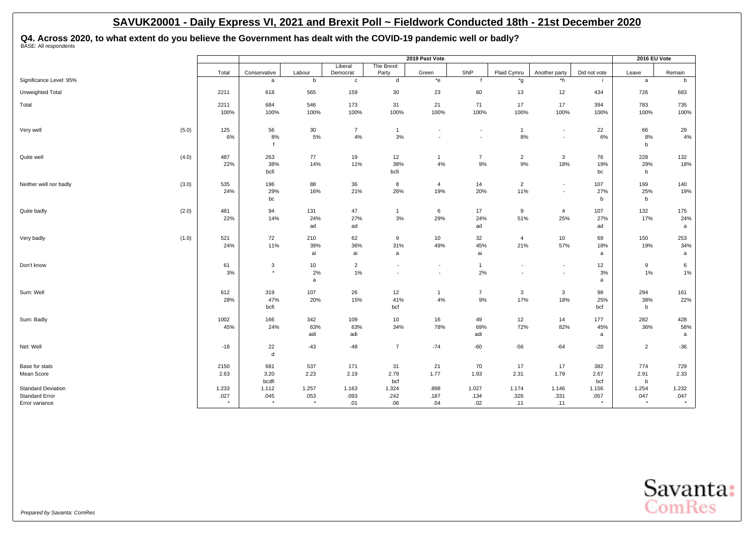Q4. Across 2020, to what extent do you believe the Government has dealt with the COVID-19 pandemic well or badly?<br><sup>BASE: All respondents</sub></sup>

|                                                    |               |                   |               |                          |                          | 2019 Past Vote           |                |                          |                          |               | 2016 EU Vote          |               |
|----------------------------------------------------|---------------|-------------------|---------------|--------------------------|--------------------------|--------------------------|----------------|--------------------------|--------------------------|---------------|-----------------------|---------------|
|                                                    |               |                   |               | Liberal                  | The Brexit               |                          | SNP            |                          |                          |               |                       |               |
| Significance Level: 95%                            | Total         | Conservative<br>a | Labour<br>b   | Democrat<br>$\mathtt{c}$ | Party<br>d               | Green<br>*e              | f              | Plaid Cymru<br>*g        | Another party<br>*h      | Did not vote  | Leave<br>$\mathsf{a}$ | Remain<br>b   |
|                                                    |               |                   |               |                          |                          |                          |                |                          |                          |               |                       |               |
| Unweighted Total                                   | 2211          | 618               | 565           | 159                      | 30                       | 23                       | 60             | 13                       | 12                       | 434           | 726                   | 683           |
| Total                                              | 2211          | 684               | 546           | 173                      | 31                       | 21                       | 71             | 17                       | 17                       | 394           | 783                   | 735           |
|                                                    | 100%          | 100%              | 100%          | 100%                     | 100%                     | 100%                     | 100%           | 100%                     | 100%                     | 100%          | 100%                  | 100%          |
| Very well                                          | (5.0)<br>125  | 56                | $30\,$        | $\overline{7}$           | $\mathbf{1}$             | $\blacksquare$           |                | $\mathbf{1}$             | $\sim$                   | 22            | 66                    | 29            |
|                                                    | 6%            | 8%                | $5\%$         | 4%                       | 3%                       | $\sim$                   | $\sim$         | 8%                       | $\blacksquare$           | 6%            | $8\%$                 | $4\%$         |
|                                                    |               | $\mathbf{f}$      |               |                          |                          |                          |                |                          |                          |               | b                     |               |
| Quite well                                         | 487<br>(4.0)  | 263               | 77            | 19                       | 12                       | $\overline{1}$           | $\overline{7}$ | $\overline{2}$           | $\mathbf{3}$             | 76            | 228                   | 132           |
|                                                    | 22%           | 38%               | 14%           | 11%                      | 38%                      | $4\%$                    | $9%$           | 9%                       | 18%                      | 19%           | 29%                   | 18%           |
|                                                    |               | bcfi              |               |                          | bcfi                     |                          |                |                          |                          | bc            | b                     |               |
| Neither well nor badly                             | (3.0)<br>535  | 196               | 88            | 36                       | 8                        | $\overline{4}$           | 14             | $\overline{2}$           | $\blacksquare$           | 107           | 199                   | 140           |
|                                                    | 24%           | 29%               | 16%           | 21%                      | 26%                      | 19%                      | 20%            | 11%                      | $\blacksquare$           | 27%           | 25%                   | 19%           |
|                                                    |               | bc                |               |                          |                          |                          |                |                          |                          | b             | b                     |               |
| Quite badly                                        | (2.0)<br>481  | 94                | 131           | 47                       | $\mathbf{1}$             | 6                        | 17             | 9                        | $\overline{4}$           | 107           | 132                   | 175           |
|                                                    | 22%           | 14%               | 24%           | 27%                      | 3%                       | 29%                      | 24%            | 51%                      | 25%                      | 27%           | 17%                   | 24%           |
|                                                    |               |                   | ad            | ad                       |                          |                          | ad             |                          |                          | ad            |                       | a             |
| Very badly                                         | 521<br>(1.0)  | 72                | 210           | 62                       | 9                        | 10                       | 32             | $\overline{4}$           | 10                       | 69            | 150                   | 253           |
|                                                    | 24%           | 11%               | 39%           | 36%                      | 31%                      | 49%                      | 45%            | 21%                      | 57%                      | 18%           | 19%                   | 34%           |
|                                                    |               |                   | ai            | ai                       | a                        |                          | ai             |                          |                          | a             |                       | a             |
| Don't know                                         | 61            | $\sqrt{3}$        | 10            | $\overline{c}$           | $\overline{\phantom{a}}$ | $\overline{\phantom{a}}$ | $\mathbf{1}$   | $\overline{\phantom{a}}$ | $\overline{\phantom{a}}$ | 12            | 9                     | 6             |
|                                                    | 3%            | $\star$           | 2%            | 1%                       | $\overline{\phantom{a}}$ | $\overline{\phantom{a}}$ | 2%             | $\overline{\phantom{a}}$ | $\blacksquare$           | 3%            | 1%                    | 1%            |
|                                                    |               |                   | a             |                          |                          |                          |                |                          |                          | a             |                       |               |
| Sum: Well                                          | 612           | 319               | 107           | 26                       | 12                       | $\overline{1}$           | $\overline{7}$ | $\mathbf{3}$             | $\mathbf{3}$             | 98            | 294                   | 161           |
|                                                    | 28%           | 47%               | 20%           | 15%                      | 41%                      | $4\%$                    | 9%             | 17%                      | 18%                      | 25%           | 38%                   | 22%           |
|                                                    |               | bcfi              |               |                          | bcf                      |                          |                |                          |                          | bcf           | b                     |               |
| Sum: Badly                                         | 1002          | 166               | 342           | 109                      | 10                       | 16                       | 49             | 12                       | 14                       | 177           | 282                   | 428           |
|                                                    | 45%           | 24%               | 63%           | 63%                      | 34%                      | 78%                      | 69%            | 72%                      | 82%                      | 45%           | 36%                   | 58%           |
|                                                    |               |                   | adi           | adi                      |                          |                          | adi            |                          |                          | a             |                       | a             |
| Net: Well                                          | $-18$         | 22                | $-43$         | $-48$                    | $\overline{7}$           | $-74$                    | $-60$          | $-56$                    | $-64$                    | $-20$         | $\overline{2}$        | $-36$         |
|                                                    |               | ${\sf d}$         |               |                          |                          |                          |                |                          |                          |               |                       |               |
| Base for stats                                     | 2150          | 681               | 537           | 171                      | 31                       | 21                       | 70             | 17                       | 17                       | 382           | 774                   | 729           |
| Mean Score                                         | 2.63          | 3.20              | 2.23          | 2.19                     | 2.79                     | 1.77                     | 1.93           | 2.31                     | 1.79                     | 2.67          | 2.91                  | 2.33          |
|                                                    |               | bcdfi             |               |                          | bcf                      |                          |                |                          |                          | bcf           | b                     |               |
| <b>Standard Deviation</b><br><b>Standard Error</b> | 1.233<br>.027 | 1.112<br>.045     | 1.257<br>.053 | 1.163<br>.093            | 1.324<br>.242            | .898<br>.187             | 1.027<br>.134  | 1.174<br>.326            | 1.146<br>.331            | 1.156<br>.057 | 1.254<br>.047         | 1.232<br>.047 |
| Error variance                                     | $\star$       | $\star$           | $\star$       | .01                      | .06                      | .04                      | .02            | .11                      | .11                      | $\star$       | $\star$               | $\star$       |

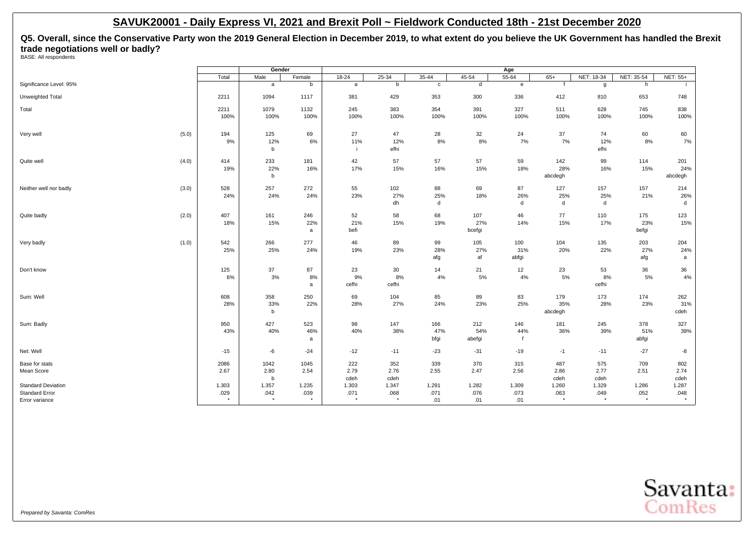**Q5. Overall, since the Conservative Party won the 2019 General Election in December 2019, to what extent do you believe the UK Government has handled the Brexit trade negotiations well or badly?** BASE: All respondents

|                                                    |               | Gender        |               |               |               |               |               | Age           |                |               |               |                 |
|----------------------------------------------------|---------------|---------------|---------------|---------------|---------------|---------------|---------------|---------------|----------------|---------------|---------------|-----------------|
|                                                    | Total         | Male          | Female        | $18 - 24$     | $25 - 34$     | $35 - 44$     | 45-54         | $55 - 64$     | $65+$          | NET: 18-34    | NET: 35-54    | <b>NET: 55+</b> |
| Significance Level: 95%                            |               | $\mathsf{a}$  | b             | a             | b             | $\mathtt{c}$  | d             | $\mathbf{e}$  | $\mathbf{f}$   | g             | h             |                 |
| Unweighted Total                                   | 2211          | 1094          | 1117          | 381           | 429           | 353           | 300           | 336           | 412            | 810           | 653           | 748             |
| Total                                              | 2211          | 1079          | 1132          | 245           | 383           | 354           | 391           | 327           | 511            | 628           | 745           | 838             |
|                                                    | 100%          | 100%          | 100%          | 100%          | 100%          | 100%          | 100%          | 100%          | 100%           | 100%          | 100%          | 100%            |
| (5.0)<br>Very well                                 | 194           | 125           | 69            | 27            | 47            | 28            | 32            | 24            | 37             | 74            | 60            | 60              |
|                                                    | 9%            | 12%<br>b      | $6\%$         | 11%<br>-i-    | 12%<br>efhi   | 8%            | 8%            | 7%            | 7%             | 12%<br>efhi   | 8%            | 7%              |
| (4.0)<br>Quite well                                | 414           | 233           | 181           | 42            | 57            | 57            | 57            | 59            | 142            | 99            | 114           | 201             |
|                                                    | 19%           | 22%<br>b      | 16%           | 17%           | 15%           | 16%           | 15%           | 18%           | 28%<br>abcdegh | 16%           | 15%           | 24%<br>abcdegh  |
|                                                    |               |               |               |               |               |               |               |               |                |               |               |                 |
| (3.0)<br>Neither well nor badly                    | 528           | 257           | 272           | 55            | 102           | 88            | 69            | 87            | 127            | 157           | 157           | 214             |
|                                                    | 24%           | 24%           | 24%           | 23%           | 27%           | 25%           | 18%           | 26%           | 25%            | 25%           | 21%           | 26%             |
|                                                    |               |               |               |               | dh            | d             |               | d             | d              | d             |               | d               |
| (2.0)<br>Quite badly                               | 407           | 161           | 246           | 52            | 58            | 68            | 107           | 46            | 77             | 110           | 175           | 123             |
|                                                    | 18%           | 15%           | 22%           | 21%           | 15%           | 19%           | 27%           | 14%           | 15%            | 17%           | 23%           | 15%             |
|                                                    |               |               | a             | befi          |               |               | bcefgi        |               |                |               | befgi         |                 |
| (1.0)<br>Very badly                                | 542           | 266           | 277           | 46            | 89            | 99            | 105           | 100           | 104            | 135           | 203           | 204             |
|                                                    | 25%           | 25%           | 24%           | 19%           | 23%           | 28%           | 27%           | 31%           | 20%            | 22%           | 27%           | 24%             |
|                                                    |               |               |               |               |               | afg           | af            | abfgi         |                |               | afg           | a               |
| Don't know                                         | 125           | 37            | 87            | 23            | 30            | 14            | 21            | 12            | 23             | 53            | 36            | 36              |
|                                                    | 6%            | 3%            | 8%            | 9%            | 8%            | 4%            | 5%            | 4%            | 5%             | 8%            | 5%            | 4%              |
|                                                    |               |               | a             | cefhi         | cefhi         |               |               |               |                | cefhi         |               |                 |
| Sum: Well                                          | 608           | 358           | 250           | 69            | 104           | 85            | 89            | 83            | 179            | 173           | 174           | 262             |
|                                                    | 28%           | 33%           | 22%           | 28%           | 27%           | 24%           | 23%           | 25%           | 35%            | 28%           | 23%           | 31%             |
|                                                    |               | b             |               |               |               |               |               |               | abcdegh        |               |               | cdeh            |
| Sum: Badly                                         | 950           | 427           | 523           | 98            | 147           | 166           | 212           | 146           | 181            | 245           | 378           | 327             |
|                                                    | 43%           | 40%           | 46%           | 40%           | 38%           | 47%           | 54%           | 44%           | 36%            | 39%           | 51%           | 39%             |
|                                                    |               |               | a             |               |               | bfgi          | abefgi        | f             |                |               | abfgi         |                 |
| Net: Well                                          | $-15$         | $-6$          | $-24$         | $-12$         | $-11$         | $-23$         | $-31$         | $-19$         | $-1$           | $-11$         | $-27$         | -8              |
| Base for stats                                     | 2086          | 1042          | 1045          | 222           | 352           | 339           | 370           | 315           | 487            | 575           | 709           | 802             |
| Mean Score                                         | 2.67          | 2.80          | 2.54          | 2.79          | 2.76          | 2.55          | 2.47          | 2.56          | 2.86           | 2.77          | 2.51          | 2.74            |
|                                                    |               | b             |               | cdeh          | cdeh          |               |               |               | cdeh           | cdeh          |               | cdeh            |
| <b>Standard Deviation</b><br><b>Standard Error</b> | 1.303<br>.029 | 1.357<br>.042 | 1.235<br>.039 | 1.303<br>.071 | 1.347<br>.068 | 1.291<br>.071 | 1.282<br>.076 | 1.309<br>.073 | 1.260<br>.063  | 1.329<br>.049 | 1.286<br>.052 | 1.287<br>.048   |
| Error variance                                     | $\star$       | $\star$       |               | $\star$       | $\star$       | .01           | .01           | .01           | $^\star$       | $^\star$      | $\star$       | $\star$         |
|                                                    |               |               |               |               |               |               |               |               |                |               |               |                 |

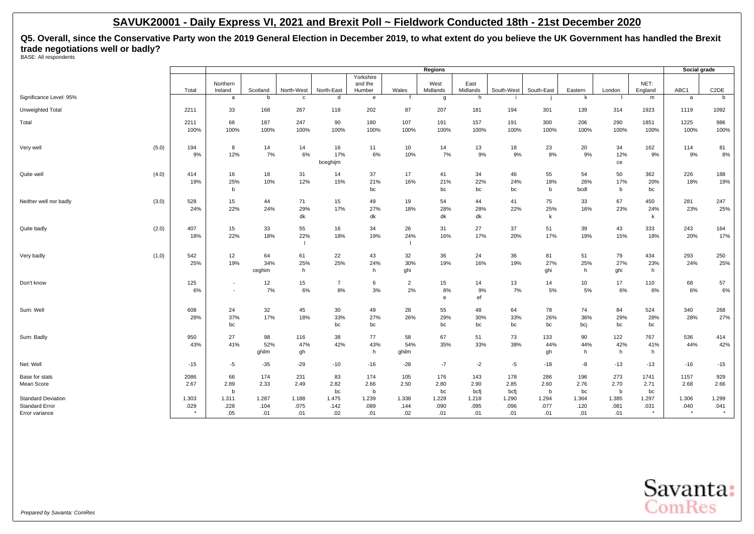**Q5. Overall, since the Conservative Party won the 2019 General Election in December 2019, to what extent do you believe the UK Government has handled the Brexit trade negotiations well or badly?** BASE: All respondents

|                                                    |               |                          |               |                |                |                   |                      | Regions          |                  |               |                     |               |               |                 | Social grade  |                   |
|----------------------------------------------------|---------------|--------------------------|---------------|----------------|----------------|-------------------|----------------------|------------------|------------------|---------------|---------------------|---------------|---------------|-----------------|---------------|-------------------|
|                                                    |               |                          |               |                |                | Yorkshire         |                      |                  |                  |               |                     |               |               |                 |               |                   |
|                                                    | Total         | Northern<br>Ireland      | Scotland      | North-West     | North-East     | and the<br>Humber | Wales                | West<br>Midlands | East<br>Midlands | South-West    | South-East          | Eastern       | London        | NET:<br>England | ABC1          | C <sub>2</sub> DE |
| Significance Level: 95%                            |               | a                        | b             | c              | d              | e                 | f                    | g                | h                |               |                     | k             |               | m               | a             | b                 |
| Unweighted Total                                   | 2211          | 33                       | 168           | 267            | 118            | 202               | 87                   | 207              | 181              | 194           | 301                 | 139           | 314           | 1923            | 1119          | 1092              |
| Total                                              | 2211          | 66                       | 187           | 247            | 90             | 180               | 107                  | 191              | 157              | 191           | 300                 | 206           | 290           | 1851            | 1225          | 986               |
|                                                    | 100%          | 100%                     | 100%          | 100%           | 100%           | 100%              | 100%                 | 100%             | 100%             | 100%          | 100%                | 100%          | 100%          | 100%            | 100%          | 100%              |
| (5.0)<br>Very well                                 | 194<br>9%     | 8<br>12%                 | 14<br>7%      | 14<br>6%       | 16<br>17%      | 11<br>6%          | 10<br>10%            | 14<br>7%         | 13<br>9%         | 18<br>9%      | 23<br>8%            | 20<br>9%      | 34<br>12%     | 162<br>9%       | 114<br>9%     | 81<br>8%          |
|                                                    |               |                          |               |                | bceghijm       |                   |                      |                  |                  |               |                     |               | ce            |                 |               |                   |
| Quite well<br>(4.0)                                | 414           | 16                       | 18            | 31             | 14             | 37                | 17                   | 41               | 34               | 46            | 55                  | 54            | 50            | 362             | 226           | 188               |
|                                                    | 19%           | 25%<br>b                 | 10%           | 12%            | 15%            | 21%<br>bc         | 16%                  | 21%<br>bc        | 22%<br>bc        | 24%<br>bc     | 18%<br>b            | 26%<br>bcdl   | 17%<br>b      | 20%<br>bc       | 18%           | 19%               |
| Neither well nor badly<br>(3.0)                    | 528           | 15                       | 44            | 71             | 15             | 49                | 19                   | 54               | 44               | 41            | 75                  | 33            | 67            | 450             | 281           | 247               |
|                                                    | 24%           | 22%                      | 24%           | 29%<br>dk      | 17%            | 27%<br>dk         | 18%                  | 28%<br>dk        | 28%<br>dk        | 22%           | 25%<br>$\mathsf{k}$ | 16%           | 23%           | 24%<br>k        | 23%           | 25%               |
| (2.0)<br>Quite badly                               | 407           | 15                       | 33            | 55             | 16             | 34                | 26                   | 31               | 27               | 37            | 51                  | 39            | 43            | 333             | 243           | 164               |
|                                                    | 18%           | 22%                      | 18%           | 22%            | 18%            | 19%               | 24%                  | 16%              | 17%              | 20%           | 17%                 | 19%           | 15%           | 18%             | 20%           | 17%               |
|                                                    |               |                          |               | $\overline{1}$ |                |                   |                      |                  |                  |               |                     |               |               |                 |               |                   |
| (1.0)<br>Very badly                                | 542<br>25%    | 12<br>19%                | 64<br>34%     | 61<br>25%      | 22<br>25%      | 43<br>24%         | 32<br>30%            | 36<br>19%        | 24<br>16%        | 36<br>19%     | 81<br>27%           | 51<br>25%     | 79<br>27%     | 434<br>23%      | 293<br>24%    | 250<br>25%        |
|                                                    |               |                          | ceghim        | h              |                | h                 | ghi                  |                  |                  |               | ghi                 | h             | ghi           | h               |               |                   |
| Don't know                                         | 125           | $\blacksquare$           | 12            | 15             | $\overline{7}$ | 6<br>3%           | $\overline{2}$<br>2% | 15               | 14               | 13            | 14                  | 10            | 17<br>6%      | 110             | 68            | 57                |
|                                                    | 6%            | $\overline{\phantom{a}}$ | 7%            | $6\%$          | 8%             |                   |                      | 8%<br>e          | 9%<br>ef         | 7%            | 5%                  | 5%            |               | 6%              | 6%            | 6%                |
| Sum: Well                                          | 608           | 24                       | 32            | 45             | 30             | 49                | 28                   | 55               | 48               | 64            | 78                  | 74            | 84            | 524             | 340           | 268               |
|                                                    | 28%           | 37%<br>bc                | 17%           | 18%            | 33%<br>bc      | 27%<br>bc         | 26%                  | 29%<br>bc        | 30%<br>bc        | 33%<br>bc     | 26%<br>bc           | 36%<br>bcj    | 29%<br>bc     | 28%<br>bc       | 28%           | 27%               |
| Sum: Badly                                         | 950           | 27                       | 98            | 116            | 38             | 77                | 58                   | 67               | 51               | 73            | 133                 | 90            | 122           | 767             | 536           | 414               |
|                                                    | 43%           | 41%                      | 52%<br>ghilm  | 47%<br>gh      | 42%            | 43%<br>h          | 54%<br>ghilm         | 35%              | 33%              | 38%           | 44%<br>gh           | 44%<br>h      | 42%<br>h      | 41%<br>h        | 44%           | 42%               |
| Net: Well                                          | $-15$         | $-5$                     | $-35$         | $-29$          | $-10$          | $-16$             | $-28$                | $-7$             | $-2$             | -5            | $-18$               | -8            | $-13$         | $-13$           | $-16$         | $-15$             |
| Base for stats                                     | 2086          | 66                       | 174           | 231            | 83             | 174               | 105                  | 176              | 143              | 178           | 286                 | 196           | 273           | 1741            | 1157          | 929               |
| Mean Score                                         | 2.67          | 2.89                     | 2.33          | 2.49           | 2.82           | 2.66              | 2.50                 | 2.80             | 2.90             | 2.85          | 2.60                | 2.76          | 2.70          | 2.71            | 2.68          | 2.66              |
|                                                    |               | b                        |               |                | bc             | b                 |                      | bc               | bcfj             | bcfj          | b                   | bc            | b             | bc              |               |                   |
| <b>Standard Deviation</b><br><b>Standard Error</b> | 1.303<br>.029 | 1.311<br>.228            | 1.287<br>.104 | 1.188<br>.075  | 1.475<br>.142  | 1.239<br>.089     | 1.338<br>.144        | 1.228<br>.090    | 1.218<br>.095    | 1.290<br>.096 | 1.294<br>.077       | 1.364<br>.120 | 1.385<br>.081 | 1.297<br>.031   | 1.306<br>.040 | 1.299<br>.041     |
| Error variance                                     |               | .05                      | .01           | .01            | .02            | .01               | .02                  | .01              | .01              | .01           | .01                 | .01           | .01           | $\star$         | $\star$       |                   |

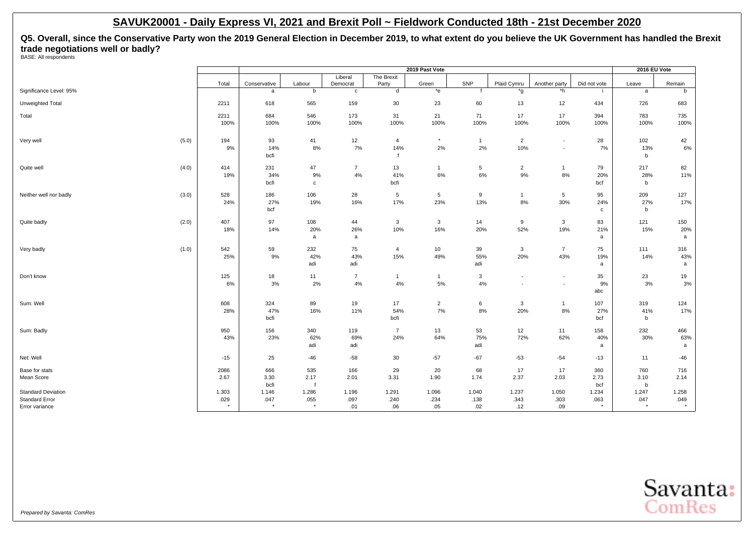**Q5. Overall, since the Conservative Party won the 2019 General Election in December 2019, to what extent do you believe the UK Government has handled the Brexit trade negotiations well or badly?** BASE: All respondents

|                                         |       |                 |                   |                     |                     | 2019 Past Vote |              |                |                          |                 | 2016 EU Vote      |                  |
|-----------------------------------------|-------|-----------------|-------------------|---------------------|---------------------|----------------|--------------|----------------|--------------------------|-----------------|-------------------|------------------|
|                                         | Total | Conservative    | Labour            | Liberal<br>Democrat | The Brexit<br>Party | Green          | SNP          | Plaid Cymru    | Another party            | Did not vote    | Leave             | Remain           |
| Significance Level: 95%                 |       | a               | b                 | $\mathbf c$         | d                   | $*$ e          |              | *g             | *h                       |                 | a                 | b                |
| Unweighted Total                        | 2211  | 618             | 565               | 159                 | 30                  | 23             | 60           | 13             | 12                       | 434             | 726               | 683              |
| Total                                   | 2211  | 684             | 546               | 173                 | 31                  | 21             | 71           | 17             | 17                       | 394             | 783               | 735              |
|                                         | 100%  | 100%            | 100%              | 100%                | 100%                | 100%           | 100%         | 100%           | 100%                     | 100%            | 100%              | 100%             |
| (5.0)<br>Very well                      | 194   | 93              | 41                | 12                  | 4                   | $\star$        | $\mathbf{1}$ | $\overline{2}$ | $\overline{\phantom{a}}$ | 28              | 102               | 42               |
|                                         | 9%    | 14%<br>bcfi     | 8%                | 7%                  | 14%                 | 2%             | 2%           | 10%            | $\overline{\phantom{a}}$ | 7%              | 13%<br>b          | $6\%$            |
| (4.0)<br>Quite well                     | 414   | 231             | 47                | $\overline{7}$      | 13                  | $\mathbf{1}$   | 5            | $\overline{2}$ | $\mathbf{1}$             | 79              | 217               | 82               |
|                                         | 19%   | 34%<br>bcfi     | 9%<br>$\mathbf c$ | 4%                  | 41%<br>bcfi         | 6%             | 6%           | 9%             | 8%                       | 20%<br>bcf      | 28%<br>b          | 11%              |
| Neither well nor badly<br>(3.0)         | 528   | 186             | 106               | 28                  | 5                   | 5              | 9            | $\mathbf{1}$   | 5                        | 95              | 209               | 127              |
|                                         | 24%   | 27%<br>bcf      | 19%               | 16%                 | 17%                 | 23%            | 13%          | 8%             | 30%                      | 24%<br>C        | 27%<br>b          | 17%              |
| (2.0)<br>Quite badly                    | 407   | 97              | 108               | 44                  | 3                   | $\mathbf{3}$   | 14           | 9              | $\mathbf{3}$             | 83              | 121               | 150              |
|                                         | 18%   | 14%             | 20%<br>a          | 26%<br>a            | 10%                 | 16%            | 20%          | 52%            | 19%                      | 21%<br>a        | 15%               | 20%<br>a         |
| (1.0)<br>Very badly                     | 542   | 59              | 232               | 75                  | $\overline{4}$      | 10             | 39           | 3              | $\overline{7}$           | 75              | 111               | 316              |
|                                         | 25%   | 9%              | 42%<br>adi        | 43%<br>adi          | 15%                 | 49%            | 55%<br>adi   | 20%            | 43%                      | 19%<br>a        | 14%               | 43%<br>a         |
| Don't know                              | 125   | 18              | 11                | $\overline{7}$      | $\mathbf{1}$        | $\mathbf{1}$   | 3            | $\blacksquare$ | $\overline{\phantom{a}}$ | 35              | 23                | 19               |
|                                         | 6%    | 3%              | 2%                | 4%                  | 4%                  | 5%             | 4%           |                | $\overline{\phantom{a}}$ | 9%<br>abc       | 3%                | 3%               |
| Sum: Well                               | 608   | 324             | 89                | 19                  | 17                  | $\overline{2}$ | 6            | 3              | $\mathbf{1}$             | 107             | 319               | 124              |
|                                         | 28%   | 47%<br>bcfi     | 16%               | 11%                 | 54%<br>bcfi         | 7%             | 8%           | 20%            | 8%                       | 27%<br>bcf      | 41%<br>b          | 17%              |
| Sum: Badly                              | 950   | 156             | 340               | 119                 | $\overline{7}$      | 13             | 53           | 12             | 11                       | 158             | 232               | 466              |
|                                         | 43%   | 23%             | 62%<br>adi        | 69%<br>adi          | 24%                 | 64%            | 75%<br>adi   | 72%            | 62%                      | 40%<br>a        | 30%               | 63%<br>a         |
| Net: Well                               | $-15$ | 25              | $-46$             | $-58$               | 30                  | $-57$          | $-67$        | $-53$          | $-54$                    | $-13$           | 11                | -46              |
| Base for stats                          | 2086  | 666             | 535               | 166                 | 29                  | 20             | 68           | 17             | 17                       | 360             | 760               | 716              |
| Mean Score                              | 2.67  | 3.30<br>bcfi    | 2.17              | 2.01                | 3.31                | 1.90           | 1.74         | 2.37           | 2.03                     | 2.73<br>bcf     | 3.10<br>b         | 2.14             |
| <b>Standard Deviation</b>               | 1.303 | 1.146           | 1.286             | 1.196               | 1.291               | 1.096          | 1.040        | 1.237          | 1.050                    | 1.234           | 1.247             | 1.258            |
| <b>Standard Error</b><br>Error variance | .029  | .047<br>$\star$ | .055<br>$\star$   | .097<br>.01         | .240<br>.06         | .234<br>.05    | .138<br>.02  | .343<br>.12    | .303<br>.09              | .063<br>$\star$ | .047<br>$\ddot{}$ | .049<br>$^\star$ |

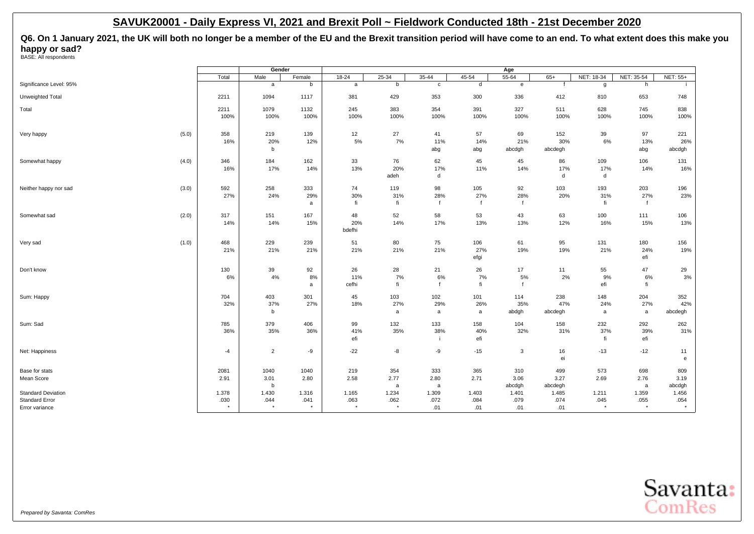**Q6. On 1 January 2021, the UK will both no longer be a member of the EU and the Brexit transition period will have come to an end. To what extent does this make you happy or sad?**<br>BASE: All respondents

|                                         |                 | Gender          |        |                 |                 |              |              | Age           |             |            |                 |                 |
|-----------------------------------------|-----------------|-----------------|--------|-----------------|-----------------|--------------|--------------|---------------|-------------|------------|-----------------|-----------------|
|                                         | Total           | Male            | Female | $18 - 24$       | 25-34           | $35 - 44$    | $45 - 54$    | $55 - 64$     | $65+$       | NET: 18-34 | NET: 35-54      | <b>NET: 55+</b> |
| Significance Level: 95%                 |                 | a               | b      | a               | b               | $\mathtt{c}$ | $\sf d$      | e             |             | g          | h               |                 |
| Unweighted Total                        | 2211            | 1094            | 1117   | 381             | 429             | 353          | 300          | 336           | 412         | 810        | 653             | 748             |
| Total                                   | 2211            | 1079            | 1132   | 245             | 383             | 354          | 391          | 327           | 511         | 628        | 745             | 838             |
|                                         | 100%            | 100%            | 100%   | 100%            | 100%            | 100%         | 100%         | 100%          | 100%        | 100%       | 100%            | 100%            |
| (5.0)<br>Very happy                     | 358             | 219             | 139    | 12              | 27              | 41           | 57           | 69            | 152         | 39         | 97              | 221             |
|                                         | 16%             | 20%             | 12%    | 5%              | 7%              | 11%          | 14%          | 21%<br>abcdgh | 30%         | 6%         | 13%             | 26%             |
|                                         |                 | b               |        |                 |                 | abg          | abg          |               | abcdegh     |            | abg             | abcdgh          |
| Somewhat happy<br>(4.0)                 | 346             | 184             | 162    | 33              | 76              | 62           | 45           | 45            | 86          | 109        | 106             | 131             |
|                                         | 16%             | 17%             | 14%    | 13%             | 20%             | 17%          | 11%          | 14%           | 17%         | 17%        | 14%             | 16%             |
|                                         |                 |                 |        |                 | adeh            | d            |              |               | d           | d          |                 |                 |
| (3.0)<br>Neither happy nor sad          | 592             | 258             | 333    | 74              | 119             | 98           | 105          | 92            | 103         | 193        | 203             | 196             |
|                                         | 27%             | 24%             | 29%    | 30%             | 31%             | 28%          | 27%          | 28%           | 20%         | 31%        | 27%             | 23%             |
|                                         |                 |                 | a      | fi              | fi              | $\mathbf{f}$ | $\mathbf{f}$ | $\mathbf{f}$  |             | fi         | $\mathbf{f}$    |                 |
| (2.0)<br>Somewhat sad                   | 317             | 151             | 167    | 48              | 52              | 58           | 53           | 43            | 63          | 100        | 111             | 106             |
|                                         | 14%             | 14%             | 15%    | 20%             | 14%             | 17%          | 13%          | 13%           | 12%         | 16%        | 15%             | 13%             |
|                                         |                 |                 |        | bdefhi          |                 |              |              |               |             |            |                 |                 |
| (1.0)<br>Very sad                       | 468             | 229             | 239    | 51              | 80              | 75           | 106          | 61            | 95          | 131        | 180             | 156             |
|                                         | 21%             | 21%             | 21%    | 21%             | 21%             | 21%          | 27%          | 19%           | 19%         | 21%        | 24%             | 19%             |
|                                         |                 |                 |        |                 |                 |              | efgi         |               |             |            | efi             |                 |
| Don't know                              | 130             | 39              | 92     | 26              | 28              | 21           | 26           | 17            | 11          | 55         | 47              | 29              |
|                                         | 6%              | 4%              | 8%     | 11%             | 7%              | 6%           | 7%           | 5%            | 2%          | 9%         | 6%              | 3%              |
|                                         |                 |                 | a      | cefhi           | fi              | $\mathbf{f}$ | fi           | $\mathbf{f}$  |             | efi        | fi              |                 |
| Sum: Happy                              | 704             | 403             | 301    | 45              | 103             | 102          | 101          | 114           | 238         | 148        | 204             | 352             |
|                                         | 32%             | 37%             | 27%    | 18%             | 27%             | 29%          | 26%          | 35%           | 47%         | 24%        | 27%             | 42%             |
|                                         |                 | b               |        |                 | a               | $\mathsf{a}$ | a            | abdgh         | abcdegh     | a          | a               | abcdegh         |
| Sum: Sad                                | 785             | 379             | 406    | 99              | 132             | 133          | 158          | 104           | 158         | 232        | 292             | 262             |
|                                         | 36%             | 35%             | 36%    | 41%             | 35%             | 38%          | 40%          | 32%           | 31%         | 37%        | 39%             | 31%             |
|                                         |                 |                 |        | efi             |                 | -i-          | efi          |               |             | fi         | efi             |                 |
| Net: Happiness                          | $-4$            | $\overline{2}$  | -9     | $-22$           | -8              | -9           | $-15$        | $\mathbf{3}$  | 16          | $-13$      | $-12$           | 11              |
|                                         |                 |                 |        |                 |                 |              |              |               | ei          |            |                 | $\mathbf{e}$    |
| Base for stats                          | 2081            | 1040            | 1040   | 219             | 354             | 333          | 365          | 310           | 499         | 573        | 698             | 809             |
| Mean Score                              | 2.91            | 3.01            | 2.80   | 2.58            | 2.77            | 2.80         | 2.71         | 3.06          | 3.27        | 2.69       | 2.76            | 3.19            |
|                                         |                 | b               |        |                 | a               | a            |              | abcdgh        | abcdegh     |            | a               | abcdgh          |
| <b>Standard Deviation</b>               | 1.378           | 1.430           | 1.316  | 1.165           | 1.234           | 1.309        | 1.403        | 1.401         | 1.485       | 1.211      | 1.359           | 1.456           |
| <b>Standard Error</b><br>Error variance | .030<br>$\star$ | .044<br>$\star$ | .041   | .063<br>$\star$ | .062<br>$\star$ | .072<br>.01  | .084<br>.01  | .079<br>.01   | .074<br>.01 | .045       | .055<br>$\star$ | .054<br>$\star$ |
|                                         |                 |                 |        |                 |                 |              |              |               |             |            |                 |                 |

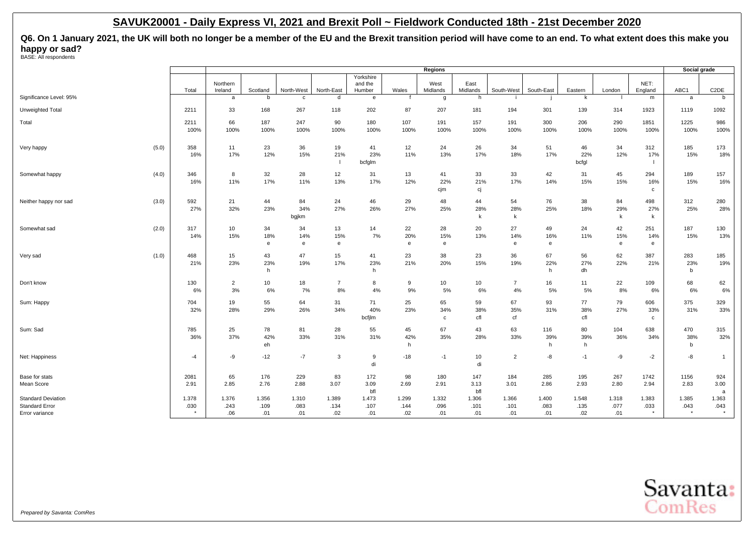**Q6. On 1 January 2021, the UK will both no longer be a member of the EU and the Brexit transition period will have come to an end. To what extent does this make you happy or sad?**<br>BASE: All respondents

|                                |       |                     |             |              |                |                   |             | Regions            |                  |                |             |              |              |                    | Social grade |                   |
|--------------------------------|-------|---------------------|-------------|--------------|----------------|-------------------|-------------|--------------------|------------------|----------------|-------------|--------------|--------------|--------------------|--------------|-------------------|
|                                |       |                     |             |              |                | Yorkshire         |             |                    |                  |                |             |              |              |                    |              |                   |
|                                | Total | Northern<br>Ireland | Scotland    | North-West   | North-East     | and the<br>Humber | Wales       | West<br>Midlands   | East<br>Midlands | South-West     | South-East  | Eastern      | London       | NET:<br>England    | ABC1         | C <sub>2</sub> DE |
| Significance Level: 95%        |       | a                   | b           | c            | d              | e                 | f           | g                  | h                |                |             | k            |              | m                  | a            | b                 |
| Unweighted Total               | 2211  | 33                  | 168         | 267          | 118            | 202               | 87          | 207                | 181              | 194            | 301         | 139          | 314          | 1923               | 1119         | 1092              |
| Total                          | 2211  | 66<br>100%          | 187<br>100% | 247<br>100%  | 90<br>100%     | 180<br>100%       | 107<br>100% | 191<br>100%        | 157<br>100%      | 191            | 300<br>100% | 206<br>100%  | 290<br>100%  | 1851               | 1225<br>100% | 986               |
|                                | 100%  |                     |             |              |                |                   |             |                    |                  | 100%           |             |              |              | 100%               |              | 100%              |
| (5.0)<br>Very happy            | 358   | 11<br>17%           | 23<br>12%   | 36<br>15%    | 19<br>21%      | 41                | 12          | 24<br>13%          | 26<br>17%        | 34<br>18%      | 51<br>17%   | 46           | 34<br>12%    | 312<br>17%         | 185<br>15%   | 173<br>18%        |
|                                | 16%   |                     |             |              |                | 23%<br>bcfglm     | 11%         |                    |                  |                |             | 22%<br>bcfgl |              |                    |              |                   |
| (4.0)<br>Somewhat happy        | 346   | 8                   | 32          | 28           | 12             | 31                | 13          | 41                 | 33               | 33             | 42          | 31           | 45           | 294                | 189          | 157               |
|                                | 16%   | 11%                 | 17%         | 11%          | 13%            | 17%               | 12%         | 22%<br>cjm         | 21%<br>сj        | 17%            | 14%         | 15%          | 15%          | 16%<br>$\mathbf c$ | 15%          | 16%               |
| (3.0)<br>Neither happy nor sad | 592   | 21                  | 44          | 84           | 24             | 46                | 29          | 48                 | 44               | 54             | 76          | 38           | 84           | 498                | 312          | 280               |
|                                | 27%   | 32%                 | 23%         | 34%<br>bgjkm | 27%            | 26%               | 27%         | 25%                | 28%<br>k         | 28%<br>k       | 25%         | 18%          | 29%<br>k     | 27%<br>k           | 25%          | 28%               |
| Somewhat sad<br>(2.0)          | 317   | 10                  | 34          | 34           | 13             | 14                | 22          | 28                 | 20               | 27             | 49          | 24           | 42           | 251                | 187          | 130               |
|                                | 14%   | 15%                 | 18%         | 14%          | 15%            | 7%                | 20%         | 15%                | 13%              | 14%            | 16%         | 11%          | 15%          | 14%                | 15%          | 13%               |
|                                |       |                     | e           | e            | e              |                   | e           | e                  |                  | e              | e           |              | $\mathbf{e}$ | e                  |              |                   |
| (1.0)<br>Very sad              | 468   | 15                  | 43          | 47           | 15             | 41                | 23          | 38                 | 23               | 36             | 67          | 56           | 62           | 387                | 283          | 185               |
|                                | 21%   | 23%                 | 23%<br>h    | 19%          | 17%            | 23%<br>h          | 21%         | 20%                | 15%              | 19%            | 22%<br>h    | 27%<br>dh    | 22%          | 21%                | 23%<br>b     | 19%               |
| Don't know                     | 130   | $\overline{2}$      | 10          | 18           | $\overline{7}$ | 8                 | 9           | 10                 | 10               | $\overline{7}$ | 16          | 11           | 22           | 109                | 68           | 62                |
|                                | 6%    | 3%                  | 6%          | 7%           | 8%             | 4%                | 9%          | 5%                 | 6%               | 4%             | 5%          | 5%           | 8%           | 6%                 | 6%           | 6%                |
| Sum: Happy                     | 704   | 19                  | 55          | 64           | 31             | 71                | 25          | 65                 | 59               | 67             | 93          | 77           | 79           | 606                | 375          | 329               |
|                                | 32%   | 28%                 | 29%         | 26%          | 34%            | 40%<br>bcfjlm     | 23%         | 34%<br>$\mathbf c$ | 38%<br>cfl       | 35%<br>cf      | 31%         | 38%<br>cfl   | 27%          | 33%<br>$\mathbf c$ | 31%          | 33%               |
| Sum: Sad                       | 785   | 25                  | 78          | 81           | 28             | 55                | 45          | 67                 | 43               | 63             | 116         | 80           | 104          | 638                | 470          | 315               |
|                                | 36%   | 37%                 | 42%         | 33%          | 31%            | 31%               | 42%         | 35%                | 28%              | 33%            | 39%         | 39%          | 36%          | 34%                | 38%          | 32%               |
|                                |       |                     | eh          |              |                |                   | h           |                    |                  |                | h           | h            |              |                    | b            |                   |
| Net: Happiness                 | -4    | -9                  | $-12$       | $-7$         | 3              | 9<br>di           | $-18$       | $-1$               | 10<br>di         | $\overline{2}$ | -8          | $-1$         | -9           | $-2$               | -8           | $\overline{1}$    |
| Base for stats                 | 2081  | 65                  | 176         | 229          | 83             | 172               | 98          | 180                | 147              | 184            | 285         | 195          | 267          | 1742               | 1156         | 924               |
| Mean Score                     | 2.91  | 2.85                | 2.76        | 2.88         | 3.07           | 3.09<br>bfl       | 2.69        | 2.91               | 3.13<br>bfl      | 3.01           | 2.86        | 2.93         | 2.80         | 2.94               | 2.83         | 3.00<br>a         |
| <b>Standard Deviation</b>      | 1.378 | 1.376               | 1.356       | 1.310        | 1.389          | 1.473             | 1.299       | 1.332              | 1.306            | 1.366          | 1.400       | 1.548        | 1.318        | 1.383              | 1.385        | 1.363             |
| <b>Standard Error</b>          | .030  | .243                | .109        | .083         | .134           | .107              | .144        | .096               | .101             | .101           | .083        | .135         | .077         | .033               | .043         | .043              |
| Error variance                 |       | .06                 | .01         | .01          | .02            | .01               | .02         | .01                | .01              | .01            | .01         | .02          | .01          | $^\star$           | $\star$      |                   |

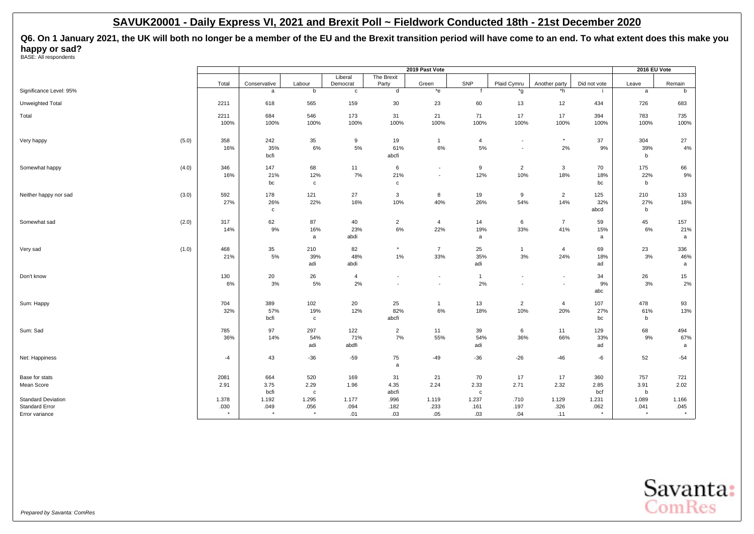**Q6. On 1 January 2021, the UK will both no longer be a member of the EU and the Brexit transition period will have come to an end. To what extent does this make you happy or sad?**<br>BASE: All respondents

|                                |         |              |              |              |                          | 2019 Past Vote           |                  |                          |                          |              | 2016 EU Vote |         |
|--------------------------------|---------|--------------|--------------|--------------|--------------------------|--------------------------|------------------|--------------------------|--------------------------|--------------|--------------|---------|
|                                |         |              |              | Liberal      | The Brexit               |                          |                  |                          |                          |              |              |         |
|                                | Total   | Conservative | Labour       | Democrat     | Party                    | Green                    | SNP              | Plaid Cymru              | Another party            | Did not vote | Leave        | Remain  |
| Significance Level: 95%        |         | $\mathsf{a}$ | b            | $\mathbf{c}$ | d                        | *e                       | $\mathbf{f}$     | *g                       | *h                       |              | a            | b       |
| Unweighted Total               | 2211    | 618          | 565          | 159          | 30                       | 23                       | 60               | 13                       | 12                       | 434          | 726          | 683     |
| Total                          | 2211    | 684          | 546          | 173          | 31                       | 21                       | 71               | 17                       | 17                       | 394          | 783          | 735     |
|                                | 100%    | 100%         | 100%         | 100%         | 100%                     | 100%                     | 100%             | 100%                     | 100%                     | 100%         | 100%         | 100%    |
| (5.0)<br>Very happy            | 358     | 242          | 35           | 9            | 19                       | $\mathbf{1}$             | $\overline{4}$   | $\overline{\phantom{a}}$ | $^\star$                 | 37           | 304          | 27      |
|                                | 16%     | 35%          | 6%           | 5%           | 61%                      | 6%                       | 5%               | $\overline{\phantom{a}}$ | 2%                       | 9%           | 39%          | 4%      |
|                                |         | bcfi         |              |              | abcfi                    |                          |                  |                          |                          |              | b            |         |
| (4.0)<br>Somewhat happy        | 346     | 147          | 68           | 11           | 6                        | $\overline{\phantom{a}}$ | $\boldsymbol{9}$ | $\overline{2}$           | $\mathbf{3}$             | 70           | 175          | 66      |
|                                | 16%     | 21%          | 12%          | 7%           | 21%                      | $\overline{\phantom{a}}$ | 12%              | 10%                      | 18%                      | 18%          | 22%          | $9\%$   |
|                                |         | bc           | $\mathbf c$  |              | $\mathbf{C}$             |                          |                  |                          |                          | bc           | b            |         |
| (3.0)<br>Neither happy nor sad | 592     | 178          | 121          | 27           | 3                        | 8                        | 19               | 9                        | $\overline{2}$           | 125          | 210          | 133     |
|                                | 27%     | 26%          | 22%          | 16%          | 10%                      | 40%                      | 26%              | 54%                      | 14%                      | 32%          | 27%          | 18%     |
|                                |         | $\mathbf{C}$ |              |              |                          |                          |                  |                          |                          | abcd         | b            |         |
| (2.0)<br>Somewhat sad          | 317     | 62           | 87           | 40           | $\overline{2}$           | $\overline{4}$           | 14               | 6                        | $\overline{7}$           | 59           | 45           | 157     |
|                                | 14%     | 9%           | 16%          | 23%          | $6\%$                    | 22%                      | 19%              | 33%                      | 41%                      | 15%          | 6%           | 21%     |
|                                |         |              | a            | abdi         |                          |                          | a                |                          |                          | a            |              | a       |
| (1.0)<br>Very sad              | 468     | 35           | 210          | 82           | $\star$                  | $\overline{7}$           | 25               | $\overline{1}$           | $\overline{4}$           | 69           | 23           | 336     |
|                                | 21%     | 5%           | 39%          | 48%          | $1\%$                    | 33%                      | 35%              | 3%                       | 24%                      | 18%          | 3%           | 46%     |
|                                |         |              | adi          | abdi         |                          |                          | adi              |                          |                          | ad           |              | a       |
| Don't know                     | 130     | 20           | 26           | 4            | $\overline{\phantom{a}}$ | $\overline{\phantom{a}}$ | $\mathbf{1}$     | $\overline{\phantom{a}}$ | $\overline{\phantom{a}}$ | 34           | 26           | 15      |
|                                | 6%      | $3%$         | 5%           | 2%           | $\overline{\phantom{a}}$ | $\overline{\phantom{a}}$ | 2%               | $\overline{\phantom{a}}$ | $\overline{\phantom{a}}$ | 9%           | 3%           | 2%      |
|                                |         |              |              |              |                          |                          |                  |                          |                          | abc          |              |         |
| Sum: Happy                     | 704     | 389          | 102          | 20           | 25                       | $\mathbf{1}$             | 13               | $\overline{2}$           | $\overline{4}$           | 107          | 478          | 93      |
|                                | 32%     | 57%          | 19%          | 12%          | 82%                      | 6%                       | 18%              | 10%                      | 20%                      | 27%          | 61%          | 13%     |
|                                |         | bcfi         | $\mathtt{c}$ |              | abcfi                    |                          |                  |                          |                          | bc           | b            |         |
| Sum: Sad                       | 785     | 97           | 297          | 122          | $\overline{2}$           | 11                       | 39               | 6                        | 11                       | 129          | 68           | 494     |
|                                | 36%     | 14%          | 54%          | 71%          | 7%                       | 55%                      | 54%              | 36%                      | 66%                      | 33%          | 9%           | 67%     |
|                                |         |              | adi          | abdfi        |                          |                          | adi              |                          |                          | ad           |              | a       |
| Net: Happiness                 | $-4$    | 43           | $-36$        | $-59$        | 75                       | $-49$                    | $-36$            | $-26$                    | $-46$                    | -6           | 52           | $-54$   |
|                                |         |              |              |              | a                        |                          |                  |                          |                          |              |              |         |
| Base for stats                 | 2081    | 664          | 520          | 169          | 31                       | 21                       | 70               | 17                       | 17                       | 360          | 757          | 721     |
| Mean Score                     | 2.91    | 3.75         | 2.29         | 1.96         | 4.35                     | 2.24                     | 2.33             | 2.71                     | 2.32                     | 2.85         | 3.91         | 2.02    |
|                                |         | bcfi         | $\mathtt{c}$ |              | abcfi                    |                          | $\mathbf{C}$     |                          |                          | bcf          | b            |         |
| <b>Standard Deviation</b>      | 1.378   | 1.192        | 1.295        | 1.177        | .996                     | 1.119                    | 1.237            | .710                     | 1.129                    | 1.231        | 1.089        | 1.166   |
| <b>Standard Error</b>          | .030    | .049         | .056         | .094         | .182                     | .233                     | .161             | .197                     | .326                     | .062         | .041         | .045    |
| Error variance                 | $\star$ | $\star$      |              | .01          | .03                      | .05                      | .03              | .04                      | .11                      | $\star$      | $\star$      | $\star$ |

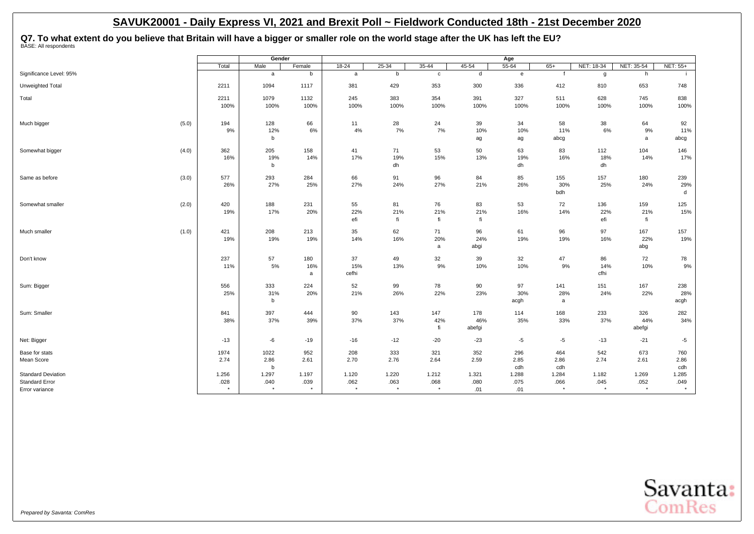# Q7. To what extent do you believe that Britain will have a bigger or smaller role on the world stage after the UK has left the EU?<br><sup>BASE: All respondents</sup>

|                           |       |         | Gender      |        |              |           |             |        | Age                                                                                                                   |             |            |            |          |
|---------------------------|-------|---------|-------------|--------|--------------|-----------|-------------|--------|-----------------------------------------------------------------------------------------------------------------------|-------------|------------|------------|----------|
|                           |       | Total   | Male        | Female | 18-24        | $25 - 34$ | $35 - 44$   | 45-54  | $55 - 64$                                                                                                             | $65+$       | NET: 18-34 | NET: 35-54 | NET: 55+ |
| Significance Level: 95%   |       |         | a           | b      | $\mathsf{a}$ | b         | $\mathbf c$ | d      | $\mathbf{e}% _{t}\left  \mathbf{1}\right\rangle =\mathbf{1}_{\left  \mathbf{1}\right  \leq\left  \mathbf{1}\right  }$ |             | g          | h          |          |
| Unweighted Total          |       | 2211    | 1094        | 1117   | 381          | 429       | 353         | 300    | 336                                                                                                                   | 412         | 810        | 653        | 748      |
| Total                     |       | 2211    | 1079        | 1132   | 245          | 383       | 354         | 391    | 327                                                                                                                   | 511         | 628        | 745        | 838      |
|                           |       | 100%    | 100%        | 100%   | 100%         | 100%      | 100%        | 100%   | 100%                                                                                                                  | 100%        | 100%       | 100%       | 100%     |
| Much bigger               | (5.0) | 194     | 128         | 66     | 11           | 28        | 24          | 39     | 34                                                                                                                    | 58          | 38         | 64         | 92       |
|                           |       | 9%      | 12%         | 6%     | 4%           | 7%        | 7%          | 10%    | 10%                                                                                                                   | 11%         | 6%         | 9%         | 11%      |
|                           |       |         | b           |        |              |           |             | ag     | ag                                                                                                                    | abcg        |            | a          | abcg     |
| Somewhat bigger           | (4.0) | 362     | 205         | 158    | 41           | 71        | 53          | 50     | 63                                                                                                                    | 83          | 112        | 104        | 146      |
|                           |       | 16%     | 19%         | 14%    | 17%          | 19%       | 15%         | 13%    | 19%                                                                                                                   | 16%         | 18%        | 14%        | 17%      |
|                           |       |         | b           |        |              | dh        |             |        | dh                                                                                                                    |             | dh         |            |          |
| Same as before            | (3.0) | 577     | 293         | 284    | 66           | 91        | 96          | 84     | 85                                                                                                                    | 155         | 157        | 180        | 239      |
|                           |       | 26%     | 27%         | 25%    | 27%          | 24%       | 27%         | 21%    | 26%                                                                                                                   | 30%         | 25%        | 24%        | 29%      |
|                           |       |         |             |        |              |           |             |        |                                                                                                                       | bdh         |            |            | d        |
| Somewhat smaller          | (2.0) | 420     | 188         | 231    | 55           | 81        | 76          | 83     | 53                                                                                                                    | 72          | 136        | 159        | 125      |
|                           |       | 19%     | 17%         | 20%    | 22%          | 21%       | 21%         | 21%    | 16%                                                                                                                   | 14%         | 22%        | 21%        | 15%      |
|                           |       |         |             |        | efi          | fi        | fi          | fi     |                                                                                                                       |             | efi        | fi         |          |
| Much smaller              | (1.0) | 421     | 208         | 213    | 35           | 62        | 71          | 96     | 61                                                                                                                    | 96          | 97         | 167        | 157      |
|                           |       | 19%     | 19%         | 19%    | 14%          | 16%       | 20%         | 24%    | 19%                                                                                                                   | 19%         | 16%        | 22%        | 19%      |
|                           |       |         |             |        |              |           | a           | abgi   |                                                                                                                       |             |            | abg        |          |
| Don't know                |       | 237     | 57          | 180    | 37           | 49        | 32          | 39     | 32                                                                                                                    | 47          | 86         | 72         | 78       |
|                           |       | 11%     | 5%          | 16%    | 15%          | 13%       | 9%          | 10%    | 10%                                                                                                                   | 9%          | 14%        | 10%        | 9%       |
|                           |       |         |             | a      | cefhi        |           |             |        |                                                                                                                       |             | cfhi       |            |          |
| Sum: Bigger               |       | 556     | 333         | 224    | 52           | 99        | 78          | 90     | 97                                                                                                                    | 141         | 151        | 167        | 238      |
|                           |       | 25%     | 31%         | 20%    | 21%          | 26%       | 22%         | 23%    | 30%                                                                                                                   | 28%         | 24%        | 22%        | 28%      |
|                           |       |         | b           |        |              |           |             |        | acgh                                                                                                                  | $\mathsf a$ |            |            | acgh     |
| Sum: Smaller              |       | 841     | 397         | 444    | 90           | 143       | 147         | 178    | 114                                                                                                                   | 168         | 233        | 326        | 282      |
|                           |       | 38%     | 37%         | 39%    | 37%          | 37%       | 42%         | 46%    | 35%                                                                                                                   | 33%         | 37%        | 44%        | 34%      |
|                           |       |         |             |        |              |           | fi          | abefgi |                                                                                                                       |             |            | abefgi     |          |
| Net: Bigger               |       | $-13$   | -6          | $-19$  | $-16$        | $-12$     | $-20$       | $-23$  | $-5$                                                                                                                  | $-5$        | $-13$      | $-21$      | $-5$     |
| Base for stats            |       | 1974    | 1022        | 952    | 208          | 333       | 321         | 352    | 296                                                                                                                   | 464         | 542        | 673        | 760      |
| Mean Score                |       | 2.74    | 2.86        | 2.61   | 2.70         | 2.76      | 2.64        | 2.59   | 2.85                                                                                                                  | 2.86        | 2.74       | 2.61       | 2.86     |
|                           |       |         | $\mathbf b$ |        |              |           |             |        | cdh                                                                                                                   | cdh         |            |            | cdh      |
| <b>Standard Deviation</b> |       | 1.256   | 1.297       | 1.197  | 1.120        | 1.220     | 1.212       | 1.321  | 1.288                                                                                                                 | 1.284       | 1.182      | 1.269      | 1.285    |
| <b>Standard Error</b>     |       | .028    | .040        | .039   | .062         | .063      | .068        | .080   | .075                                                                                                                  | .066        | .045       | .052       | .049     |
| Error variance            |       | $\star$ | $\star$     |        | $\star$      | $\star$   | $\star$     | .01    | .01                                                                                                                   | $\star$     |            | $\star$    |          |

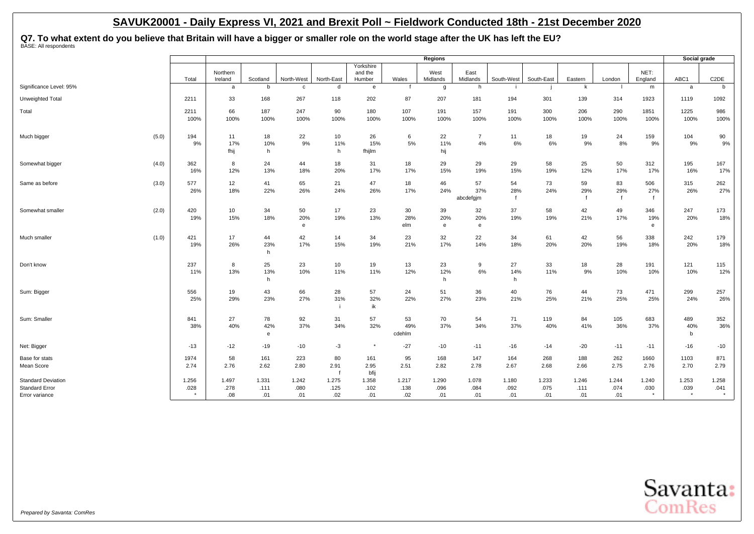Q7. To what extent do you believe that Britain will have a bigger or smaller role on the world stage after the UK has left the EU?<br><sup>BASE: All respondents</sup>

|                                                                      |                     |                      |                      |                      |                            |                                |                      | Regions              |                        |                           |                      |                           |                           |                 | Social grade             |                          |
|----------------------------------------------------------------------|---------------------|----------------------|----------------------|----------------------|----------------------------|--------------------------------|----------------------|----------------------|------------------------|---------------------------|----------------------|---------------------------|---------------------------|-----------------|--------------------------|--------------------------|
|                                                                      | Total               | Northern<br>Ireland  | Scotland             | North-West           | North-East                 | Yorkshire<br>and the<br>Humber | Wales                | West<br>Midlands     | East<br>Midlands       | South-West                | South-East           | Eastern                   | London                    | NET:<br>England | ABC1                     | C <sub>2</sub> DE        |
| Significance Level: 95%                                              |                     | a                    | b                    | c                    | d                          | e                              |                      | $\mathbf{q}$         | h                      |                           |                      | k                         |                           | m               | a                        | b                        |
| Unweighted Total                                                     | 2211                | 33                   | 168                  | 267                  | 118                        | 202                            | 87                   | 207                  | 181                    | 194                       | 301                  | 139                       | 314                       | 1923            | 1119                     | 1092                     |
| Total                                                                | 2211<br>100%        | 66<br>100%           | 187<br>100%          | 247<br>100%          | 90<br>100%                 | 180<br>100%                    | 107<br>100%          | 191<br>100%          | 157<br>100%            | 191<br>100%               | 300<br>100%          | 206<br>100%               | 290<br>100%               | 1851<br>100%    | 1225<br>100%             | 986<br>100%              |
| Much bigger                                                          | (5.0)<br>194<br>9%  | 11<br>17%<br>fhij    | 18<br>10%<br>h       | 22<br>$9\%$          | 10<br>11%<br>h             | 26<br>15%<br>fhijlm            | 6<br>5%              | 22<br>11%<br>hij     | $\overline{7}$<br>4%   | 11<br>6%                  | 18<br>6%             | 19<br>9%                  | 24<br>8%                  | 159<br>9%       | 104<br>9%                | 90<br>9%                 |
| Somewhat bigger                                                      | (4.0)<br>362<br>16% | 8<br>12%             | 24<br>13%            | 44<br>18%            | 18<br>20%                  | 31<br>17%                      | 18<br>17%            | 29<br>15%            | 29<br>19%              | 29<br>15%                 | 58<br>19%            | 25<br>12%                 | 50<br>17%                 | 312<br>17%      | 195<br>16%               | 167<br>17%               |
| Same as before                                                       | (3.0)<br>577<br>26% | 12<br>18%            | 41<br>22%            | 65<br>26%            | 21<br>24%                  | 47<br>26%                      | 18<br>17%            | 46<br>24%            | 57<br>37%<br>abcdefgjm | 54<br>28%<br>$\mathbf{f}$ | 73<br>24%            | 59<br>29%<br>$\mathbf{f}$ | 83<br>29%<br>$\mathbf{f}$ | 506<br>27%      | 315<br>26%               | 262<br>27%               |
| Somewhat smaller                                                     | (2.0)<br>420<br>19% | 10<br>15%            | 34<br>18%            | 50<br>20%<br>e       | 17<br>19%                  | 23<br>13%                      | 30<br>28%<br>elm     | 39<br>20%<br>e       | 32<br>20%<br>e         | 37<br>19%                 | 58<br>19%            | 42<br>21%                 | 49<br>17%                 | 346<br>19%<br>e | 247<br>20%               | 173<br>18%               |
| Much smaller                                                         | (1.0)<br>421<br>19% | 17<br>26%            | 44<br>23%<br>h       | 42<br>17%            | 14<br>15%                  | 34<br>19%                      | 23<br>21%            | 32<br>17%            | 22<br>14%              | 34<br>18%                 | 61<br>20%            | 42<br>20%                 | 56<br>19%                 | 338<br>18%      | 242<br>20%               | 179<br>18%               |
| Don't know                                                           | 237<br>11%          | 8<br>13%             | 25<br>13%<br>h       | 23<br>10%            | 10<br>11%                  | 19<br>11%                      | 13<br>12%            | 23<br>12%<br>h       | 9<br>6%                | 27<br>14%<br>h            | 33<br>11%            | 18<br>9%                  | 28<br>10%                 | 191<br>10%      | 121<br>10%               | 115<br>12%               |
| Sum: Bigger                                                          | 556<br>25%          | 19<br>29%            | 43<br>23%            | 66<br>27%            | 28<br>31%                  | 57<br>32%<br>ik                | 24<br>22%            | 51<br>27%            | 36<br>23%              | 40<br>21%                 | 76<br>25%            | 44<br>21%                 | 73<br>25%                 | 471<br>25%      | 299<br>24%               | 257<br>26%               |
| Sum: Smaller                                                         | 841<br>38%          | 27<br>40%            | 78<br>42%<br>e       | 92<br>37%            | 31<br>34%                  | 57<br>32%                      | 53<br>49%<br>cdehlm  | 70<br>37%            | 54<br>34%              | 71<br>37%                 | 119<br>40%           | 84<br>41%                 | 105<br>36%                | 683<br>37%      | 489<br>40%<br>b          | 352<br>36%               |
| Net: Bigger                                                          | $-13$               | $-12$                | $-19$                | $-10$                | $-3$                       | $^\star$                       | $-27$                | $-10$                | $-11$                  | $-16$                     | $-14$                | $-20$                     | $-11$                     | $-11$           | $-16$                    | $-10$                    |
| Base for stats<br>Mean Score                                         | 1974<br>2.74        | 58<br>2.76           | 161<br>2.62          | 223<br>2.80          | 80<br>2.91<br>$\mathbf{f}$ | 161<br>2.95<br>bfij            | 95<br>2.51           | 168<br>2.82          | 147<br>2.78            | 164<br>2.67               | 268<br>2.68          | 188<br>2.66               | 262<br>2.75               | 1660<br>2.76    | 1103<br>2.70             | 871<br>2.79              |
| <b>Standard Deviation</b><br><b>Standard Error</b><br>Error variance | 1.256<br>.028       | 1.497<br>.278<br>.08 | 1.331<br>.111<br>.01 | 1.242<br>.080<br>.01 | 1.275<br>.125<br>.02       | 1.358<br>.102<br>.01           | 1.217<br>.138<br>.02 | 1.290<br>.096<br>.01 | 1.078<br>.084<br>.01   | 1.180<br>.092<br>.01      | 1.233<br>.075<br>.01 | 1.246<br>.111<br>.01      | 1.244<br>.074<br>.01      | 1.240<br>.030   | 1.253<br>.039<br>$\star$ | 1.258<br>.041<br>$\star$ |

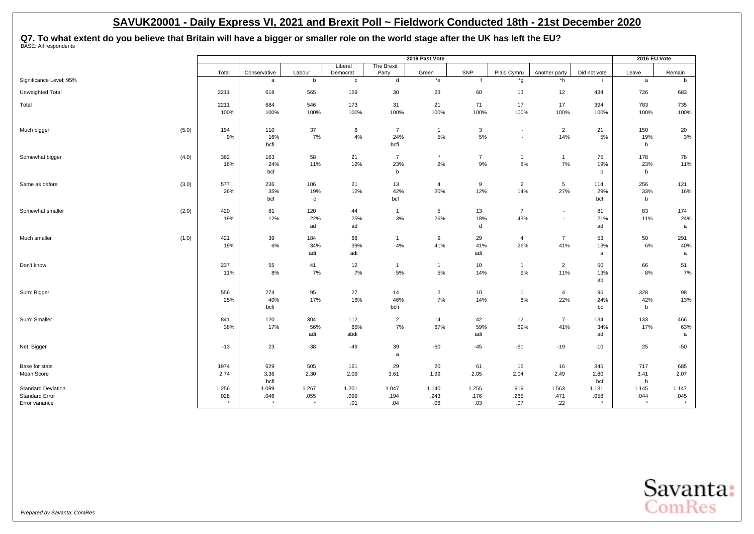Q7. To what extent do you believe that Britain will have a bigger or smaller role on the world stage after the UK has left the EU?<br><sup>BASE: All respondents</sup>

|                           |            |               |                     |                          |                    | 2019 Past Vote     |                |                          |                                            |              | 2016 EU Vote         |             |
|---------------------------|------------|---------------|---------------------|--------------------------|--------------------|--------------------|----------------|--------------------------|--------------------------------------------|--------------|----------------------|-------------|
|                           | Total      | Conservative  | Labour              | Liberal                  | The Brexit         | Green              | SNP            | Plaid Cymru              | Another party                              | Did not vote |                      | Remain      |
| Significance Level: 95%   |            | a             | $\mathbf b$         | Democrat<br>$\mathbf{C}$ | Party<br>d         | $*_{e}$            |                | *g                       | *h                                         |              | Leave<br>a           | $\mathsf b$ |
| Unweighted Total          | 2211       | 618           | 565                 | 159                      | 30                 | 23                 | 60             | 13                       | 12                                         | 434          | 726                  | 683         |
| Total                     | 2211       | 684           | 546                 | 173                      | 31                 | 21                 | 71             | $17$                     | 17                                         | 394          | 783                  | 735         |
|                           | 100%       | 100%          | 100%                | 100%                     | 100%               | 100%               | 100%           | 100%                     | 100%                                       | 100%         | 100%                 | 100%        |
| Much bigger<br>(5.0)      | 194        | 110           | 37                  | 6                        | $\overline{7}$     | $\mathbf{1}$       | 3              | $\overline{\phantom{a}}$ | $\overline{2}$                             | 21           | 150                  | 20          |
|                           | 9%         | 16%<br>bcfi   | 7%                  | 4%                       | 24%<br>bcfi        | 5%                 | 5%             | $\overline{\phantom{a}}$ | 14%                                        | 5%           | 19%<br>b             | 3%          |
| (4.0)<br>Somewhat bigger  | 362        | 163           | 58                  | 21                       | $\overline{7}$     | $^\star$           | $\overline{7}$ | $\mathbf{1}$             | $\mathbf{1}$                               | 75           | 178                  | 78          |
|                           | 16%        | 24%<br>bcf    | 11%                 | 12%                      | 23%<br>b           | 2%                 | 9%             | 8%                       | 7%                                         | 19%<br>b     | 23%<br>$\mathbf b$   | 11%         |
| Same as before<br>(3.0)   | 577        | 236           | 106                 | 21                       | 13                 | 4                  | 9              | $\overline{2}$           | 5                                          | 114          | 256                  | 121         |
|                           | 26%        | 35%<br>bcf    | 19%<br>$\mathtt{c}$ | 12%                      | 42%<br>bcf         | 20%                | 12%            | 14%                      | 27%                                        | 29%<br>bcf   | 33%<br>b             | 16%         |
|                           |            |               |                     |                          |                    |                    |                |                          |                                            |              |                      |             |
| (2.0)<br>Somewhat smaller | 420<br>19% | 81<br>12%     | 120<br>22%          | 44<br>25%                | $\mathbf{1}$<br>3% | 5<br>26%           | 13<br>18%      | $\overline{7}$<br>43%    | $\overline{\phantom{a}}$<br>$\blacksquare$ | 81<br>21%    | 83<br>11%            | 174<br>24%  |
|                           |            |               | ad                  | ad                       |                    |                    | d              |                          |                                            | ad           |                      | a           |
| (1.0)<br>Much smaller     | 421        | 39            | 184                 | 68                       | $\mathbf{1}$       | 9                  | 29             | $\overline{4}$           | $\overline{7}$                             | 53           | 50                   | 291         |
|                           | 19%        | 6%            | 34%                 | 39%                      | 4%                 | 41%                | 41%            | 26%                      | 41%                                        | 13%          | 6%                   | 40%         |
|                           |            |               | adi                 | adi                      |                    |                    | adi            |                          |                                            | a            |                      | a           |
| Don't know                | 237<br>11% | 55<br>8%      | 41<br>7%            | 12<br>7%                 | -1<br>$5\%$        | $\mathbf{1}$<br>5% | 10<br>14%      | $\mathbf{1}$<br>$9\%$    | $\overline{2}$<br>11%                      | 50<br>13%    | 66<br>8%             | 51<br>7%    |
|                           |            |               |                     |                          |                    |                    |                |                          |                                            | ab           |                      |             |
| Sum: Bigger               | 556        | 274           | 95                  | 27                       | 14                 | $\overline{2}$     | 10             | $\mathbf{1}$             | $\overline{4}$                             | 96           | 328                  | 98          |
|                           | 25%        | 40%<br>bcfi   | 17%                 | 16%                      | 46%<br>bcfi        | 7%                 | 14%            | 8%                       | 22%                                        | 24%<br>bc    | 42%<br>b             | 13%         |
| Sum: Smaller              | 841        | 120           | 304                 | 112                      | $\overline{2}$     | 14                 | 42             | 12                       | $\overline{7}$                             | 134          | 133                  | 466         |
|                           | 38%        | 17%           | 56%                 | 65%                      | 7%                 | 67%                | 59%            | 69%                      | 41%                                        | 34%          | 17%                  | 63%         |
|                           |            |               | adi                 | abdi                     |                    |                    | adi            |                          |                                            | ad           |                      | a           |
| Net: Bigger               | $-13$      | 23            | $-38$               | $-49$                    | 39<br>a            | $-60$              | $-45$          | $-61$                    | $-19$                                      | $-10$        | 25                   | $-50$       |
| Base for stats            | 1974       | 629           | 505                 | 161                      | 29                 | 20                 | 61             | 15                       | 16                                         | 345          | 717                  | 685         |
| Mean Score                | 2.74       | 3.36          | 2.30                | 2.09                     | 3.61               | 1.99               | 2.05           | 2.04                     | 2.49                                       | 2.80         | 3.41                 | 2.07        |
| <b>Standard Deviation</b> | 1.256      | bcfi<br>1.099 | 1.267               | 1.201                    | 1.047              | 1.140              | 1.255          | .919                     | 1.563                                      | bcf<br>1.131 | $\mathbf b$<br>1.145 | 1.147       |
| <b>Standard Error</b>     | .028       | .046          | .055                | .099                     | .194               | .243               | .176           | .265                     | .471                                       | .058         | .044                 | .045        |
| Error variance            | $\star$    | $\star$       | $\star$             | .01                      | .04                | .06                | .03            | .07                      | .22                                        | $\star$      | $\star$              | $\star$     |

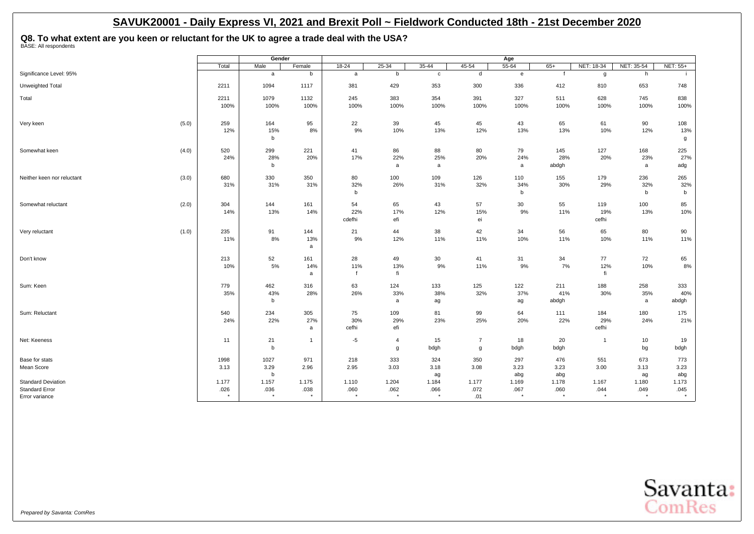**Q8. To what extent are you keen or reluctant for the UK to agree a trade deal with the USA?** BASE: All respondents

**Gender Age** Total | Male | Female | 18-24 | 25-34 | 35-44 | 45-54 | 55-64 | 65+ |NET:18-34 |NET: 35-54 |NET: 55+ Significance Level: 95% a b b c d e f g h i Unweighted Total 2211 1094 1117 381 429 353 300 336 412 810 653 748 Total 2211 1079 1132 245 383 354 391 327 511 628 745 838 100% 100% 100% 100% 100% 100% 100% 100% 100% 100% 100% 100% Very keen (5.0) 259 164 95 22 39 45 45 43 65 61 90 108 12% 15% 8% 9% 10% 13% 12% 13% 13% 10% 12% 13% b group of the contract of the contract of the contract of the contract of the contract of the contract of the contract of the contract of the contract of the contract of the contract of the contract of the contract of the Somewhat keen (4.0) | 520 | 299 221 | 41 86 88 79 145 127 168 225 24% 28% 20% 17% 22% 25% 20% 24% 28% 20% 23% 27% b a and a a and a adgh a adgh a adg Neither keen nor reluctant (3.0) 680 330 350 80 100 109 126 110 155 179 236 265 31% 31% 31% 32% 26% 31% 32% 34% 30% 29% 32% 32% b b b b Somewhat reluctant (2.0) 304 144 161 54 65 43 57 30 55 119 100 85 14% 13% 14% 22% 17% 12% 15% 9% 11% 19% 13% 10% cdefhi efi efi ei ei cefhi Very reluctant (1.0) | 235 | 91 144 | 21 44 38 42 34 56 65 80 90 11% 8% 13% 9% 12% 11% 11% 10% 11% 10% 11% 11% a Don't know 213 52 161 28 49 30 41 31 34 77 72 65 10% 5% 14% 11% 13% 9% 11% 9% 7% 12% 10% 8% a f fi fi Sum: Keen 779 462 316 63 124 133 125 122 211 188 258 333 35% 43% 28% 26% 33% 38% 32% 37% 41% 30% 35% 40% b a ag ag abdgh a ad abdgh a abdgh Sum: Reluctant 540 234 305 75 109 81 99 64 111 184 180 175 24% 22% 27% 30% 29% 23% 25% 20% 22% 29% 24% 21% a cefhi efi efi cefhould a cefhinn a cefhinn a cefhinn a cefhinn a cefhinn a cefhi Net: Keeness 11 | 21 1 5 4 15 7 18 20 1 10 19 b and bagh g bdgh g bdgh bdgh bdgh bg bdgh Base for stats 1998 | 1027 971 | 218 333 324 257 476 551 673 773 Mean Score 3.13 3.29 2.96 2.95 3.03 3.18 3.08 3.23 3.23 3.00 3.13 3.23 b ag abg abg ag abg Standard Deviation 1.177 1.175 1.110 1.204 1.177 1.169 1.178 1.180 1.173 045. 044 .040 .044 .036 .067 .060 .062 .060 .038 .038 .038 .038 .038 .036 .036 .034 .045 .044 .045 .045 .045 . Error variance \* \* \* \* \* \* .01 \* \* \* \* \*

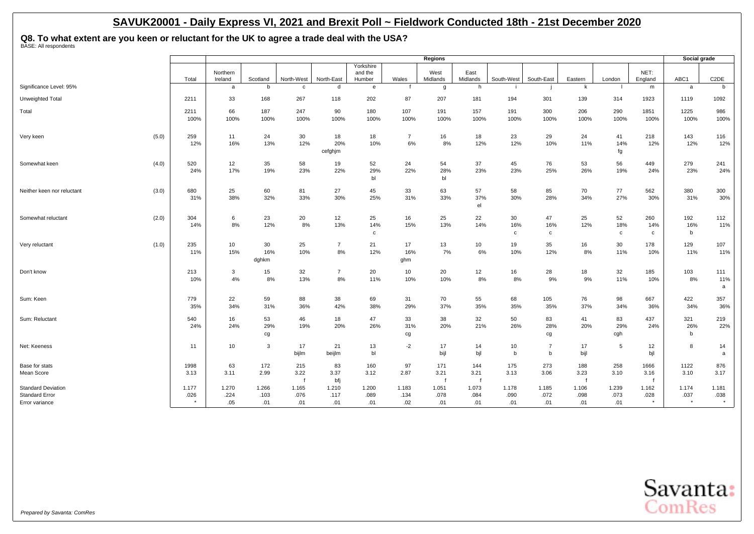**Q8. To what extent are you keen or reluctant for the UK to agree a trade deal with the USA?** BASE: All respondents

|                                                                      |               |                      |                      |                            |                      |                                |                      | Regions                     |                      |                           |                           |                      |                           |                             | Social grade             |                   |
|----------------------------------------------------------------------|---------------|----------------------|----------------------|----------------------------|----------------------|--------------------------------|----------------------|-----------------------------|----------------------|---------------------------|---------------------------|----------------------|---------------------------|-----------------------------|--------------------------|-------------------|
|                                                                      | Total         | Northern<br>Ireland  | Scotland             | North-West                 | North-East           | Yorkshire<br>and the<br>Humber | Wales                | West<br>Midlands            | East<br>Midlands     | South-West                | South-East                | Eastern              | London                    | NET:<br>England             | ABC1                     | C <sub>2</sub> DE |
| Significance Level: 95%                                              |               | a                    | b                    | c                          | d                    | $\mathbf{e}$                   |                      | g                           | h.                   |                           |                           | k                    |                           | m                           | a                        | b                 |
| Unweighted Total                                                     | 2211          | 33                   | 168                  | 267                        | 118                  | 202                            | 87                   | 207                         | 181                  | 194                       | 301                       | 139                  | 314                       | 1923                        | 1119                     | 1092              |
| Total                                                                | 2211<br>100%  | 66<br>100%           | 187<br>100%          | 247<br>100%                | 90<br>100%           | 180<br>100%                    | 107<br>100%          | 191<br>100%                 | 157<br>100%          | 191<br>100%               | 300<br>100%               | 206<br>100%          | 290<br>100%               | 1851<br>100%                | 1225<br>100%             | 986<br>100%       |
| (5.0)<br>Very keen                                                   | 259<br>12%    | 11<br>16%            | 24<br>13%            | 30<br>12%                  | 18<br>20%<br>cefghjm | 18<br>10%                      | $\overline{7}$<br>6% | 16<br>8%                    | 18<br>12%            | 23<br>12%                 | 29<br>10%                 | 24<br>11%            | 41<br>14%<br>fg           | 218<br>12%                  | 143<br>12%               | 116<br>12%        |
| Somewhat keen<br>(4.0)                                               | 520<br>24%    | 12<br>17%            | 35<br>19%            | 58<br>23%                  | 19<br>22%            | 52<br>29%<br>bl                | 24<br>22%            | 54<br>28%<br>bl             | 37<br>23%            | 45<br>23%                 | 76<br>25%                 | 53<br>26%            | 56<br>19%                 | 449<br>24%                  | 279<br>23%               | 241<br>24%        |
| Neither keen nor reluctant<br>(3.0)                                  | 680<br>31%    | 25<br>38%            | 60<br>32%            | 81<br>33%                  | 27<br>30%            | 45<br>25%                      | 33<br>31%            | 63<br>33%                   | 57<br>37%<br>el      | 58<br>30%                 | 85<br>28%                 | 70<br>34%            | 77<br>27%                 | 562<br>30%                  | 380<br>31%               | 300<br>30%        |
| (2.0)<br>Somewhat reluctant                                          | 304<br>14%    | 6<br>8%              | 23<br>12%            | 20<br>8%                   | 12<br>13%            | 25<br>14%<br>$\mathbf c$       | 16<br>15%            | 25<br>13%                   | 22<br>14%            | 30<br>16%<br>$\mathbf{c}$ | 47<br>16%<br>$\mathbf{C}$ | 25<br>12%            | 52<br>18%<br>$\mathtt{c}$ | 260<br>14%<br>$\mathbf c$   | 192<br>16%<br>b          | 112<br>11%        |
| (1.0)<br>Very reluctant                                              | 235<br>11%    | 10<br>15%            | 30<br>16%<br>dghkm   | 25<br>10%                  | $\overline{7}$<br>8% | 21<br>12%                      | 17<br>16%<br>ghm     | 13<br>7%                    | 10<br>6%             | 19<br>10%                 | 35<br>12%                 | 16<br>8%             | 30<br>11%                 | 178<br>10%                  | 129<br>11%               | 107<br>11%        |
| Don't know                                                           | 213<br>10%    | $\mathbf{3}$<br>4%   | 15<br>8%             | 32<br>13%                  | $\overline{7}$<br>8% | 20<br>11%                      | 10<br>10%            | 20<br>10%                   | 12<br>8%             | 16<br>8%                  | 28<br>9%                  | 18<br>9%             | 32<br>11%                 | 185<br>10%                  | 103<br>8%                | 111<br>11%<br>a   |
| Sum: Keen                                                            | 779<br>35%    | 22<br>34%            | 59<br>31%            | 88<br>36%                  | 38<br>42%            | 69<br>38%                      | 31<br>29%            | 70<br>37%                   | 55<br>35%            | 68<br>35%                 | 105<br>35%                | 76<br>37%            | 98<br>34%                 | 667<br>36%                  | 422<br>34%               | 357<br>36%        |
| Sum: Reluctant                                                       | 540<br>24%    | 16<br>24%            | 53<br>29%<br>cg      | 46<br>19%                  | 18<br>20%            | 47<br>26%                      | 33<br>31%<br>cg      | 38<br>20%                   | 32<br>21%            | 50<br>26%                 | 83<br>28%<br>cg           | 41<br>20%            | 83<br>29%<br>cgh          | 437<br>24%                  | 321<br>26%<br>b          | 219<br>22%        |
| Net: Keeness                                                         | 11            | 10                   | 3                    | 17<br>bijlm                | 21<br>beijlm         | 13<br>bl                       | $-2$                 | 17<br>bijl                  | 14<br>bjl            | 10<br>$\mathbf b$         | $\overline{7}$<br>b       | 17<br>bijl           | 5                         | 12<br>bjl                   | 8                        | 14<br>a           |
| Base for stats<br>Mean Score                                         | 1998<br>3.13  | 63<br>3.11           | 172<br>2.99          | 215<br>3.22<br>$\mathbf f$ | 83<br>3.37<br>bfi    | 160<br>3.12                    | 97<br>2.87           | 171<br>3.21<br>$\mathbf{f}$ | 144<br>3.21          | 175<br>3.13               | 273<br>3.06               | 188<br>3.23          | 258<br>3.10               | 1666<br>3.16<br>$\mathbf f$ | 1122<br>3.10             | 876<br>3.17       |
| <b>Standard Deviation</b><br><b>Standard Error</b><br>Error variance | 1.177<br>.026 | 1.270<br>.224<br>.05 | 1.266<br>.103<br>.01 | 1.165<br>.076<br>.01       | 1.210<br>.117<br>.01 | 1.200<br>.089<br>.01           | 1.183<br>.134<br>.02 | 1.051<br>.078<br>.01        | 1.073<br>.084<br>.01 | 1.178<br>.090<br>.01      | 1.185<br>.072<br>.01      | 1.106<br>.098<br>.01 | 1.239<br>.073<br>.01      | 1.162<br>.028<br>$^\star$   | 1.174<br>.037<br>$\star$ | 1.181<br>.038     |

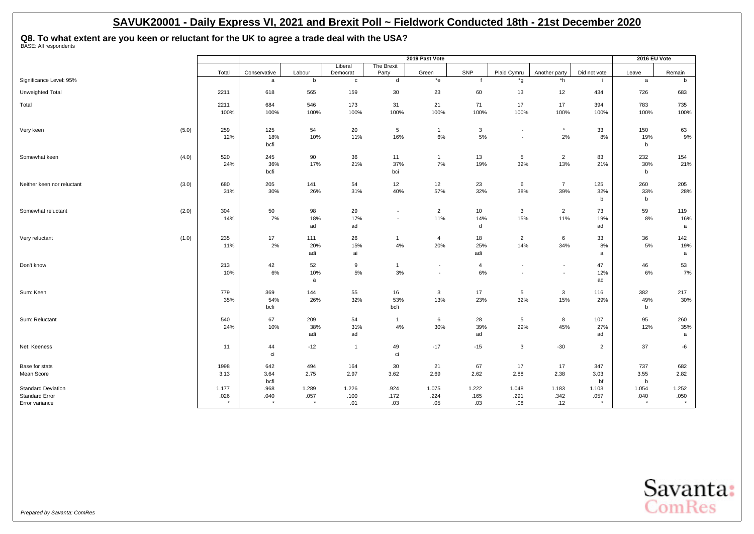**Q8. To what extent are you keen or reluctant for the UK to agree a trade deal with the USA?** BASE: All respondents

|                                                    |               |                   |                       |                         |                          | 2019 Past Vote     |                |                                                      |                                    |                | 2016 EU Vote  |                       |
|----------------------------------------------------|---------------|-------------------|-----------------------|-------------------------|--------------------------|--------------------|----------------|------------------------------------------------------|------------------------------------|----------------|---------------|-----------------------|
|                                                    |               |                   |                       | Liberal                 | The Brexit               |                    |                |                                                      |                                    |                |               |                       |
| Significance Level: 95%                            | Total         | Conservative<br>a | Labour<br>$\mathbf b$ | Democrat<br>$\mathbf c$ | Party<br>d               | Green<br>$*_{e}$   | SNP            | Plaid Cymru<br>*g                                    | Another party<br>$\overline{\ }$ h | Did not vote   | Leave<br>a    | Remain<br>$\mathsf b$ |
|                                                    |               |                   |                       |                         |                          |                    |                |                                                      |                                    |                |               |                       |
| Unweighted Total                                   | 2211          | 618               | 565                   | 159                     | 30                       | 23                 | 60             | 13                                                   | 12                                 | 434            | 726           | 683                   |
| Total                                              | 2211          | 684               | 546                   | 173                     | 31                       | 21                 | 71             | 17                                                   | 17                                 | 394            | 783           | 735                   |
|                                                    | 100%          | 100%              | 100%                  | 100%                    | 100%                     | 100%               | 100%           | 100%                                                 | 100%                               | 100%           | 100%          | 100%                  |
|                                                    |               |                   |                       |                         |                          |                    |                |                                                      |                                    |                |               |                       |
| (5.0)<br>Very keen                                 | 259<br>12%    | 125<br>18%        | 54<br>10%             | 20<br>11%               | 5<br>16%                 | $\mathbf{1}$<br>6% | 3<br>5%        | $\overline{\phantom{a}}$<br>$\overline{\phantom{a}}$ | $^\star$<br>2%                     | 33<br>8%       | 150<br>19%    | 63<br>9%              |
|                                                    |               | bcfi              |                       |                         |                          |                    |                |                                                      |                                    |                | b             |                       |
| (4.0)<br>Somewhat keen                             | 520           | 245               | 90                    | 36                      | 11                       | $\overline{1}$     | 13             | 5                                                    | $\overline{2}$                     | 83             | 232           | 154                   |
|                                                    | 24%           | 36%               | 17%                   | 21%                     | 37%                      | 7%                 | 19%            | 32%                                                  | 13%                                | 21%            | 30%           | 21%                   |
|                                                    |               | bcfi              |                       |                         | bci                      |                    |                |                                                      |                                    |                | b             |                       |
| (3.0)<br>Neither keen nor reluctant                | 680           | 205               | 141                   | 54                      | 12                       | 12                 | 23             | 6                                                    | $\overline{7}$                     | 125            | 260           | 205                   |
|                                                    | 31%           | 30%               | 26%                   | 31%                     | 40%                      | 57%                | 32%            | 38%                                                  | 39%                                | 32%            | 33%           | 28%                   |
|                                                    |               |                   |                       |                         |                          |                    |                |                                                      |                                    | b              | b             |                       |
| (2.0)<br>Somewhat reluctant                        | 304           | 50                | 98                    | 29                      | $\overline{\phantom{a}}$ | $\overline{2}$     | 10             | $\mathbf{3}$                                         | $\overline{2}$                     | 73             | 59            | 119                   |
|                                                    | 14%           | 7%                | 18%                   | 17%                     |                          | 11%                | 14%            | 15%                                                  | 11%                                | 19%            | 8%            | 16%                   |
|                                                    |               |                   | ad                    | ad                      |                          |                    | d              |                                                      |                                    | ad             |               | a                     |
| (1.0)<br>Very reluctant                            | 235           | 17                | 111                   | 26                      | $\mathbf{1}$             | $\overline{4}$     | 18             | $\overline{2}$                                       | 6                                  | 33             | 36            | 142                   |
|                                                    | 11%           | 2%                | 20%                   | 15%                     | 4%                       | 20%                | 25%            | 14%                                                  | 34%                                | 8%             | 5%            | 19%                   |
|                                                    |               |                   | adi                   | ai                      |                          |                    | adi            |                                                      |                                    | a              |               | a                     |
| Don't know                                         | 213           | 42                | 52                    | 9                       | $\mathbf{1}$             | $\blacksquare$     | $\overline{4}$ | $\overline{\phantom{a}}$                             |                                    | 47             | 46            | 53                    |
|                                                    | 10%           | 6%                | 10%                   | 5%                      | 3%                       | $\blacksquare$     | 6%             |                                                      |                                    | 12%            | 6%            | 7%                    |
|                                                    |               |                   | a                     |                         |                          |                    |                |                                                      |                                    | ac             |               |                       |
| Sum: Keen                                          | 779           | 369               | 144                   | 55                      | 16                       | $\mathbf{3}$       | 17             | 5                                                    | 3                                  | 116            | 382           | 217                   |
|                                                    | 35%           | 54%               | 26%                   | 32%                     | 53%                      | 13%                | 23%            | 32%                                                  | 15%                                | 29%            | 49%           | 30%                   |
|                                                    |               | bcfi              |                       |                         | bcfi                     |                    |                |                                                      |                                    |                | b             |                       |
| Sum: Reluctant                                     | 540           | 67                | 209                   | 54                      | $\mathbf{1}$             | 6                  | 28             | 5                                                    | 8                                  | 107            | 95            | 260                   |
|                                                    | 24%           | 10%               | 38%                   | 31%                     | 4%                       | 30%                | 39%            | 29%                                                  | 45%                                | 27%            | 12%           | 35%                   |
|                                                    |               |                   | adi                   | ad                      |                          |                    | ad             |                                                      |                                    | ad             |               | a                     |
| Net: Keeness                                       | 11            | 44                | $-12$                 | $\mathbf{1}$            | 49                       | $-17$              | $-15$          | $\mathbf{3}$                                         | $-30$                              | $\overline{2}$ | 37            | -6                    |
|                                                    |               | ci                |                       |                         | ci                       |                    |                |                                                      |                                    |                |               |                       |
| Base for stats                                     | 1998          | 642               | 494                   | 164                     | 30                       | 21                 | 67             | 17                                                   | 17                                 | 347            | 737           | 682                   |
| Mean Score                                         | 3.13          | 3.64              | 2.75                  | 2.97                    | 3.62                     | 2.69               | 2.62           | 2.88                                                 | 2.38                               | 3.03           | 3.55          | 2.82                  |
|                                                    |               | bcfi              |                       |                         |                          |                    |                |                                                      |                                    | bf             | $\mathbf b$   |                       |
| <b>Standard Deviation</b><br><b>Standard Error</b> | 1.177<br>.026 | .968<br>.040      | 1.289<br>.057         | 1.226<br>.100           | .924<br>.172             | 1.075<br>.224      | 1.222<br>.165  | 1.048<br>.291                                        | 1.183<br>.342                      | 1.103<br>.057  | 1.054<br>.040 | 1.252<br>.050         |
| Error variance                                     | $\star$       | $\star$           | $\star$               | .01                     | .03                      | .05                | .03            | .08                                                  | .12                                | $\star$        | $\star$       | $^\star$              |

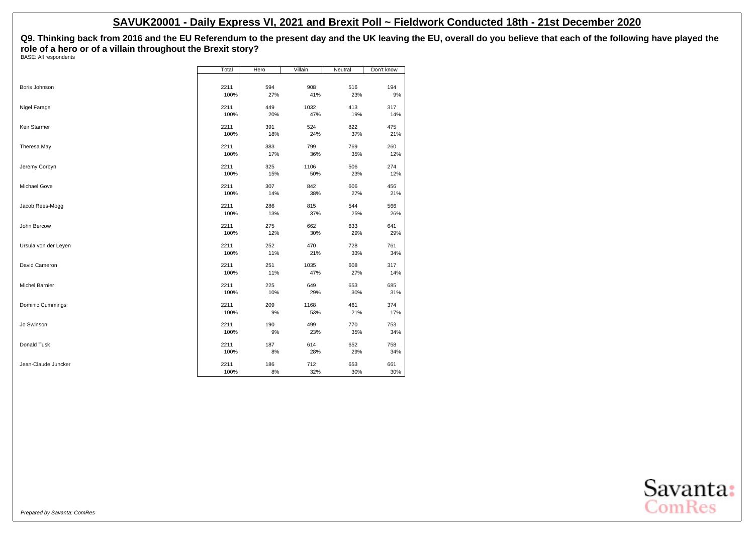**Q9. Thinking back from 2016 and the EU Referendum to the present day and the UK leaving the EU, overall do you believe that each of the following have played the role of a hero or of a villain throughout the Brexit story?**

BASE: All respondents

|                      | Total | Hero | Villain | Neutral | Don't know |
|----------------------|-------|------|---------|---------|------------|
|                      |       |      |         |         |            |
| Boris Johnson        | 2211  | 594  | 908     | 516     | 194        |
|                      | 100%  | 27%  | 41%     | 23%     | 9%         |
| Nigel Farage         | 2211  | 449  | 1032    | 413     | 317        |
|                      | 100%  | 20%  | 47%     | 19%     | 14%        |
| Keir Starmer         | 2211  | 391  | 524     | 822     | 475        |
|                      | 100%  | 18%  | 24%     | 37%     | 21%        |
| Theresa May          | 2211  | 383  | 799     | 769     | 260        |
|                      | 100%  | 17%  | 36%     | 35%     | 12%        |
| Jeremy Corbyn        | 2211  | 325  | 1106    | 506     | 274        |
|                      | 100%  | 15%  | 50%     | 23%     | 12%        |
| Michael Gove         | 2211  | 307  | 842     | 606     | 456        |
|                      | 100%  | 14%  | 38%     | 27%     | 21%        |
| Jacob Rees-Mogg      | 2211  | 286  | 815     | 544     | 566        |
|                      | 100%  | 13%  | 37%     | 25%     | 26%        |
| John Bercow          | 2211  | 275  | 662     | 633     | 641        |
|                      | 100%  | 12%  | 30%     | 29%     | 29%        |
| Ursula von der Leyen | 2211  | 252  | 470     | 728     | 761        |
|                      | 100%  | 11%  | 21%     | 33%     | 34%        |
| David Cameron        | 2211  | 251  | 1035    | 608     | 317        |
|                      | 100%  | 11%  | 47%     | 27%     | 14%        |
| Michel Barnier       | 2211  | 225  | 649     | 653     | 685        |
|                      | 100%  | 10%  | 29%     | 30%     | 31%        |
| Dominic Cummings     | 2211  | 209  | 1168    | 461     | 374        |
|                      | 100%  | 9%   | 53%     | 21%     | 17%        |
| Jo Swinson           | 2211  | 190  | 499     | 770     | 753        |
|                      | 100%  | 9%   | 23%     | 35%     | 34%        |
| Donald Tusk          | 2211  | 187  | 614     | 652     | 758        |
|                      | 100%  | 8%   | 28%     | 29%     | 34%        |
| Jean-Claude Juncker  | 2211  | 186  | 712     | 653     | 661        |
|                      | 100%  | 8%   | 32%     | 30%     | 30%        |

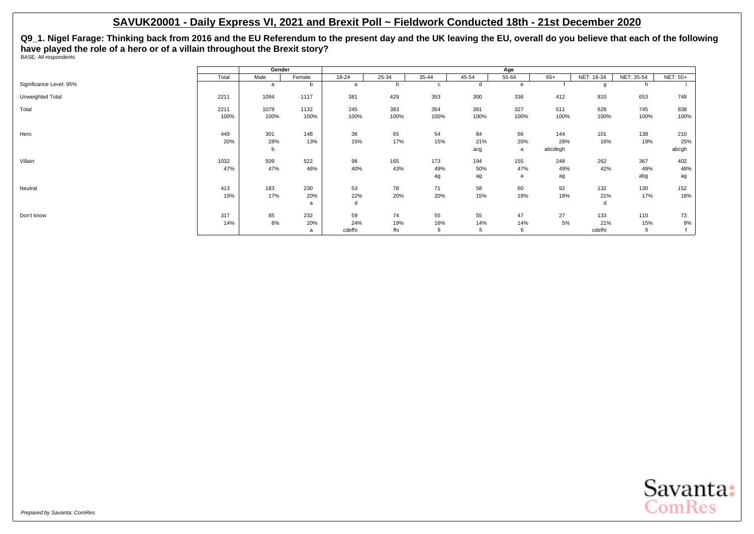**Q9\_1. Nigel Farage: Thinking back from 2016 and the EU Referendum to the present day and the UK leaving the EU, overall do you believe that each of the following have played the role of a hero or of a villain throughout the Brexit story?** BASE: All respondents

|                         |       | Gender |        |           |       |              |       | Age   |         |            |            |                 |
|-------------------------|-------|--------|--------|-----------|-------|--------------|-------|-------|---------|------------|------------|-----------------|
|                         | Total | Male   | Female | $18 - 24$ | 25-34 | 35-44        | 45-54 | 55-64 | $65+$   | NET: 18-34 | NET: 35-54 | <b>NET: 55+</b> |
| Significance Level: 95% |       | a      | b      | a         |       | $\mathbf{c}$ |       | e     |         |            |            |                 |
| Unweighted Total        | 2211  | 1094   | 1117   | 381       | 429   | 353          | 300   | 336   | 412     | 810        | 653        | 748             |
| Total                   | 2211  | 1079   | 1132   | 245       | 383   | 354          | 391   | 327   | 511     | 628        | 745        | 838             |
|                         | 100%  | 100%   | 100%   | 100%      | 100%  | 100%         | 100%  | 100%  | 100%    | 100%       | 100%       | 100%            |
| Hero                    | 449   | 301    | 148    | 36        | 65    | 54           | 84    | 66    | 144     | 101        | 138        | 210             |
|                         | 20%   | 28%    | 13%    | 15%       | 17%   | 15%          | 21%   | 20%   | 28%     | 16%        | 19%        | 25%             |
|                         |       | b      |        |           |       |              | acg   | a     | abcdegh |            |            | abcgh           |
| Villain                 | 1032  | 509    | 522    | 98        | 165   | 173          | 194   | 155   | 248     | 262        | 367        | 402             |
|                         | 47%   | 47%    | 46%    | 40%       | 43%   | 49%          | 50%   | 47%   | 49%     | 42%        | 49%        | 48%             |
|                         |       |        |        |           |       | ag           | ag    | a     | ag      |            | abg        | ag              |
| Neutral                 | 413   | 183    | 230    | 53        | 78    | 71           | 58    | 60    | 92      | 132        | 130        | 152             |
|                         | 19%   | 17%    | 20%    | 22%       | 20%   | 20%          | 15%   | 18%   | 18%     | 21%        | 17%        | 18%             |
|                         |       |        | a      | d         |       |              |       |       |         |            |            |                 |
| Don't know              | 317   | 85     | 232    | 59        | 74    | 55           | 55    | 47    | 27      | 133        | 110        | 73              |
|                         | 14%   | 8%     | 20%    | 24%       | 19%   | 16%          | 14%   | 14%   | 5%      | 21%        | 15%        | 9%              |
|                         |       |        | a      | cdefhi    | fhi   |              | fi    | fi    |         | cdefhi     |            |                 |

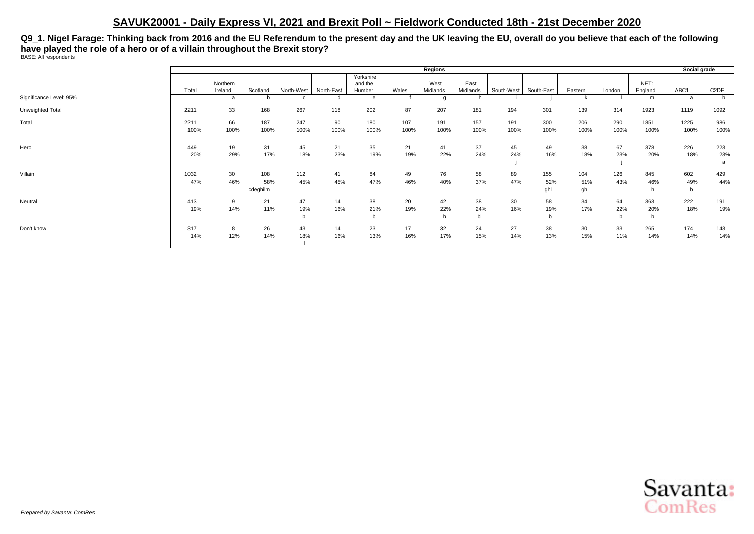**Q9\_1. Nigel Farage: Thinking back from 2016 and the EU Referendum to the present day and the UK leaving the EU, overall do you believe that each of the following have played the role of a hero or of a villain throughout the Brexit story?** BASE: All respondents

|                         |       |          |          |            |            |                      |       | Regions  |          |            |            |         |        |         | Social grade |                   |
|-------------------------|-------|----------|----------|------------|------------|----------------------|-------|----------|----------|------------|------------|---------|--------|---------|--------------|-------------------|
|                         |       | Northern |          |            |            | Yorkshire<br>and the |       | West     | East     |            |            |         |        | NET:    |              |                   |
|                         | Total | Ireland  | Scotland | North-West | North-East | Humber               | Wales | Midlands | Midlands | South-West | South-East | Eastern | London | England | ABC1         | C <sub>2</sub> DE |
| Significance Level: 95% |       | a        | b        |            | d          | e                    |       |          |          |            |            |         |        | m       | a            |                   |
| Unweighted Total        | 2211  | 33       | 168      | 267        | 118        | 202                  | 87    | 207      | 181      | 194        | 301        | 139     | 314    | 1923    | 1119         | 1092              |
| Total                   | 2211  | 66       | 187      | 247        | 90         | 180                  | 107   | 191      | 157      | 191        | 300        | 206     | 290    | 1851    | 1225         | 986               |
|                         | 100%  | 100%     | 100%     | 100%       | 100%       | 100%                 | 100%  | 100%     | 100%     | 100%       | 100%       | 100%    | 100%   | 100%    | 100%         | 100%              |
| Hero                    | 449   | 19       | 31       | 45         | 21         | 35                   | 21    | 41       | 37       | 45         | 49         | 38      | 67     | 378     | 226          | 223               |
|                         | 20%   | 29%      | 17%      | 18%        | 23%        | 19%                  | 19%   | 22%      | 24%      | 24%        | 16%        | 18%     | 23%    | 20%     | 18%          | 23%               |
|                         |       |          |          |            |            |                      |       |          |          |            |            |         |        |         |              | a                 |
| Villain                 | 1032  | 30       | 108      | 112        | 41         | 84                   | 49    | 76       | 58       | 89         | 155        | 104     | 126    | 845     | 602          | 429               |
|                         | 47%   | 46%      | 58%      | 45%        | 45%        | 47%                  | 46%   | 40%      | 37%      | 47%        | 52%        | 51%     | 43%    | 46%     | 49%          | 44%               |
|                         |       |          | cdeghilm |            |            |                      |       |          |          |            | ghl        | gh      |        | h       | $\mathsf{b}$ |                   |
| Neutral                 | 413   | 9        | 21       | 47         | 14         | 38                   | 20    | 42       | 38       | 30         | 58         | 34      | 64     | 363     | 222          | 191               |
|                         | 19%   | 14%      | 11%      | 19%        | 16%        | 21%                  | 19%   | 22%      | 24%      | 16%        | 19%        | 17%     | 22%    | 20%     | 18%          | 19%               |
|                         |       |          |          | b          |            | b                    |       | b        | bi       |            | b          |         | b      | b       |              |                   |
| Don't know              | 317   | 8        | 26       | 43         | 14         | 23                   | 17    | 32       | 24       | 27         | 38         | 30      | 33     | 265     | 174          | 143               |
|                         | 14%   | 12%      | 14%      | 18%        | 16%        | 13%                  | 16%   | 17%      | 15%      | 14%        | 13%        | 15%     | 11%    | 14%     | 14%          | 14%               |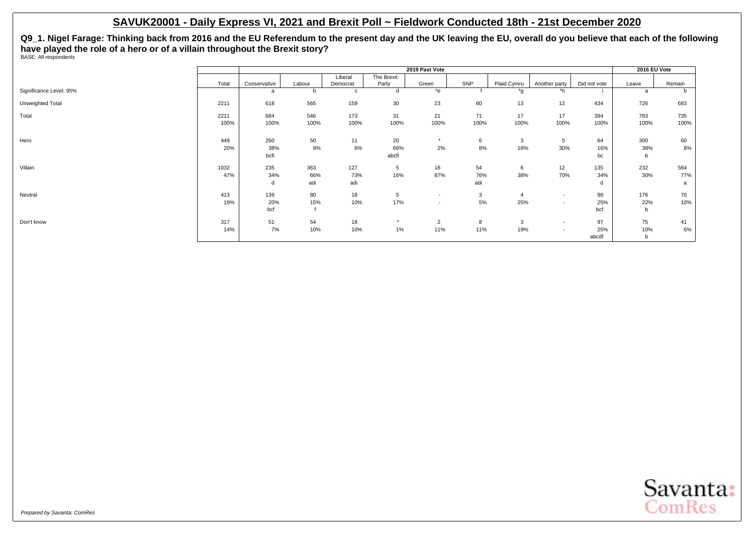**Q9\_1. Nigel Farage: Thinking back from 2016 and the EU Referendum to the present day and the UK leaving the EU, overall do you believe that each of the following have played the role of a hero or of a villain throughout the Brexit story?** BASE: All respondents

|                         |       |              |        |             |            | 2019 Past Vote           |      |             |                          |              | 2016 EU Vote |        |
|-------------------------|-------|--------------|--------|-------------|------------|--------------------------|------|-------------|--------------------------|--------------|--------------|--------|
|                         |       |              |        | Liberal     | The Brexit |                          |      |             |                          |              |              |        |
|                         | Total | Conservative | Labour | Democrat    | Party      | Green                    | SNP  | Plaid Cymru | Another party            | Did not vote | Leave        | Remain |
| Significance Level: 95% |       | a            | b      | $\mathbf c$ |            | $*$ e                    |      | *q          | $*h$                     |              |              | b      |
| Unweighted Total        | 2211  | 618          | 565    | 159         | 30         | 23                       | 60   | 13          | 12                       | 434          | 726          | 683    |
| Total                   | 2211  | 684          | 546    | 173         | 31         | 21                       | 71   | 17          | 17                       | 394          | 783          | 735    |
|                         | 100%  | 100%         | 100%   | 100%        | 100%       | 100%                     | 100% | 100%        | 100%                     | 100%         | 100%         | 100%   |
| Hero                    | 449   | 260          | 50     | 11          | 20         | $\star$                  | 6    | 3           | 5                        | 64           | 300          | 60     |
|                         | 20%   | 38%          | 9%     | 6%          | 66%        | 2%                       | 8%   | 18%         | 30%                      | 16%          | 38%          | 8%     |
|                         |       | bcfi         |        |             | abcfi      |                          |      |             |                          | bc           | b            |        |
| Villain                 | 1032  | 235          | 363    | 127         | 5          | 18                       | 54   | 6           | 12                       | 135          | 232          | 564    |
|                         | 47%   | 34%          | 66%    | 73%         | 16%        | 87%                      | 76%  | 38%         | 70%                      | 34%          | 30%          | 77%    |
|                         |       | d            | adi    | adi         |            |                          | adi  |             |                          | d            |              | a      |
| Neutral                 | 413   | 139          | 80     | 18          | 5          | $\overline{\phantom{a}}$ | 3    | 4           | $\overline{\phantom{a}}$ | 98           | 176          | 70     |
|                         | 19%   | 20%          | 15%    | 10%         | 17%        | $\overline{\phantom{a}}$ | 5%   | 25%         | $\overline{\phantom{a}}$ | 25%          | 22%          | 10%    |
|                         |       | bcf          |        |             |            |                          |      |             |                          | bcf          | b            |        |
| Don't know              | 317   | 51           | 54     | 18          | $\star$    | $\overline{2}$           | 8    | 3           | $\overline{\phantom{a}}$ | 97           | 75           | 41     |
|                         | 14%   | 7%           | 10%    | 10%         | 1%         | 11%                      | 11%  | 19%         | $\overline{\phantom{a}}$ | 25%          | 10%          | 6%     |
|                         |       |              |        |             |            |                          |      |             |                          | abcdf        | b            |        |

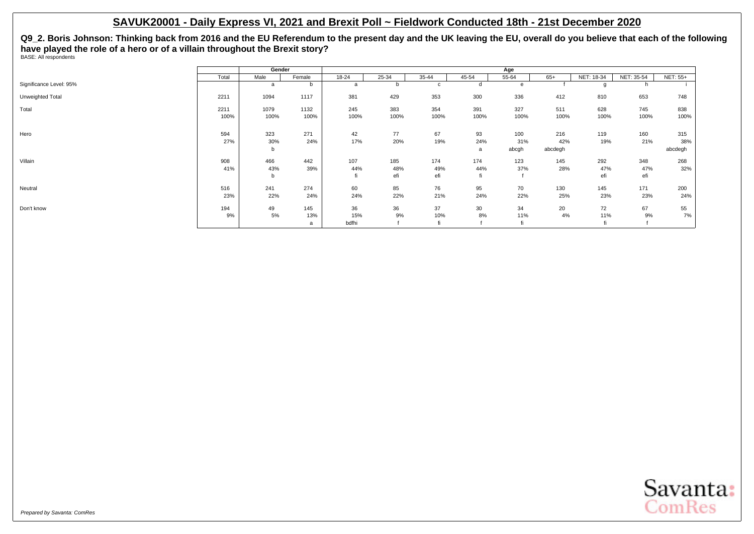**Q9\_2. Boris Johnson: Thinking back from 2016 and the EU Referendum to the present day and the UK leaving the EU, overall do you believe that each of the following have played the role of a hero or of a villain throughout the Brexit story?** BASE: All respondents

|                         |              | Gender          |                 |                    |                   |                   |                  | Age                 |                       |                   |                   |                       |
|-------------------------|--------------|-----------------|-----------------|--------------------|-------------------|-------------------|------------------|---------------------|-----------------------|-------------------|-------------------|-----------------------|
|                         | Total        | Male            | Female          | $18 - 24$          | $25 - 34$         | $35 - 44$         | 45-54            | $55 - 64$           | $65+$                 | NET: 18-34        | NET: 35-54        | <b>NET: 55+</b>       |
| Significance Level: 95% |              | a               | b               | a                  | b                 | C                 | d                | e                   |                       |                   | n.                |                       |
| Unweighted Total        | 2211         | 1094            | 1117            | 381                | 429               | 353               | 300              | 336                 | 412                   | 810               | 653               | 748                   |
| Total                   | 2211<br>100% | 1079<br>100%    | 1132<br>100%    | 245<br>100%        | 383<br>100%       | 354<br>100%       | 391<br>100%      | 327<br>100%         | 511<br>100%           | 628<br>100%       | 745<br>100%       | 838<br>100%           |
| Hero                    | 594<br>27%   | 323<br>30%<br>b | 271<br>24%      | 42<br>17%          | 77<br>20%         | 67<br>19%         | 93<br>24%<br>a   | 100<br>31%<br>abcgh | 216<br>42%<br>abcdegh | 119<br>19%        | 160<br>21%        | 315<br>38%<br>abcdegh |
| Villain                 | 908<br>41%   | 466<br>43%<br>b | 442<br>39%      | 107<br>44%         | 185<br>48%<br>efi | 174<br>49%<br>efi | 174<br>44%<br>fi | 123<br>37%          | 145<br>28%            | 292<br>47%<br>efi | 348<br>47%<br>efi | 268<br>32%            |
| Neutral                 | 516<br>23%   | 241<br>22%      | 274<br>24%      | 60<br>24%          | 85<br>22%         | 76<br>21%         | 95<br>24%        | 70<br>22%           | 130<br>25%            | 145<br>23%        | 171<br>23%        | 200<br>24%            |
| Don't know              | 194<br>9%    | 49<br>5%        | 145<br>13%<br>a | 36<br>15%<br>bdfhi | 36<br>9%          | 37<br>10%         | 30<br>8%         | 34<br>11%           | 20<br>4%              | 72<br>11%         | 67<br>9%          | 55<br>7%              |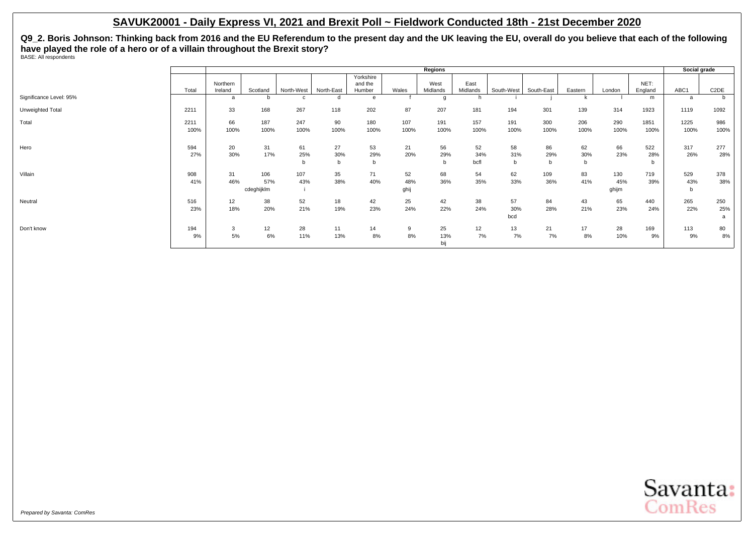**Q9\_2. Boris Johnson: Thinking back from 2016 and the EU Referendum to the present day and the UK leaving the EU, overall do you believe that each of the following have played the role of a hero or of a villain throughout the Brexit story?** BASE: All respondents

|                         |       |          |            |            |            |                      |       | Regions  |          |            |            |         |        |         | Social grade |                   |
|-------------------------|-------|----------|------------|------------|------------|----------------------|-------|----------|----------|------------|------------|---------|--------|---------|--------------|-------------------|
|                         |       | Northern |            |            |            | Yorkshire<br>and the |       | West     | East     |            |            |         |        | NET:    |              |                   |
|                         | Total | Ireland  | Scotland   | North-West | North-East | Humber               | Wales | Midlands | Midlands | South-West | South-East | Eastern | London | England | ABC1         | C <sub>2</sub> DE |
| Significance Level: 95% |       | a        |            |            |            | e                    |       | $\alpha$ |          |            |            |         |        | m       | a            |                   |
| Unweighted Total        | 2211  | 33       | 168        | 267        | 118        | 202                  | 87    | 207      | 181      | 194        | 301        | 139     | 314    | 1923    | 1119         | 1092              |
| Total                   | 2211  | 66       | 187        | 247        | 90         | 180                  | 107   | 191      | 157      | 191        | 300        | 206     | 290    | 1851    | 1225         | 986               |
|                         | 100%  | 100%     | 100%       | 100%       | 100%       | 100%                 | 100%  | 100%     | 100%     | 100%       | 100%       | 100%    | 100%   | 100%    | 100%         | 100%              |
| Hero                    | 594   | 20       | 31         | 61         | 27         | 53                   | 21    | 56       | 52       | 58         | 86         | 62      | 66     | 522     | 317          | 277               |
|                         | 27%   | 30%      | 17%        | 25%        | 30%        | 29%                  | 20%   | 29%      | 34%      | 31%        | 29%        | 30%     | 23%    | 28%     | 26%          | 28%               |
|                         |       |          |            | b          |            | b                    |       | b        | bcfl     | b          | b          | b       |        | b       |              |                   |
| Villain                 | 908   | 31       | 106        | 107        | 35         | 71                   | 52    | 68       | 54       | 62         | 109        | 83      | 130    | 719     | 529          | 378               |
|                         | 41%   | 46%      | 57%        | 43%        | 38%        | 40%                  | 48%   | 36%      | 35%      | 33%        | 36%        | 41%     | 45%    | 39%     | 43%          | 38%               |
|                         |       |          | cdeghijklm |            |            |                      | ghij  |          |          |            |            |         | ghijm  |         | b            |                   |
| Neutral                 | 516   | 12       | 38         | 52         | 18         | 42                   | 25    | 42       | 38       | 57         | 84         | 43      | 65     | 440     | 265          | 250               |
|                         | 23%   | 18%      | 20%        | 21%        | 19%        | 23%                  | 24%   | 22%      | 24%      | 30%        | 28%        | 21%     | 23%    | 24%     | 22%          | 25%               |
|                         |       |          |            |            |            |                      |       |          |          | bcd        |            |         |        |         |              | a                 |
| Don't know              | 194   | 3        | 12         | 28         | 11         | 14                   | 9     | 25       | 12       | 13         | 21         | 17      | 28     | 169     | 113          | 80                |
|                         | 9%    | 5%       | 6%         | 11%        | 13%        | 8%                   | 8%    | 13%      | 7%       | 7%         | 7%         | 8%      | 10%    | 9%      | 9%           | 8%                |
|                         |       |          |            |            |            |                      |       | bij      |          |            |            |         |        |         |              |                   |

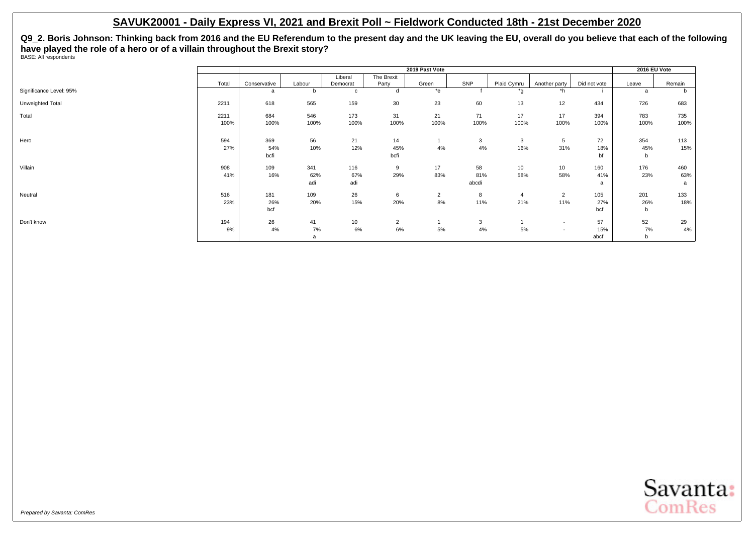**Q9\_2. Boris Johnson: Thinking back from 2016 and the EU Referendum to the present day and the UK leaving the EU, overall do you believe that each of the following have played the role of a hero or of a villain throughout the Brexit story?** BASE: All respondents

|                         |       |              |        |          |                | 2019 Past Vote |       |             |                          |              | 2016 EU Vote |        |
|-------------------------|-------|--------------|--------|----------|----------------|----------------|-------|-------------|--------------------------|--------------|--------------|--------|
|                         |       |              |        | Liberal  | The Brexit     |                |       |             |                          |              |              |        |
|                         | Total | Conservative | Labour | Democrat | Party          | Green          | SNP   | Plaid Cymru | Another party            | Did not vote | Leave        | Remain |
| Significance Level: 95% |       | a            |        | C        |                | $*$ e          |       | *g          | $\overline{h}$           |              | a            | b      |
| Unweighted Total        | 2211  | 618          | 565    | 159      | 30             | 23             | 60    | 13          | 12                       | 434          | 726          | 683    |
| Total                   | 2211  | 684          | 546    | 173      | 31             | 21             | 71    | 17          | 17                       | 394          | 783          | 735    |
|                         | 100%  | 100%         | 100%   | 100%     | 100%           | 100%           | 100%  | 100%        | 100%                     | 100%         | 100%         | 100%   |
| Hero                    | 594   | 369          | 56     | 21       | 14             |                | 3     | 3           | 5                        | 72           | 354          | 113    |
|                         | 27%   | 54%          | 10%    | 12%      | 45%            | 4%             | 4%    | 16%         | 31%                      | 18%          | 45%          | 15%    |
|                         |       | bcfi         |        |          | bcfi           |                |       |             |                          | bf           | b            |        |
| Villain                 | 908   | 109          | 341    | 116      | 9              | 17             | 58    | 10          | 10                       | 160          | 176          | 460    |
|                         | 41%   | 16%          | 62%    | 67%      | 29%            | 83%            | 81%   | 58%         | 58%                      | 41%          | 23%          | 63%    |
|                         |       |              | adi    | adi      |                |                | abcdi |             |                          | a            |              | a      |
| Neutral                 | 516   | 181          | 109    | 26       | 6              | $\overline{2}$ | 8     | -4          | $\overline{2}$           | 105          | 201          | 133    |
|                         | 23%   | 26%          | 20%    | 15%      | 20%            | 8%             | 11%   | 21%         | 11%                      | 27%          | 26%          | 18%    |
|                         |       | bcf          |        |          |                |                |       |             |                          | bcf          | b            |        |
| Don't know              | 194   | 26           | 41     | 10       | $\overline{2}$ |                | 3     |             | $\overline{\phantom{a}}$ | 57           | 52           | 29     |
|                         | 9%    | 4%           | 7%     | 6%       | 6%             | 5%             | 4%    | 5%          | $\overline{\phantom{a}}$ | 15%          | 7%           | 4%     |
|                         |       |              | a      |          |                |                |       |             |                          | abcf         | b            |        |

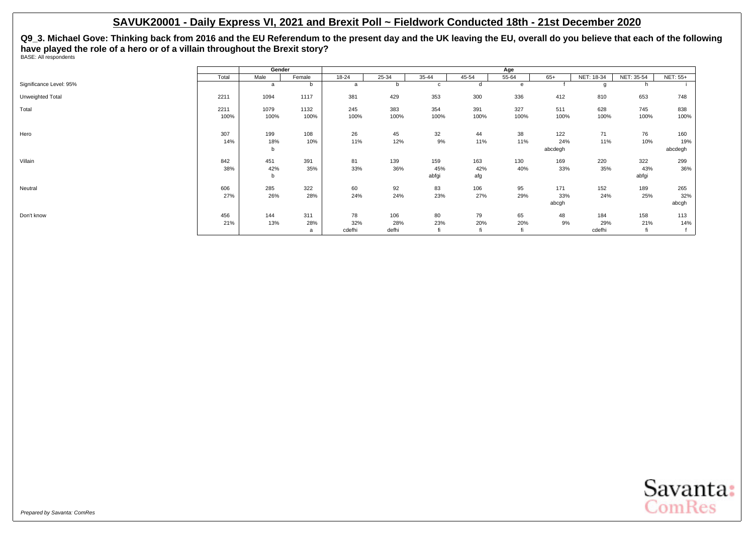**Q9\_3. Michael Gove: Thinking back from 2016 and the EU Referendum to the present day and the UK leaving the EU, overall do you believe that each of the following have played the role of a hero or of a villain throughout the Brexit story?** BASE: All respondents

|                         |       | Gender |        |           |           |           |           | Age       |         |            |            |                 |
|-------------------------|-------|--------|--------|-----------|-----------|-----------|-----------|-----------|---------|------------|------------|-----------------|
|                         | Total | Male   | Female | $18 - 24$ | $25 - 34$ | $35 - 44$ | $45 - 54$ | $55 - 64$ | $65+$   | NET: 18-34 | NET: 35-54 | <b>NET: 55+</b> |
| Significance Level: 95% |       | a      | b      | a         |           | c         | d         | e         |         |            | h          |                 |
| Unweighted Total        | 2211  | 1094   | 1117   | 381       | 429       | 353       | 300       | 336       | 412     | 810        | 653        | 748             |
| Total                   | 2211  | 1079   | 1132   | 245       | 383       | 354       | 391       | 327       | 511     | 628        | 745        | 838             |
|                         | 100%  | 100%   | 100%   | 100%      | 100%      | 100%      | 100%      | 100%      | 100%    | 100%       | 100%       | 100%            |
| Hero                    | 307   | 199    | 108    | 26        | 45        | 32        | 44        | 38        | 122     | 71         | 76         | 160             |
|                         | 14%   | 18%    | 10%    | 11%       | 12%       | 9%        | 11%       | 11%       | 24%     | 11%        | 10%        | 19%             |
|                         |       | b      |        |           |           |           |           |           | abcdegh |            |            | abcdegh         |
| Villain                 | 842   | 451    | 391    | 81        | 139       | 159       | 163       | 130       | 169     | 220        | 322        | 299             |
|                         | 38%   | 42%    | 35%    | 33%       | 36%       | 45%       | 42%       | 40%       | 33%     | 35%        | 43%        | 36%             |
|                         |       | b      |        |           |           | abfgi     | afg       |           |         |            | abfgi      |                 |
| Neutral                 | 606   | 285    | 322    | 60        | 92        | 83        | 106       | 95        | 171     | 152        | 189        | 265             |
|                         | 27%   | 26%    | 28%    | 24%       | 24%       | 23%       | 27%       | 29%       | 33%     | 24%        | 25%        | 32%             |
|                         |       |        |        |           |           |           |           |           | abcgh   |            |            | abcgh           |
| Don't know              | 456   | 144    | 311    | 78        | 106       | 80        | 79        | 65        | 48      | 184        | 158        | 113             |
|                         | 21%   | 13%    | 28%    | 32%       | 28%       | 23%       | 20%       | 20%       | 9%      | 29%        | 21%        | 14%             |
|                         |       |        | a      | cdefhi    | defhi     | fi        |           |           |         | cdefhi     | fi         |                 |

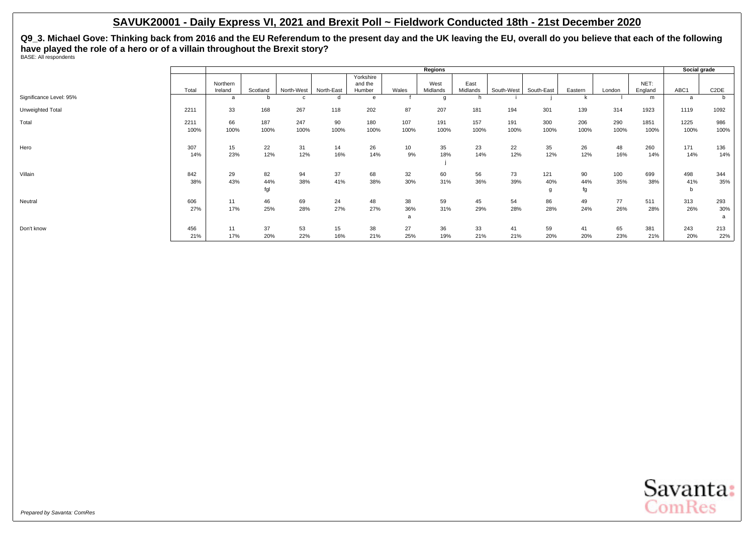**Q9\_3. Michael Gove: Thinking back from 2016 and the EU Referendum to the present day and the UK leaving the EU, overall do you believe that each of the following have played the role of a hero or of a villain throughout the Brexit story?** BASE: All respondents

|                         |              |                     |                  |             |            |                                |                       | Regions          |                  |             |                 |                 |             |                 | Social grade    |                   |
|-------------------------|--------------|---------------------|------------------|-------------|------------|--------------------------------|-----------------------|------------------|------------------|-------------|-----------------|-----------------|-------------|-----------------|-----------------|-------------------|
|                         | Total        | Northern<br>Ireland | Scotland         | North-West  | North-East | Yorkshire<br>and the<br>Humber | Wales                 | West<br>Midlands | East<br>Midlands | South-West  | South-East      | Eastern         | London      | NET:<br>England | ABC1            | C <sub>2</sub> DE |
| Significance Level: 95% |              | a                   | b                | C           | d          | e                              |                       | g                |                  |             |                 |                 |             | m               | a               | b                 |
| Unweighted Total        | 2211         | 33                  | 168              | 267         | 118        | 202                            | 87                    | 207              | 181              | 194         | 301             | 139             | 314         | 1923            | 1119            | 1092              |
| Total                   | 2211<br>100% | 66<br>100%          | 187<br>100%      | 247<br>100% | 90<br>100% | 180<br>100%                    | 107<br>100%           | 191<br>100%      | 157<br>100%      | 191<br>100% | 300<br>100%     | 206<br>100%     | 290<br>100% | 1851<br>100%    | 1225<br>100%    | 986<br>100%       |
| Hero                    | 307<br>14%   | 15<br>23%           | 22<br>12%        | 31<br>12%   | 14<br>16%  | 26<br>14%                      | 10 <sup>1</sup><br>9% | 35<br>18%        | 23<br>14%        | 22<br>12%   | 35<br>12%       | 26<br>12%       | 48<br>16%   | 260<br>14%      | 171<br>14%      | 136<br>14%        |
| Villain                 | 842<br>38%   | 29<br>43%           | 82<br>44%<br>fgl | 94<br>38%   | 37<br>41%  | 68<br>38%                      | 32<br>30%             | 60<br>31%        | 56<br>36%        | 73<br>39%   | 121<br>40%<br>g | 90<br>44%<br>fg | 100<br>35%  | 699<br>38%      | 498<br>41%<br>b | 344<br>35%        |
| Neutral                 | 606<br>27%   | 11<br>17%           | 46<br>25%        | 69<br>28%   | 24<br>27%  | 48<br>27%                      | 38<br>36%<br>a        | 59<br>31%        | 45<br>29%        | 54<br>28%   | 86<br>28%       | 49<br>24%       | 77<br>26%   | 511<br>28%      | 313<br>26%      | 293<br>30%<br>a   |
| Don't know              | 456<br>21%   | 11<br>17%           | 37<br>20%        | 53<br>22%   | 15<br>16%  | 38<br>21%                      | 27<br>25%             | 36<br>19%        | 33<br>21%        | 41<br>21%   | 59<br>20%       | 41<br>20%       | 65<br>23%   | 381<br>21%      | 243<br>20%      | 213<br>22%        |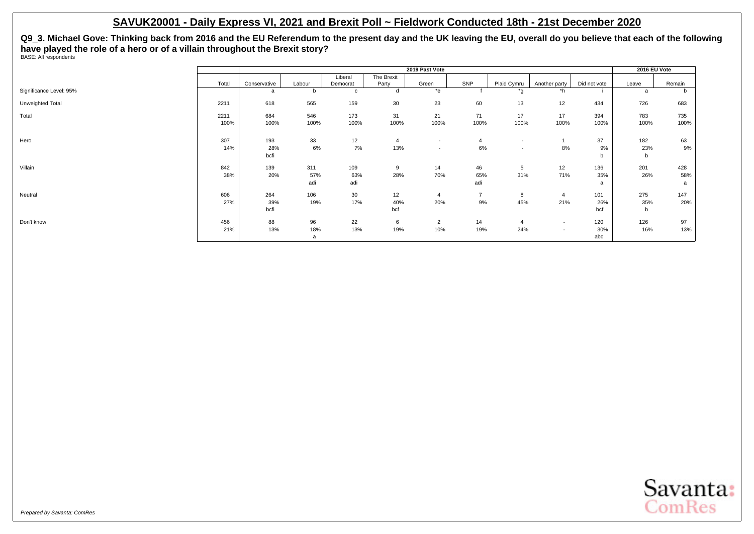**Q9\_3. Michael Gove: Thinking back from 2016 and the EU Referendum to the present day and the UK leaving the EU, overall do you believe that each of the following have played the role of a hero or of a villain throughout the Brexit story?** BASE: All respondents

|                         |       |              |        |             |            | 2019 Past Vote           |                |                          |                          |              | 2016 EU Vote |        |
|-------------------------|-------|--------------|--------|-------------|------------|--------------------------|----------------|--------------------------|--------------------------|--------------|--------------|--------|
|                         |       |              |        | Liberal     | The Brexit |                          |                |                          |                          |              |              |        |
|                         | Total | Conservative | Labour | Democrat    | Party      | Green                    | <b>SNP</b>     | Plaid Cymru              | Another party            | Did not vote | Leave        | Remain |
| Significance Level: 95% |       | a            | b      | $\mathbf c$ | d          | *e                       |                | $*_{g}$                  | $*h$                     |              | <sub>a</sub> | b      |
| Unweighted Total        | 2211  | 618          | 565    | 159         | 30         | 23                       | 60             | 13                       | 12                       | 434          | 726          | 683    |
| Total                   | 2211  | 684          | 546    | 173         | 31         | 21                       | 71             | 17                       | 17                       | 394          | 783          | 735    |
|                         | 100%  | 100%         | 100%   | 100%        | 100%       | 100%                     | 100%           | 100%                     | 100%                     | 100%         | 100%         | 100%   |
| Hero                    | 307   | 193          | 33     | 12          | 4          | $\overline{\phantom{a}}$ | 4              | $\overline{\phantom{a}}$ |                          | 37           | 182          | 63     |
|                         | 14%   | 28%          | 6%     | 7%          | 13%        | $\overline{\phantom{a}}$ | 6%             | $\overline{\phantom{a}}$ | 8%                       | 9%           | 23%          | 9%     |
|                         |       | bcfi         |        |             |            |                          |                |                          |                          | b            | b            |        |
| Villain                 | 842   | 139          | 311    | 109         | 9          | 14                       | 46             | 5                        | 12                       | 136          | 201          | 428    |
|                         | 38%   | 20%          | 57%    | 63%         | 28%        | 70%                      | 65%            | 31%                      | 71%                      | 35%          | 26%          | 58%    |
|                         |       |              | adi    | adi         |            |                          | adi            |                          |                          | a            |              | a      |
| Neutral                 | 606   | 264          | 106    | 30          | 12         | $\overline{4}$           | $\overline{7}$ | 8                        | 4                        | 101          | 275          | 147    |
|                         | 27%   | 39%          | 19%    | 17%         | 40%        | 20%                      | 9%             | 45%                      | 21%                      | 26%          | 35%          | 20%    |
|                         |       | bcfi         |        |             | bcf        |                          |                |                          |                          | bcf          | b            |        |
| Don't know              | 456   | 88           | 96     | 22          | 6          | $\overline{2}$           | 14             | $\overline{4}$           | $\overline{\phantom{a}}$ | 120          | 126          | 97     |
|                         | 21%   | 13%          | 18%    | 13%         | 19%        | 10%                      | 19%            | 24%                      | $\overline{\phantom{a}}$ | 30%          | 16%          | 13%    |
|                         |       |              | a      |             |            |                          |                |                          |                          | abc          |              |        |

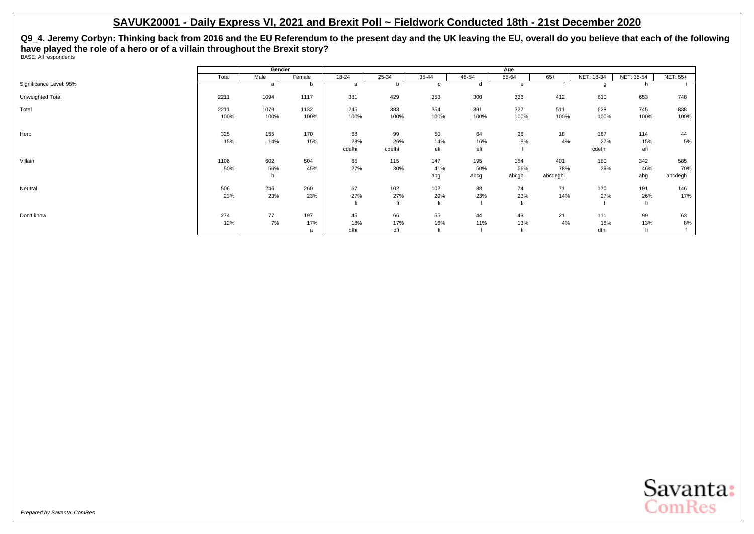**Q9\_4. Jeremy Corbyn: Thinking back from 2016 and the EU Referendum to the present day and the UK leaving the EU, overall do you believe that each of the following have played the role of a hero or of a villain throughout the Brexit story?** BASE: All respondents

|                         |       | Gender |        |        |        |       |       | Age   |          |            |            |                 |
|-------------------------|-------|--------|--------|--------|--------|-------|-------|-------|----------|------------|------------|-----------------|
|                         | Total | Male   | Female | 18-24  | 25-34  | 35-44 | 45-54 | 55-64 | $65+$    | NET: 18-34 | NET: 35-54 | <b>NET: 55+</b> |
| Significance Level: 95% |       | a      | b      | a      |        | c     | d     | e     |          |            | h          |                 |
| Unweighted Total        | 2211  | 1094   | 1117   | 381    | 429    | 353   | 300   | 336   | 412      | 810        | 653        | 748             |
| Total                   | 2211  | 1079   | 1132   | 245    | 383    | 354   | 391   | 327   | 511      | 628        | 745        | 838             |
|                         | 100%  | 100%   | 100%   | 100%   | 100%   | 100%  | 100%  | 100%  | 100%     | 100%       | 100%       | 100%            |
| Hero                    | 325   | 155    | 170    | 68     | 99     | 50    | 64    | 26    | 18       | 167        | 114        | 44              |
|                         | 15%   | 14%    | 15%    | 28%    | 26%    | 14%   | 16%   | 8%    | 4%       | 27%        | 15%        | 5%              |
|                         |       |        |        | cdefhi | cdefhi | efi   | efi   |       |          | cdefhi     | efi        |                 |
| Villain                 | 1106  | 602    | 504    | 65     | 115    | 147   | 195   | 184   | 401      | 180        | 342        | 585             |
|                         | 50%   | 56%    | 45%    | 27%    | 30%    | 41%   | 50%   | 56%   | 78%      | 29%        | 46%        | 70%             |
|                         |       | b      |        |        |        | abg   | abcg  | abcgh | abcdeghi |            | abg        | abcdegh         |
| Neutral                 | 506   | 246    | 260    | 67     | 102    | 102   | 88    | 74    | 71       | 170        | 191        | 146             |
|                         | 23%   | 23%    | 23%    | 27%    | 27%    | 29%   | 23%   | 23%   | 14%      | 27%        | 26%        | 17%             |
|                         |       |        |        | fi     | fi     | fi    |       |       |          | fi         | fi         |                 |
| Don't know              | 274   | 77     | 197    | 45     | 66     | 55    | 44    | 43    | 21       | 111        | 99         | 63              |
|                         | 12%   | 7%     | 17%    | 18%    | 17%    | 16%   | 11%   | 13%   | 4%       | 18%        | 13%        | 8%              |
|                         |       |        | a      | dfhi   | dfi    | fi    |       |       |          | dfhi       | fi         |                 |

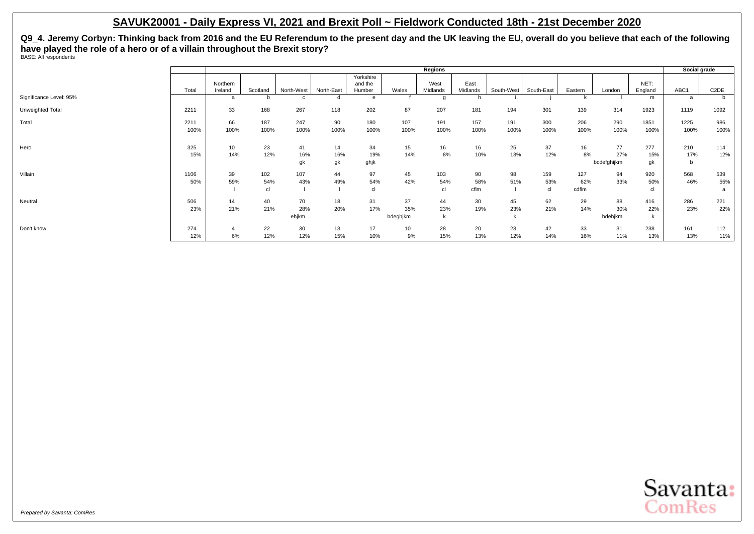**Q9\_4. Jeremy Corbyn: Thinking back from 2016 and the EU Referendum to the present day and the UK leaving the EU, overall do you believe that each of the following have played the role of a hero or of a villain throughout the Brexit story?** BASE: All respondents

|                         |       |                         |               |                            |            |                      |          | Regions       |          |            |            |         |             |              | Social grade |                   |
|-------------------------|-------|-------------------------|---------------|----------------------------|------------|----------------------|----------|---------------|----------|------------|------------|---------|-------------|--------------|--------------|-------------------|
|                         |       | Northern                |               |                            |            | Yorkshire<br>and the |          | West          | East     |            |            |         |             | NET:         |              |                   |
| Significance Level: 95% | Total | Ireland<br>a            | Scotland<br>b | North-West<br>$\mathbf{c}$ | North-East | Humber<br>e          | Wales    | Midlands<br>g | Midlands | South-West | South-East | Eastern | London      | England<br>m | ABC1<br>a    | C <sub>2</sub> DE |
|                         |       |                         |               |                            |            |                      |          |               |          |            |            |         |             |              |              |                   |
| Unweighted Total        | 2211  | 33                      | 168           | 267                        | 118        | 202                  | 87       | 207           | 181      | 194        | 301        | 139     | 314         | 1923         | 1119         | 1092              |
| Total                   | 2211  | 66                      | 187           | 247                        | 90         | 180                  | 107      | 191           | 157      | 191        | 300        | 206     | 290         | 1851         | 1225         | 986               |
|                         | 100%  | 100%                    | 100%          | 100%                       | 100%       | 100%                 | 100%     | 100%          | 100%     | 100%       | 100%       | 100%    | 100%        | 100%         | 100%         | 100%              |
| Hero                    | 325   | 10                      | 23            | 41                         | 14         | 34                   | 15       | 16            | 16       | 25         | 37         | 16      | 77          | 277          | 210          | 114               |
|                         | 15%   | 14%                     | 12%           | 16%                        | 16%        | 19%                  | 14%      | 8%            | 10%      | 13%        | 12%        | 8%      | 27%         | 15%          | 17%          | 12%               |
|                         |       |                         |               | gk                         | gk         | ghjk                 |          |               |          |            |            |         | bcdefghijkm | gk           | b            |                   |
| Villain                 | 1106  | 39                      | 102           | 107                        | 44         | 97                   | 45       | 103           | 90       | 98         | 159        | 127     | 94          | 920          | 568          | 539               |
|                         | 50%   | 59%                     | 54%           | 43%                        | 49%        | 54%                  | 42%      | 54%           | 58%      | 51%        | 53%        | 62%     | 33%         | 50%          | 46%          | 55%               |
|                         |       |                         | cl            |                            |            | cl                   |          | cl            | cflm     |            | cl         | cdflm   |             | cl           |              | a                 |
| Neutral                 | 506   | 14                      | 40            | 70                         | 18         | 31                   | 37       | 44            | 30       | 45         | 62         | 29      | 88          | 416          | 286          | 221               |
|                         | 23%   | 21%                     | 21%           | 28%                        | 20%        | 17%                  | 35%      | 23%           | 19%      | 23%        | 21%        | 14%     | 30%         | 22%          | 23%          | 22%               |
|                         |       |                         |               | ehjkm                      |            |                      | bdeghjkm | k             |          |            |            |         | bdehjkm     | $\mathsf{k}$ |              |                   |
| Don't know              | 274   | $\overline{\mathbf{4}}$ | 22            | 30                         | 13         | 17                   | 10       | 28            | 20       | 23         | 42         | 33      | 31          | 238          | 161          | 112               |
|                         | 12%   | 6%                      | 12%           | 12%                        | 15%        | 10%                  | 9%       | 15%           | 13%      | 12%        | 14%        | 16%     | 11%         | 13%          | 13%          | 11%               |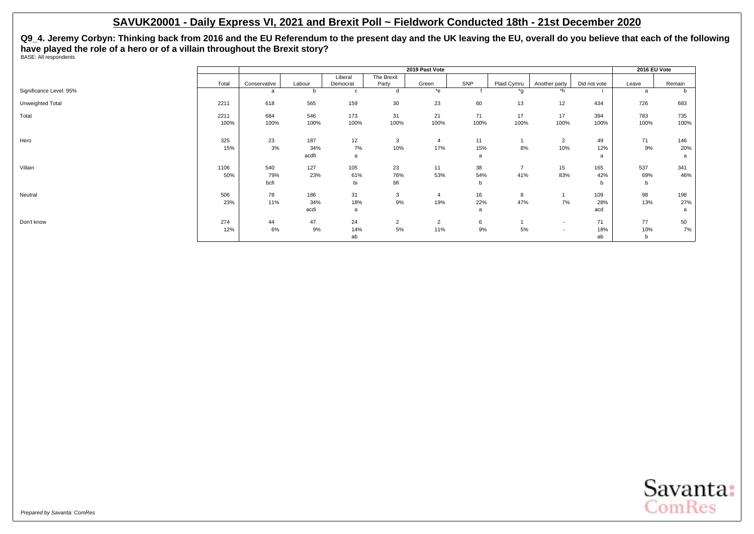**Q9\_4. Jeremy Corbyn: Thinking back from 2016 and the EU Referendum to the present day and the UK leaving the EU, overall do you believe that each of the following have played the role of a hero or of a villain throughout the Brexit story?** BASE: All respondents

|                         |       |              |        |          |                | 2019 Past Vote |              |                |                          |              | 2016 EU Vote |              |
|-------------------------|-------|--------------|--------|----------|----------------|----------------|--------------|----------------|--------------------------|--------------|--------------|--------------|
|                         |       |              |        | Liberal  | The Brexit     |                |              |                |                          |              |              |              |
|                         | Total | Conservative | Labour | Democrat | Party          | Green          | SNP          | Plaid Cymru    | Another party            | Did not vote | Leave        | Remain       |
| Significance Level: 95% |       | a            |        | C        |                | $*$ e          |              | *q             | *h                       |              | a            | <sub>n</sub> |
| Unweighted Total        | 2211  | 618          | 565    | 159      | 30             | 23             | 60           | 13             | 12                       | 434          | 726          | 683          |
| Total                   | 2211  | 684          | 546    | 173      | 31             | 21             | 71           | 17             | 17                       | 394          | 783          | 735          |
|                         | 100%  | 100%         | 100%   | 100%     | 100%           | 100%           | 100%         | 100%           | 100%                     | 100%         | 100%         | 100%         |
| Hero                    | 325   | 23           | 187    | 12       | 3              | $\overline{4}$ | 11           |                | $\overline{2}$           | 49           | 71           | 146          |
|                         | 15%   | 3%           | 34%    | 7%       | 10%            | 17%            | 15%          | 8%             | 10%                      | 12%          | 9%           | 20%          |
|                         |       |              | acdfi  | a        |                |                | a            |                |                          | a            |              | a            |
| Villain                 | 1106  | 540          | 127    | 105      | 23             | 11             | 38           | $\overline{7}$ | 15                       | 165          | 537          | 341          |
|                         | 50%   | 79%          | 23%    | 61%      | 76%            | 53%            | 54%          | 41%            | 83%                      | 42%          | 69%          | 46%          |
|                         |       | bcfi         |        | bi       | bfi            |                | <sub>n</sub> |                |                          | b            | b            |              |
| Neutral                 | 506   | 78           | 186    | 31       | 3              | $\overline{4}$ | 16           | 8              |                          | 109          | 98           | 198          |
|                         | 23%   | 11%          | 34%    | 18%      | 9%             | 19%            | 22%          | 47%            | 7%                       | 28%          | 13%          | 27%          |
|                         |       |              | acdi   | a        |                |                | a            |                |                          | acd          |              | a            |
| Don't know              | 274   | 44           | 47     | 24       | $\overline{2}$ | 2              | 6            |                | $\overline{\phantom{a}}$ | 71           | 77           | 50           |
|                         | 12%   | 6%           | 9%     | 14%      | 5%             | 11%            | 9%           | 5%             | $\overline{\phantom{a}}$ | 18%          | 10%          | 7%           |
|                         |       |              |        | ab       |                |                |              |                |                          | ab           | b            |              |

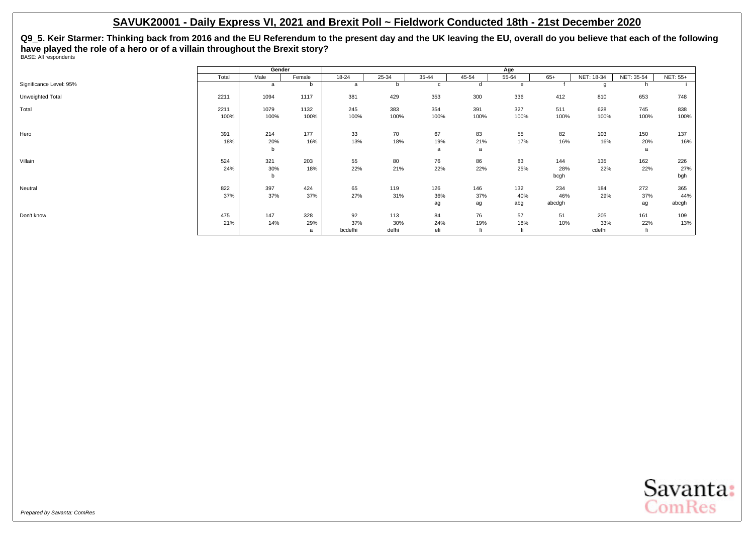**Q9\_5. Keir Starmer: Thinking back from 2016 and the EU Referendum to the present day and the UK leaving the EU, overall do you believe that each of the following have played the role of a hero or of a villain throughout the Brexit story?** BASE: All respondents

|                         |       | Gender |        |           |       |             |       | Age   |        |            |            |                 |
|-------------------------|-------|--------|--------|-----------|-------|-------------|-------|-------|--------|------------|------------|-----------------|
|                         | Total | Male   | Female | $18 - 24$ | 25-34 | 35-44       | 45-54 | 55-64 | $65+$  | NET: 18-34 | NET: 35-54 | <b>NET: 55+</b> |
| Significance Level: 95% |       | a      | b      | a         |       | $\mathbf c$ | d     | e     |        |            | h          |                 |
| Unweighted Total        | 2211  | 1094   | 1117   | 381       | 429   | 353         | 300   | 336   | 412    | 810        | 653        | 748             |
| Total                   | 2211  | 1079   | 1132   | 245       | 383   | 354         | 391   | 327   | 511    | 628        | 745        | 838             |
|                         | 100%  | 100%   | 100%   | 100%      | 100%  | 100%        | 100%  | 100%  | 100%   | 100%       | 100%       | 100%            |
| Hero                    | 391   | 214    | 177    | 33        | 70    | 67          | 83    | 55    | 82     | 103        | 150        | 137             |
|                         | 18%   | 20%    | 16%    | 13%       | 18%   | 19%         | 21%   | 17%   | 16%    | 16%        | 20%        | 16%             |
|                         |       | b      |        |           |       | a           | a     |       |        |            | a          |                 |
| Villain                 | 524   | 321    | 203    | 55        | 80    | 76          | 86    | 83    | 144    | 135        | 162        | 226             |
|                         | 24%   | 30%    | 18%    | 22%       | 21%   | 22%         | 22%   | 25%   | 28%    | 22%        | 22%        | 27%             |
|                         |       | b      |        |           |       |             |       |       | bcgh   |            |            | bgh             |
| Neutral                 | 822   | 397    | 424    | 65        | 119   | 126         | 146   | 132   | 234    | 184        | 272        | 365             |
|                         | 37%   | 37%    | 37%    | 27%       | 31%   | 36%         | 37%   | 40%   | 46%    | 29%        | 37%        | 44%             |
|                         |       |        |        |           |       | ag          | ag    | abg   | abcdgh |            | ag         | abcgh           |
| Don't know              | 475   | 147    | 328    | 92        | 113   | 84          | 76    | 57    | 51     | 205        | 161        | 109             |
|                         | 21%   | 14%    | 29%    | 37%       | 30%   | 24%         | 19%   | 18%   | 10%    | 33%        | 22%        | 13%             |
|                         |       |        | a      | bcdefhi   | defhi | efi         |       |       |        | cdefhi     | fi         |                 |

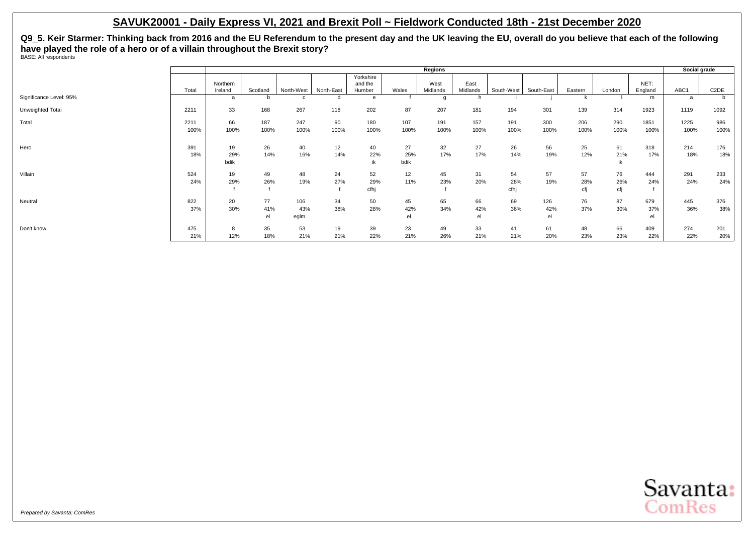**Q9\_5. Keir Starmer: Thinking back from 2016 and the EU Referendum to the present day and the UK leaving the EU, overall do you believe that each of the following have played the role of a hero or of a villain throughout the Brexit story?** BASE: All respondents

|                         |              |                     |                 |                    |            |                                |                   | Regions          |                  |                   |                  |                  |                  |                  | Social grade |                   |
|-------------------------|--------------|---------------------|-----------------|--------------------|------------|--------------------------------|-------------------|------------------|------------------|-------------------|------------------|------------------|------------------|------------------|--------------|-------------------|
|                         | Total        | Northern<br>Ireland | Scotland        | North-West         | North-East | Yorkshire<br>and the<br>Humber | Wales             | West<br>Midlands | East<br>Midlands | South-West        | South-East       | Eastern          | London           | NET:<br>England  | ABC1         | C <sub>2</sub> DE |
| Significance Level: 95% |              | a                   | b               |                    |            | e                              |                   | g                |                  |                   |                  |                  |                  | m                | a            | b.                |
| Unweighted Total        | 2211         | 33                  | 168             | 267                | 118        | 202                            | 87                | 207              | 181              | 194               | 301              | 139              | 314              | 1923             | 1119         | 1092              |
| Total                   | 2211<br>100% | 66<br>100%          | 187<br>100%     | 247<br>100%        | 90<br>100% | 180<br>100%                    | 107<br>100%       | 191<br>100%      | 157<br>100%      | 191<br>100%       | 300<br>100%      | 206<br>100%      | 290<br>100%      | 1851<br>100%     | 1225<br>100% | 986<br>100%       |
| Hero                    | 391<br>18%   | 19<br>29%<br>bdik   | 26<br>14%       | 40<br>16%          | 12<br>14%  | 40<br>22%<br>ik                | 27<br>25%<br>bdik | 32<br>17%        | 27<br>17%        | 26<br>14%         | 56<br>19%        | 25<br>12%        | 61<br>21%        | 318<br>17%       | 214<br>18%   | 176<br>18%        |
| Villain                 | 524<br>24%   | 19<br>29%           | 49<br>26%       | 48<br>19%          | 24<br>27%  | 52<br>29%<br>cfhi              | 12<br>11%         | 45<br>23%        | 31<br>20%        | 54<br>28%<br>cfhj | 57<br>19%        | 57<br>28%<br>cfj | 76<br>26%<br>cfi | 444<br>24%       | 291<br>24%   | 233<br>24%        |
| Neutral                 | 822<br>37%   | 20<br>30%           | 77<br>41%<br>el | 106<br>43%<br>eglm | 34<br>38%  | 50<br>28%                      | 45<br>42%<br>el   | 65<br>34%        | 66<br>42%<br>el  | 69<br>36%         | 126<br>42%<br>el | 76<br>37%        | 87<br>30%        | 679<br>37%<br>el | 445<br>36%   | 376<br>38%        |
| Don't know              | 475<br>21%   | 8<br>12%            | 35<br>18%       | 53<br>21%          | 19<br>21%  | 39<br>22%                      | 23<br>21%         | 49<br>26%        | 33<br>21%        | 41<br>21%         | 61<br>20%        | 48<br>23%        | 66<br>23%        | 409<br>22%       | 274<br>22%   | 201<br>20%        |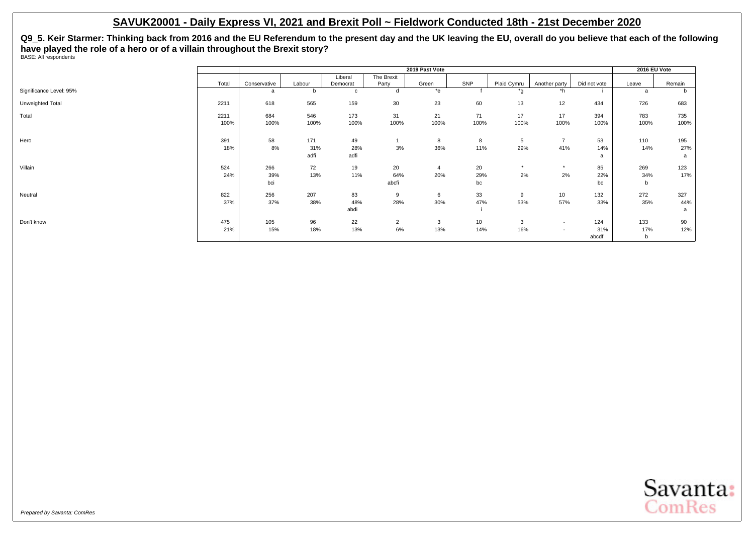**Q9\_5. Keir Starmer: Thinking back from 2016 and the EU Referendum to the present day and the UK leaving the EU, overall do you believe that each of the following have played the role of a hero or of a villain throughout the Brexit story?** BASE: All respondents

|                         |       |              |        |          |                | 2019 Past Vote |      |             |                          |              | 2016 EU Vote |        |
|-------------------------|-------|--------------|--------|----------|----------------|----------------|------|-------------|--------------------------|--------------|--------------|--------|
|                         |       |              |        | Liberal  | The Brexit     |                |      |             |                          |              |              |        |
|                         | Total | Conservative | Labour | Democrat | Party          | Green          | SNP  | Plaid Cymru | Another party            | Did not vote | Leave        | Remain |
| Significance Level: 95% |       | a            | b      | c        | d              | *e             |      | *a          | *h                       |              | a            | b      |
| Unweighted Total        | 2211  | 618          | 565    | 159      | 30             | 23             | 60   | 13          | 12                       | 434          | 726          | 683    |
| Total                   | 2211  | 684          | 546    | 173      | 31             | 21             | 71   | 17          | 17                       | 394          | 783          | 735    |
|                         | 100%  | 100%         | 100%   | 100%     | 100%           | 100%           | 100% | 100%        | 100%                     | 100%         | 100%         | 100%   |
| Hero                    | 391   | 58           | 171    | 49       |                | 8              | 8    | 5           | $\overline{7}$           | 53           | 110          | 195    |
|                         | 18%   | 8%           | 31%    | 28%      | 3%             | 36%            | 11%  | 29%         | 41%                      | 14%          | 14%          | 27%    |
|                         |       |              | adfi   | adfi     |                |                |      |             |                          | a            |              | a      |
| Villain                 | 524   | 266          | 72     | 19       | 20             | $\overline{4}$ | 20   | $\star$     | $\star$                  | 85           | 269          | 123    |
|                         | 24%   | 39%          | 13%    | 11%      | 64%            | 20%            | 29%  | 2%          | 2%                       | 22%          | 34%          | 17%    |
|                         |       | bci          |        |          | abcfi          |                | bc   |             |                          | bc           | b            |        |
| Neutral                 | 822   | 256          | 207    | 83       | 9              | 6              | 33   | 9           | 10                       | 132          | 272          | 327    |
|                         | 37%   | 37%          | 38%    | 48%      | 28%            | 30%            | 47%  | 53%         | 57%                      | 33%          | 35%          | 44%    |
|                         |       |              |        | abdi     |                |                |      |             |                          |              |              | a      |
| Don't know              | 475   | 105          | 96     | 22       | $\overline{2}$ | 3              | 10   | 3           | $\sim$                   | 124          | 133          | 90     |
|                         | 21%   | 15%          | 18%    | 13%      | 6%             | 13%            | 14%  | 16%         | $\overline{\phantom{a}}$ | 31%          | 17%          | 12%    |
|                         |       |              |        |          |                |                |      |             |                          | abcdf        | b            |        |

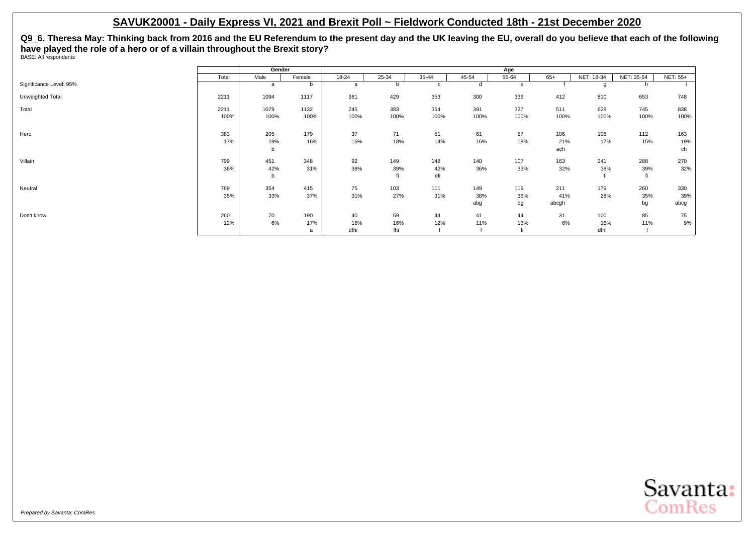**Q9\_6. Theresa May: Thinking back from 2016 and the EU Referendum to the present day and the UK leaving the EU, overall do you believe that each of the following have played the role of a hero or of a villain throughout the Brexit story?** BASE: All respondents

|                         |       | Gender |        |       |       |             |       | Age   |       |            |            |                 |
|-------------------------|-------|--------|--------|-------|-------|-------------|-------|-------|-------|------------|------------|-----------------|
|                         | Total | Male   | Female | 18-24 | 25-34 | 35-44       | 45-54 | 55-64 | $65+$ | NET: 18-34 | NET: 35-54 | <b>NET: 55+</b> |
| Significance Level: 95% |       | a      | b      | a     |       | $\mathbf c$ | d     | e     |       |            | h          |                 |
| Unweighted Total        | 2211  | 1094   | 1117   | 381   | 429   | 353         | 300   | 336   | 412   | 810        | 653        | 748             |
| Total                   | 2211  | 1079   | 1132   | 245   | 383   | 354         | 391   | 327   | 511   | 628        | 745        | 838             |
|                         | 100%  | 100%   | 100%   | 100%  | 100%  | 100%        | 100%  | 100%  | 100%  | 100%       | 100%       | 100%            |
| Hero                    | 383   | 205    | 179    | 37    | 71    | 51          | 61    | 57    | 106   | 108        | 112        | 163             |
|                         | 17%   | 19%    | 16%    | 15%   | 18%   | 14%         | 16%   | 18%   | 21%   | 17%        | 15%        | 19%             |
|                         |       | b      |        |       |       |             |       |       | ach   |            |            | ch              |
| Villain                 | 799   | 451    | 348    | 92    | 149   | 148         | 140   | 107   | 163   | 241        | 288        | 270             |
|                         | 36%   | 42%    | 31%    | 38%   | 39%   | 42%         | 36%   | 33%   | 32%   | 38%        | 39%        | 32%             |
|                         |       | b      |        |       |       | efi         |       |       |       |            | fi         |                 |
| Neutral                 | 769   | 354    | 415    | 75    | 103   | 111         | 149   | 119   | 211   | 179        | 260        | 330             |
|                         | 35%   | 33%    | 37%    | 31%   | 27%   | 31%         | 38%   | 36%   | 41%   | 28%        | 35%        | 39%             |
|                         |       |        |        |       |       |             | abg   | bg    | abcgh |            | bg         | abcg            |
| Don't know              | 260   | 70     | 190    | 40    | 59    | 44          | 41    | 44    | 31    | 100        | 85         | 75              |
|                         | 12%   | 6%     | 17%    | 16%   | 16%   | 12%         | 11%   | 13%   | 6%    | 16%        | 11%        | 9%              |
|                         |       |        | a      | dfhi  | fhi   |             |       |       |       | dfhi       |            |                 |

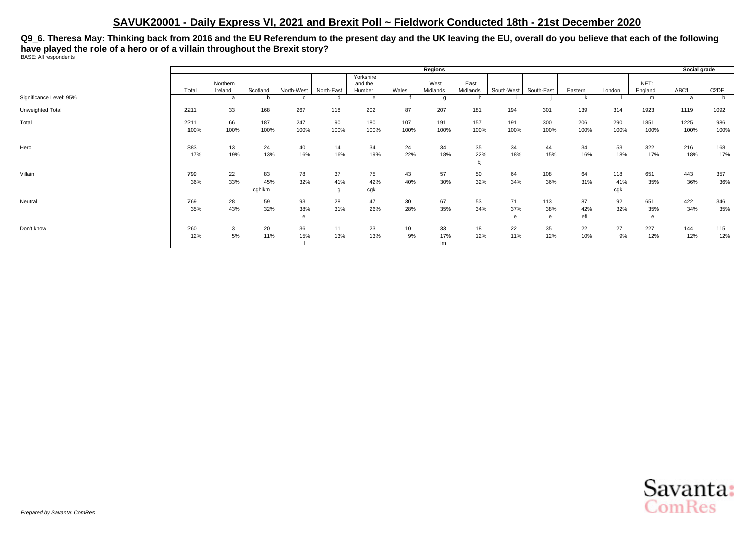**Q9\_6. Theresa May: Thinking back from 2016 and the EU Referendum to the present day and the UK leaving the EU, overall do you believe that each of the following have played the role of a hero or of a villain throughout the Brexit story?** BASE: All respondents

|                         |       |          |          |            |            |                      |                  | Regions  |           |            |            |         |        |         | Social grade |                   |
|-------------------------|-------|----------|----------|------------|------------|----------------------|------------------|----------|-----------|------------|------------|---------|--------|---------|--------------|-------------------|
|                         |       | Northern |          |            |            | Yorkshire<br>and the |                  | West     | East      |            |            |         |        | NET:    |              |                   |
|                         | Total | Ireland  | Scotland | North-West | North-East | Humber               | Wales            | Midlands | Midlands  | South-West | South-East | Eastern | London | England | ABC1         | C <sub>2</sub> DE |
| Significance Level: 95% |       | a        | b        |            | d          |                      |                  |          |           |            |            |         |        | m       | a            |                   |
| Unweighted Total        | 2211  | 33       | 168      | 267        | 118        | 202                  | 87               | 207      | 181       | 194        | 301        | 139     | 314    | 1923    | 1119         | 1092              |
| Total                   | 2211  | 66       | 187      | 247        | 90         | 180                  | 107              | 191      | 157       | 191        | 300        | 206     | 290    | 1851    | 1225         | 986               |
|                         | 100%  | 100%     | 100%     | 100%       | 100%       | 100%                 | 100%             | 100%     | 100%      | 100%       | 100%       | 100%    | 100%   | 100%    | 100%         | 100%              |
| Hero                    | 383   | 13       | 24       | 40         | 14         | 34                   | 24               | 34       | 35        | 34         | 44         | 34      | 53     | 322     | 216          | 168               |
|                         | 17%   | 19%      | 13%      | 16%        | 16%        | 19%                  | 22%              | 18%      | 22%<br>bj | 18%        | 15%        | 16%     | 18%    | 17%     | 18%          | 17%               |
|                         |       |          |          |            |            |                      |                  |          |           |            |            |         |        |         |              |                   |
| Villain                 | 799   | 22       | 83       | 78         | 37         | 75                   | 43               | 57       | 50        | 64         | 108        | 64      | 118    | 651     | 443          | 357               |
|                         | 36%   | 33%      | 45%      | 32%        | 41%        | 42%                  | 40%              | 30%      | 32%       | 34%        | 36%        | 31%     | 41%    | 35%     | 36%          | 36%               |
|                         |       |          | cghikm   |            | q          | cgk                  |                  |          |           |            |            |         | cgk    |         |              |                   |
| Neutral                 | 769   | 28       | 59       | 93         | 28         | 47                   | 30               | 67       | 53        | 71         | 113        | 87      | 92     | 651     | 422          | 346               |
|                         | 35%   | 43%      | 32%      | 38%        | 31%        | 26%                  | 28%              | 35%      | 34%       | 37%        | 38%        | 42%     | 32%    | 35%     | 34%          | 35%               |
|                         |       |          |          | e          |            |                      |                  |          |           |            | e          | efl     |        | e       |              |                   |
| Don't know              | 260   | 3        | 20       | 36         | 11         | 23                   | 10 <sup>10</sup> | 33       | 18        | 22         | 35         | 22      | 27     | 227     | 144          | 115               |
|                         | 12%   | 5%       | 11%      | 15%        | 13%        | 13%                  | 9%               | 17%      | 12%       | 11%        | 12%        | 10%     | 9%     | 12%     | 12%          | 12%               |
|                         |       |          |          |            |            |                      |                  | Im       |           |            |            |         |        |         |              |                   |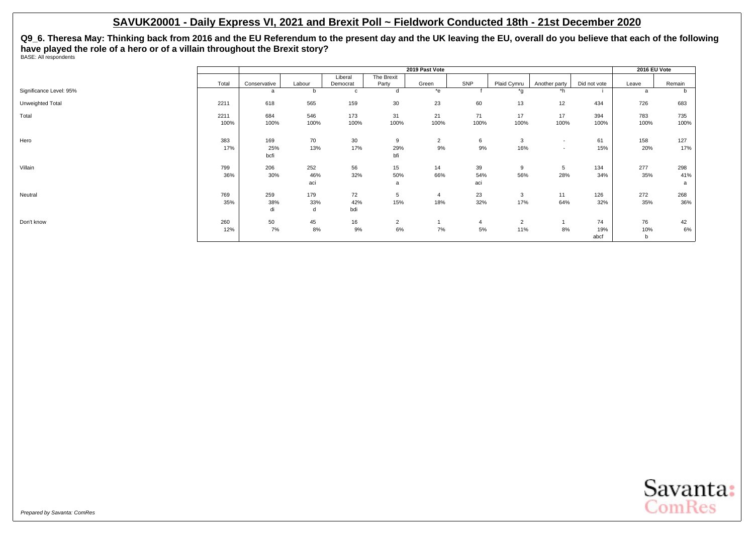**Q9\_6. Theresa May: Thinking back from 2016 and the EU Referendum to the present day and the UK leaving the EU, overall do you believe that each of the following have played the role of a hero or of a villain throughout the Brexit story?** BASE: All respondents

|                         |       |              |        |          |                | 2019 Past Vote |      |                |                          |              | 2016 EU Vote |        |
|-------------------------|-------|--------------|--------|----------|----------------|----------------|------|----------------|--------------------------|--------------|--------------|--------|
|                         |       |              |        | Liberal  | The Brexit     |                |      |                |                          |              |              |        |
|                         | Total | Conservative | Labour | Democrat | Party          | Green          | SNP  | Plaid Cymru    | Another party            | Did not vote | Leave        | Remain |
| Significance Level: 95% |       | a            |        | c        |                | $*$ e          |      | *g             | $\overline{h}$           |              | a            | b      |
| Unweighted Total        | 2211  | 618          | 565    | 159      | 30             | 23             | 60   | 13             | 12                       | 434          | 726          | 683    |
| Total                   | 2211  | 684          | 546    | 173      | 31             | 21             | 71   | 17             | 17                       | 394          | 783          | 735    |
|                         | 100%  | 100%         | 100%   | 100%     | 100%           | 100%           | 100% | 100%           | 100%                     | 100%         | 100%         | 100%   |
| Hero                    | 383   | 169          | 70     | 30       | 9              | $\overline{2}$ | 6    | 3              | $\overline{\phantom{a}}$ | 61           | 158          | 127    |
|                         | 17%   | 25%<br>bcfi  | 13%    | 17%      | 29%<br>bfi     | 9%             | 9%   | 16%            | $\overline{\phantom{a}}$ | 15%          | 20%          | 17%    |
| Villain                 | 799   | 206          | 252    | 56       | 15             | 14             | 39   | 9              | 5                        | 134          | 277          | 298    |
|                         | 36%   | 30%          | 46%    | 32%      | 50%            | 66%            | 54%  | 56%            | 28%                      | 34%          | 35%          | 41%    |
|                         |       |              | aci    |          | a              |                | aci  |                |                          |              |              | a      |
| Neutral                 | 769   | 259          | 179    | 72       | 5              | $\overline{4}$ | 23   | 3              | 11                       | 126          | 272          | 268    |
|                         | 35%   | 38%          | 33%    | 42%      | 15%            | 18%            | 32%  | 17%            | 64%                      | 32%          | 35%          | 36%    |
|                         |       | di           | d      | bdi      |                |                |      |                |                          |              |              |        |
| Don't know              | 260   | 50           | 45     | 16       | $\overline{2}$ |                | 4    | $\overline{2}$ |                          | 74           | 76           | 42     |
|                         | 12%   | 7%           | 8%     | 9%       | 6%             | 7%             | 5%   | 11%            | 8%                       | 19%          | 10%          | $6\%$  |
|                         |       |              |        |          |                |                |      |                |                          | abcf         | b            |        |

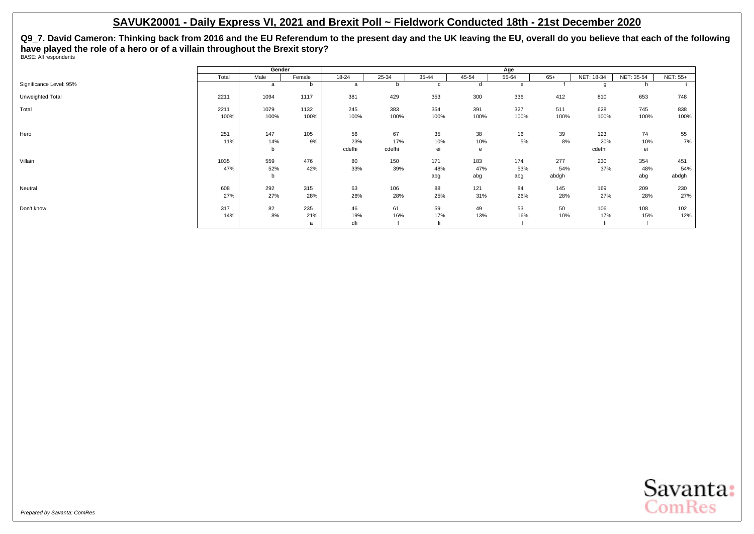**Q9\_7. David Cameron: Thinking back from 2016 and the EU Referendum to the present day and the UK leaving the EU, overall do you believe that each of the following have played the role of a hero or of a villain throughout the Brexit story?** BASE: All respondents

|                         |              | Gender          |                 |                     |                     |                   |                   | Age               |                     |                      |                   |                     |
|-------------------------|--------------|-----------------|-----------------|---------------------|---------------------|-------------------|-------------------|-------------------|---------------------|----------------------|-------------------|---------------------|
|                         | Total        | Male            | Female          | $18 - 24$           | $25 - 34$           | $35 - 44$         | 45-54             | $55 - 64$         | $65+$               | NET: 18-34           | NET: 35-54        | <b>NET: 55+</b>     |
| Significance Level: 95% |              | a               | b               | a                   | b                   | c                 | d                 | e                 |                     |                      | n.                |                     |
| Unweighted Total        | 2211         | 1094            | 1117            | 381                 | 429                 | 353               | 300               | 336               | 412                 | 810                  | 653               | 748                 |
| Total                   | 2211<br>100% | 1079<br>100%    | 1132<br>100%    | 245<br>100%         | 383<br>100%         | 354<br>100%       | 391<br>100%       | 327<br>100%       | 511<br>100%         | 628<br>100%          | 745<br>100%       | 838<br>100%         |
| Hero                    | 251<br>11%   | 147<br>14%<br>b | 105<br>9%       | 56<br>23%<br>cdefhi | 67<br>17%<br>cdefhi | 35<br>10%<br>ei   | 38<br>10%<br>e    | 16<br>5%          | 39<br>8%            | 123<br>20%<br>cdefhi | 74<br>10%<br>ei   | 55<br>7%            |
| Villain                 | 1035<br>47%  | 559<br>52%<br>b | 476<br>42%      | 80<br>33%           | 150<br>39%          | 171<br>48%<br>abg | 183<br>47%<br>abg | 174<br>53%<br>abg | 277<br>54%<br>abdgh | 230<br>37%           | 354<br>48%<br>abg | 451<br>54%<br>abdgh |
| Neutral                 | 608<br>27%   | 292<br>27%      | 315<br>28%      | 63<br>26%           | 106<br>28%          | 88<br>25%         | 121<br>31%        | 84<br>26%         | 145<br>28%          | 169<br>27%           | 209<br>28%        | 230<br>27%          |
| Don't know              | 317<br>14%   | 82<br>8%        | 235<br>21%<br>a | 46<br>19%<br>dfi    | 61<br>16%           | 59<br>17%         | 49<br>13%         | 53<br>16%         | 50<br>10%           | 106<br>17%           | 108<br>15%        | 102<br>12%          |

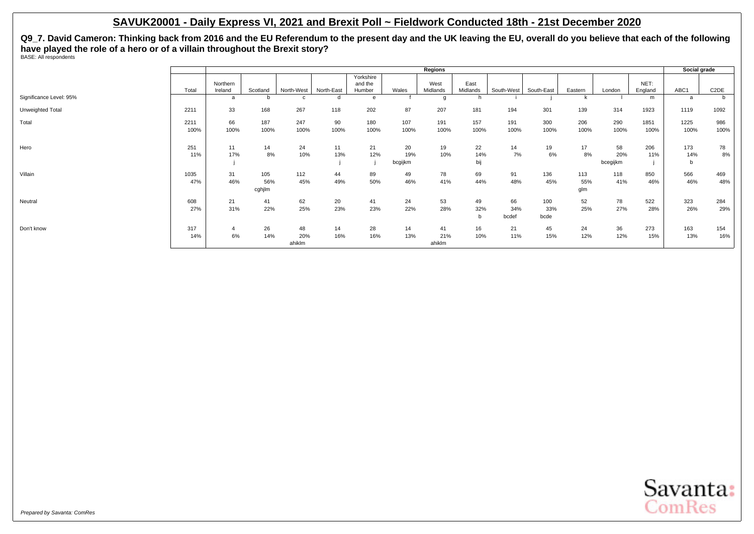**Q9\_7. David Cameron: Thinking back from 2016 and the EU Referendum to the present day and the UK leaving the EU, overall do you believe that each of the following have played the role of a hero or of a villain throughout the Brexit story?** BASE: All respondents

|                         |              |                      |                      |                     |            |                                |                      | Regions             |                  |                    |                    |                   |                       |                 | Social grade    |                   |
|-------------------------|--------------|----------------------|----------------------|---------------------|------------|--------------------------------|----------------------|---------------------|------------------|--------------------|--------------------|-------------------|-----------------------|-----------------|-----------------|-------------------|
|                         | Total        | Northern<br>Ireland  | Scotland             | North-West          | North-East | Yorkshire<br>and the<br>Humber | Wales                | West<br>Midlands    | East<br>Midlands | South-West         | South-East         | Eastern           | London                | NET:<br>England | ABC1            | C <sub>2</sub> DE |
| Significance Level: 95% |              | a                    | b                    |                     | d          |                                |                      |                     |                  |                    |                    |                   |                       | m               | a               | b                 |
| Unweighted Total        | 2211         | 33                   | 168                  | 267                 | 118        | 202                            | 87                   | 207                 | 181              | 194                | 301                | 139               | 314                   | 1923            | 1119            | 1092              |
| Total                   | 2211<br>100% | 66<br>100%           | 187<br>100%          | 247<br>100%         | 90<br>100% | 180<br>100%                    | 107<br>100%          | 191<br>100%         | 157<br>100%      | 191<br>100%        | 300<br>100%        | 206<br>100%       | 290<br>100%           | 1851<br>100%    | 1225<br>100%    | 986<br>100%       |
| Hero                    | 251<br>11%   | 11<br>17%            | 14<br>8%             | 24<br>10%           | 11<br>13%  | 21<br>12%                      | 20<br>19%<br>bcgijkm | 19<br>10%           | 22<br>14%<br>bij | 14<br>7%           | 19<br>6%           | 17<br>8%          | 58<br>20%<br>bcegijkm | 206<br>11%      | 173<br>14%<br>b | 78<br>8%          |
| Villain                 | 1035<br>47%  | 31<br>46%            | 105<br>56%<br>cghjlm | 112<br>45%          | 44<br>49%  | 89<br>50%                      | 49<br>46%            | 78<br>41%           | 69<br>44%        | 91<br>48%          | 136<br>45%         | 113<br>55%<br>glm | 118<br>41%            | 850<br>46%      | 566<br>46%      | 469<br>48%        |
| Neutral                 | 608<br>27%   | 21<br>31%            | 41<br>22%            | 62<br>25%           | 20<br>23%  | 41<br>23%                      | 24<br>22%            | 53<br>28%           | 49<br>32%<br>b   | 66<br>34%<br>bcdef | 100<br>33%<br>bcde | 52<br>25%         | 78<br>27%             | 522<br>28%      | 323<br>26%      | 284<br>29%        |
| Don't know              | 317<br>14%   | $\overline{4}$<br>6% | 26<br>14%            | 48<br>20%<br>ahiklm | 14<br>16%  | 28<br>16%                      | 14<br>13%            | 41<br>21%<br>ahiklm | 16<br>10%        | 21<br>11%          | 45<br>15%          | 24<br>12%         | 36<br>12%             | 273<br>15%      | 163<br>13%      | 154<br>16%        |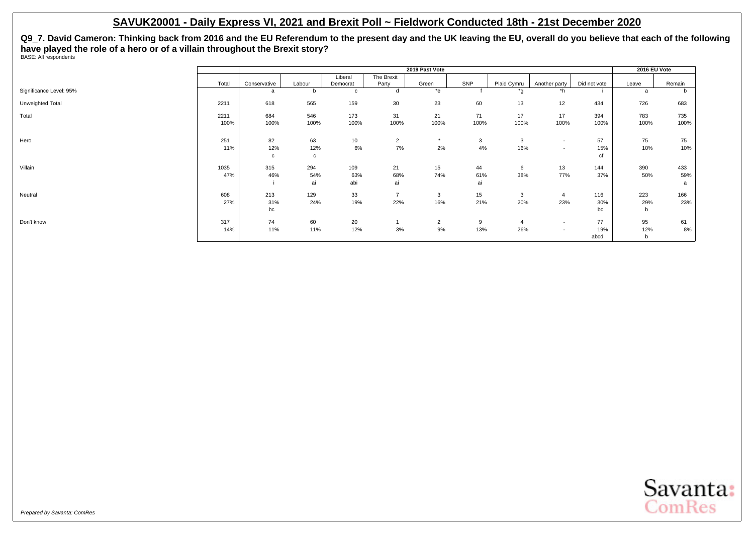**Q9\_7. David Cameron: Thinking back from 2016 and the EU Referendum to the present day and the UK leaving the EU, overall do you believe that each of the following have played the role of a hero or of a villain throughout the Brexit story?** BASE: All respondents

|                         |       |              |              |                 |                | 2019 Past Vote |      |                |                          |              | 2016 EU Vote |              |
|-------------------------|-------|--------------|--------------|-----------------|----------------|----------------|------|----------------|--------------------------|--------------|--------------|--------------|
|                         |       |              |              | Liberal         | The Brexit     |                |      |                |                          |              |              |              |
|                         | Total | Conservative | Labour       | Democrat        | Party          | Green          | SNP  | Plaid Cymru    | Another party            | Did not vote | Leave        | Remain       |
| Significance Level: 95% |       | a            | b            | с               | d              | $*$ e          |      | *q             | *h                       |              | a            | <sub>n</sub> |
| Unweighted Total        | 2211  | 618          | 565          | 159             | 30             | 23             | 60   | 13             | 12                       | 434          | 726          | 683          |
| Total                   | 2211  | 684          | 546          | 173             | 31             | 21             | 71   | 17             | 17                       | 394          | 783          | 735          |
|                         | 100%  | 100%         | 100%         | 100%            | 100%           | 100%           | 100% | 100%           | 100%                     | 100%         | 100%         | 100%         |
| Hero                    | 251   | 82           | 63           | 10 <sub>1</sub> | $\overline{2}$ | $\star$        | 3    | 3              | $\sim$                   | 57           | 75           | 75           |
|                         | 11%   | 12%          | 12%          | 6%              | 7%             | 2%             | 4%   | 16%            | $\overline{\phantom{a}}$ | 15%          | 10%          | 10%          |
|                         |       | $\mathbf c$  | $\mathbf{c}$ |                 |                |                |      |                |                          | cf           |              |              |
| Villain                 | 1035  | 315          | 294          | 109             | 21             | 15             | 44   | 6              | 13                       | 144          | 390          | 433          |
|                         | 47%   | 46%          | 54%          | 63%             | 68%            | 74%            | 61%  | 38%            | 77%                      | 37%          | 50%          | 59%          |
|                         |       |              | ai           | abi             | ai             |                | ai   |                |                          |              |              | a            |
| Neutral                 | 608   | 213          | 129          | 33              | $\overline{ }$ | 3              | 15   | 3              | $\overline{4}$           | 116          | 223          | 166          |
|                         | 27%   | 31%          | 24%          | 19%             | 22%            | 16%            | 21%  | 20%            | 23%                      | 30%          | 29%          | 23%          |
|                         |       | bc           |              |                 |                |                |      |                |                          | bc           | $\mathbf b$  |              |
| Don't know              | 317   | 74           | 60           | 20              |                | $\overline{2}$ | 9    | $\overline{4}$ | $\sim$                   | 77           | 95           | 61           |
|                         | 14%   | 11%          | 11%          | 12%             | 3%             | 9%             | 13%  | 26%            | $\overline{\phantom{a}}$ | 19%          | 12%          | 8%           |
|                         |       |              |              |                 |                |                |      |                |                          | abcd         | b            |              |

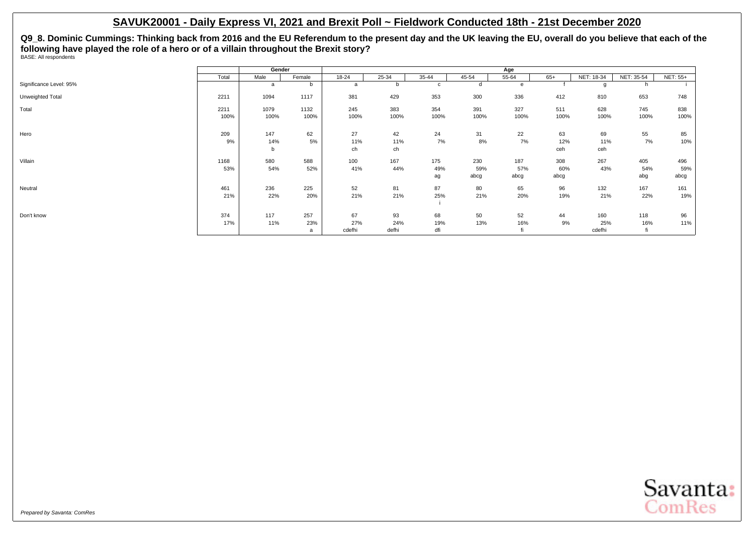**Q9\_8. Dominic Cummings: Thinking back from 2016 and the EU Referendum to the present day and the UK leaving the EU, overall do you believe that each of the following have played the role of a hero or of a villain throughout the Brexit story?** BASE: All respondents

|                         |       | Gender |        |           |       |             |       | Age   |       |            |            |                 |
|-------------------------|-------|--------|--------|-----------|-------|-------------|-------|-------|-------|------------|------------|-----------------|
|                         | Total | Male   | Female | $18 - 24$ | 25-34 | 35-44       | 45-54 | 55-64 | $65+$ | NET: 18-34 | NET: 35-54 | <b>NET: 55+</b> |
| Significance Level: 95% |       | a      | b      | a         |       | $\mathbf c$ | d     | e     |       |            | h          |                 |
| Unweighted Total        | 2211  | 1094   | 1117   | 381       | 429   | 353         | 300   | 336   | 412   | 810        | 653        | 748             |
| Total                   | 2211  | 1079   | 1132   | 245       | 383   | 354         | 391   | 327   | 511   | 628        | 745        | 838             |
|                         | 100%  | 100%   | 100%   | 100%      | 100%  | 100%        | 100%  | 100%  | 100%  | 100%       | 100%       | 100%            |
| Hero                    | 209   | 147    | 62     | 27        | 42    | 24          | 31    | 22    | 63    | 69         | 55         | 85              |
|                         | 9%    | 14%    | 5%     | 11%       | 11%   | 7%          | 8%    | 7%    | 12%   | 11%        | 7%         | 10%             |
|                         |       | b      |        | ch        | ch    |             |       |       | ceh   | ceh        |            |                 |
| Villain                 | 1168  | 580    | 588    | 100       | 167   | 175         | 230   | 187   | 308   | 267        | 405        | 496             |
|                         | 53%   | 54%    | 52%    | 41%       | 44%   | 49%         | 59%   | 57%   | 60%   | 43%        | 54%        | 59%             |
|                         |       |        |        |           |       | ag          | abcg  | abcg  | abcg  |            | abg        | abcg            |
| Neutral                 | 461   | 236    | 225    | 52        | 81    | 87          | 80    | 65    | 96    | 132        | 167        | 161             |
|                         | 21%   | 22%    | 20%    | 21%       | 21%   | 25%         | 21%   | 20%   | 19%   | 21%        | 22%        | 19%             |
|                         |       |        |        |           |       |             |       |       |       |            |            |                 |
| Don't know              | 374   | 117    | 257    | 67        | 93    | 68          | 50    | 52    | 44    | 160        | 118        | 96              |
|                         | 17%   | 11%    | 23%    | 27%       | 24%   | 19%         | 13%   | 16%   | 9%    | 25%        | 16%        | 11%             |
|                         |       |        | a      | cdefhi    | defhi | dfi         |       |       |       | cdefhi     | fi         |                 |

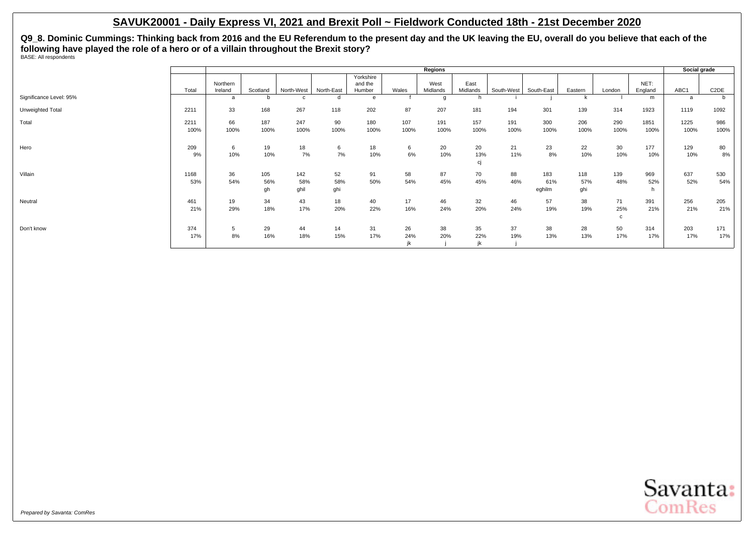**Q9\_8. Dominic Cummings: Thinking back from 2016 and the EU Referendum to the present day and the UK leaving the EU, overall do you believe that each of the following have played the role of a hero or of a villain throughout the Brexit story?** BASE: All respondents

|                         |              |                     |                  |                    |                  |                                |             | Regions          |                  |             |                      |                   |                |                 | Social grade |                   |
|-------------------------|--------------|---------------------|------------------|--------------------|------------------|--------------------------------|-------------|------------------|------------------|-------------|----------------------|-------------------|----------------|-----------------|--------------|-------------------|
|                         | Total        | Northern<br>Ireland | Scotland         | North-West         | North-East       | Yorkshire<br>and the<br>Humber | Wales       | West<br>Midlands | East<br>Midlands | South-West  | South-East           | Eastern           | London         | NET:<br>England | ABC1         | C <sub>2</sub> DE |
| Significance Level: 95% |              | a                   | b                |                    |                  | e                              |             |                  | h                |             |                      |                   |                | m               | a            | b                 |
| Unweighted Total        | 2211         | 33                  | 168              | 267                | 118              | 202                            | 87          | 207              | 181              | 194         | 301                  | 139               | 314            | 1923            | 1119         | 1092              |
| Total                   | 2211<br>100% | 66<br>100%          | 187<br>100%      | 247<br>100%        | 90<br>100%       | 180<br>100%                    | 107<br>100% | 191<br>100%      | 157<br>100%      | 191<br>100% | 300<br>100%          | 206<br>100%       | 290<br>100%    | 1851<br>100%    | 1225<br>100% | 986<br>100%       |
| Hero                    | 209<br>9%    | 6<br>10%            | 19<br>10%        | 18<br>7%           | 6<br>7%          | 18<br>10%                      | 6<br>6%     | 20<br>10%        | 20<br>13%<br>сj  | 21<br>11%   | 23<br>8%             | 22<br>10%         | 30<br>10%      | 177<br>10%      | 129<br>10%   | 80<br>8%          |
| Villain                 | 1168<br>53%  | 36<br>54%           | 105<br>56%<br>gh | 142<br>58%<br>ghil | 52<br>58%<br>ghi | 91<br>50%                      | 58<br>54%   | 87<br>45%        | 70<br>45%        | 88<br>46%   | 183<br>61%<br>eghilm | 118<br>57%<br>ghi | 139<br>48%     | 969<br>52%      | 637<br>52%   | 530<br>54%        |
| Neutral                 | 461<br>21%   | 19<br>29%           | 34<br>18%        | 43<br>17%          | 18<br>20%        | 40<br>22%                      | 17<br>16%   | 46<br>24%        | 32<br>20%        | 46<br>24%   | 57<br>19%            | 38<br>19%         | 71<br>25%<br>c | 391<br>21%      | 256<br>21%   | 205<br>21%        |
| Don't know              | 374<br>17%   | 5<br>8%             | 29<br>16%        | 44<br>18%          | 14<br>15%        | 31<br>17%                      | 26<br>24%   | 38<br>20%        | 35<br>22%<br>jk  | 37<br>19%   | 38<br>13%            | 28<br>13%         | 50<br>17%      | 314<br>17%      | 203<br>17%   | 171<br>17%        |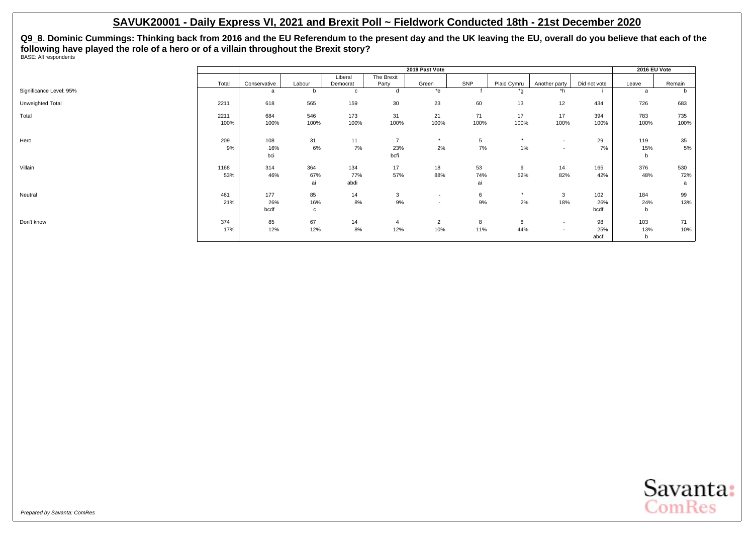**Q9\_8. Dominic Cummings: Thinking back from 2016 and the EU Referendum to the present day and the UK leaving the EU, overall do you believe that each of the following have played the role of a hero or of a villain throughout the Brexit story?** BASE: All respondents

|                         |       |              |        |          |                 | 2019 Past Vote           |      |             |                          |              | 2016 EU Vote |        |
|-------------------------|-------|--------------|--------|----------|-----------------|--------------------------|------|-------------|--------------------------|--------------|--------------|--------|
|                         |       |              |        | Liberal  | The Brexit      |                          |      |             |                          |              |              |        |
|                         | Total | Conservative | Labour | Democrat | Party           | Green                    | SNP  | Plaid Cymru | Another party            | Did not vote | Leave        | Remain |
| Significance Level: 95% |       | a            |        | C        |                 | $*$ e                    |      | *g          | *h                       |              | a            | b      |
| Unweighted Total        | 2211  | 618          | 565    | 159      | 30 <sup>°</sup> | 23                       | 60   | 13          | 12                       | 434          | 726          | 683    |
| Total                   | 2211  | 684          | 546    | 173      | 31              | 21                       | 71   | 17          | 17                       | 394          | 783          | 735    |
|                         | 100%  | 100%         | 100%   | 100%     | 100%            | 100%                     | 100% | 100%        | 100%                     | 100%         | 100%         | 100%   |
| Hero                    | 209   | 108          | 31     | 11       | $\overline{ }$  | $\star$                  | 5    | $\star$     | $\sim$                   | 29           | 119          | 35     |
|                         | 9%    | 16%          | 6%     | 7%       | 23%             | 2%                       | 7%   | 1%          | $\overline{\phantom{a}}$ | 7%           | 15%          | 5%     |
|                         |       | bci          |        |          | bcfi            |                          |      |             |                          |              | b            |        |
| Villain                 | 1168  | 314          | 364    | 134      | 17              | 18                       | 53   | 9           | 14                       | 165          | 376          | 530    |
|                         | 53%   | 46%          | 67%    | 77%      | 57%             | 88%                      | 74%  | 52%         | 82%                      | 42%          | 48%          | 72%    |
|                         |       |              | ai     | abdi     |                 |                          | ai   |             |                          |              |              | a      |
| Neutral                 | 461   | 177          | 85     | 14       | 3               | $\overline{\phantom{a}}$ | 6    | $\star$     | 3                        | 102          | 184          | 99     |
|                         | 21%   | 26%          | 16%    | 8%       | 9%              | $\overline{\phantom{a}}$ | 9%   | 2%          | 18%                      | 26%          | 24%          | 13%    |
|                         |       | bcdf         | C      |          |                 |                          |      |             |                          | bcdf         | b            |        |
| Don't know              | 374   | 85           | 67     | 14       |                 | $\overline{2}$           | 8    | 8           | $\overline{\phantom{a}}$ | 98           | 103          | 71     |
|                         | 17%   | 12%          | 12%    | 8%       | 12%             | 10%                      | 11%  | 44%         | $\overline{\phantom{a}}$ | 25%          | 13%          | 10%    |
|                         |       |              |        |          |                 |                          |      |             |                          | abcf         | b            |        |

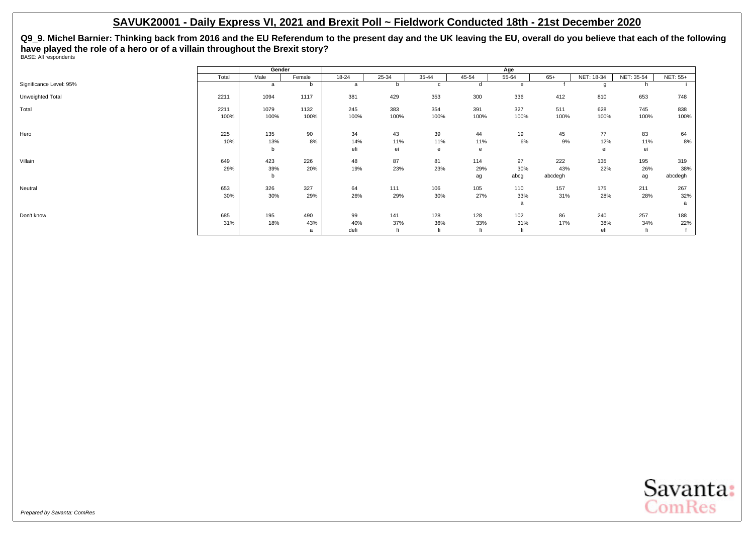**Q9\_9. Michel Barnier: Thinking back from 2016 and the EU Referendum to the present day and the UK leaving the EU, overall do you believe that each of the following have played the role of a hero or of a villain throughout the Brexit story?** BASE: All respondents

|                         |       | Gender |        |           |       |       |       | Age   |         |            |            |                 |
|-------------------------|-------|--------|--------|-----------|-------|-------|-------|-------|---------|------------|------------|-----------------|
|                         | Total | Male   | Female | $18 - 24$ | 25-34 | 35-44 | 45-54 | 55-64 | $65+$   | NET: 18-34 | NET: 35-54 | <b>NET: 55+</b> |
| Significance Level: 95% |       | a      | b      | a         |       | C     | d     | e     |         | q          |            |                 |
| Unweighted Total        | 2211  | 1094   | 1117   | 381       | 429   | 353   | 300   | 336   | 412     | 810        | 653        | 748             |
| Total                   | 2211  | 1079   | 1132   | 245       | 383   | 354   | 391   | 327   | 511     | 628        | 745        | 838             |
|                         | 100%  | 100%   | 100%   | 100%      | 100%  | 100%  | 100%  | 100%  | 100%    | 100%       | 100%       | 100%            |
| Hero                    | 225   | 135    | 90     | 34        | 43    | 39    | 44    | 19    | 45      | 77         | 83         | 64              |
|                         | 10%   | 13%    | 8%     | 14%       | 11%   | 11%   | 11%   | 6%    | 9%      | 12%        | 11%        | 8%              |
|                         |       | b      |        | efi       | ei    | e     | e     |       |         | ei         | ei         |                 |
| Villain                 | 649   | 423    | 226    | 48        | 87    | 81    | 114   | 97    | 222     | 135        | 195        | 319             |
|                         | 29%   | 39%    | 20%    | 19%       | 23%   | 23%   | 29%   | 30%   | 43%     | 22%        | 26%        | 38%             |
|                         |       | b      |        |           |       |       | ag    | abcg  | abcdegh |            | ag         | abcdegh         |
| Neutral                 | 653   | 326    | 327    | 64        | 111   | 106   | 105   | 110   | 157     | 175        | 211        | 267             |
|                         | 30%   | 30%    | 29%    | 26%       | 29%   | 30%   | 27%   | 33%   | 31%     | 28%        | 28%        | 32%             |
|                         |       |        |        |           |       |       |       | a     |         |            |            | a               |
| Don't know              | 685   | 195    | 490    | 99        | 141   | 128   | 128   | 102   | 86      | 240        | 257        | 188             |
|                         | 31%   | 18%    | 43%    | 40%       | 37%   | 36%   | 33%   | 31%   | 17%     | 38%        | 34%        | 22%             |
|                         |       |        | a      | defi      | fi    |       | fi    |       |         | efi        | fi         |                 |

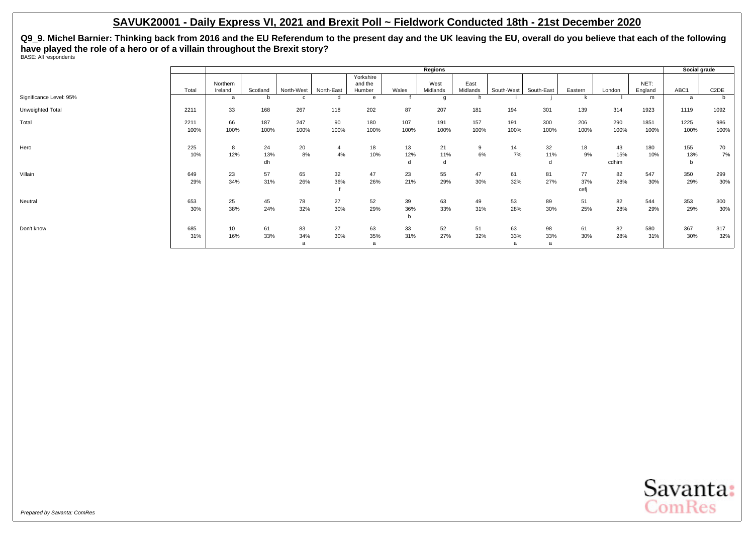**Q9\_9. Michel Barnier: Thinking back from 2016 and the EU Referendum to the present day and the UK leaving the EU, overall do you believe that each of the following have played the role of a hero or of a villain throughout the Brexit story?** BASE: All respondents

|                         |       |                     |          |            |            |                   |       | Regions          |                  |            |              |         |        |                 | Social grade |                   |
|-------------------------|-------|---------------------|----------|------------|------------|-------------------|-------|------------------|------------------|------------|--------------|---------|--------|-----------------|--------------|-------------------|
|                         |       |                     |          |            |            | Yorkshire         |       |                  |                  |            |              |         |        |                 |              |                   |
|                         | Total | Northern<br>Ireland | Scotland | North-West | North-East | and the<br>Humber | Wales | West<br>Midlands | East<br>Midlands | South-West | South-East   | Eastern | London | NET:<br>England | ABC1         | C <sub>2</sub> DE |
| Significance Level: 95% |       | a                   | b        |            |            | e                 |       | g                |                  |            |              |         |        | m               | a            | b                 |
| Unweighted Total        | 2211  | 33                  | 168      | 267        | 118        | 202               | 87    | 207              | 181              | 194        | 301          | 139     | 314    | 1923            | 1119         | 1092              |
| Total                   | 2211  | 66                  | 187      | 247        | 90         | 180               | 107   | 191              | 157              | 191        | 300          | 206     | 290    | 1851            | 1225         | 986               |
|                         | 100%  | 100%                | 100%     | 100%       | 100%       | 100%              | 100%  | 100%             | 100%             | 100%       | 100%         | 100%    | 100%   | 100%            | 100%         | 100%              |
| Hero                    | 225   | 8                   | 24       | 20         |            | 18                | 13    | 21               | 9                | 14         | 32           | 18      | 43     | 180             | 155          | 70                |
|                         | 10%   | 12%                 | 13%      | 8%         | 4%         | 10%               | 12%   | 11%              | 6%               | 7%         | 11%          | 9%      | 15%    | 10%             | 13%          | 7%                |
|                         |       |                     | dh       |            |            |                   |       | d                |                  |            | d            |         | cdhim  |                 | b            |                   |
| Villain                 | 649   | 23                  | 57       | 65         | 32         | 47                | 23    | 55               | 47               | 61         | 81           | 77      | 82     | 547             | 350          | 299               |
|                         | 29%   | 34%                 | 31%      | 26%        | 36%        | 26%               | 21%   | 29%              | 30%              | 32%        | 27%          | 37%     | 28%    | 30%             | 29%          | 30%               |
|                         |       |                     |          |            |            |                   |       |                  |                  |            |              | cefj    |        |                 |              |                   |
| Neutral                 | 653   | 25                  | 45       | 78         | 27         | 52                | 39    | 63               | 49               | 53         | 89           | 51      | 82     | 544             | 353          | 300               |
|                         | 30%   | 38%                 | 24%      | 32%        | 30%        | 29%               | 36%   | 33%              | 31%              | 28%        | 30%          | 25%     | 28%    | 29%             | 29%          | 30%               |
|                         |       |                     |          |            |            |                   |       |                  |                  |            |              |         |        |                 |              |                   |
| Don't know              | 685   | 10                  | 61       | 83         | 27         | 63                | 33    | 52               | 51               | 63         | 98           | 61      | 82     | 580             | 367          | 317               |
|                         | 31%   | 16%                 | 33%      | 34%        | 30%        | 35%               | 31%   | 27%              | 32%              | 33%        | 33%          | 30%     | 28%    | 31%             | 30%          | 32%               |
|                         |       |                     |          | a          |            | a                 |       |                  |                  | a          | $\mathbf{a}$ |         |        |                 |              |                   |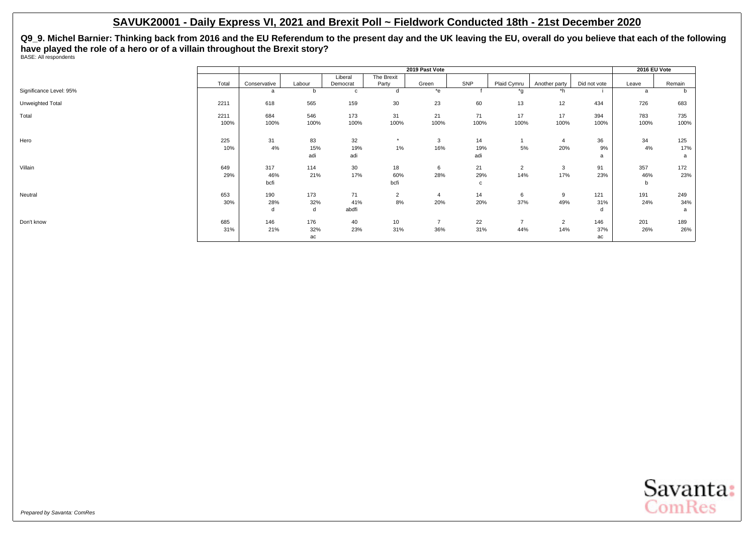**Q9\_9. Michel Barnier: Thinking back from 2016 and the EU Referendum to the present day and the UK leaving the EU, overall do you believe that each of the following have played the role of a hero or of a villain throughout the Brexit story?** BASE: All respondents

|                         |       |              |        |                 |                  | 2019 Past Vote |             |                |                |              | 2016 EU Vote |              |
|-------------------------|-------|--------------|--------|-----------------|------------------|----------------|-------------|----------------|----------------|--------------|--------------|--------------|
|                         |       |              |        | Liberal         | The Brexit       |                |             |                |                |              |              |              |
|                         | Total | Conservative | Labour | Democrat        | Party            | Green          | SNP         | Plaid Cymru    | Another party  | Did not vote | Leave        | Remain       |
| Significance Level: 95% |       | a            | b      | c               | d                | *e             |             | *a             | *h             |              | a            | <sub>n</sub> |
| Unweighted Total        | 2211  | 618          | 565    | 159             | 30               | 23             | 60          | 13             | 12             | 434          | 726          | 683          |
| Total                   | 2211  | 684          | 546    | 173             | 31               | 21             | 71          | 17             | 17             | 394          | 783          | 735          |
|                         | 100%  | 100%         | 100%   | 100%            | 100%             | 100%           | 100%        | 100%           | 100%           | 100%         | 100%         | 100%         |
| Hero                    | 225   | 31           | 83     | 32              |                  | 3              | 14          |                | $\overline{4}$ | 36           | 34           | 125          |
|                         | 10%   | 4%           | 15%    | 19%             | 1%               | 16%            | 19%         | 5%             | 20%            | 9%           | 4%           | 17%          |
|                         |       |              | adi    | adi             |                  |                | adi         |                |                | a            |              | a            |
| Villain                 | 649   | 317          | 114    | 30 <sup>°</sup> | 18               | 6              | 21          | $\overline{2}$ | 3              | 91           | 357          | 172          |
|                         | 29%   | 46%          | 21%    | 17%             | 60%              | 28%            | 29%         | 14%            | 17%            | 23%          | 46%          | 23%          |
|                         |       | bcfi         |        |                 | bcfi             |                | $\mathbf c$ |                |                |              | b            |              |
| Neutral                 | 653   | 190          | 173    | 71              | $\overline{2}$   | $\overline{4}$ | 14          | 6              | 9              | 121          | 191          | 249          |
|                         | 30%   | 28%          | 32%    | 41%             | 8%               | 20%            | 20%         | 37%            | 49%            | 31%          | 24%          | 34%          |
|                         |       | d            | d      | abdfi           |                  |                |             |                |                | d            |              | a            |
| Don't know              | 685   | 146          | 176    | 40              | 10 <sup>10</sup> | $\overline{7}$ | 22          | $\overline{7}$ | $\overline{2}$ | 146          | 201          | 189          |
|                         | 31%   | 21%          | 32%    | 23%             | 31%              | 36%            | 31%         | 44%            | 14%            | 37%          | 26%          | 26%          |
|                         |       |              | ac     |                 |                  |                |             |                |                | ac           |              |              |

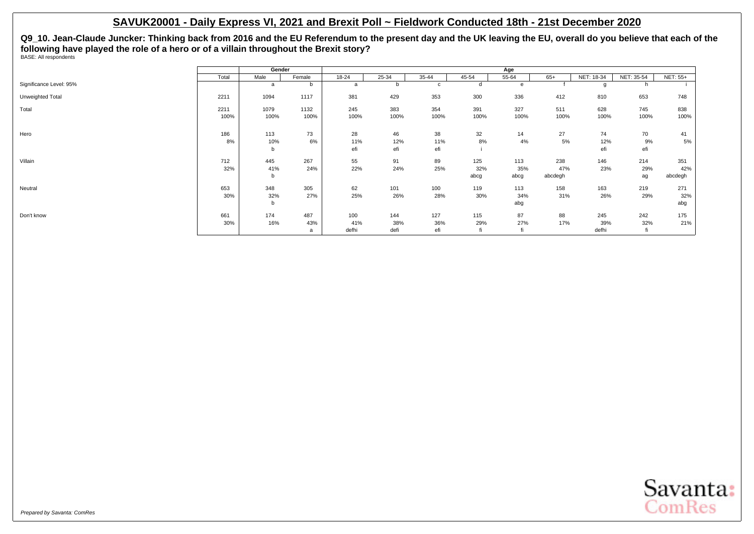**Q9\_10. Jean-Claude Juncker: Thinking back from 2016 and the EU Referendum to the present day and the UK leaving the EU, overall do you believe that each of the following have played the role of a hero or of a villain throughout the Brexit story?** BASE: All respondents

|                         |       | Gender |        |           |              |           |           | Age       |         |            |            |                 |
|-------------------------|-------|--------|--------|-----------|--------------|-----------|-----------|-----------|---------|------------|------------|-----------------|
|                         | Total | Male   | Female | $18 - 24$ | $25 - 34$    | $35 - 44$ | $45 - 54$ | $55 - 64$ | $65+$   | NET: 18-34 | NET: 35-54 | <b>NET: 55+</b> |
| Significance Level: 95% |       | a      | b      | a         | <sub>n</sub> | c         | d         | e         |         |            | h          |                 |
| Unweighted Total        | 2211  | 1094   | 1117   | 381       | 429          | 353       | 300       | 336       | 412     | 810        | 653        | 748             |
| Total                   | 2211  | 1079   | 1132   | 245       | 383          | 354       | 391       | 327       | 511     | 628        | 745        | 838             |
|                         | 100%  | 100%   | 100%   | 100%      | 100%         | 100%      | 100%      | 100%      | 100%    | 100%       | 100%       | 100%            |
| Hero                    | 186   | 113    | 73     | 28        | 46           | 38        | 32        | 14        | 27      | 74         | 70         | 41              |
|                         | 8%    | 10%    | 6%     | 11%       | 12%          | 11%       | 8%        | 4%        | 5%      | 12%        | 9%         | 5%              |
|                         |       | b      |        | efi       | efi          | efi       |           |           |         | efi        | efi        |                 |
| Villain                 | 712   | 445    | 267    | 55        | 91           | 89        | 125       | 113       | 238     | 146        | 214        | 351             |
|                         | 32%   | 41%    | 24%    | 22%       | 24%          | 25%       | 32%       | 35%       | 47%     | 23%        | 29%        | 42%             |
|                         |       | b      |        |           |              |           | abcg      | abcg      | abcdegh |            | ag         | abcdegh         |
| Neutral                 | 653   | 348    | 305    | 62        | 101          | 100       | 119       | 113       | 158     | 163        | 219        | 271             |
|                         | 30%   | 32%    | 27%    | 25%       | 26%          | 28%       | 30%       | 34%       | 31%     | 26%        | 29%        | 32%             |
|                         |       | b      |        |           |              |           |           | abg       |         |            |            | abg             |
| Don't know              | 661   | 174    | 487    | 100       | 144          | 127       | 115       | 87        | 88      | 245        | 242        | 175             |
|                         | 30%   | 16%    | 43%    | 41%       | 38%          | 36%       | 29%       | 27%       | 17%     | 39%        | 32%        | 21%             |
|                         |       |        | a      | defhi     | defi         | efi       |           |           |         | defhi      | fi         |                 |

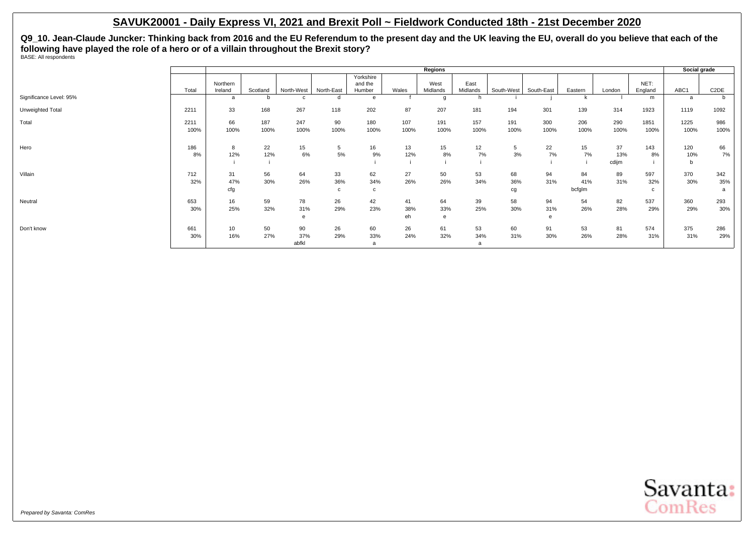**Q9\_10. Jean-Claude Juncker: Thinking back from 2016 and the EU Referendum to the present day and the UK leaving the EU, overall do you believe that each of the following have played the role of a hero or of a villain throughout the Brexit story?** BASE: All respondents

|                         |       |                     |          |            |            |                                |       | Regions          |                  |            |            |         |        |                 | Social grade |                   |
|-------------------------|-------|---------------------|----------|------------|------------|--------------------------------|-------|------------------|------------------|------------|------------|---------|--------|-----------------|--------------|-------------------|
|                         | Total | Northern<br>Ireland | Scotland | North-West | North-East | Yorkshire<br>and the<br>Humber | Wales | West<br>Midlands | East<br>Midlands | South-West | South-East |         | London | NET:<br>England | ABC1         | C <sub>2</sub> DE |
|                         |       |                     |          |            |            |                                |       |                  |                  |            |            | Eastern |        |                 |              |                   |
| Significance Level: 95% |       | a                   | b        |            |            | e                              |       | a                |                  |            |            |         |        | m               | a            |                   |
| Unweighted Total        | 2211  | 33                  | 168      | 267        | 118        | 202                            | 87    | 207              | 181              | 194        | 301        | 139     | 314    | 1923            | 1119         | 1092              |
| Total                   | 2211  | 66                  | 187      | 247        | 90         | 180                            | 107   | 191              | 157              | 191        | 300        | 206     | 290    | 1851            | 1225         | 986               |
|                         | 100%  | 100%                | 100%     | 100%       | 100%       | 100%                           | 100%  | 100%             | 100%             | 100%       | 100%       | 100%    | 100%   | 100%            | 100%         | 100%              |
|                         |       |                     |          |            |            |                                |       |                  |                  |            |            |         |        |                 |              |                   |
| Hero                    | 186   | 8                   | 22       | 15         | 5          | 16                             | 13    | 15               | 12               | 5          | 22         | 15      | 37     | 143             | 120          | 66                |
|                         | 8%    | 12%                 | 12%      | 6%         | 5%         | 9%                             | 12%   | 8%               | 7%               | 3%         | 7%         | 7%      | 13%    | 8%              | 10%          | 7%                |
|                         |       |                     |          |            |            |                                |       |                  |                  |            |            |         | cdijm  |                 | b            |                   |
|                         |       |                     |          |            |            |                                |       |                  |                  |            |            |         |        |                 |              |                   |
| Villain                 | 712   | 31                  | 56       | 64         | 33         | 62                             | 27    | 50               | 53               | 68         | 94         | 84      | 89     | 597             | 370          | 342               |
|                         | 32%   | 47%                 | 30%      | 26%        | 36%        | 34%                            | 26%   | 26%              | 34%              | 36%        | 31%        | 41%     | 31%    | 32%             | 30%          | 35%               |
|                         |       | cfg                 |          |            | c          | C                              |       |                  |                  | cg         |            | bcfglm  |        | C.              |              | a                 |
| Neutral                 | 653   | 16                  | 59       | 78         | 26         | 42                             | 41    | 64               | 39               | 58         | 94         | 54      | 82     | 537             | 360          | 293               |
|                         | 30%   | 25%                 | 32%      | 31%        | 29%        | 23%                            | 38%   | 33%              | 25%              | 30%        | 31%        | 26%     | 28%    | 29%             | 29%          | 30%               |
|                         |       |                     |          |            |            |                                |       |                  |                  |            |            |         |        |                 |              |                   |
|                         |       |                     |          | e          |            |                                | eh    | e                |                  |            | e          |         |        |                 |              |                   |
| Don't know              | 661   | 10                  | 50       | 90         | 26         | 60                             | 26    | 61               | 53               | 60         | 91         | 53      | 81     | 574             | 375          | 286               |
|                         | 30%   | 16%                 | 27%      | 37%        | 29%        | 33%                            | 24%   | 32%              | 34%              | 31%        | 30%        | 26%     | 28%    | 31%             | 31%          | 29%               |
|                         |       |                     |          | abfkl      |            | a                              |       |                  | a                |            |            |         |        |                 |              |                   |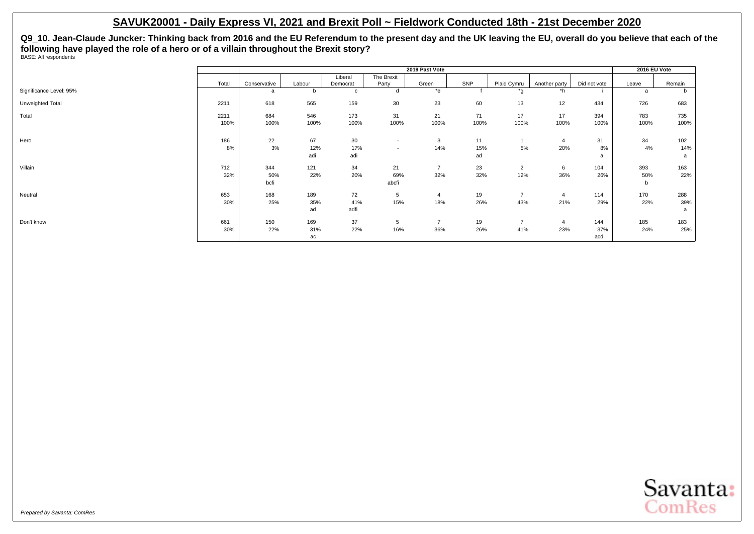**Q9\_10. Jean-Claude Juncker: Thinking back from 2016 and the EU Referendum to the present day and the UK leaving the EU, overall do you believe that each of the following have played the role of a hero or of a villain throughout the Brexit story?** BASE: All respondents

|                         |       |              |        |          |                          | 2019 Past Vote |      |                  |                |              | 2016 EU Vote |        |
|-------------------------|-------|--------------|--------|----------|--------------------------|----------------|------|------------------|----------------|--------------|--------------|--------|
|                         |       |              |        | Liberal  | The Brexit               |                |      |                  |                |              |              |        |
|                         | Total | Conservative | Labour | Democrat | Party                    | Green          | SNP  | Plaid Cymru      | Another party  | Did not vote | Leave        | Remain |
| Significance Level: 95% |       | a            | b      | c        | d                        | *e             |      | $*_{\mathsf{q}}$ | *h             |              | a            | b      |
| Unweighted Total        | 2211  | 618          | 565    | 159      | 30                       | 23             | 60   | 13               | 12             | 434          | 726          | 683    |
| Total                   | 2211  | 684          | 546    | 173      | 31                       | 21             | 71   | 17               | 17             | 394          | 783          | 735    |
|                         | 100%  | 100%         | 100%   | 100%     | 100%                     | 100%           | 100% | 100%             | 100%           | 100%         | 100%         | 100%   |
| Hero                    | 186   | 22           | 67     | 30       | $\overline{\phantom{a}}$ | 3              | 11   |                  | $\overline{4}$ | 31           | 34           | 102    |
|                         | 8%    | 3%           | 12%    | 17%      | $\sim$                   | 14%            | 15%  | 5%               | 20%            | 8%           | 4%           | 14%    |
|                         |       |              | adi    | adi      |                          |                | ad   |                  |                |              |              | a      |
| Villain                 | 712   | 344          | 121    | 34       | 21                       | $\overline{7}$ | 23   | $\overline{2}$   | 6              | 104          | 393          | 163    |
|                         | 32%   | 50%          | 22%    | 20%      | 69%                      | 32%            | 32%  | 12%              | 36%            | 26%          | 50%          | 22%    |
|                         |       | bcfi         |        |          | abcfi                    |                |      |                  |                |              | b            |        |
| Neutral                 | 653   | 168          | 189    | 72       | 5                        | $\overline{4}$ | 19   | $\overline{7}$   | $\overline{4}$ | 114          | 170          | 288    |
|                         | 30%   | 25%          | 35%    | 41%      | 15%                      | 18%            | 26%  | 43%              | 21%            | 29%          | 22%          | 39%    |
|                         |       |              | ad     | adfi     |                          |                |      |                  |                |              |              | a      |
| Don't know              | 661   | 150          | 169    | 37       | 5                        | $\overline{7}$ | 19   | $\overline{7}$   | $\overline{4}$ | 144          | 185          | 183    |
|                         | 30%   | 22%          | 31%    | 22%      | 16%                      | 36%            | 26%  | 41%              | 23%            | 37%          | 24%          | 25%    |
|                         |       |              | ac     |          |                          |                |      |                  |                | acd          |              |        |

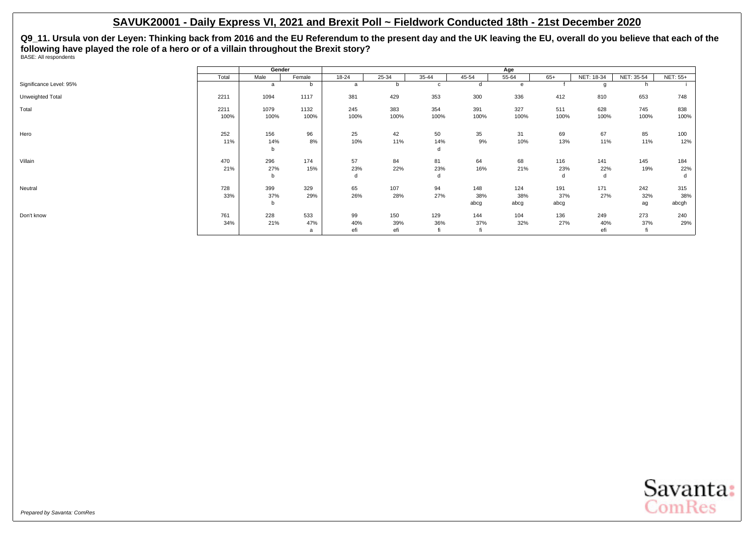**Q9\_11. Ursula von der Leyen: Thinking back from 2016 and the EU Referendum to the present day and the UK leaving the EU, overall do you believe that each of the following have played the role of a hero or of a villain throughout the Brexit story?** BASE: All respondents

|                         |       | Gender |        |           |              |           |           | Age       |       |            |            |                 |
|-------------------------|-------|--------|--------|-----------|--------------|-----------|-----------|-----------|-------|------------|------------|-----------------|
|                         | Total | Male   | Female | $18 - 24$ | $25 - 34$    | $35 - 44$ | $45 - 54$ | $55 - 64$ | $65+$ | NET: 18-34 | NET: 35-54 | <b>NET: 55+</b> |
| Significance Level: 95% |       | a      | b      | a         | <sub>n</sub> | c         | d         | e         |       |            | h          |                 |
| Unweighted Total        | 2211  | 1094   | 1117   | 381       | 429          | 353       | 300       | 336       | 412   | 810        | 653        | 748             |
| Total                   | 2211  | 1079   | 1132   | 245       | 383          | 354       | 391       | 327       | 511   | 628        | 745        | 838             |
|                         | 100%  | 100%   | 100%   | 100%      | 100%         | 100%      | 100%      | 100%      | 100%  | 100%       | 100%       | 100%            |
| Hero                    | 252   | 156    | 96     | 25        | 42           | 50        | 35        | 31        | 69    | 67         | 85         | 100             |
|                         | 11%   | 14%    | 8%     | 10%       | 11%          | 14%       | 9%        | 10%       | 13%   | 11%        | 11%        | 12%             |
|                         |       | b      |        |           |              | d         |           |           |       |            |            |                 |
| Villain                 | 470   | 296    | 174    | 57        | 84           | 81        | 64        | 68        | 116   | 141        | 145        | 184             |
|                         | 21%   | 27%    | 15%    | 23%       | 22%          | 23%       | 16%       | 21%       | 23%   | 22%        | 19%        | 22%             |
|                         |       | b      |        | d         |              | d         |           |           | d     | d          |            | d               |
| Neutral                 | 728   | 399    | 329    | 65        | 107          | 94        | 148       | 124       | 191   | 171        | 242        | 315             |
|                         | 33%   | 37%    | 29%    | 26%       | 28%          | 27%       | 38%       | 38%       | 37%   | 27%        | 32%        | 38%             |
|                         |       | b      |        |           |              |           | abcg      | abcg      | abcg  |            | ag         | abcgh           |
| Don't know              | 761   | 228    | 533    | 99        | 150          | 129       | 144       | 104       | 136   | 249        | 273        | 240             |
|                         | 34%   | 21%    | 47%    | 40%       | 39%          | 36%       | 37%       | 32%       | 27%   | 40%        | 37%        | 29%             |
|                         |       |        | a      | efi       | efi          | fi        |           |           |       | efi        | tı         |                 |

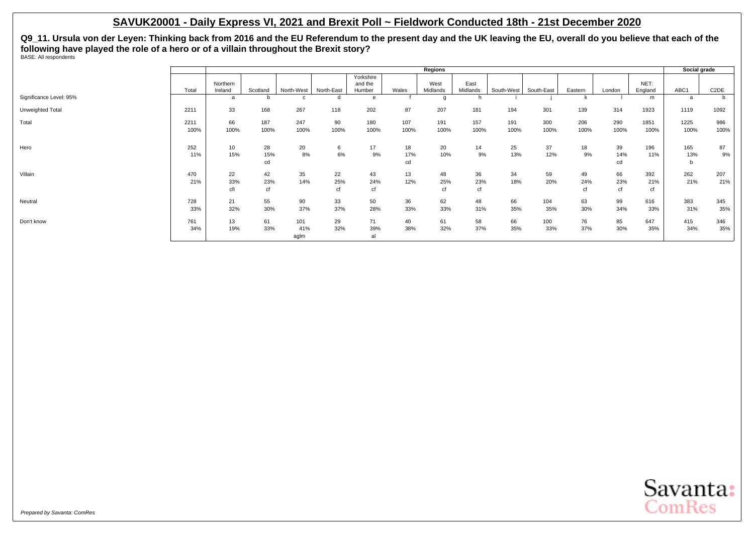**Q9\_11. Ursula von der Leyen: Thinking back from 2016 and the EU Referendum to the present day and the UK leaving the EU, overall do you believe that each of the following have played the role of a hero or of a villain throughout the Brexit story?** BASE: All respondents

|                         |              |                     |                 |                    |                 |                                |                 | Regions          |                  |             |             |                 |                 |                  | Social grade    |                   |
|-------------------------|--------------|---------------------|-----------------|--------------------|-----------------|--------------------------------|-----------------|------------------|------------------|-------------|-------------|-----------------|-----------------|------------------|-----------------|-------------------|
|                         | Total        | Northern<br>Ireland | Scotland        | North-West         | North-East      | Yorkshire<br>and the<br>Humber | Wales           | West<br>Midlands | East<br>Midlands | South-West  | South-East  | Eastern         | London          | NET:<br>England  | ABC1            | C <sub>2</sub> DE |
| Significance Level: 95% |              | <sub>a</sub>        | <b>b</b>        |                    | d               | $\theta$                       |                 | g                | h                |             |             |                 |                 | m                | a               |                   |
| Unweighted Total        | 2211         | 33                  | 168             | 267                | 118             | 202                            | 87              | 207              | 181              | 194         | 301         | 139             | 314             | 1923             | 1119            | 1092              |
| Total                   | 2211<br>100% | 66<br>100%          | 187<br>100%     | 247<br>100%        | 90<br>100%      | 180<br>100%                    | 107<br>100%     | 191<br>100%      | 157<br>100%      | 191<br>100% | 300<br>100% | 206<br>100%     | 290<br>100%     | 1851<br>100%     | 1225<br>100%    | 986<br>100%       |
| Hero                    | 252<br>11%   | 10<br>15%           | 28<br>15%<br>cd | 20<br>8%           | 6<br>6%         | 17<br>9%                       | 18<br>17%<br>cd | 20<br>10%        | 14<br>9%         | 25<br>13%   | 37<br>12%   | 18<br>9%        | 39<br>14%<br>cd | 196<br>11%       | 165<br>13%<br>b | 87<br>9%          |
| Villain                 | 470<br>21%   | 22<br>33%<br>cfi    | 42<br>23%<br>cf | 35<br>14%          | 22<br>25%<br>cf | 43<br>24%<br>cf                | 13<br>12%       | 48<br>25%<br>cf  | 36<br>23%<br>cf  | 34<br>18%   | 59<br>20%   | 49<br>24%<br>cf | 66<br>23%<br>cf | 392<br>21%<br>cf | 262<br>21%      | 207<br>21%        |
| Neutral                 | 728<br>33%   | 21<br>32%           | 55<br>30%       | 90<br>37%          | 33<br>37%       | 50<br>28%                      | 36<br>33%       | 62<br>33%        | 48<br>31%        | 66<br>35%   | 104<br>35%  | 63<br>30%       | 99<br>34%       | 616<br>33%       | 383<br>31%      | 345<br>35%        |
| Don't know              | 761<br>34%   | 13<br>19%           | 61<br>33%       | 101<br>41%<br>aglm | 29<br>32%       | 71<br>39%<br>al                | 40<br>38%       | 61<br>32%        | 58<br>37%        | 66<br>35%   | 100<br>33%  | 76<br>37%       | 85<br>30%       | 647<br>35%       | 415<br>34%      | 346<br>35%        |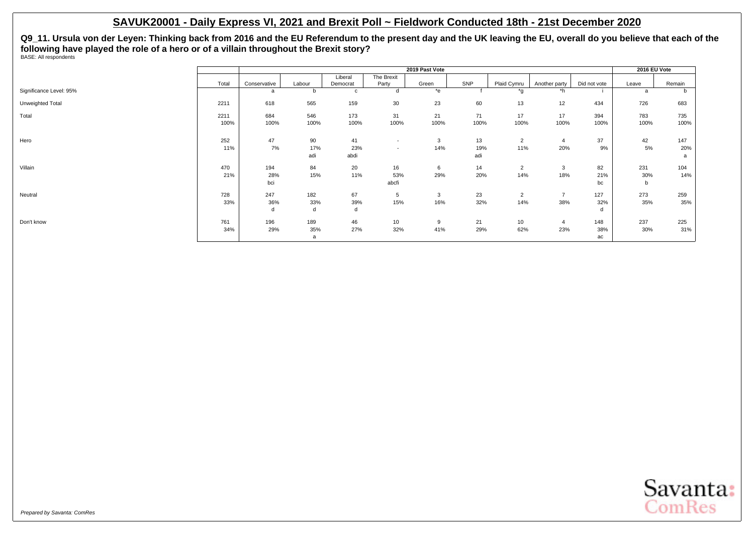**Q9\_11. Ursula von der Leyen: Thinking back from 2016 and the EU Referendum to the present day and the UK leaving the EU, overall do you believe that each of the following have played the role of a hero or of a villain throughout the Brexit story?** BASE: All respondents

|                         |       |              |        |          |                          | 2019 Past Vote |      |                |                |              | 2016 EU Vote |        |
|-------------------------|-------|--------------|--------|----------|--------------------------|----------------|------|----------------|----------------|--------------|--------------|--------|
|                         |       |              |        | Liberal  | The Brexit               |                |      |                |                |              |              |        |
|                         | Total | Conservative | Labour | Democrat | Party                    | Green          | SNP  | Plaid Cymru    | Another party  | Did not vote | Leave        | Remain |
| Significance Level: 95% |       | a            |        | c        |                          | *e             |      | *g             | *h             |              | a            | b      |
| Unweighted Total        | 2211  | 618          | 565    | 159      | 30                       | 23             | 60   | 13             | 12             | 434          | 726          | 683    |
| Total                   | 2211  | 684          | 546    | 173      | 31                       | 21             | 71   | 17             | 17             | 394          | 783          | 735    |
|                         | 100%  | 100%         | 100%   | 100%     | 100%                     | 100%           | 100% | 100%           | 100%           | 100%         | 100%         | 100%   |
| Hero                    | 252   | 47           | 90     | 41       | $\overline{\phantom{0}}$ | 3              | 13   | $\overline{2}$ | $\overline{4}$ | 37           | 42           | 147    |
|                         | 11%   | 7%           | 17%    | 23%      | $\overline{\phantom{a}}$ | 14%            | 19%  | 11%            | 20%            | 9%           | 5%           | 20%    |
|                         |       |              | adi    | abdi     |                          |                | adi  |                |                |              |              | a      |
| Villain                 | 470   | 194          | 84     | 20       | 16                       | 6              | 14   | $\overline{2}$ | 3              | 82           | 231          | 104    |
|                         | 21%   | 28%          | 15%    | 11%      | 53%                      | 29%            | 20%  | 14%            | 18%            | 21%          | 30%          | 14%    |
|                         |       | bci          |        |          | abcfi                    |                |      |                |                | bc           | b            |        |
| Neutral                 | 728   | 247          | 182    | 67       | 5                        | 3              | 23   | $\overline{2}$ | $\overline{7}$ | 127          | 273          | 259    |
|                         | 33%   | 36%          | 33%    | 39%      | 15%                      | 16%            | 32%  | 14%            | 38%            | 32%          | 35%          | 35%    |
|                         |       | d            | d      | d        |                          |                |      |                |                | d            |              |        |
| Don't know              | 761   | 196          | 189    | 46       | 10                       | 9              | 21   | 10             | $\overline{4}$ | 148          | 237          | 225    |
|                         | 34%   | 29%          | 35%    | 27%      | 32%                      | 41%            | 29%  | 62%            | 23%            | 38%          | 30%          | 31%    |
|                         |       |              | a      |          |                          |                |      |                |                | ac           |              |        |

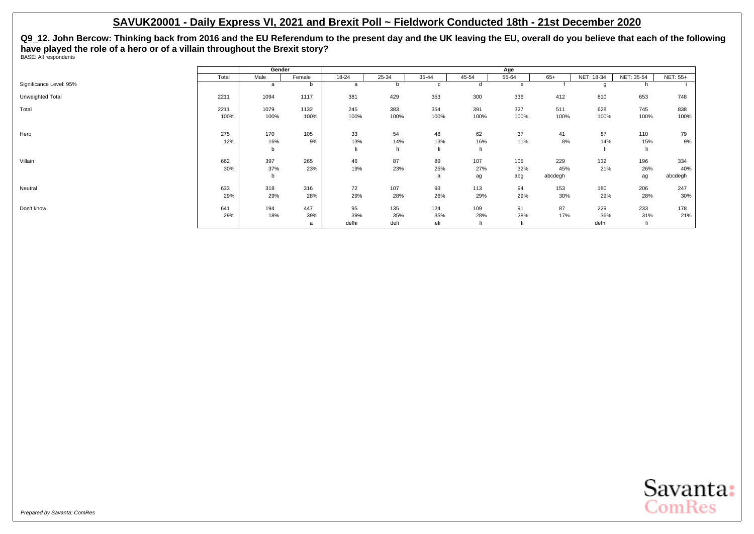**Q9\_12. John Bercow: Thinking back from 2016 and the EU Referendum to the present day and the UK leaving the EU, overall do you believe that each of the following have played the role of a hero or of a villain throughout the Brexit story?** BASE: All respondents

|                         |       | Gender |        |       |       |              |       | Age   |         |            |            |                 |
|-------------------------|-------|--------|--------|-------|-------|--------------|-------|-------|---------|------------|------------|-----------------|
|                         | Total | Male   | Female | 18-24 | 25-34 | 35-44        | 45-54 | 55-64 | $65+$   | NET: 18-34 | NET: 35-54 | <b>NET: 55+</b> |
| Significance Level: 95% |       | a      |        | a     |       | $\mathbf{C}$ |       | e     |         |            | h          |                 |
| Unweighted Total        | 2211  | 1094   | 1117   | 381   | 429   | 353          | 300   | 336   | 412     | 810        | 653        | 748             |
| Total                   | 2211  | 1079   | 1132   | 245   | 383   | 354          | 391   | 327   | 511     | 628        | 745        | 838             |
|                         | 100%  | 100%   | 100%   | 100%  | 100%  | 100%         | 100%  | 100%  | 100%    | 100%       | 100%       | 100%            |
| Hero                    | 275   | 170    | 105    | 33    | 54    | 48           | 62    | 37    | 41      | 87         | 110        | 79              |
|                         | 12%   | 16%    | 9%     | 13%   | 14%   | 13%          | 16%   | 11%   | 8%      | 14%        | 15%        | 9%              |
|                         |       | b      |        | fi    | fi    | fi           |       |       |         |            | fi         |                 |
| Villain                 | 662   | 397    | 265    | 46    | 87    | 89           | 107   | 105   | 229     | 132        | 196        | 334             |
|                         | 30%   | 37%    | 23%    | 19%   | 23%   | 25%          | 27%   | 32%   | 45%     | 21%        | 26%        | 40%             |
|                         |       | b      |        |       |       | a            | ag    | abg   | abcdegh |            | ag         | abcdegh         |
| Neutral                 | 633   | 318    | 316    | 72    | 107   | 93           | 113   | 94    | 153     | 180        | 206        | 247             |
|                         | 29%   | 29%    | 28%    | 29%   | 28%   | 26%          | 29%   | 29%   | 30%     | 29%        | 28%        | 30%             |
| Don't know              | 641   | 194    | 447    | 95    | 135   | 124          | 109   | 91    | 87      | 229        | 233        | 178             |
|                         | 29%   | 18%    | 39%    | 39%   | 35%   | 35%          | 28%   | 28%   | 17%     | 36%        | 31%        | 21%             |
|                         |       |        | a      | defhi | defi  | efi          |       |       |         | defhi      |            |                 |

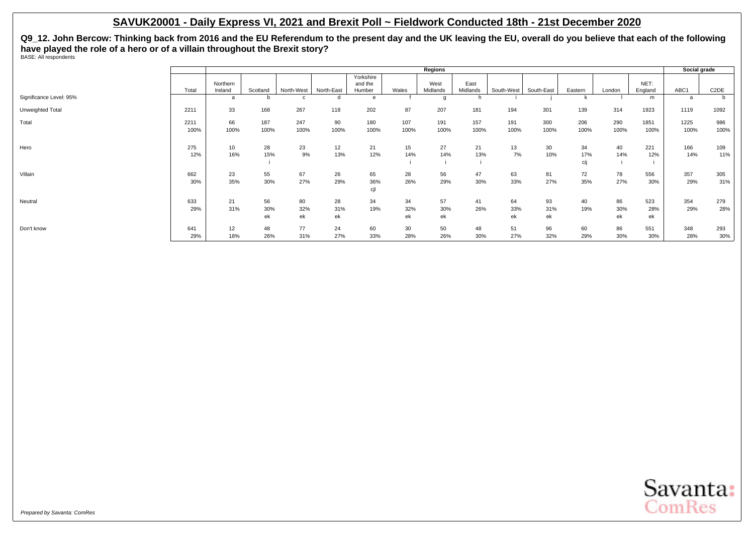**Q9\_12. John Bercow: Thinking back from 2016 and the EU Referendum to the present day and the UK leaving the EU, overall do you believe that each of the following have played the role of a hero or of a villain throughout the Brexit story?** BASE: All respondents

|                         |              |                     |                 |                 |                 |                                |                 | Regions          |                  |                 |                 |                  |                 |                  | Social grade |                   |
|-------------------------|--------------|---------------------|-----------------|-----------------|-----------------|--------------------------------|-----------------|------------------|------------------|-----------------|-----------------|------------------|-----------------|------------------|--------------|-------------------|
|                         | Total        | Northern<br>Ireland | Scotland        | North-West      | North-East      | Yorkshire<br>and the<br>Humber | Wales           | West<br>Midlands | East<br>Midlands | South-West      | South-East      | Eastern          | London          | NET:<br>England  | ABC1         | C <sub>2</sub> DE |
| Significance Level: 95% |              | a                   |                 |                 |                 | e                              |                 |                  | h.               |                 |                 |                  |                 | m                | a            |                   |
| Unweighted Total        | 2211         | 33                  | 168             | 267             | 118             | 202                            | 87              | 207              | 181              | 194             | 301             | 139              | 314             | 1923             | 1119         | 1092              |
| Total                   | 2211<br>100% | 66<br>100%          | 187<br>100%     | 247<br>100%     | 90<br>100%      | 180<br>100%                    | 107<br>100%     | 191<br>100%      | 157<br>100%      | 191<br>100%     | 300<br>100%     | 206<br>100%      | 290<br>100%     | 1851<br>100%     | 1225<br>100% | 986<br>100%       |
| Hero                    | 275<br>12%   | 10<br>16%           | 28<br>15%       | 23<br>9%        | 12<br>13%       | 21<br>12%                      | 15<br>14%       | 27<br>14%        | 21<br>13%        | 13<br>7%        | 30<br>10%       | 34<br>17%<br>cij | 40<br>14%       | 221<br>12%       | 166<br>14%   | 109<br>11%        |
| Villain                 | 662<br>30%   | 23<br>35%           | 55<br>30%       | 67<br>27%       | 26<br>29%       | 65<br>36%<br>cjl               | 28<br>26%       | 56<br>29%        | 47<br>30%        | 63<br>33%       | 81<br>27%       | 72<br>35%        | 78<br>27%       | 556<br>30%       | 357<br>29%   | 305<br>31%        |
| Neutral                 | 633<br>29%   | 21<br>31%           | 56<br>30%<br>ek | 80<br>32%<br>ek | 28<br>31%<br>ek | 34<br>19%                      | 34<br>32%<br>ek | 57<br>30%<br>ek  | 41<br>26%        | 64<br>33%<br>ek | 93<br>31%<br>ek | 40<br>19%        | 86<br>30%<br>ek | 523<br>28%<br>ek | 354<br>29%   | 279<br>28%        |
| Don't know              | 641<br>29%   | 12<br>18%           | 48<br>26%       | 77<br>31%       | 24<br>27%       | 60<br>33%                      | 30<br>28%       | 50<br>26%        | 48<br>30%        | 51<br>27%       | 96<br>32%       | 60<br>29%        | 86<br>30%       | 551<br>30%       | 348<br>28%   | 293<br>30%        |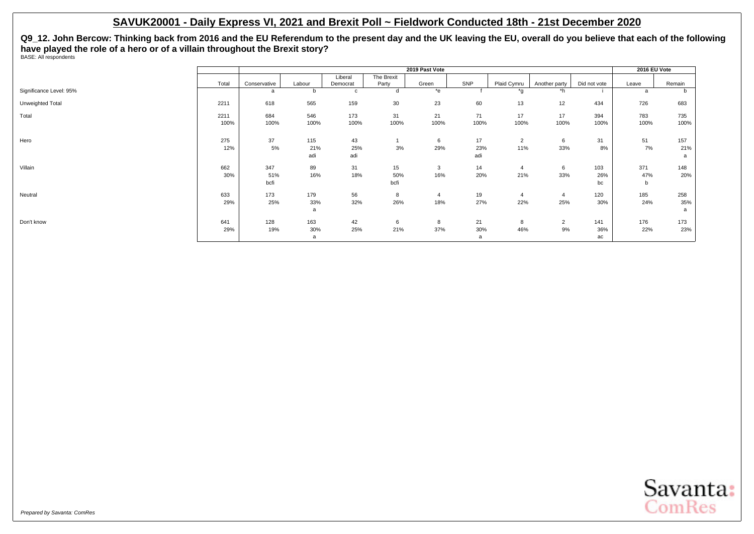**Q9\_12. John Bercow: Thinking back from 2016 and the EU Referendum to the present day and the UK leaving the EU, overall do you believe that each of the following have played the role of a hero or of a villain throughout the Brexit story?** BASE: All respondents

|                         |       |              |              |              |            | 2019 Past Vote |      |                         |                |              | 2016 EU Vote |        |
|-------------------------|-------|--------------|--------------|--------------|------------|----------------|------|-------------------------|----------------|--------------|--------------|--------|
|                         |       |              |              | Liberal      | The Brexit |                |      |                         |                |              |              |        |
|                         | Total | Conservative | Labour       | Democrat     | Party      | Green          | SNP  | Plaid Cymru             | Another party  | Did not vote | Leave        | Remain |
| Significance Level: 95% |       | a            | <sub>b</sub> | $\mathbf{c}$ | d          | $*_{e}$        |      | *a                      | *h             |              |              |        |
| Unweighted Total        | 2211  | 618          | 565          | 159          | 30         | 23             | 60   | 13                      | 12             | 434          | 726          | 683    |
| Total                   | 2211  | 684          | 546          | 173          | 31         | 21             | 71   | 17                      | 17             | 394          | 783          | 735    |
|                         | 100%  | 100%         | 100%         | 100%         | 100%       | 100%           | 100% | 100%                    | 100%           | 100%         | 100%         | 100%   |
| Hero                    | 275   | 37           | 115          | 43           |            | 6              | 17   | $\overline{2}$          | 6              | 31           | 51           | 157    |
|                         | 12%   | 5%           | 21%          | 25%          | 3%         | 29%            | 23%  | 11%                     | 33%            | 8%           | 7%           | 21%    |
|                         |       |              | adi          | adi          |            |                | adi  |                         |                |              |              | a      |
| Villain                 | 662   | 347          | 89           | 31           | 15         | 3              | 14   | $\overline{\mathbf{4}}$ | 6              | 103          | 371          | 148    |
|                         | 30%   | 51%          | 16%          | 18%          | 50%        | 16%            | 20%  | 21%                     | 33%            | 26%          | 47%          | 20%    |
|                         |       | bcfi         |              |              | bcfi       |                |      |                         |                | bc           | b            |        |
| Neutral                 | 633   | 173          | 179          | 56           | 8          | 4              | 19   | -4                      | $\overline{4}$ | 120          | 185          | 258    |
|                         | 29%   | 25%          | 33%          | 32%          | 26%        | 18%            | 27%  | 22%                     | 25%            | 30%          | 24%          | 35%    |
|                         |       |              | a            |              |            |                |      |                         |                |              |              | a      |
| Don't know              | 641   | 128          | 163          | 42           | 6          | 8              | 21   | 8                       | $\overline{2}$ | 141          | 176          | 173    |
|                         | 29%   | 19%          | 30%          | 25%          | 21%        | 37%            | 30%  | 46%                     | 9%             | 36%          | 22%          | 23%    |
|                         |       |              | a            |              |            |                | a    |                         |                | ac           |              |        |

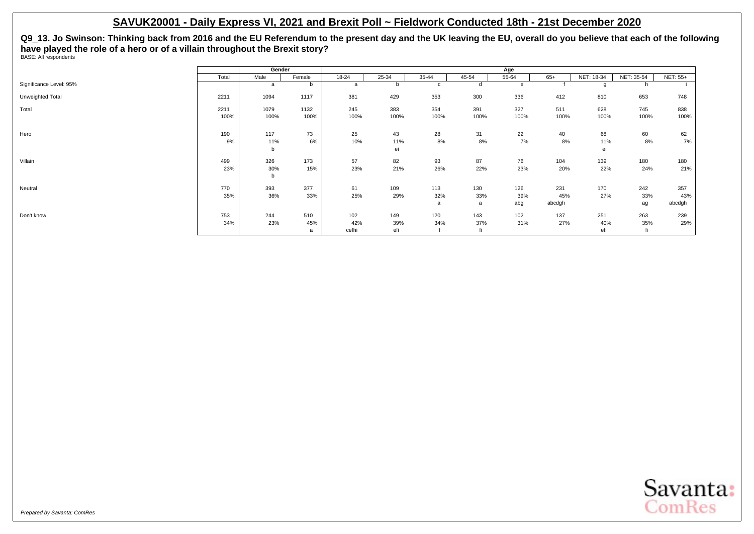**Q9\_13. Jo Swinson: Thinking back from 2016 and the EU Referendum to the present day and the UK leaving the EU, overall do you believe that each of the following have played the role of a hero or of a villain throughout the Brexit story?** BASE: All respondents

|                         |       | Gender |        |           |           |           |           | Age       |        |            |            |                 |
|-------------------------|-------|--------|--------|-----------|-----------|-----------|-----------|-----------|--------|------------|------------|-----------------|
|                         | Total | Male   | Female | $18 - 24$ | $25 - 34$ | $35 - 44$ | $45 - 54$ | $55 - 64$ | $65+$  | NET: 18-34 | NET: 35-54 | <b>NET: 55+</b> |
| Significance Level: 95% |       | a      | b      | a         |           | c         | d         | e         |        |            | h          |                 |
| Unweighted Total        | 2211  | 1094   | 1117   | 381       | 429       | 353       | 300       | 336       | 412    | 810        | 653        | 748             |
| Total                   | 2211  | 1079   | 1132   | 245       | 383       | 354       | 391       | 327       | 511    | 628        | 745        | 838             |
|                         | 100%  | 100%   | 100%   | 100%      | 100%      | 100%      | 100%      | 100%      | 100%   | 100%       | 100%       | 100%            |
| Hero                    | 190   | 117    | 73     | 25        | 43        | 28        | 31        | 22        | 40     | 68         | 60         | 62              |
|                         | 9%    | 11%    | 6%     | 10%       | 11%       | 8%        | 8%        | 7%        | 8%     | 11%        | 8%         | 7%              |
|                         |       | b      |        |           | ei        |           |           |           |        | ei         |            |                 |
| Villain                 | 499   | 326    | 173    | 57        | 82        | 93        | 87        | 76        | 104    | 139        | 180        | 180             |
|                         | 23%   | 30%    | 15%    | 23%       | 21%       | 26%       | 22%       | 23%       | 20%    | 22%        | 24%        | 21%             |
|                         |       | b      |        |           |           |           |           |           |        |            |            |                 |
| Neutral                 | 770   | 393    | 377    | 61        | 109       | 113       | 130       | 126       | 231    | 170        | 242        | 357             |
|                         | 35%   | 36%    | 33%    | 25%       | 29%       | 32%       | 33%       | 39%       | 45%    | 27%        | 33%        | 43%             |
|                         |       |        |        |           |           | a         | a         | abg       | abcdgh |            | ag         | abcdgh          |
| Don't know              | 753   | 244    | 510    | 102       | 149       | 120       | 143       | 102       | 137    | 251        | 263        | 239             |
|                         | 34%   | 23%    | 45%    | 42%       | 39%       | 34%       | 37%       | 31%       | 27%    | 40%        | 35%        | 29%             |
|                         |       |        | a      | cefhi     | efi       |           |           |           |        | efi        | fi         |                 |

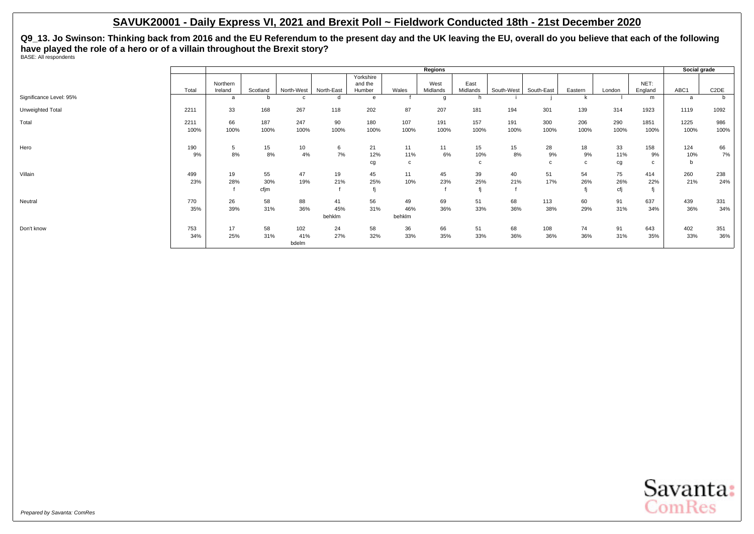**Q9\_13. Jo Swinson: Thinking back from 2016 and the EU Referendum to the present day and the UK leaving the EU, overall do you believe that each of the following have played the role of a hero or of a villain throughout the Brexit story?** BASE: All respondents

|                         |       |                     |          |                  |            |                   |        | Regions          |                  |            |            |         |        |                 | Social grade |                   |
|-------------------------|-------|---------------------|----------|------------------|------------|-------------------|--------|------------------|------------------|------------|------------|---------|--------|-----------------|--------------|-------------------|
|                         |       |                     |          |                  |            | Yorkshire         |        |                  |                  |            |            |         |        |                 |              |                   |
|                         | Total | Northern<br>Ireland | Scotland | North-West       | North-East | and the<br>Humber | Wales  | West<br>Midlands | East<br>Midlands | South-West | South-East | Eastern | London | NET:<br>England | ABC1         | C <sub>2</sub> DE |
| Significance Level: 95% |       | a                   | b        |                  | d          |                   |        |                  | h.               |            |            |         |        | m               | a            | b                 |
| Unweighted Total        | 2211  | 33                  | 168      | 267              | 118        | 202               | 87     | 207              | 181              | 194        | 301        | 139     | 314    | 1923            | 1119         | 1092              |
| Total                   | 2211  | 66                  | 187      | 247              | 90         | 180               | 107    | 191              | 157              | 191        | 300        | 206     | 290    | 1851            | 1225         | 986               |
|                         | 100%  | 100%                | 100%     | 100%             | 100%       | 100%              | 100%   | 100%             | 100%             | 100%       | 100%       | 100%    | 100%   | 100%            | 100%         | 100%              |
| Hero                    | 190   | 5                   | 15       | 10 <sup>10</sup> | 6          | 21                | 11     | 11               | 15               | 15         | 28         | 18      | 33     | 158             | 124          | 66                |
|                         | 9%    | 8%                  | 8%       | 4%               | 7%         | 12%               | 11%    | 6%               | 10%              | 8%         | 9%         | 9%      | 11%    | 9%              | 10%          | 7%                |
|                         |       |                     |          |                  |            | cg                | c      |                  | c                |            | c          | c       | cg     | c               | $\mathbf b$  |                   |
| Villain                 | 499   | 19                  | 55       | 47               | 19         | 45                | 11     | 45               | 39               | 40         | 51         | 54      | 75     | 414             | 260          | 238               |
|                         | 23%   | 28%                 | 30%      | 19%              | 21%        | 25%               | 10%    | 23%              | 25%              | 21%        | 17%        | 26%     | 26%    | 22%             | 21%          | 24%               |
|                         |       |                     | cfjm     |                  |            |                   |        |                  | fi               |            |            |         | cfj    |                 |              |                   |
| Neutral                 | 770   | 26                  | 58       | 88               | 41         | 56                | 49     | 69               | 51               | 68         | 113        | 60      | 91     | 637             | 439          | 331               |
|                         | 35%   | 39%                 | 31%      | 36%              | 45%        | 31%               | 46%    | 36%              | 33%              | 36%        | 38%        | 29%     | 31%    | 34%             | 36%          | 34%               |
|                         |       |                     |          |                  | behklm     |                   | behklm |                  |                  |            |            |         |        |                 |              |                   |
| Don't know              | 753   | 17                  | 58       | 102              | 24         | 58                | 36     | 66               | 51               | 68         | 108        | 74      | 91     | 643             | 402          | 351               |
|                         | 34%   | 25%                 | 31%      | 41%              | 27%        | 32%               | 33%    | 35%              | 33%              | 36%        | 36%        | 36%     | 31%    | 35%             | 33%          | 36%               |
|                         |       |                     |          | bdelm            |            |                   |        |                  |                  |            |            |         |        |                 |              |                   |

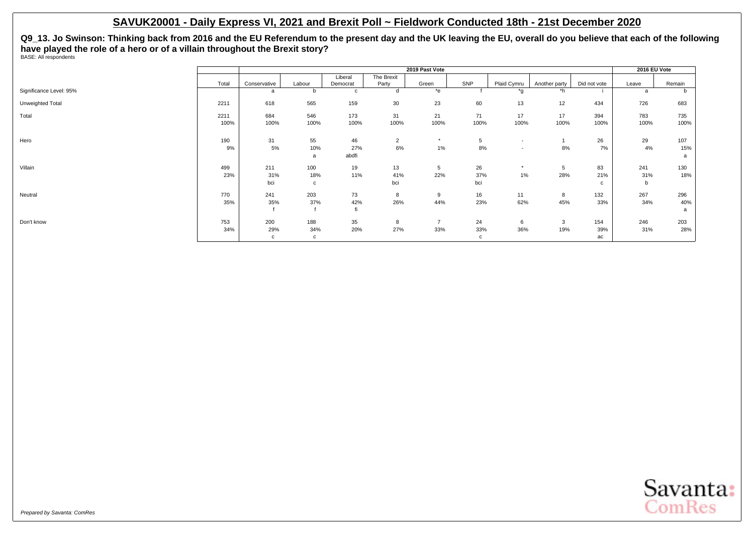**Q9\_13. Jo Swinson: Thinking back from 2016 and the EU Referendum to the present day and the UK leaving the EU, overall do you believe that each of the following have played the role of a hero or of a villain throughout the Brexit story?** BASE: All respondents

|                         |       |              |        |             |                | 2019 Past Vote |            |                          |               |              | 2016 EU Vote |        |
|-------------------------|-------|--------------|--------|-------------|----------------|----------------|------------|--------------------------|---------------|--------------|--------------|--------|
|                         |       |              |        | Liberal     | The Brexit     |                |            |                          |               |              |              |        |
|                         | Total | Conservative | Labour | Democrat    | Party          | Green          | <b>SNP</b> | Plaid Cymru              | Another party | Did not vote | Leave        | Remain |
| Significance Level: 95% |       | a            | b      | $\mathbf c$ | d              | *e             |            | *q                       | $*h$          |              | <sub>a</sub> |        |
| Unweighted Total        | 2211  | 618          | 565    | 159         | 30             | 23             | 60         | 13                       | 12            | 434          | 726          | 683    |
| Total                   | 2211  | 684          | 546    | 173         | 31             | 21             | 71         | 17                       | 17            | 394          | 783          | 735    |
|                         | 100%  | 100%         | 100%   | 100%        | 100%           | 100%           | 100%       | 100%                     | 100%          | 100%         | 100%         | 100%   |
| Hero                    | 190   | 31           | 55     | 46          | $\overline{2}$ | $\star$        | 5          | $\overline{\phantom{a}}$ |               | 26           | 29           | 107    |
|                         | 9%    | 5%           | 10%    | 27%         | $6\%$          | $1\%$          | 8%         | $\overline{\phantom{a}}$ | 8%            | 7%           | 4%           | 15%    |
|                         |       |              | a      | abdfi       |                |                |            |                          |               |              |              | a      |
| Villain                 | 499   | 211          | 100    | 19          | 13             | 5              | 26         | $\star$                  | 5             | 83           | 241          | 130    |
|                         | 23%   | 31%          | 18%    | 11%         | 41%            | 22%            | 37%        | 1%                       | 28%           | 21%          | 31%          | 18%    |
|                         |       | bci          | C      |             | bci            |                | bci        |                          |               | $\mathbf{C}$ | b            |        |
| Neutral                 | 770   | 241          | 203    | 73          | 8              | 9              | 16         | 11                       | 8             | 132          | 267          | 296    |
|                         | 35%   | 35%          | 37%    | 42%         | 26%            | 44%            | 23%        | 62%                      | 45%           | 33%          | 34%          | 40%    |
|                         |       |              |        | fi          |                |                |            |                          |               |              |              | a      |
| Don't know              | 753   | 200          | 188    | 35          | 8              | $\overline{7}$ | 24         | 6                        | 3             | 154          | 246          | 203    |
|                         | 34%   | 29%          | 34%    | 20%         | 27%            | 33%            | 33%        | 36%                      | 19%           | 39%          | 31%          | 28%    |
|                         |       | c            | c      |             |                |                | c          |                          |               | ac           |              |        |

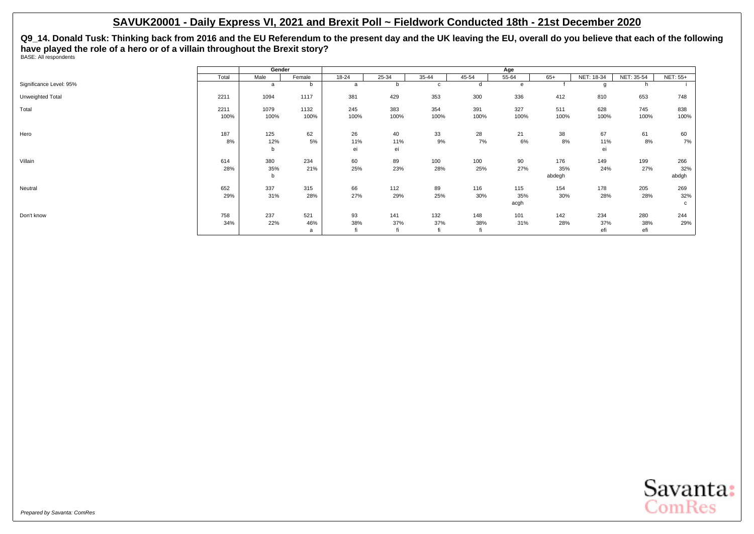**Q9\_14. Donald Tusk: Thinking back from 2016 and the EU Referendum to the present day and the UK leaving the EU, overall do you believe that each of the following have played the role of a hero or of a villain throughout the Brexit story?** BASE: All respondents

|                         |              | Gender          |                 |                 |                  |             |                  | Age                |                      |                   |                   |                     |
|-------------------------|--------------|-----------------|-----------------|-----------------|------------------|-------------|------------------|--------------------|----------------------|-------------------|-------------------|---------------------|
|                         | Total        | Male            | Female          | 18-24           | 25-34            | 35-44       | 45-54            | 55-64              | $65+$                | NET: 18-34        | NET: 35-54        | <b>NET: 55+</b>     |
| Significance Level: 95% |              | a               | b               | a               |                  | C           | d                | e                  |                      | g                 |                   |                     |
| Unweighted Total        | 2211         | 1094            | 1117            | 381             | 429              | 353         | 300              | 336                | 412                  | 810               | 653               | 748                 |
| Total                   | 2211<br>100% | 1079<br>100%    | 1132<br>100%    | 245<br>100%     | 383<br>100%      | 354<br>100% | 391<br>100%      | 327<br>100%        | 511<br>100%          | 628<br>100%       | 745<br>100%       | 838<br>100%         |
| Hero                    | 187<br>8%    | 125<br>12%<br>b | 62<br>5%        | 26<br>11%<br>ei | 40<br>11%<br>ei  | 33<br>9%    | 28<br>7%         | 21<br>6%           | 38<br>8%             | 67<br>11%<br>ei   | 61<br>8%          | 60<br>7%            |
| Villain                 | 614<br>28%   | 380<br>35%<br>b | 234<br>21%      | 60<br>25%       | 89<br>23%        | 100<br>28%  | 100<br>25%       | 90<br>27%          | 176<br>35%<br>abdegh | 149<br>24%        | 199<br>27%        | 266<br>32%<br>abdgh |
| Neutral                 | 652<br>29%   | 337<br>31%      | 315<br>28%      | 66<br>27%       | 112<br>29%       | 89<br>25%   | 116<br>30%       | 115<br>35%<br>acgh | 154<br>30%           | 178<br>28%        | 205<br>28%        | 269<br>32%<br>c     |
| Don't know              | 758<br>34%   | 237<br>22%      | 521<br>46%<br>a | 93<br>38%       | 141<br>37%<br>fi | 132<br>37%  | 148<br>38%<br>fi | 101<br>31%         | 142<br>28%           | 234<br>37%<br>efi | 280<br>38%<br>efi | 244<br>29%          |

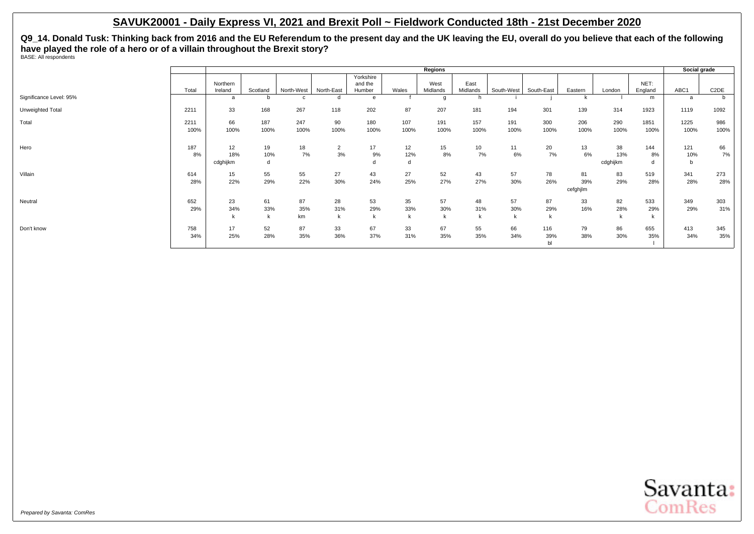**Q9\_14. Donald Tusk: Thinking back from 2016 and the EU Referendum to the present day and the UK leaving the EU, overall do you believe that each of the following have played the role of a hero or of a villain throughout the Brexit story?** BASE: All respondents

|                         |       |                     |             |              |                |                                |       | Regions          |                  |            |            |          |          |                 | Social grade |                   |
|-------------------------|-------|---------------------|-------------|--------------|----------------|--------------------------------|-------|------------------|------------------|------------|------------|----------|----------|-----------------|--------------|-------------------|
|                         | Total | Northern<br>Ireland | Scotland    | North-West   | North-East     | Yorkshire<br>and the<br>Humber | Wales | West<br>Midlands | East<br>Midlands | South-West | South-East | Eastern  | London   | NET:<br>England | ABC1         | C <sub>2</sub> DE |
| Significance Level: 95% |       | $\mathbf{a}$        | b           | $\mathbf{c}$ | d              | e                              |       | q                | h                |            |            |          |          | m               | a            |                   |
|                         |       |                     |             |              |                |                                |       |                  |                  |            |            |          |          |                 |              |                   |
| Unweighted Total        | 2211  | 33                  | 168         | 267          | 118            | 202                            | 87    | 207              | 181              | 194        | 301        | 139      | 314      | 1923            | 1119         | 1092              |
| Total                   | 2211  | 66                  | 187         | 247          | 90             | 180                            | 107   | 191              | 157              | 191        | 300        | 206      | 290      | 1851            | 1225         | 986               |
|                         | 100%  | 100%                | 100%        | 100%         | 100%           | 100%                           | 100%  | 100%             | 100%             | 100%       | 100%       | 100%     | 100%     | 100%            | 100%         | 100%              |
| Hero                    | 187   | 12                  | 19          | 18           | $\overline{2}$ | 17                             | 12    | 15               | 10 <sup>1</sup>  | 11         | 20         | 13       | 38       | 144             | 121          | 66                |
|                         | 8%    | 18%                 | 10%         | 7%           | 3%             | 9%                             | 12%   | 8%               | 7%               | 6%         | 7%         | 6%       | 13%      | 8%              | 10%          | 7%                |
|                         |       | cdghijkm            | d           |              |                |                                | d     |                  |                  |            |            |          | cdghijkm | d               | b            |                   |
| Villain                 | 614   | 15                  | 55          | 55           | 27             | 43                             | 27    | 52               | 43               | 57         | 78         | 81       | 83       | 519             | 341          | 273               |
|                         | 28%   | 22%                 | 29%         | 22%          | 30%            | 24%                            | 25%   | 27%              | 27%              | 30%        | 26%        | 39%      | 29%      | 28%             | 28%          | 28%               |
|                         |       |                     |             |              |                |                                |       |                  |                  |            |            | cefghjlm |          |                 |              |                   |
| Neutral                 | 652   | 23                  | 61          | 87           | 28             | 53                             | 35    | 57               | 48               | 57         | 87         | 33       | 82       | 533             | 349          | 303               |
|                         | 29%   | 34%                 | 33%         | 35%          | 31%            | 29%                            | 33%   | 30%              | 31%              | 30%        | 29%        | 16%      | 28%      | 29%             | 29%          | 31%               |
|                         |       | k                   | $\mathsf k$ | km           |                | k                              | k     | k                | k                | k          | k          |          |          | k               |              |                   |
| Don't know              | 758   | 17                  | 52          | 87           | 33             | 67                             | 33    | 67               | 55               | 66         | 116        | 79       | 86       | 655             | 413          | 345               |
|                         | 34%   | 25%                 | 28%         | 35%          | 36%            | 37%                            | 31%   | 35%              | 35%              | 34%        | 39%        | 38%      | 30%      | 35%             | 34%          | 35%               |
|                         |       |                     |             |              |                |                                |       |                  |                  |            | b1         |          |          |                 |              |                   |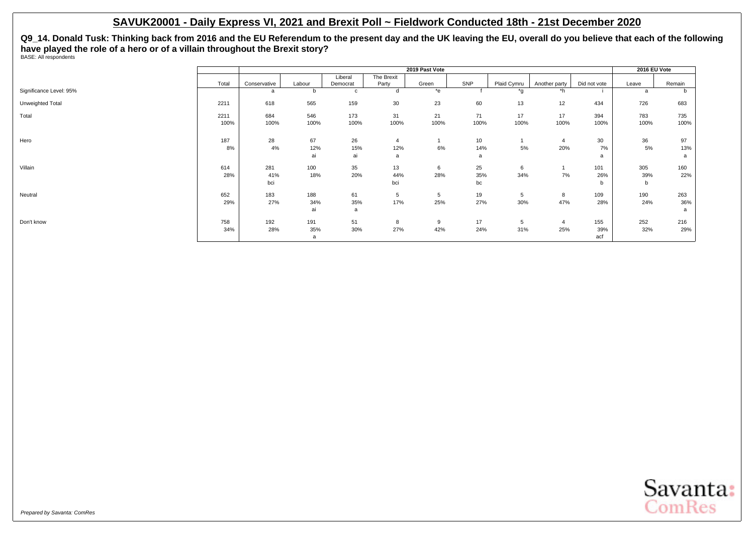**Q9\_14. Donald Tusk: Thinking back from 2016 and the EU Referendum to the present day and the UK leaving the EU, overall do you believe that each of the following have played the role of a hero or of a villain throughout the Brexit story?** BASE: All respondents

|                         |       |              |        |          |            | 2019 Past Vote |      |             |                |              | 2016 EU Vote |        |
|-------------------------|-------|--------------|--------|----------|------------|----------------|------|-------------|----------------|--------------|--------------|--------|
|                         |       |              |        | Liberal  | The Brexit |                |      |             |                |              |              |        |
|                         | Total | Conservative | Labour | Democrat | Party      | Green          | SNP  | Plaid Cymru | Another party  | Did not vote | Leave        | Remain |
| Significance Level: 95% |       | a            | b      | c        | d          | *e             |      | *a          | *h             |              | a            | D      |
| Unweighted Total        | 2211  | 618          | 565    | 159      | 30         | 23             | 60   | 13          | 12             | 434          | 726          | 683    |
| Total                   | 2211  | 684          | 546    | 173      | 31         | 21             | 71   | 17          | 17             | 394          | 783          | 735    |
|                         | 100%  | 100%         | 100%   | 100%     | 100%       | 100%           | 100% | 100%        | 100%           | 100%         | 100%         | 100%   |
| Hero                    | 187   | 28           | 67     | 26       | 4          |                | 10   |             | $\overline{4}$ | 30           | 36           | 97     |
|                         | 8%    | 4%           | 12%    | 15%      | 12%        | 6%             | 14%  | 5%          | 20%            | 7%           | 5%           | 13%    |
|                         |       |              | ai     | ai       | a          |                | a    |             |                | a            |              | a      |
| Villain                 | 614   | 281          | 100    | 35       | 13         | 6              | 25   | 6           |                | 101          | 305          | 160    |
|                         | 28%   | 41%          | 18%    | 20%      | 44%        | 28%            | 35%  | 34%         | 7%             | 26%          | 39%          | 22%    |
|                         |       | bci          |        |          | bci        |                | bc   |             |                | b            | b            |        |
| Neutral                 | 652   | 183          | 188    | 61       | 5          | 5              | 19   | 5           | 8              | 109          | 190          | 263    |
|                         | 29%   | 27%          | 34%    | 35%      | 17%        | 25%            | 27%  | 30%         | 47%            | 28%          | 24%          | 36%    |
|                         |       |              | ai     | a        |            |                |      |             |                |              |              | a      |
| Don't know              | 758   | 192          | 191    | 51       | 8          | 9              | 17   | 5           | 4              | 155          | 252          | 216    |
|                         | 34%   | 28%          | 35%    | 30%      | 27%        | 42%            | 24%  | 31%         | 25%            | 39%          | 32%          | 29%    |
|                         |       |              | a      |          |            |                |      |             |                | acf          |              |        |

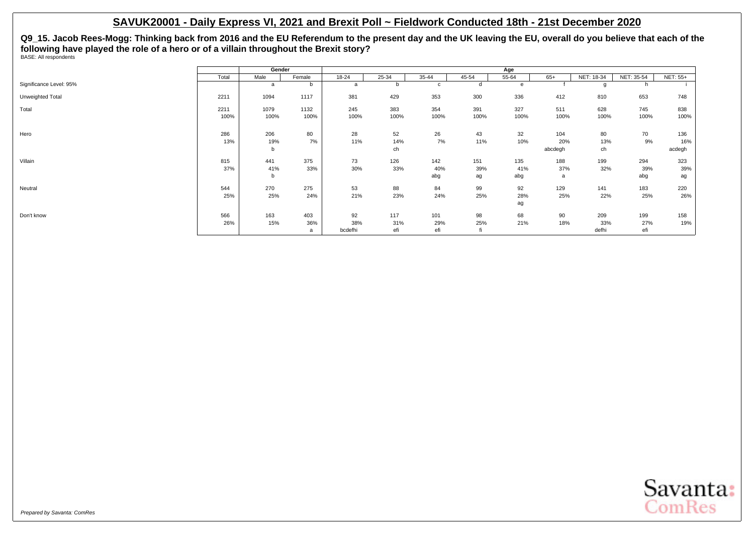**Q9\_15. Jacob Rees-Mogg: Thinking back from 2016 and the EU Referendum to the present day and the UK leaving the EU, overall do you believe that each of the following have played the role of a hero or of a villain throughout the Brexit story?** BASE: All respondents

|                         |       | Gender |              |           |           |             |           | Age       |         |            |            |                 |
|-------------------------|-------|--------|--------------|-----------|-----------|-------------|-----------|-----------|---------|------------|------------|-----------------|
|                         | Total | Male   | Female       | $18 - 24$ | $25 - 34$ | $35 - 44$   | $45 - 54$ | $55 - 64$ | $65+$   | NET: 18-34 | NET: 35-54 | <b>NET: 55+</b> |
| Significance Level: 95% |       | a      | <sub>n</sub> | a         | b         | $\mathbf c$ | d         | e         |         | o          | h          |                 |
| Unweighted Total        | 2211  | 1094   | 1117         | 381       | 429       | 353         | 300       | 336       | 412     | 810        | 653        | 748             |
| Total                   | 2211  | 1079   | 1132         | 245       | 383       | 354         | 391       | 327       | 511     | 628        | 745        | 838             |
|                         | 100%  | 100%   | 100%         | 100%      | 100%      | 100%        | 100%      | 100%      | 100%    | 100%       | 100%       | 100%            |
| Hero                    | 286   | 206    |              | 28        |           | 26          | 43        | 32        |         |            |            | 136             |
|                         |       |        | 80           |           | 52        |             |           |           | 104     | 80         | 70         |                 |
|                         | 13%   | 19%    | 7%           | 11%       | 14%       | 7%          | 11%       | 10%       | 20%     | 13%        | 9%         | 16%             |
|                         |       | b      |              |           | ch        |             |           |           | abcdegh | ch         |            | acdegh          |
| Villain                 | 815   | 441    | 375          | 73        | 126       | 142         | 151       | 135       | 188     | 199        | 294        | 323             |
|                         | 37%   | 41%    | 33%          | 30%       | 33%       | 40%         | 39%       | 41%       | 37%     | 32%        | 39%        | 39%             |
|                         |       | b      |              |           |           | abg         | ag        | abg       | a       |            | abg        | ag              |
| Neutral                 | 544   | 270    | 275          | 53        | 88        | 84          | 99        | 92        | 129     | 141        | 183        | 220             |
|                         | 25%   | 25%    | 24%          | 21%       | 23%       | 24%         | 25%       | 28%       | 25%     | 22%        | 25%        | 26%             |
|                         |       |        |              |           |           |             |           | ag        |         |            |            |                 |
| Don't know              | 566   | 163    | 403          | 92        | 117       | 101         | 98        | 68        | 90      | 209        | 199        | 158             |
|                         | 26%   | 15%    | 36%          | 38%       | 31%       | 29%         | 25%       | 21%       | 18%     | 33%        | 27%        | 19%             |
|                         |       |        | a            | bcdefhi   | efi       | efi         | fi        |           |         | defhi      | efi        |                 |

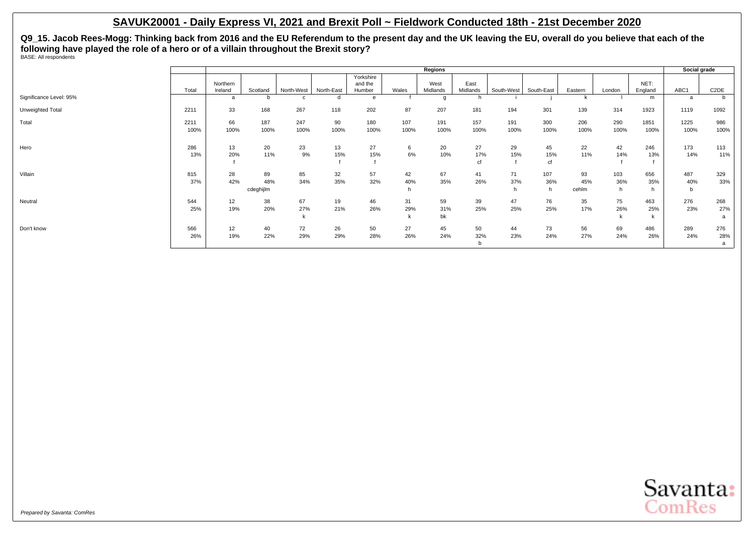**Q9\_15. Jacob Rees-Mogg: Thinking back from 2016 and the EU Referendum to the present day and the UK leaving the EU, overall do you believe that each of the following have played the role of a hero or of a villain throughout the Brexit story?** BASE: All respondents

|                         |              |                     |                        |              |            |                                |             | Regions          |                  |                 |                 |                    |             |                 | Social grade    |                   |
|-------------------------|--------------|---------------------|------------------------|--------------|------------|--------------------------------|-------------|------------------|------------------|-----------------|-----------------|--------------------|-------------|-----------------|-----------------|-------------------|
|                         | Total        | Northern<br>Ireland | Scotland               | North-West   | North-East | Yorkshire<br>and the<br>Humber | Wales       | West<br>Midlands | East<br>Midlands | South-West      | South-East      | Eastern            | London      | NET:<br>England | ABC1            | C <sub>2</sub> DE |
| Significance Level: 95% |              | a                   |                        | $\mathsf{C}$ |            | e                              |             |                  |                  |                 |                 |                    |             | m               | a               | b.                |
| Unweighted Total        | 2211         | 33                  | 168                    | 267          | 118        | 202                            | 87          | 207              | 181              | 194             | 301             | 139                | 314         | 1923            | 1119            | 1092              |
| Total                   | 2211<br>100% | 66<br>100%          | 187<br>100%            | 247<br>100%  | 90<br>100% | 180<br>100%                    | 107<br>100% | 191<br>100%      | 157<br>100%      | 191<br>100%     | 300<br>100%     | 206<br>100%        | 290<br>100% | 1851<br>100%    | 1225<br>100%    | 986<br>100%       |
| Hero                    | 286<br>13%   | 13<br>20%           | 20<br>11%              | 23<br>9%     | 13<br>15%  | 27<br>15%                      | 6<br>6%     | 20<br>10%        | 27<br>17%<br>cf  | 29<br>15%       | 45<br>15%<br>cf | 22<br>11%          | 42<br>14%   | 246<br>13%      | 173<br>14%      | 113<br>11%        |
| Villain                 | 815<br>37%   | 28<br>42%           | 89<br>48%<br>cdeghijlm | 85<br>34%    | 32<br>35%  | 57<br>32%                      | 42<br>40%   | 67<br>35%        | 41<br>26%        | 71<br>37%<br>n. | 107<br>36%      | 93<br>45%<br>cehlm | 103<br>36%  | 656<br>35%      | 487<br>40%<br>b | 329<br>33%        |
| Neutral                 | 544<br>25%   | 12<br>19%           | 38<br>20%              | 67<br>27%    | 19<br>21%  | 46<br>26%                      | 31<br>29%   | 59<br>31%<br>bk  | 39<br>25%        | 47<br>25%       | 76<br>25%       | 35<br>17%          | 75<br>26%   | 463<br>25%      | 276<br>23%      | 268<br>27%<br>a   |
| Don't know              | 566<br>26%   | 12<br>19%           | 40<br>22%              | 72<br>29%    | 26<br>29%  | 50<br>28%                      | 27<br>26%   | 45<br>24%        | 50<br>32%<br>b   | 44<br>23%       | 73<br>24%       | 56<br>27%          | 69<br>24%   | 486<br>26%      | 289<br>24%      | 276<br>28%<br>a   |